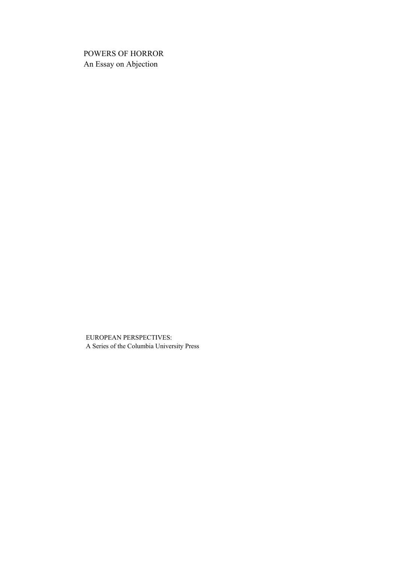POWERS OF HORROR An Essay on Abjection

EUROPEAN PERSPECTIVES: A Series of the Columbia University Press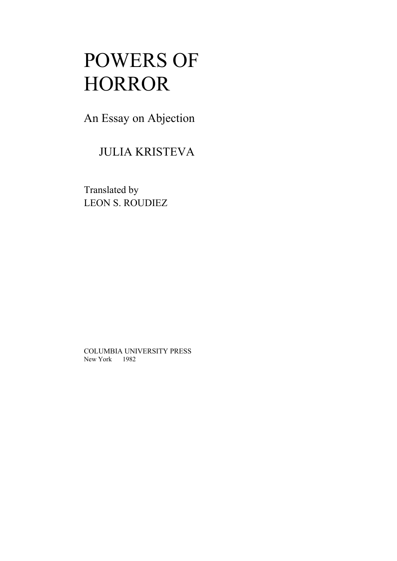# POWERS OF HORROR

An Essay on Abjection

JULIA KRISTEVA

Translated by LEON S. ROUDIEZ

COLUMBIA UNIVERSITY PRESS New York 1982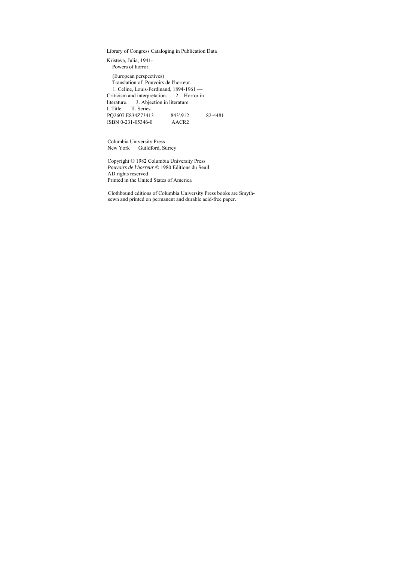Library of Congress Cataloging in Publication Data Kristeva, Julia, 1941- Powers of horror. (European perspectives) Translation of: Pouvoirs de l'horreur. 1. Celine, Louis-Ferdinand, 1894-1961 — Criticism and interpretation. 2. Horror in literature. 3. Abjection in literature. I. Title. II. Series. PQ2607.E834Z73413 843'.912 82-4481<br>ISBN 0-231-05346-0 AACR2  $ISBN 0-231-05346-0$ 

Columbia University Press New York Guildford, Surrey

Copyright © 1982 Columbia University Press *Pouvoirs de l'horreur ©* 1980 Editions du Seuil AD rights reserved Printed in the United States of America

Clothbound editions of Columbia University Press books are Smythsewn and printed on permanent and durable acid-free paper.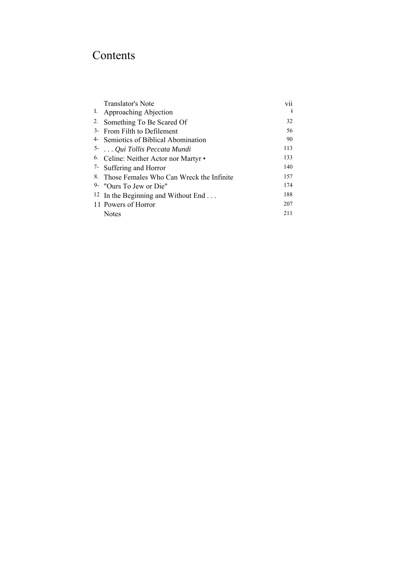# Contents

| Translator's Note                                 | <br>V11 |
|---------------------------------------------------|---------|
| <sup>I.</sup> Approaching Abjection               |         |
| 2. Something To Be Scared Of                      | 32      |
| 3- From Filth to Defilement                       | 56      |
| 4- Semiotics of Biblical Abomination              | 90      |
| <sup>5</sup> - <i>Qui Tollis Peccata Mundi</i>    | 113     |
| <sup>6</sup> . Celine: Neither Actor nor Martyr • | 133     |
| 7- Suffering and Horror                           | 140     |
| 8. Those Females Who Can Wreck the Infinite       | 157     |
| 9- "Ours To Jew or Die"                           | 174     |
| <sup>12</sup> In the Beginning and Without End    | 188     |
| 11 Powers of Horror                               | 207     |
| Notes                                             | 211     |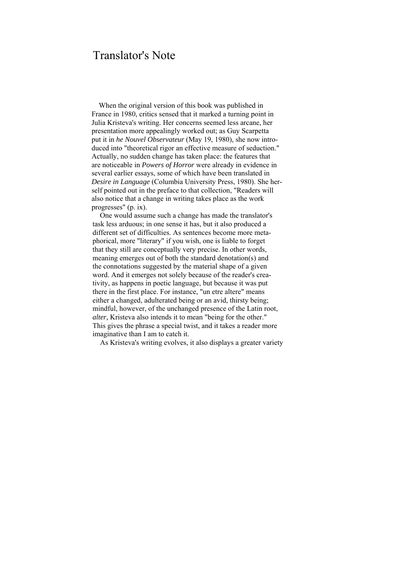### Translator's Note

When the original version of this book was published in France in 1980, critics sensed that it marked a turning point in Julia Kristeva's writing. Her concerns seemed less arcane, her presentation more appealingly worked out; as Guy Scarpetta put it in *he Nouvel Observateur* (May 19, 1980), she now introduced into "theoretical rigor an effective measure of seduction." Actually, no sudden change has taken place: the features that are noticeable in *Powers of Horror* were already in evidence in several earlier essays, some of which have been translated in *Desire in Language* (Columbia University Press, 1980). She herself pointed out in the preface to that collection, "Readers will also notice that a change in writing takes place as the work progresses" (p. ix).

One would assume such a change has made the translator's task less arduous; in one sense it has, but it also produced a different set of difficulties. As sentences become more metaphorical, more "literary" if you wish, one is liable to forget that they still are conceptually very precise. In other words, meaning emerges out of both the standard denotation(s) and the connotations suggested by the material shape of a given word. And it emerges not solely because of the reader's creativity, as happens in poetic language, but because it was put there in the first place. For instance, "un etre altere" means either a changed, adulterated being or an avid, thirsty being; mindful, however, of the unchanged presence of the Latin root, *alter,* Kristeva also intends it to mean "being for the other." This gives the phrase a special twist, and it takes a reader more imaginative than I am to catch it.

As Kristeva's writing evolves, it also displays a greater variety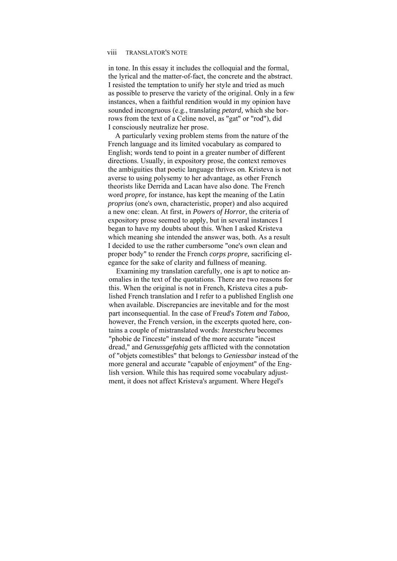#### viii TRANSLATOR'S NOTE

in tone. In this essay it includes the colloquial and the formal, the lyrical and the matter-of-fact, the concrete and the abstract. I resisted the temptation to unify her style and tried as much as possible to preserve the variety of the original. Only in a few instances, when a faithful rendition would in my opinion have sounded incongruous (e.g., translating *petard,* which she borrows from the text of a Celine novel, as "gat" or "rod"), did I consciously neutralize her prose.

A particularly vexing problem stems from the nature of the French language and its limited vocabulary as compared to English; words tend to point in a greater number of different directions. Usually, in expository prose, the context removes the ambiguities that poetic language thrives on. Kristeva is not averse to using polysemy to her advantage, as other French theorists like Derrida and Lacan have also done. The French word *propre,* for instance, has kept the meaning of the Latin *proprius* (one's own, characteristic, proper) and also acquired a new one: clean. At first, in *Powers of Horror,* the criteria of expository prose seemed to apply, but in several instances I began to have my doubts about this. When I asked Kristeva which meaning she intended the answer was, both. As a result I decided to use the rather cumbersome "one's own clean and proper body" to render the French *corps propre,* sacrificing elegance for the sake of clarity and fullness of meaning.

Examining my translation carefully, one is ant to notice anomalies in the text of the quotations. There are two reasons for this. When the original is not in French, Kristeva cites a published French translation and I refer to a published English one when available. Discrepancies are inevitable and for the most part inconsequential. In the case of Freud's *Totem and Taboo,*  however, the French version, in the excerpts quoted here, contains a couple of mistranslated words: *Inzestscheu* becomes "phobie de l'inceste" instead of the more accurate "incest dread," and *Genussgefahig* gets afflicted with the connotation of "objets comestibles" that belongs to *Geniessbar* instead of the more general and accurate "capable of enjoyment" of the English version. While this has required some vocabulary adjustment, it does not affect Kristeva's argument. Where Hegel's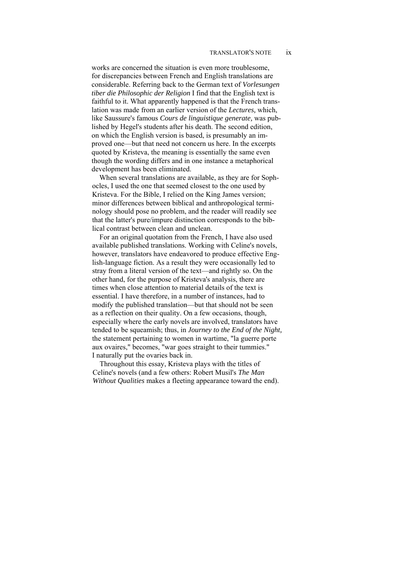works are concerned the situation is even more troublesome, for discrepancies between French and English translations are considerable. Referring back to the German text of *Vorlesungen tiber die Philosophic der Religion* I find that the English text is faithful to it. What apparently happened is that the French translation was made from an earlier version of the *Lectures,* which, like Saussure's famous *Cours de linguistique generate,* was published by Hegel's students after his death. The second edition, on which the English version is based, is presumably an improved one—but that need not concern us here. In the excerpts quoted by Kristeva, the meaning is essentially the same even though the wording differs and in one instance a metaphorical development has been eliminated.

When several translations are available, as they are for Sophocles, I used the one that seemed closest to the one used by Kristeva. For the Bible, I relied on the King James version; minor differences between biblical and anthropological terminology should pose no problem, and the reader will readily see that the latter's pure/impure distinction corresponds to the biblical contrast between clean and unclean.

For an original quotation from the French, I have also used available published translations. Working with Celine's novels, however, translators have endeavored to produce effective English-language fiction. As a result they were occasionally led to stray from a literal version of the text—and rightly so. On the other hand, for the purpose of Kristeva's analysis, there are times when close attention to material details of the text is essential. I have therefore, in a number of instances, had to modify the published translation—but that should not be seen as a reflection on their quality. On a few occasions, though, especially where the early novels are involved, translators have tended to be squeamish; thus, in *Journey to the End of the Night,*  the statement pertaining to women in wartime, "la guerre porte aux ovaires," becomes, "war goes straight to their tummies." I naturally put the ovaries back in.

Throughout this essay, Kristeva plays with the titles of Celine's novels (and a few others: Robert Musil's *The Man Without Qualities* makes a fleeting appearance toward the end).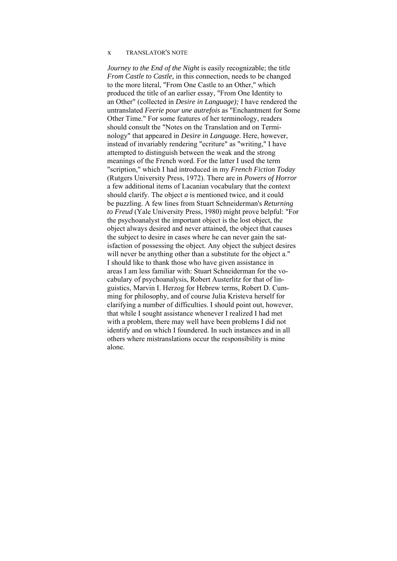#### x TRANSLATOR'S NOTE

*Journey to the End of the Night* is easily recognizable; the title *From Castle to Castle,* in this connection, needs to be changed to the more literal, "From One Castle to an Other," which produced the title of an earlier essay, "From One Identity to an Other" (collected in *Desire in Language);* I have rendered the untranslated *Feerie pour une autrefois* as "Enchantment for Some Other Time." For some features of her terminology, readers should consult the "Notes on the Translation and on Terminology" that appeared in *Desire in Language.* Here, however, instead of invariably rendering "ecriture" as "writing," I have attempted to distinguish between the weak and the strong meanings of the French word. For the latter I used the term "scription," which I had introduced in my *French Fiction Today*  (Rutgers University Press, 1972). There are in *Powers of Horror*  a few additional items of Lacanian vocabulary that the context should clarify. The object *a* is mentioned twice, and it could be puzzling. A few lines from Stuart Schneiderman's *Returning to Freud* (Yale University Press, 1980) might prove helpful: "For the psychoanalyst the important object is the lost object, the object always desired and never attained, the object that causes the subject to desire in cases where he can never gain the satisfaction of possessing the object. Any object the subject desires will never be anything other than a substitute for the object a." I should like to thank those who have given assistance in areas I am less familiar with: Stuart Schneiderman for the vocabulary of psychoanalysis, Robert Austerlitz for that of linguistics, Marvin I. Herzog for Hebrew terms, Robert D. Cumming for philosophy, and of course Julia Kristeva herself for clarifying a number of difficulties. I should point out, however, that while I sought assistance whenever I realized I had met with a problem, there may well have been problems I did not identify and on which I foundered. In such instances and in all others where mistranslations occur the responsibility is mine alone.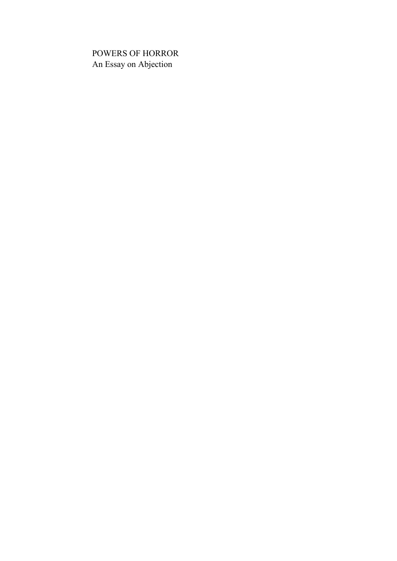POWERS OF HORROR An Essay on Abjection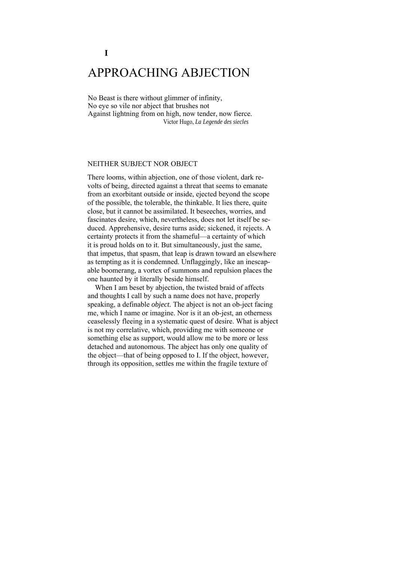No Beast is there without glimmer of infinity, No eye so vile nor abject that brushes not Against lightning from on high, now tender, now fierce. Victor Hugo, *La Legende des siecles*

#### NEITHER SUBJECT NOR OBJECT

There looms, within abjection, one of those violent, dark revolts of being, directed against a threat that seems to emanate from an exorbitant outside or inside, ejected beyond the scope of the possible, the tolerable, the thinkable. It lies there, quite close, but it cannot be assimilated. It beseeches, worries, and fascinates desire, which, nevertheless, does not let itself be seduced. Apprehensive, desire turns aside; sickened, it rejects. A certainty protects it from the shameful—a certainty of which it is proud holds on to it. But simultaneously, just the same, that impetus, that spasm, that leap is drawn toward an elsewhere as tempting as it is condemned. Unflaggingly, like an inescapable boomerang, a vortex of summons and repulsion places the one haunted by it literally beside himself.

When I am beset by abjection, the twisted braid of affects and thoughts I call by such a name does not have, properly speaking, a definable *object*. The abject is not an ob-ject facing me, which I name or imagine. Nor is it an ob-jest, an otherness ceaselessly fleeing in a systematic quest of desire. What is abject is not my correlative, which, providing me with someone or something else as support, would allow me to be more or less detached and autonomous. The abject has only one quality of the object—that of being opposed to I. If the object, however, through its opposition, settles me within the fragile texture of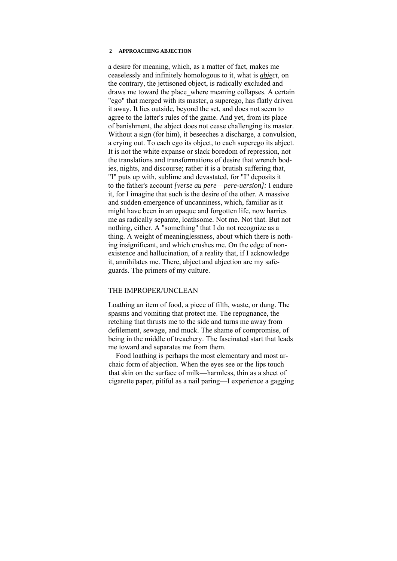a desire for meaning, which, as a matter of fact, makes me ceaselessly and infinitely homologous to it, what is *abject,* on the contrary, the jettisoned object, is radically excluded and draws me toward the place\_where meaning collapses. A certain "ego" that merged with its master, a superego, has flatly driven it away. It lies outside, beyond the set, and does not seem to agree to the latter's rules of the game. And yet, from its place of banishment, the abject does not cease challenging its master. Without a sign (for him), it beseeches a discharge, a convulsion, a crying out. To each ego its object, to each superego its abject. It is not the white expanse or slack boredom of repression, not the translations and transformations of desire that wrench bodies, nights, and discourse; rather it is a brutish suffering that, "I" puts up with, sublime and devastated, for "I" deposits it to the father's account *[verse au pere*—*pere-uersion]:* I endure it, for I imagine that such is the desire of the other. A massive and sudden emergence of uncanniness, which, familiar as it might have been in an opaque and forgotten life, now harries me as radically separate, loathsome. Not me. Not that. But not nothing, either. A "something" that I do not recognize as a thing. A weight of meaninglessness, about which there is nothing insignificant, and which crushes me. On the edge of nonexistence and hallucination, of a reality that, if I acknowledge it, annihilates me. There, abject and abjection are my safeguards. The primers of my culture.

#### THE IMPROPER/UNCLEAN

Loathing an item of food, a piece of filth, waste, or dung. The spasms and vomiting that protect me. The repugnance, the retching that thrusts me to the side and turns me away from defilement, sewage, and muck. The shame of compromise, of being in the middle of treachery. The fascinated start that leads me toward and separates me from them.

Food loathing is perhaps the most elementary and most archaic form of abjection. When the eyes see or the lips touch that skin on the surface of milk—harmless, thin as a sheet of cigarette paper, pitiful as a nail paring—I experience a gagging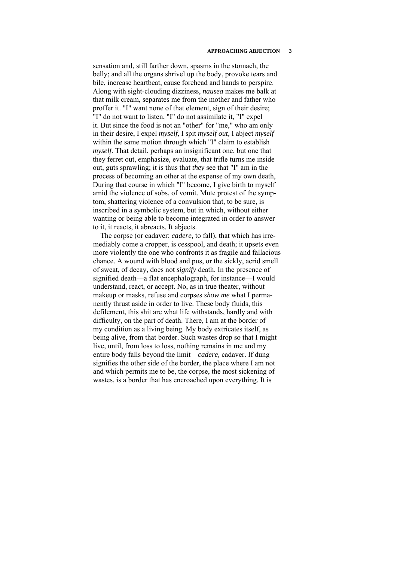sensation and, still farther down, spasms in the stomach, the belly; and all the organs shrivel up the body, provoke tears and bile, increase heartbeat, cause forehead and hands to perspire. Along with sight-clouding dizziness, *nausea* makes me balk at that milk cream, separates me from the mother and father who proffer it. "I" want none of that element, sign of their desire; "I" do not want to listen, "I" do not assimilate it, "I" expel it. But since the food is not an "other" for "me," who am only in their desire, I expel *myself,* I spit *myself out,* I abject *myself*  within the same motion through which "I" claim to establish *myself.* That detail, perhaps an insignificant one, but one that they ferret out, emphasize, evaluate, that trifle turns me inside out, guts sprawling; it is thus that *they* see that "I" am in the process of becoming an other at the expense of my own death, During that course in which "I" become, I give birth to myself amid the violence of sobs, of vomit. Mute protest of the symptom, shattering violence of a convulsion that, to be sure, is inscribed in a symbolic system, but in which, without either wanting or being able to become integrated in order to answer to it, it reacts, it abreacts. It abjects.

The corpse (or cadaver: *cadere,* to fall), that which has irremediably come a cropper, is cesspool, and death; it upsets even more violently the one who confronts it as fragile and fallacious chance. A wound with blood and pus, or the sickly, acrid smell of sweat, of decay, does not *signify* death. In the presence of signified death—a flat encephalograph, for instance—I would understand, react, or accept. No, as in true theater, without makeup or masks, refuse and corpses *show me* what I permanently thrust aside in order to live. These body fluids, this defilement, this shit are what life withstands, hardly and with difficulty, on the part of death. There, I am at the border of my condition as a living being. My body extricates itself, as being alive, from that border. Such wastes drop so that I might live, until, from loss to loss, nothing remains in me and my entire body falls beyond the limit—*cadere,* cadaver. If dung signifies the other side of the border, the place where I am not and which permits me to be, the corpse, the most sickening of wastes, is a border that has encroached upon everything. It is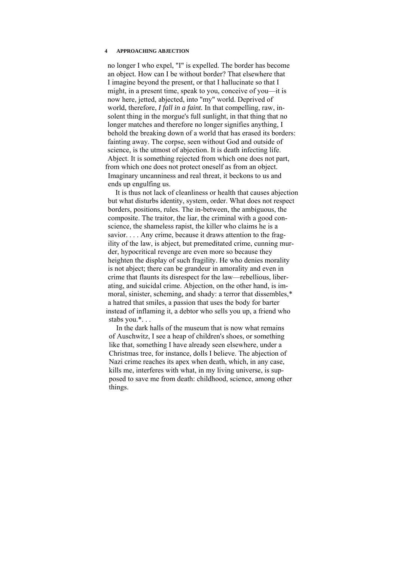no longer I who expel, "I" is expelled. The border has become an object. How can I be without border? That elsewhere that I imagine beyond the present, or that I hallucinate so that I might, in a present time, speak to you, conceive of you—it is now here, jetted, abjected, into "my" world. Deprived of world, therefore, *I fall in a faint.* In that compelling, raw, insolent thing in the morgue's full sunlight, in that thing that no longer matches and therefore no longer signifies anything, I behold the breaking down of a world that has erased its borders: fainting away. The corpse, seen without God and outside of science, is the utmost of abjection. It is death infecting life. Abject. It is something rejected from which one does not part, from which one does not protect oneself as from an object. Imaginary uncanniness and real threat, it beckons to us and ends up engulfing us.

It is thus not lack of cleanliness or health that causes abjection but what disturbs identity, system, order. What does not respect borders, positions, rules. The in-between, the ambiguous, the composite. The traitor, the liar, the criminal with a good conscience, the shameless rapist, the killer who claims he is a savior. . . . Any crime, because it draws attention to the fragility of the law, is abject, but premeditated crime, cunning murder, hypocritical revenge are even more so because they heighten the display of such fragility. He who denies morality is not abject; there can be grandeur in amorality and even in crime that flaunts its disrespect for the law—rebellious, liberating, and suicidal crime. Abjection, on the other hand, is immoral, sinister, scheming, and shady: a terror that dissembles,\* a hatred that smiles, a passion that uses the body for barter instead of inflaming it, a debtor who sells you up, a friend who stabs you.\*. . .

In the dark halls of the museum that is now what remains of Auschwitz, I see a heap of children's shoes, or something like that, something I have already seen elsewhere, under a Christmas tree, for instance, dolls I believe. The abjection of Nazi crime reaches its apex when death, which, in any case, kills me, interferes with what, in my living universe, is supposed to save me from death: childhood, science, among other things.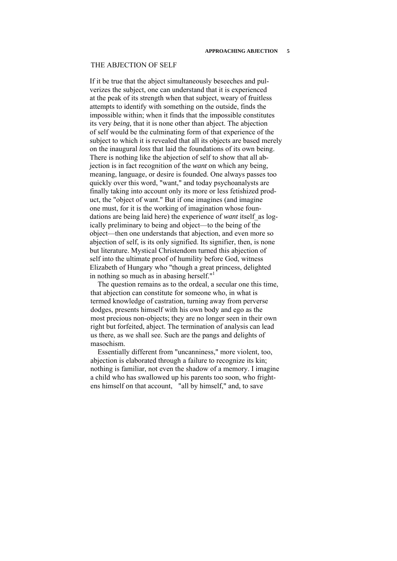#### THE ABJECTION OF SELF

If it be true that the abject simultaneously beseeches and pulverizes the subject, one can understand that it is experienced at the peak of its strength when that subject, weary of fruitless attempts to identify with something on the outside, finds the impossible within; when it finds that the impossible constitutes its very *being,* that it is none other than abject. The abjection of self would be the culminating form of that experience of the subject to which it is revealed that all its objects are based merely on the inaugural *loss* that laid the foundations of its own being. There is nothing like the abjection of self to show that all abjection is in fact recognition of the *want* on which any being, meaning, language, or desire is founded. One always passes too quickly over this word, "want," and today psychoanalysts are finally taking into account only its more or less fetishized product, the "object of want." But if one imagines (and imagine one must, for it is the working of imagination whose foundations are being laid here) the experience of *want* itself\_as logically preliminary to being and object—to the being of the object—then one understands that abjection, and even more so abjection of self, is its only signified. Its signifier, then, is none but literature. Mystical Christendom turned this abjection of self into the ultimate proof of humility before God, witness Elizabeth of Hungary who "though a great princess, delighted in nothing so much as in abasing herself." $\cdot$ 

The question remains as to the ordeal, a secular one this time, that abjection can constitute for someone who, in what is termed knowledge of castration, turning away from perverse dodges, presents himself with his own body and ego as the most precious non-objects; they are no longer seen in their own right but forfeited, abject. The termination of analysis can lead us there, as we shall see. Such are the pangs and delights of masochism.

Essentially different from "uncanniness," more violent, too, abjection is elaborated through a failure to recognize its kin; nothing is familiar, not even the shadow of a memory. I imagine a child who has swallowed up his parents too soon, who frightens himself on that account, "all by himself," and, to save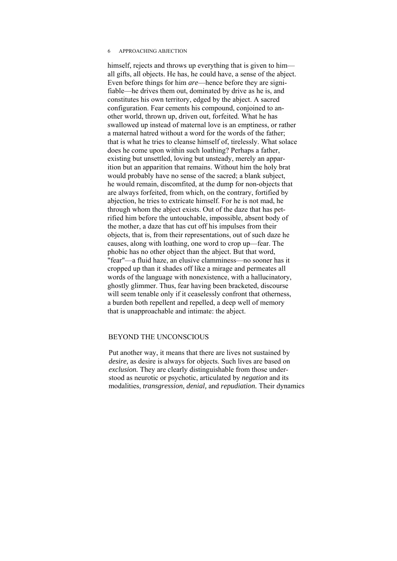himself, rejects and throws up everything that is given to him all gifts, all objects. He has, he could have, a sense of the abject. Even before things for him *are*—hence before they are signifiable—he drives them out, dominated by drive as he is, and constitutes his own territory, edged by the abject. A sacred configuration. Fear cements his compound, conjoined to another world, thrown up, driven out, forfeited. What he has swallowed up instead of maternal love is an emptiness, or rather a maternal hatred without a word for the words of the father; that is what he tries to cleanse himself of, tirelessly. What solace does he come upon within such loathing? Perhaps a father, existing but unsettled, loving but unsteady, merely an apparition but an apparition that remains. Without him the holy brat would probably have no sense of the sacred; a blank subject, he would remain, discomfited, at the dump for non-objects that are always forfeited, from which, on the contrary, fortified by abjection, he tries to extricate himself. For he is not mad, he through whom the abject exists. Out of the daze that has petrified him before the untouchable, impossible, absent body of the mother, a daze that has cut off his impulses from their objects, that is, from their representations, out of such daze he causes, along with loathing, one word to crop up—fear. The phobic has no other object than the abject. But that word, "fear"—a fluid haze, an elusive clamminess—no sooner has it cropped up than it shades off like a mirage and permeates all words of the language with nonexistence, with a hallucinatory, ghostly glimmer. Thus, fear having been bracketed, discourse will seem tenable only if it ceaselessly confront that otherness, a burden both repellent and repelled, a deep well of memory that is unapproachable and intimate: the abject.

#### BEYOND THE UNCONSCIOUS

Put another way, it means that there are lives not sustained by *desire,* as desire is always for objects. Such lives are based on *exclusion.* They are clearly distinguishable from those understood as neurotic or psychotic, articulated by *negation* and its modalities, *transgression, denial,* and *repudiation.* Their dynamics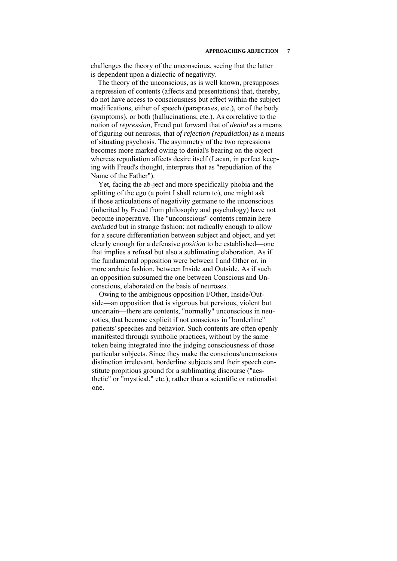challenges the theory of the unconscious, seeing that the latter is dependent upon a dialectic of negativity.

The theory of the unconscious, as is well known, presupposes a repression of contents (affects and presentations) that, thereby, do not have access to consciousness but effect within the subject modifications, either of speech (parapraxes, etc.), or of the body (symptoms), or both (hallucinations, etc.). As correlative to the notion of *repression,* Freud put forward that of *denial* as a means of figuring out neurosis, that *of rejection (repudiation)* as a means of situating psychosis. The asymmetry of the two repressions becomes more marked owing to denial's bearing on the object whereas repudiation affects desire itself (Lacan, in perfect keeping with Freud's thought, interprets that as "repudiation of the Name of the Father").

Yet, facing the ab-ject and more specifically phobia and the splitting of the ego (a point I shall return to), one might ask if those articulations of negativity germane to the unconscious (inherited by Freud from philosophy and psychology) have not become inoperative. The "unconscious" contents remain here *excluded* but in strange fashion: not radically enough to allow for a secure differentiation between subject and object, and yet clearly enough for a defensive *position* to be established—one that implies a refusal but also a sublimating elaboration. As if the fundamental opposition were between I and Other or, in more archaic fashion, between Inside and Outside. As if such an opposition subsumed the one between Conscious and Unconscious, elaborated on the basis of neuroses.

Owing to the ambiguous opposition I/Other, Inside/Outside—an opposition that is vigorous but pervious, violent but uncertain—there are contents, "normally" unconscious in neurotics, that become explicit if not conscious in "borderline" patients' speeches and behavior. Such contents are often openly manifested through symbolic practices, without by the same token being integrated into the judging consciousness of those particular subjects. Since they make the conscious/unconscious distinction irrelevant, borderline subjects and their speech constitute propitious ground for a sublimating discourse ("aesthetic" or "mystical," etc.), rather than a scientific or rationalist one.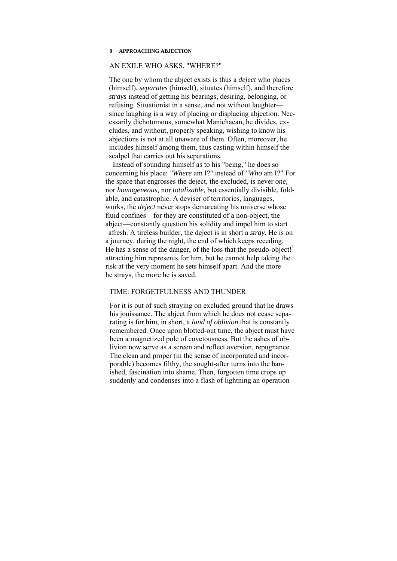#### AN EXILE WHO ASKS, "WHERE?"

The one by whom the abject exists is thus a *deject* who places (himself), *separates* (himself), situates (himself), and therefore *strays* instead of getting his bearings, desiring, belonging, or refusing. Situationist in a sense, and not without laughter since laughing is a way of placing or displacing abjection. Necessarily dichotomous, somewhat Manichaean, he divides, excludes, and without, properly speaking, wishing to know his abjections is not at all unaware of them. Often, moreover, he includes himself among them, thus casting within himself the scalpel that carries out his separations.

Instead of sounding himself as to his "being," he does so concerning his place: *"Where* am I?" instead of *"Who* am I?" For the space that engrosses the deject, the excluded, is never *one,*  nor *homogeneous,* nor *totalizable,* but essentially divisible, foldable, and catastrophic. A deviser of territories, languages, works, the *deject* never stops demarcating his universe whose fluid confines—for they are constituted of a non-object, the abject—constantly question his solidity and impel him to start afresh. A tireless builder, the deject is in short a *stray.* He is on a journey, during the night, the end of which keeps receding. He has a sense of the danger, of the loss that the pseudo-object!<sup>1</sup> attracting him represents for him, but he cannot help taking the risk at the very moment he sets himself apart. And the more he strays, the more he is saved.

#### TIME: FORGETFULNESS AND THUNDER

For it is out of such straying on excluded ground that he draws his jouissance. The abject from which he does not cease separating is for him, in short, a *land of oblivion* that is constantly remembered. Once upon blotted-out time, the abject must have been a magnetized pole of covetousness. But the ashes of oblivion now serve as a screen and reflect aversion, repugnance. The clean and proper (in the sense of incorporated and incorporable) becomes filthy, the sought-after turns into the banished, fascination into shame. Then, forgotten time crops up suddenly and condenses into a flash of lightning an operation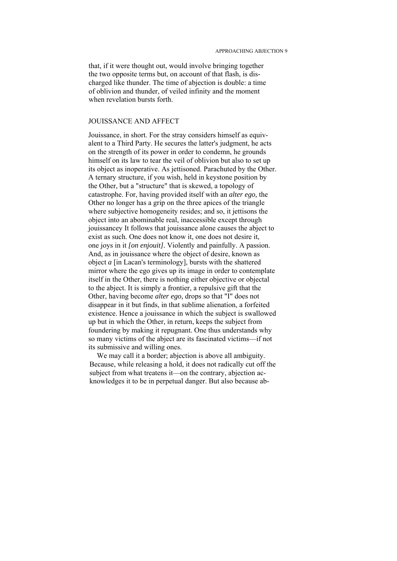that, if it were thought out, would involve bringing together the two opposite terms but, on account of that flash, is discharged like thunder. The time of abjection is double: a time of oblivion and thunder, of veiled infinity and the moment when revelation bursts forth.

#### JOUISSANCE AND AFFECT

Jouissance, in short. For the stray considers himself as equivalent to a Third Party. He secures the latter's judgment, he acts on the strength of its power in order to condemn, he grounds himself on its law to tear the veil of oblivion but also to set up its object as inoperative. As jettisoned. Parachuted by the Other. A ternary structure, if you wish, held in keystone position by the Other, but a "structure" that is skewed, a topology of catastrophe. For, having provided itself with an *alter ego,* the Other no longer has a grip on the three apices of the triangle where subjective homogeneity resides; and so, it jettisons the object into an abominable real, inaccessible except through jouissancey It follows that jouissance alone causes the abject to exist as such. One does not know it, one does not desire it, one joys in it *[on enjouit].* Violently and painfully. A passion. And, as in jouissance where the object of desire, known as object *a* [in Lacan's terminology], bursts with the shattered mirror where the ego gives up its image in order to contemplate itself in the Other, there is nothing either objective or objectal to the abject. It is simply a frontier, a repulsive gift that the Other, having become *alter ego,* drops so that "I" does not disappear in it but finds, in that sublime alienation, a forfeited existence. Hence a jouissance in which the subject is swallowed up but in which the Other, in return, keeps the subject from foundering by making it repugnant. One thus understands why so many victims of the abject are its fascinated victims—if not its submissive and willing ones.

We may call it a border; abjection is above all ambiguity. Because, while releasing a hold, it does not radically cut off the subject from what treatens it—on the contrary, abjection acknowledges it to be in perpetual danger. But also because ab-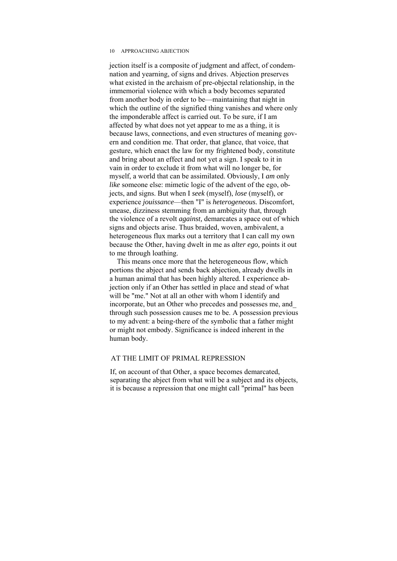jection itself is a composite of judgment and affect, of condemnation and yearning, of signs and drives. Abjection preserves what existed in the archaism of pre-objectal relationship, in the immemorial violence with which a body becomes separated from another body in order to be—maintaining that night in which the outline of the signified thing vanishes and where only the imponderable affect is carried out. To be sure, if I am affected by what does not yet appear to me as a thing, it is because laws, connections, and even structures of meaning govern and condition me. That order, that glance, that voice, that gesture, which enact the law for my frightened body, constitute and bring about an effect and not yet a sign. I speak to it in vain in order to exclude it from what will no longer be, for myself, a world that can be assimilated. Obviously, I *am* only *like* someone else: mimetic logic of the advent of the ego, objects, and signs. But when I *seek* (myself), *lose* (myself), or experience *jouissance*—then "I" is *heterogeneous.* Discomfort, unease, dizziness stemming from an ambiguity that, through the violence of a revolt *against,* demarcates a space out of which signs and objects arise. Thus braided, woven, ambivalent, a heterogeneous flux marks out a territory that I can call my own because the Other, having dwelt in me as *alter ego,* points it out to me through loathing.

This means once more that the heterogeneous flow, which portions the abject and sends back abjection, already dwells in a human animal that has been highly altered. I experience abjection only if an Other has settled in place and stead of what will be "me." Not at all an other with whom I identify and incorporate, but an Other who precedes and possesses me, and\_ through such possession causes me to be. A possession previous to my advent: a being-there of the symbolic that a father might or might not embody. Significance is indeed inherent in the human body.

#### AT THE LIMIT OF PRIMAL REPRESSION

If, on account of that Other, a space becomes demarcated, separating the abject from what will be a subject and its objects, it is because a repression that one might call "primal" has been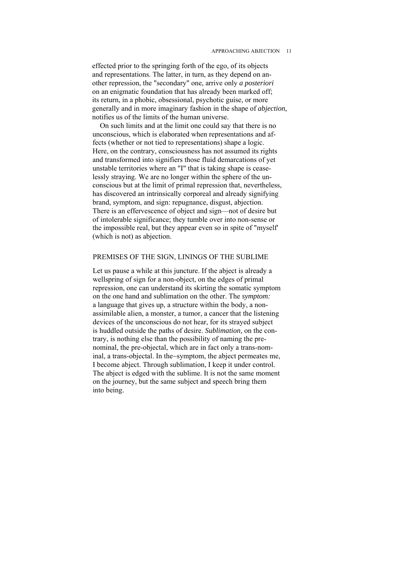effected prior to the springing forth of the ego, of its objects and representations. The latter, in turn, as they depend on another repression, the "secondary" one, arrive only *a posteriori*  on an enigmatic foundation that has already been marked off; its return, in a phobic, obsessional, psychotic guise, or more generally and in more imaginary fashion in the shape of *abjection,*  notifies us of the limits of the human universe.

On such limits and at the limit one could say that there is no unconscious, which is elaborated when representations and affects (whether or not tied to representations) shape a logic. Here, on the contrary, consciousness has not assumed its rights and transformed into signifiers those fluid demarcations of yet unstable territories where an "I" that is taking shape is ceaselessly straying. We are no longer within the sphere of the unconscious but at the limit of primal repression that, nevertheless, has discovered an intrinsically corporeal and already signifying brand, symptom, and sign: repugnance, disgust, abjection. There is an effervescence of object and sign—not of desire but of intolerable significance; they tumble over into non-sense or the impossible real, but they appear even so in spite of "myself' (which is not) as abjection.

#### PREMISES OF THE SIGN, LININGS OF THE SUBLIME

Let us pause a while at this juncture. If the abject is already a wellspring of sign for a non-object, on the edges of primal repression, one can understand its skirting the somatic symptom on the one hand and sublimation on the other. The *symptom:*  a language that gives up, a structure within the body, a nonassimilable alien, a monster, a tumor, a cancer that the listening devices of the unconscious do not hear, for its strayed subject is huddled outside the paths of desire. *Sublimation,* on the contrary, is nothing else than the possibility of naming the prenominal, the pre-objectal, which are in fact only a trans-nominal, a trans-objectal. In the~symptom, the abject permeates me, I become abject. Through sublimation, I keep it under control. The abject is edged with the sublime. It is not the same moment on the journey, but the same subject and speech bring them into being.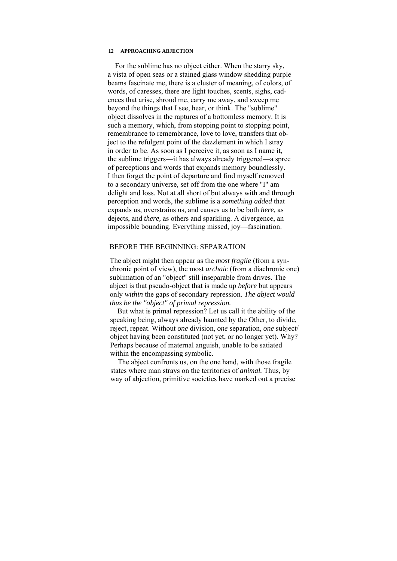For the sublime has no object either. When the starry sky, a vista of open seas or a stained glass window shedding purple beams fascinate me, there is a cluster of meaning, of colors, of words, of caresses, there are light touches, scents, sighs, cadences that arise, shroud me, carry me away, and sweep me beyond the things that I see, hear, or think. The "sublime" object dissolves in the raptures of a bottomless memory. It is such a memory, which, from stopping point to stopping point, remembrance to remembrance, love to love, transfers that object to the refulgent point of the dazzlement in which I stray in order to be. As soon as I perceive it, as soon as I name it, the sublime triggers—it has always already triggered—a spree of perceptions and words that expands memory boundlessly. I then forget the point of departure and find myself removed to a secondary universe, set off from the one where "I" am delight and loss. Not at all short of but always with and through perception and words, the sublime is a *something added* that expands us, overstrains us, and causes us to be both *here,* as dejects, and *there,* as others and sparkling. A divergence, an impossible bounding. Everything missed, joy—fascination.

#### BEFORE THE BEGINNING: SEPARATION

The abject might then appear as the *most fragile* (from a synchronic point of view), the most *archaic* (from a diachronic one) sublimation of an "object" still inseparable from drives. The abject is that pseudo-object that is made up *before* but appears only *within* the gaps of secondary repression. *The abject would thus be the "object" of primal repression.*

But what is primal repression? Let us call it the ability of the speaking being, always already haunted by the Other, to divide, reject, repeat. Without *one* division, *one* separation, *one* subject/ object having been constituted (not yet, or no longer yet). Why? Perhaps because of maternal anguish, unable to be satiated within the encompassing symbolic.

The abject confronts us, on the one hand, with those fragile states where man strays on the territories of *animal.* Thus, by way of abjection, primitive societies have marked out a precise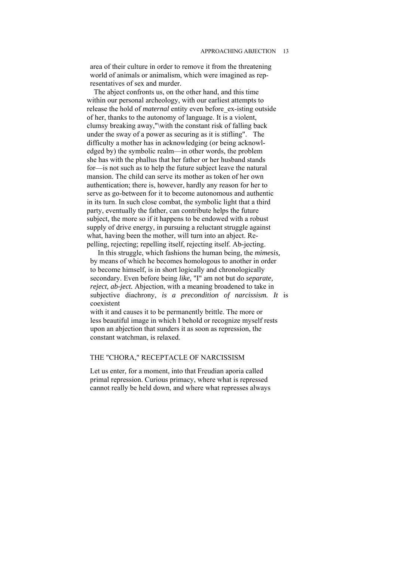area of their culture in order to remove it from the threatening world of animals or animalism, which were imagined as representatives of sex and murder.

The abject confronts us, on the other hand, and this time within our personal archeology, with our earliest attempts to release the hold of *maternal* entity even before ex-isting outside of her, thanks to the autonomy of language. It is a violent, clumsy breaking away,"\with the constant risk of falling back under the sway of a power as securing as it is stifling". The difficulty a mother has in acknowledging (or being acknowledged by) the symbolic realm—in other words, the problem she has with the phallus that her father or her husband stands for—is not such as to help the future subject leave the natural mansion. The child can serve its mother as token of her own authentication; there is, however, hardly any reason for her to serve as go-between for it to become autonomous and authentic in its turn. In such close combat, the symbolic light that a third party, eventually the father, can contribute helps the future subject, the more so if it happens to be endowed with a robust supply of drive energy, in pursuing a reluctant struggle against what, having been the mother, will turn into an abject. Repelling, rejecting; repelling itself, rejecting itself. Ab-jecting.

In this struggle, which fashions the human being, the *mimesis,*  by means of which he becomes homologous to another in order to become himself, is in short logically and chronologically secondary. Even before being *like,* "I" am not but do *separate, reject, ab-ject.* Abjection, with a meaning broadened to take in subjective diachrony, *is a precondition of narcissism. It* is coexistent

with it and causes it to be permanently brittle. The more or less beautiful image in which I behold or recognize myself rests upon an abjection that sunders it as soon as repression, the constant watchman, is relaxed.

#### THE "CHORA," RECEPTACLE OF NARCISSISM

Let us enter, for a moment, into that Freudian aporia called primal repression. Curious primacy, where what is repressed cannot really be held down, and where what represses always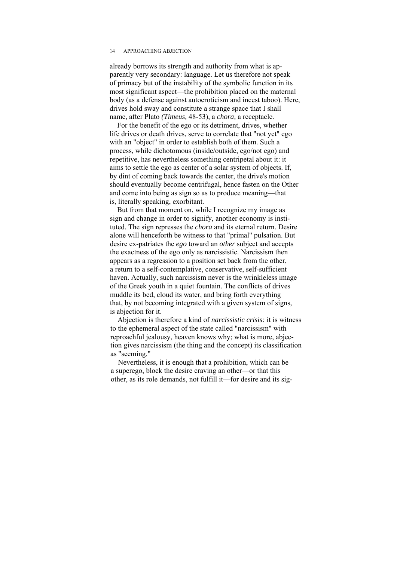already borrows its strength and authority from what is apparently very secondary: language. Let us therefore not speak of primacy but of the instability of the symbolic function in its most significant aspect—the prohibition placed on the maternal body (as a defense against autoeroticism and incest taboo). Here, drives hold sway and constitute a strange space that I shall name, after Plato *(Timeus,* 48-53), a *chora,* a receptacle.

For the benefit of the ego or its detriment, drives, whether life drives or death drives, serve to correlate that "not yet" ego with an "object" in order to establish both of them. Such a process, while dichotomous (inside/outside, ego/not ego) and repetitive, has nevertheless something centripetal about it: it aims to settle the ego as center of a solar system of objects. If, by dint of coming back towards the center, the drive's motion should eventually become centrifugal, hence fasten on the Other and come into being as sign so as to produce meaning—that is, literally speaking, exorbitant.

But from that moment on, while I recognize my image as sign and change in order to signify, another economy is instituted. The sign represses the *chora* and its eternal return. Desire alone will henceforth be witness to that "primal" pulsation. But desire ex-patriates the *ego* toward an *other* subject and accepts the exactness of the ego only as narcissistic. Narcissism then appears as a regression to a position set back from the other, a return to a self-contemplative, conservative, self-sufficient haven. Actually, such narcissism never is the wrinkleless image of the Greek youth in a quiet fountain. The conflicts of drives muddle its bed, cloud its water, and bring forth everything that, by not becoming integrated with a given system of signs, is abjection for it.

Abjection is therefore a kind of *narcissistic crisis:* it is witness to the ephemeral aspect of the state called "narcissism" with reproachful jealousy, heaven knows why; what is more, abjection gives narcissism (the thing and the concept) its classification as "seeming."

Nevertheless, it is enough that a prohibition, which can be a superego, block the desire craving an other—or that this other, as its role demands, not fulfill it—for desire and its sig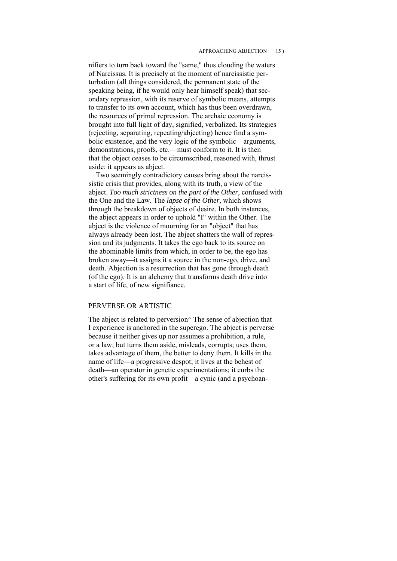nifiers to turn back toward the "same," thus clouding the waters of Narcissus. It is precisely at the moment of narcissistic perturbation (all things considered, the permanent state of the speaking being, if he would only hear himself speak) that secondary repression, with its reserve of symbolic means, attempts to transfer to its own account, which has thus been overdrawn, the resources of primal repression. The archaic economy is brought into full light of day, signified, verbalized. Its strategies (rejecting, separating, repeating/abjecting) hence find a symbolic existence, and the very logic of the symbolic—arguments, demonstrations, proofs, etc.—must conform to it. It is then that the object ceases to be circumscribed, reasoned with, thrust aside: it appears as abject.

Two seemingly contradictory causes bring about the narcissistic crisis that provides, along with its truth, a view of the abject. *Too much strictness on the part of the Other,* confused with the One and the Law. The *lapse of the Other,* which shows through the breakdown of objects of desire. In both instances, the abject appears in order to uphold "I" within the Other. The abject is the violence of mourning for an "object" that has always already been lost. The abject shatters the wall of repression and its judgments. It takes the ego back to its source on the abominable limits from which, in order to be, the ego has broken away—it assigns it a source in the non-ego, drive, and death. Abjection is a resurrection that has gone through death (of the ego). It is an alchemy that transforms death drive into a start of life, of new signifiance.

#### PERVERSE OR ARTISTIC

The abject is related to perversion<sup> $\wedge$ </sup> The sense of abjection that I experience is anchored in the superego. The abject is perverse because it neither gives up nor assumes a prohibition, a rule, or a law; but turns them aside, misleads, corrupts; uses them, takes advantage of them, the better to deny them. It kills in the name of life—a progressive despot; it lives at the behest of death—an operator in genetic experimentations; it curbs the other's suffering for its own profit—a cynic (and a psychoan-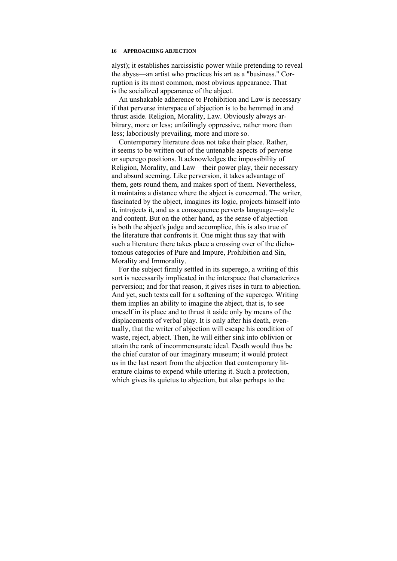alyst); it establishes narcissistic power while pretending to reveal the abyss—an artist who practices his art as a "business." Corruption is its most common, most obvious appearance. That is the socialized appearance of the abject.

An unshakable adherence to Prohibition and Law is necessary if that perverse interspace of abjection is to be hemmed in and thrust aside. Religion, Morality, Law. Obviously always arbitrary, more or less; unfailingly oppressive, rather more than less; laboriously prevailing, more and more so.

Contemporary literature does not take their place. Rather, it seems to be written out of the untenable aspects of perverse or superego positions. It acknowledges the impossibility of Religion, Morality, and Law—their power play, their necessary and absurd seeming. Like perversion, it takes advantage of them, gets round them, and makes sport of them. Nevertheless, it maintains a distance where the abject is concerned. The writer, fascinated by the abject, imagines its logic, projects himself into it, introjects it, and as a consequence perverts language—style and content. But on the other hand, as the sense of abjection is both the abject's judge and accomplice, this is also true of the literature that confronts it. One might thus say that with such a literature there takes place a crossing over of the dichotomous categories of Pure and Impure, Prohibition and Sin, Morality and Immorality.

For the subject firmly settled in its superego, a writing of this sort is necessarily implicated in the interspace that characterizes perversion; and for that reason, it gives rises in turn to abjection. And yet, such texts call for a softening of the superego. Writing them implies an ability to imagine the abject, that is, to see oneself in its place and to thrust it aside only by means of the displacements of verbal play. It is only after his death, eventually, that the writer of abjection will escape his condition of waste, reject, abject. Then, he will either sink into oblivion or attain the rank of incommensurate ideal. Death would thus be the chief curator of our imaginary museum; it would protect us in the last resort from the abjection that contemporary literature claims to expend while uttering it. Such a protection, which gives its quietus to abjection, but also perhaps to the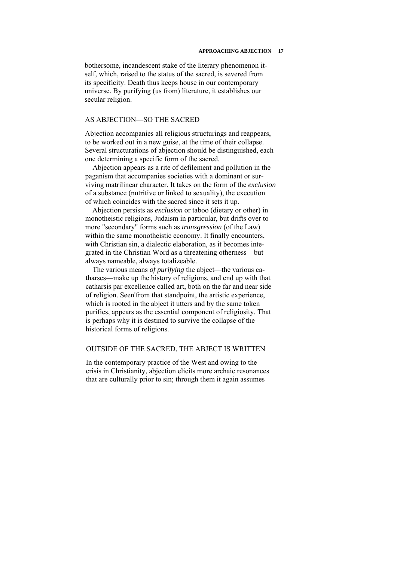bothersome, incandescent stake of the literary phenomenon itself, which, raised to the status of the sacred, is severed from its specificity. Death thus keeps house in our contemporary universe. By purifying (us from) literature, it establishes our secular religion.

#### AS ABJECTION—SO THE SACRED

Abjection accompanies all religious structurings and reappears, to be worked out in a new guise, at the time of their collapse. Several structurations of abjection should be distinguished, each one determining a specific form of the sacred.

Abjection appears as a rite of defilement and pollution in the paganism that accompanies societies with a dominant or surviving matrilinear character. It takes on the form of the *exclusion*  of a substance (nutritive or linked to sexuality), the execution of which coincides with the sacred since it sets it up.

Abjection persists as *exclusion* or taboo (dietary or other) in monotheistic religions, Judaism in particular, but drifts over to more "secondary" forms such as *transgression* (of the Law) within the same monotheistic economy. It finally encounters, with Christian sin, a dialectic elaboration, as it becomes integrated in the Christian Word as a threatening otherness—but always nameable, always totalizeable.

The various means *of purifying* the abject—the various catharses—make up the history of religions, and end up with that catharsis par excellence called art, both on the far and near side of religion. Seen'from that standpoint, the artistic experience, which is rooted in the abject it utters and by the same token purifies, appears as the essential component of religiosity. That is perhaps why it is destined to survive the collapse of the historical forms of religions.

#### OUTSIDE OF THE SACRED, THE ABJECT IS WRITTEN

In the contemporary practice of the West and owing to the crisis in Christianity, abjection elicits more archaic resonances that are culturally prior to sin; through them it again assumes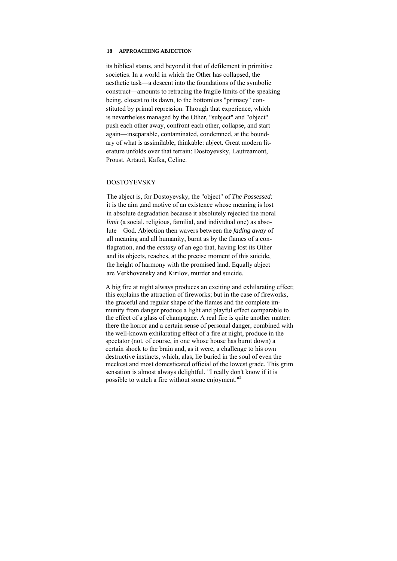its biblical status, and beyond it that of defilement in primitive societies. In a world in which the Other has collapsed, the aesthetic task—a descent into the foundations of the symbolic construct—amounts to retracing the fragile limits of the speaking being, closest to its dawn, to the bottomless "primacy" constituted by primal repression. Through that experience, which is nevertheless managed by the Other, "subject" and "object" push each other away, confront each other, collapse, and start again—inseparable, contaminated, condemned, at the boundary of what is assimilable, thinkable: abject. Great modern literature unfolds over that terrain: Dostoyevsky, Lautreamont, Proust, Artaud, Kafka, Celine.

#### DOSTOYEVSKY

The abject is, for Dostoyevsky, the "object" of *The Possessed:*  it is the aim ,and motive of an existence whose meaning is lost in absolute degradation because it absolutely rejected the moral *limit* (a social, religious, familial, and individual one) as absolute—God. Abjection then wavers between the *fading away* of all meaning and all humanity, burnt as by the flames of a conflagration, and the *ecstasy* of an ego that, having lost its Other and its objects, reaches, at the precise moment of this suicide, the height of harmony with the promised land. Equally abject are Verkhovensky and Kirilov, murder and suicide.

A big fire at night always produces an exciting and exhilarating effect; this explains the attraction of fireworks; but in the case of fireworks, the graceful and regular shape of the flames and the complete immunity from danger produce a light and playful effect comparable to the effect of a glass of champagne. A real fire is quite another matter: there the horror and a certain sense of personal danger, combined with the well-known exhilarating effect of a fire at night, produce in the spectator (not, of course, in one whose house has burnt down) a certain shock to the brain and, as it were, a challenge to his own destructive instincts, which, alas, lie buried in the soul of even the meekest and most domesticated official of the lowest grade. This grim sensation is almost always delightful. "I really don't know if it is possible to watch a fire without some enjoyment."2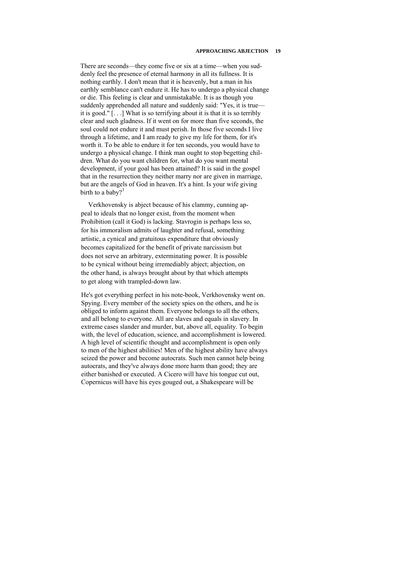There are seconds—they come five or six at a time—when you suddenly feel the presence of eternal harmony in all its fullness. It is nothing earthly. I don't mean that it is heavenly, but a man in his earthly semblance can't endure it. He has to undergo a physical change or die. This feeling is clear and unmistakable. It is as though you suddenly apprehended all nature and suddenly said: "Yes, it is true it is good." [. . .] What is so terrifying about it is that it is so terribly clear and such gladness. If it went on for more than five seconds, the soul could not endure it and must perish. In those five seconds I live through a lifetime, and I am ready to give my life for them, for it's worth it. To be able to endure it for ten seconds, you would have to undergo a physical change. I think man ought to stop begetting children. What do you want children for, what do you want mental development, if your goal has been attained? It is said in the gospel that in the resurrection they neither marry nor are given in marriage, but are the angels of God in heaven. It's a hint. Is your wife giving birth to a baby? $3^3$ 

Verkhovensky is abject because of his clammy, cunning appeal to ideals that no longer exist, from the moment when Prohibition (call it God) is lacking. Stavrogin is perhaps less so, for his immoralism admits of laughter and refusal, something artistic, a cynical and gratuitous expenditure that obviously becomes capitalized for the benefit of private narcissism but does not serve an arbitrary, exterminating power. It is possible to be cynical without being irremediably abject; abjection, on the other hand, is always brought about by that which attempts to get along with trampled-down law.

He's got everything perfect in his note-book, Verkhovensky went on. Spying. Every member of the society spies on the others, and he is obliged to inform against them. Everyone belongs to all the others, and all belong to everyone. All are slaves and equals in slavery. In extreme cases slander and murder, but, above all, equality. To begin with, the level of education, science, and accomplishment is lowered. A high level of scientific thought and accomplishment is open only to men of the highest abilities! Men of the highest ability have always seized the power and become autocrats. Such men cannot help being autocrats, and they've always done more harm than good; they are either banished or executed. A Cicero will have his tongue cut out, Copernicus will have his eyes gouged out, a Shakespeare will be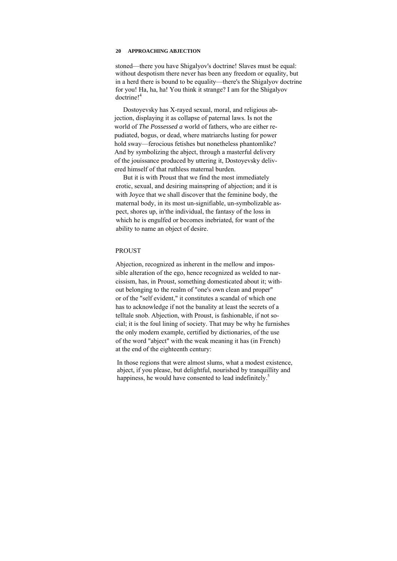stoned—there you have Shigalyov's doctrine! Slaves must be equal: without despotism there never has been any freedom or equality, but in a herd there is bound to be equality—there's the Shigalyov doctrine for you! Ha, ha, ha! You think it strange? I am for the Shigalyov doctrine!<sup>4</sup>

Dostoyevsky has X-rayed sexual, moral, and religious abjection, displaying it as collapse of paternal laws. Is not the world of *The Possessed a* world of fathers, who are either repudiated, bogus, or dead, where matriarchs lusting for power hold sway—ferocious fetishes but nonetheless phantomlike? And by symbolizing the abject, through a masterful delivery of the jouissance produced by uttering it, Dostoyevsky delivered himself of that ruthless maternal burden.

But it is with Proust that we find the most immediately erotic, sexual, and desiring mainspring of abjection; and it is with Joyce that we shall discover that the feminine body, the maternal body, in its most un-signifiable, un-symbolizable aspect, shores up, in'the individual, the fantasy of the loss in which he is engulfed or becomes inebriated, for want of the ability to name an object of desire.

#### PROUST

Abjection, recognized as inherent in the mellow and impossible alteration of the ego, hence recognized as welded to narcissism, has, in Proust, something domesticated about it; without belonging to the realm of "one's own clean and proper" or of the "self evident," it constitutes a scandal of which one has to acknowledge if not the banality at least the secrets of a telltale snob. Abjection, with Proust, is fashionable, if not social; it is the foul lining of society. That may be why he furnishes the only modern example, certified by dictionaries, of the use of the word "abject" with the weak meaning it has (in French) at the end of the eighteenth century:

In those regions that were almost slums, what a modest existence, abject, if you please, but delightful, nourished by tranquillity and happiness, he would have consented to lead indefinitely.<sup>5</sup>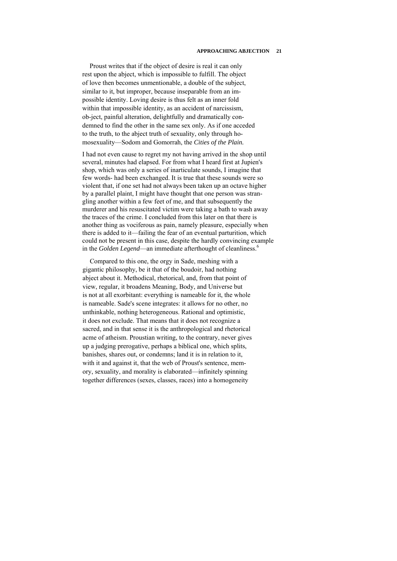Proust writes that if the object of desire is real it can only rest upon the abject, which is impossible to fulfill. The object of love then becomes unmentionable, a double of the subject, similar to it, but improper, because inseparable from an impossible identity. Loving desire is thus felt as an inner fold within that impossible identity, as an accident of narcissism. ob-ject, painful alteration, delightfully and dramatically condemned to find the other in the same sex only. As if one acceded to the truth, to the abject truth of sexuality, only through homosexuality—Sodom and Gomorrah, the *Cities of the Plain.*

I had not even cause to regret my not having arrived in the shop until several, minutes had elapsed. For from what I heard first at Jupien's shop, which was only a series of inarticulate sounds, I imagine that few words- had been exchanged. It is true that these sounds were so violent that, if one set had not always been taken up an octave higher by a parallel plaint, I might have thought that one person was strangling another within a few feet of me, and that subsequently the murderer and his resuscitated victim were taking a bath to wash away the traces of the crime. I concluded from this later on that there is another thing as vociferous as pain, namely pleasure, especially when there is added to it—failing the fear of an eventual parturition, which could not be present in this case, despite the hardly convincing example in the *Golden Legend*—an immediate afterthought of cleanliness.<sup>6</sup>

Compared to this one, the orgy in Sade, meshing with a gigantic philosophy, be it that of the boudoir, had nothing abject about it. Methodical, rhetorical, and, from that point of view, regular, it broadens Meaning, Body, and Universe but is not at all exorbitant: everything is nameable for it, the whole is nameable. Sade's scene integrates: it allows for no other, no unthinkable, nothing heterogeneous. Rational and optimistic, it does not exclude. That means that it does not recognize a sacred, and in that sense it is the anthropological and rhetorical acme of atheism. Proustian writing, to the contrary, never gives up a judging prerogative, perhaps a biblical one, which splits, banishes, shares out, or condemns; land it is in relation to it, with it and against it, that the web of Proust's sentence, memory, sexuality, and morality is elaborated—infinitely spinning together differences (sexes, classes, races) into a homogeneity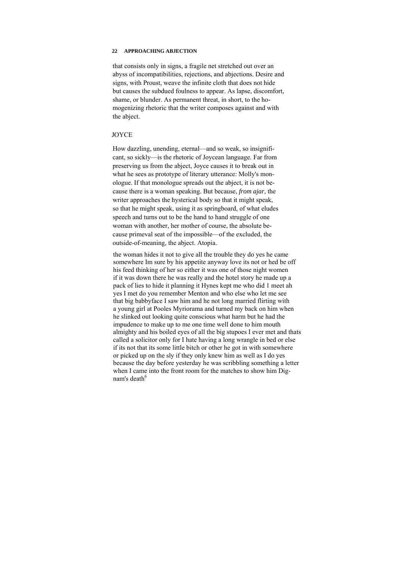that consists only in signs, a fragile net stretched out over an abyss of incompatibilities, rejections, and abjections. Desire and signs, with Proust, weave the infinite cloth that does not hide but causes the subdued foulness to appear. As lapse, discomfort, shame, or blunder. As permanent threat, in short, to the homogenizing rhetoric that the writer composes against and with the abject.

#### JOYCE

How dazzling, unending, eternal—and so weak, so insignificant, so sickly—is the rhetoric of Joycean language. Far from preserving us from the abject, Joyce causes it to break out in what he sees as prototype of literary utterance: Molly's monologue. If that monologue spreads out the abject, it is not because there is a woman speaking. But because, *from ajar,* the writer approaches the hysterical body so that it might speak, so that he might speak, using it as springboard, of what eludes speech and turns out to be the hand to hand struggle of one woman with another, her mother of course, the absolute because primeval seat of the impossible—of the excluded, the outside-of-meaning, the abject. Atopia.

the woman hides it not to give all the trouble they do yes he came somewhere Im sure by his appetite anyway love its not or hed be off his feed thinking of her so either it was one of those night women if it was down there he was really and the hotel story he made up a pack of lies to hide it planning it Hynes kept me who did 1 meet ah yes I met do you remember Menton and who else who let me see that big babbyface I saw him and he not long married flirting with a young girl at Pooles Myriorama and turned my back on him when he slinked out looking quite conscious what harm but he had the impudence to make up to me one time well done to him mouth almighty and his boiled eyes of all the big stupoes I ever met and thats called a solicitor only for I hate having a long wrangle in bed or else if its not that its some little bitch or other he got in with somewhere or picked up on the sly if they only knew him as well as I do yes because the day before yesterday he was scribbling something a letter when I came into the front room for the matches to show him Dignam's death $<sup>6</sup>$ </sup>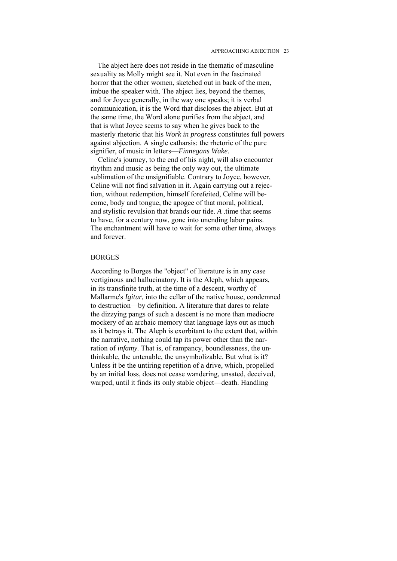The abject here does not reside in the thematic of masculine sexuality as Molly might see it. Not even in the fascinated horror that the other women, sketched out in back of the men, imbue the speaker with. The abject lies, beyond the themes, and for Joyce generally, in the way one speaks; it is verbal communication, it is the Word that discloses the abject. But at the same time, the Word alone purifies from the abject, and that is what Joyce seems to say when he gives back to the masterly rhetoric that his *Work in progress* constitutes full powers against abjection. A single catharsis: the rhetoric of the pure signifier, of music in letters—*Finnegans Wake.*

Celine's journey, to the end of his night, will also encounter rhythm and music as being the only way out, the ultimate sublimation of the unsignifiable. Contrary to Joyce, however, Celine will not find salvation in it. Again carrying out a rejection, without redemption, himself forefeited, Celine will become, body and tongue, the apogee of that moral, political, and stylistic revulsion that brands our tide. *A* .time that seems to have, for a century now, gone into unending labor pains. The enchantment will have to wait for some other time, always and forever.

#### BORGES

According to Borges the "object" of literature is in any case vertiginous and hallucinatory. It is the Aleph, which appears, in its transfinite truth, at the time of a descent, worthy of Mallarme's *Igitur,* into the cellar of the native house, condemned to destruction—by definition. A literature that dares to relate the dizzying pangs of such a descent is no more than mediocre mockery of an archaic memory that language lays out as much as it betrays it. The Aleph is exorbitant to the extent that, within the narrative, nothing could tap its power other than the narration of *infamy*. That is, of rampancy, boundlessness, the unthinkable, the untenable, the unsymbolizable. But what is it? Unless it be the untiring repetition of a drive, which, propelled by an initial loss, does not cease wandering, unsated, deceived, warped, until it finds its only stable object—death. Handling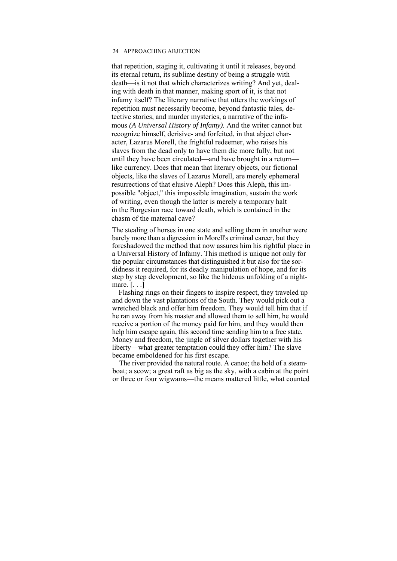that repetition, staging it, cultivating it until it releases, beyond its eternal return, its sublime destiny of being a struggle with death—is it not that which characterizes writing? And yet, dealing with death in that manner, making sport of it, is that not infamy itself? The literary narrative that utters the workings of repetition must necessarily become, beyond fantastic tales, detective stories, and murder mysteries, a narrative of the infamous *(A Universal History of Infamy).* And the writer cannot but recognize himself, derisive- and forfeited, in that abject character, Lazarus Morell, the frightful redeemer, who raises his slaves from the dead only to have them die more fully, but not until they have been circulated—and have brought in a return like currency. Does that mean that literary objects, our fictional objects, like the slaves of Lazarus Morell, are merely ephemeral resurrections of that elusive Aleph? Does this Aleph, this impossible "object," this impossible imagination, sustain the work of writing, even though the latter is merely a temporary halt in the Borgesian race toward death, which is contained in the chasm of the maternal cave?

The stealing of horses in one state and selling them in another were barely more than a digression in Morell's criminal career, but they foreshadowed the method that now assures him his rightful place in a Universal History of Infamy. This method is unique not only for the popular circumstances that distinguished it but also for the sordidness it required, for its deadly manipulation of hope, and for its step by step development, so like the hideous unfolding of a nightmare. [. . .]

Flashing rings on their fingers to inspire respect, they traveled up and down the vast plantations of the South. They would pick out a wretched black and offer him freedom. They would tell him that if he ran away from his master and allowed them to sell him, he would receive a portion of the money paid for him, and they would then help him escape again, this second time sending him to a free state. Money and freedom, the jingle of silver dollars together with his liberty—what greater temptation could they offer him? The slave became emboldened for his first escape.

The river provided the natural route. A canoe; the hold of a steamboat; a scow; a great raft as big as the sky, with a cabin at the point or three or four wigwams—the means mattered little, what counted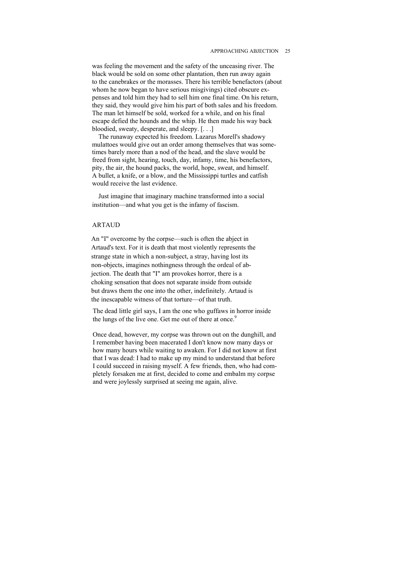was feeling the movement and the safety of the unceasing river. The black would be sold on some other plantation, then run away again to the canebrakes or the morasses. There his terrible benefactors (about whom he now began to have serious misgivings) cited obscure expenses and told him they had to sell him one final time. On his return, they said, they would give him his part of both sales and his freedom. The man let himself be sold, worked for a while, and on his final escape defied the hounds and the whip. He then made his way back bloodied, sweaty, desperate, and sleepy. [. . .]

The runaway expected his freedom. Lazarus Morell's shadowy mulattoes would give out an order among themselves that was sometimes barely more than a nod of the head, and the slave would be freed from sight, hearing, touch, day, infamy, time, his benefactors, pity, the air, the hound packs, the world, hope, sweat, and himself. A bullet, a knife, or a blow, and the Mississippi turtles and catfish would receive the last evidence.

Just imagine that imaginary machine transformed into a social institution—and what you get is the infamy of fascism.

#### ARTAUD

An "I" overcome by the corpse—such is often the abject in Artaud's text. For it is death that most violently represents the strange state in which a non-subject, a stray, having lost its non-objects, imagines nothingness through the ordeal of abjection. The death that "I" am provokes horror, there is a choking sensation that does not separate inside from outside but draws them the one into the other, indefinitely. Artaud is the inescapable witness of that torture—of that truth.

The dead little girl says, I am the one who guffaws in horror inside the lungs of the live one. Get me out of there at once.<sup>9</sup>

Once dead, however, my corpse was thrown out on the dunghill, and I remember having been macerated I don't know now many days or how many hours while waiting to awaken. For I did not know at first that I was dead: I had to make up my mind to understand that before I could succeed in raising myself. A few friends, then, who had completely forsaken me at first, decided to come and embalm my corpse and were joylessly surprised at seeing me again, alive.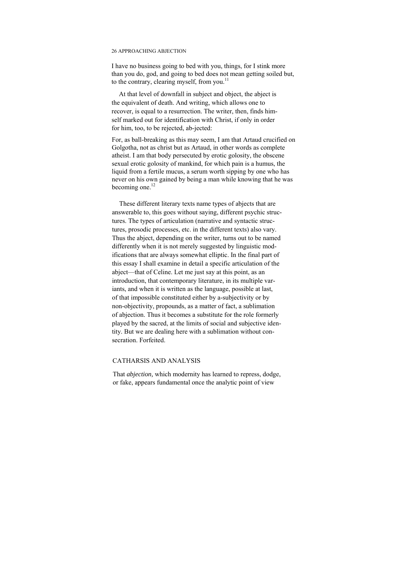I have no business going to bed with you, things, for I stink more than you do, god, and going to bed does not mean getting soiled but, to the contrary, clearing myself, from you.<sup>11</sup>

At that level of downfall in subject and object, the abject is the equivalent of death. And writing, which allows one to recover, is equal to a resurrection. The writer, then, finds himself marked out for identification with Christ, if only in order for him, too, to be rejected, ab-jected:

For, as ball-breaking as this may seem, I am that Artaud crucified on Golgotha, not as christ but as Artaud, in other words as complete atheist. I am that body persecuted by erotic golosity, the obscene sexual erotic golosity of mankind, for which pain is a humus, the liquid from a fertile mucus, a serum worth sipping by one who has never on his own gained by being a man while knowing that he was becoming one.<sup>12</sup>

These different literary texts name types of abjects that are answerable to, this goes without saying, different psychic structures. The types of articulation (narrative and syntactic structures, prosodic processes, etc. in the different texts) also vary. Thus the abject, depending on the writer, turns out to be named differently when it is not merely suggested by linguistic modifications that are always somewhat elliptic. In the final part of this essay I shall examine in detail a specific articulation of the abject—that of Celine. Let me just say at this point, as an introduction, that contemporary literature, in its multiple variants, and when it is written as the language, possible at last, of that impossible constituted either by a-subjectivity or by non-objectivity, propounds, as a matter of fact, a sublimation of abjection. Thus it becomes a substitute for the role formerly played by the sacred, at the limits of social and subjective identity. But we are dealing here with a sublimation without consecration. Forfeited.

#### CATHARSIS AND ANALYSIS

That *abjection,* which modernity has learned to repress, dodge, or fake, appears fundamental once the analytic point of view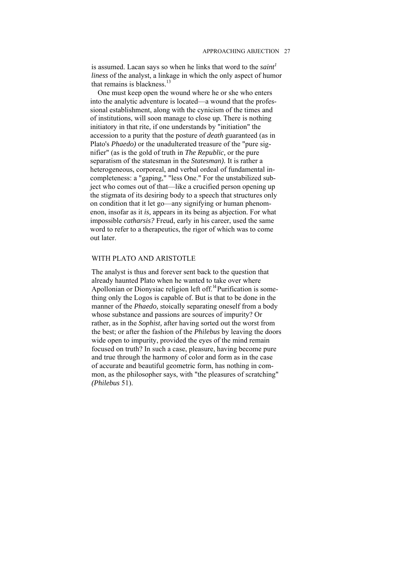is assumed. Lacan says so when he links that word to the *saint<sup>1</sup> liness* of the analyst, a linkage in which the only aspect of humor that remains is blackness.<sup>13</sup>

One must keep open the wound where he or she who enters into the analytic adventure is located—a wound that the professional establishment, along with the cynicism of the times and of institutions, will soon manage to close up. There is nothing initiatory in that rite, if one understands by "initiation" the accession to a purity that the posture of *death* guaranteed (as in Plato's *Phaedo)* or the unadulterated treasure of the "pure signifier" (as is the gold of truth in *The Republic,* or the pure separatism of the statesman in the *Statesman).* It is rather a heterogeneous, corporeal, and verbal ordeal of fundamental incompleteness: a "gaping," "less One." For the unstabilized subject who comes out of that—like a crucified person opening up the stigmata of its desiring body to a speech that structures only on condition that it let go—any signifying or human phenomenon, insofar as it *is,* appears in its being as abjection. For what impossible *catharsis?* Freud, early in his career, used the same word to refer to a therapeutics, the rigor of which was to come out later.

#### WITH PLATO AND ARISTOTLE

The analyst is thus and forever sent back to the question that already haunted Plato when he wanted to take over where Apollonian or Dionysiac religion left off.<sup>14</sup> Purification is something only the Logos is capable of. But is that to be done in the manner of the *Phaedo,* stoically separating oneself from a body whose substance and passions are sources of impurity? Or rather, as in the *Sophist,* after having sorted out the worst from the best; or after the fashion of the *Philebus* by leaving the doors wide open to impurity, provided the eyes of the mind remain focused on truth? In such a case, pleasure, having become pure and true through the harmony of color and form as in the case of accurate and beautiful geometric form, has nothing in common, as the philosopher says, with "the pleasures of scratching" *(Philebus* 51).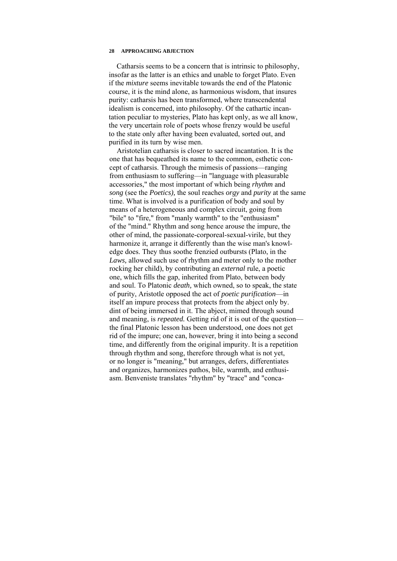## **28 APPROACHING ABJECTION**

Catharsis seems to be a concern that is intrinsic to philosophy, insofar as the latter is an ethics and unable to forget Plato. Even if the *mixture* seems inevitable towards the end of the Platonic course, it is the mind alone, as harmonious wisdom, that insures purity: catharsis has been transformed, where transcendental idealism is concerned, into philosophy. Of the cathartic incantation peculiar to mysteries, Plato has kept only, as we all know, the very uncertain role of poets whose frenzy would be useful to the state only after having been evaluated, sorted out, and purified in its turn by wise men.

Aristotelian catharsis is closer to sacred incantation. It is the one that has bequeathed its name to the common, esthetic concept of catharsis. Through the mimesis of passions—ranging from enthusiasm to suffering—in "language with pleasurable accessories," the most important of which being *rhythm* and *song* (see the *Poetics),* the soul reaches *orgy* and *purity* at the same time. What is involved is a purification of body and soul by means of a heterogeneous and complex circuit, going from "bile" to "fire," from "manly warmth" to the "enthusiasm" of the "mind." Rhythm and song hence arouse the impure, the other of mind, the passionate-corporeal-sexual-virile, but they harmonize it, arrange it differently than the wise man's knowledge does. They thus soothe frenzied outbursts (Plato, in the *Laws,* allowed such use of rhythm and meter only to the mother rocking her child), by contributing an *external* rule, a poetic one, which fills the gap, inherited from Plato, between body and soul. To Platonic *death,* which owned, so to speak, the state of purity, Aristotle opposed the act of *poetic purification*—in itself an impure process that protects from the abject only by. dint of being immersed in it. The abject, mimed through sound and meaning, is *repeated.* Getting rid of it is out of the question the final Platonic lesson has been understood, one does not get rid of the impure; one can, however, bring it into being a second time, and differently from the original impurity. It is a repetition through rhythm and song, therefore through what is not yet, or no longer is "meaning," but arranges, defers, differentiates and organizes, harmonizes pathos, bile, warmth, and enthusiasm. Benveniste translates "rhythm" by "trace" and "conca-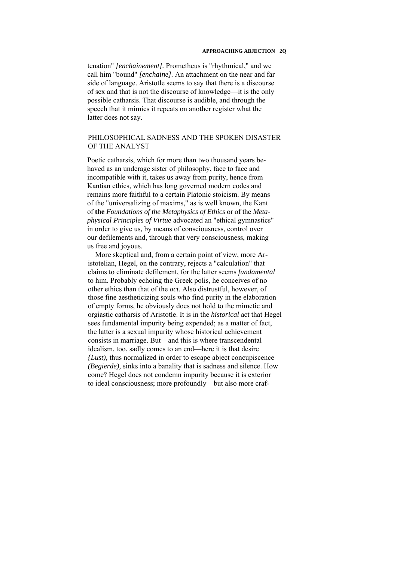## **APPROACHING ABJECTION 2Q**

tenation" *[enchainement].* Prometheus is "rhythmical," and we call him "bound" *[enchaine].* An attachment on the near and far side of language. Aristotle seems to say that there is a discourse of sex and that is not the discourse of knowledge—it is the only possible catharsis. That discourse is audible, and through the speech that it mimics it repeats on another register what the latter does not say.

# PHILOSOPHICAL SADNESS AND THE SPOKEN DISASTER OF THE ANALYST

Poetic catharsis, which for more than two thousand years behaved as an underage sister of philosophy, face to face and incompatible with it, takes us away from purity, hence from Kantian ethics, which has long governed modern codes and remains more faithful to a certain Platonic stoicism. By means of the "universalizing of maxims," as is well known, the Kant of **the** *Foundations of the Metaphysics of Ethics* or of the *Metaphysical Principles of Virtue* advocated an "ethical gymnastics" in order to give us, by means of consciousness, control over our defilements and, through that very consciousness, making us free and joyous.

More skeptical and, from a certain point of view, more Aristotelian, Hegel, on the contrary, rejects a "calculation" that claims to eliminate defilement, for the latter seems *fundamental*  to him. Probably echoing the Greek polis, he conceives of no other ethics than that of the *act.* Also distrustful, however, of those fine aestheticizing souls who find purity in the elaboration of empty forms, he obviously does not hold to the mimetic and orgiastic catharsis of Aristotle. It is in the *historical* act that Hegel sees fundamental impurity being expended; as a matter of fact, the latter is a sexual impurity whose historical achievement consists in marriage. But—and this is where transcendental idealism, too, sadly comes to an end—here it is that desire *{Lust),* thus normalized in order to escape abject concupiscence *(Begierde),* sinks into a banality that is sadness and silence. How come? Hegel does not condemn impurity because it is exterior to ideal consciousness; more profoundly—but also more craf-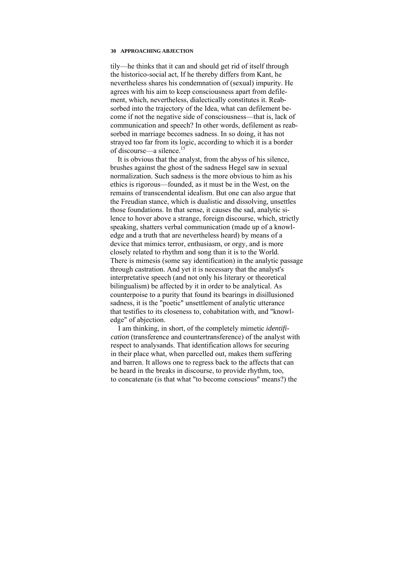## **30 APPROACHING ABJECTION**

tily—he thinks that it can and should get rid of itself through the historico-social act, If he thereby differs from Kant, he nevertheless shares his condemnation of (sexual) impurity. He agrees with his aim to keep consciousness apart from defilement, which, nevertheless, dialectically constitutes it. Reabsorbed into the trajectory of the Idea, what can defilement become if not the negative side of consciousness—that is, lack of communication and speech? In other words, defilement as reabsorbed in marriage becomes sadness. In so doing, it has not strayed too far from its logic, according to which it is a border of discourse—a silence.<sup>1</sup>

It is obvious that the analyst, from the abyss of his silence, brushes against the ghost of the sadness Hegel saw in sexual normalization. Such sadness is the more obvious to him as his ethics is rigorous—founded, as it must be in the West, on the remains of transcendental idealism. But one can also argue that the Freudian stance, which is dualistic and dissolving, unsettles those foundations. In that sense, it causes the sad, analytic silence to hover above a strange, foreign discourse, which, strictly speaking, shatters verbal communication (made up of a knowledge and a truth that are nevertheless heard) by means of a device that mimics terror, enthusiasm, or orgy, and is more closely related to rhythm and song than it is to the World. There is mimesis (some say identification) in the analytic passage through castration. And yet it is necessary that the analyst's interpretative speech (and not only his literary or theoretical bilingualism) be affected by it in order to be analytical. As counterpoise to a purity that found its bearings in disillusioned sadness, it is the "poetic" unsettlement of analytic utterance that testifies to its closeness to, cohabitation with, and "knowledge" of abjection.

I am thinking, in short, of the completely mimetic *identification* (transference and countertransference) of the analyst with respect to analysands. That identification allows for securing in their place what, when parcelled out, makes them suffering and barren. It allows one to regress back to the affects that can be heard in the breaks in discourse, to provide rhythm, too, to concatenate (is that what "to become conscious" means?) the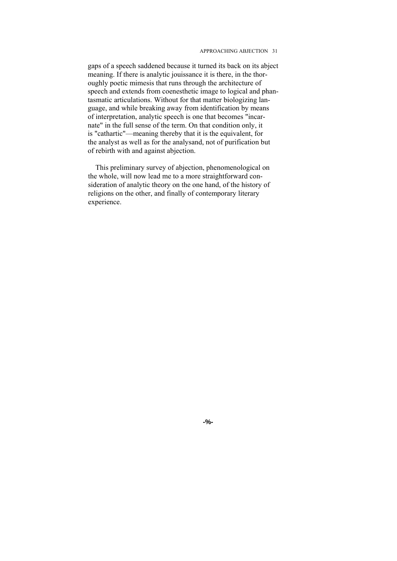#### APPROACHING ABJECTION 31

gaps of a speech saddened because it turned its back on its abject meaning. If there is analytic jouissance it is there, in the thoroughly poetic mimesis that runs through the architecture of speech and extends from coenesthetic image to logical and phantasmatic articulations. Without for that matter biologizing language, and while breaking away from identification by means of interpretation, analytic speech is one that becomes "incarnate" in the full sense of the term. On that condition only, it is "cathartic"—meaning thereby that it is the equivalent, for the analyst as well as for the analysand, not of purification but of rebirth with and against abjection.

This preliminary survey of abjection, phenomenological on the whole, will now lead me to a more straightforward consideration of analytic theory on the one hand, of the history of religions on the other, and finally of contemporary literary experience.

## **-%-**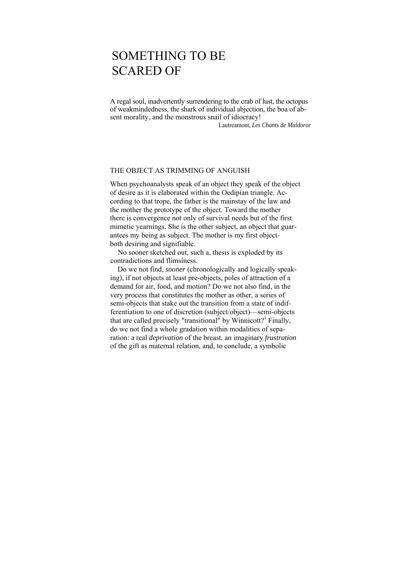A regal soul, inadvertently surrendering to the crab of lust, the octopus of weakmindedness, the shark of individual abjection, the boa of absent morality, and the monstrous snail of idiocracy!

Lautreamont, *Les Chants de Maldoror*

## THE OBJECT AS TRIMMING OF ANGUISH

When psychoanalysts speak of an object they speak of the object of desire as it is elaborated within the Oedipian triangle. According to that trope, the father is the mainstay of the law and the mother the prototype of the object. Toward the mother there is convergence not only of survival needs but of the first mimetic yearnings. She is the other subject, an object that guarantees my being as subject. The mother is my first objectboth desiring and signifiable.

No sooner sketched out, such a, thesis is exploded by its contradictions and flimsiness.

Do we not find, *sooner* (chronologically and logically speaking), if not objects at least pre-objects, poles of attraction of a demand for air, food, and motion? Do we not also find, in the very process that constitutes the mother as other, a series of semi-objects that stake out the transition from a state of indifferentiation to one of discretion (subject/object)—semi-objects that are called precisely "transitional" by Winnicott?<sup>1</sup> Finally, do we not find a whole gradation within modalities of separation: a real *deprivation* of the breast, an imaginary *frustration*  of the gift as maternal relation, and, to conclude, a symbolic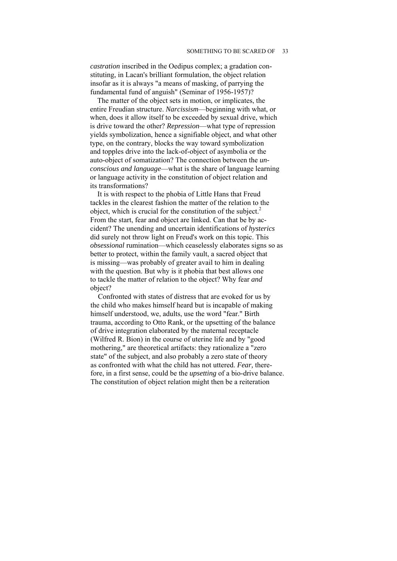*castration* inscribed in the Oedipus complex; a gradation constituting, in Lacan's brilliant formulation, the object relation insofar as it is always "a means of masking, of parrying the fundamental fund of anguish" (Seminar of 1956-1957)?

The matter of the object sets in motion, or implicates, the entire Freudian structure. *Narcissism*—beginning with what, or when, does it allow itself to be exceeded by sexual drive, which is drive toward the other? *Repression*—what type of repression yields symbolization, hence a signifiable object, and what other type, on the contrary, blocks the way toward symbolization and topples drive into the lack-of-object of asymbolia or the auto-object of somatization? The connection between the *unconscious and language*—what is the share of language learning or language activity in the constitution of object relation and its transformations?

It is with respect to the phobia of Little Hans that Freud tackles in the clearest fashion the matter of the relation to the object, which is crucial for the constitution of the subject. $2^2$ From the start, fear and object are linked. Can that be by accident? The unending and uncertain identifications of *hysterics*  did surely not throw light on Freud's work on this topic. This *obsessional* rumination—which ceaselessly elaborates signs so as better to protect, within the family vault, a sacred object that is missing—was probably of greater avail to him in dealing with the question. But why is it phobia that best allows one to tackle the matter of relation to the object? Why fear *and*  object?

Confronted with states of distress that are evoked for us by the child who makes himself heard but is incapable of making himself understood, we, adults, use the word "fear." Birth trauma, according to Otto Rank, or the upsetting of the balance of drive integration elaborated by the maternal receptacle (Wilfred R. Bion) in the course of uterine life and by "good mothering," are theoretical artifacts: they rationalize a "zero state" of the subject, and also probably a zero state of theory as confronted with what the child has not uttered. *Fear,* therefore, in a first sense, could be the *upsetting* of a bio-drive balance. The constitution of object relation might then be a reiteration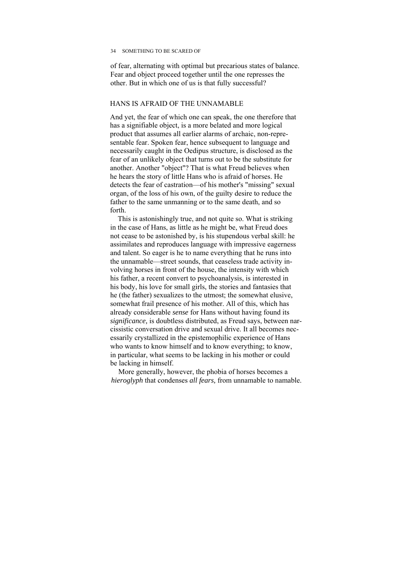of fear, alternating with optimal but precarious states of balance. Fear and object proceed together until the one represses the other. But in which one of us is that fully successful?

## HANS IS AFRAID OF THE UNNAMABLE

And yet, the fear of which one can speak, the one therefore that has a signifiable object, is a more belated and more logical product that assumes all earlier alarms of archaic, non-representable fear. Spoken fear, hence subsequent to language and necessarily caught in the Oedipus structure, is disclosed as the fear of an unlikely object that turns out to be the substitute for another. Another "object"? That is what Freud believes when he hears the story of little Hans who is afraid of horses. He detects the fear of castration—of his mother's "missing" sexual organ, of the loss of his own, of the guilty desire to reduce the father to the same unmanning or to the same death, and so forth.

This is astonishingly true, and not quite so. What is striking in the case of Hans, as little as he might be, what Freud does not cease to be astonished by, is his stupendous verbal skill: he assimilates and reproduces language with impressive eagerness and talent. So eager is he to name everything that he runs into the unnamable—street sounds, that ceaseless trade activity involving horses in front of the house, the intensity with which his father, a recent convert to psychoanalysis, is interested in his body, his love for small girls, the stories and fantasies that he (the father) sexualizes to the utmost; the somewhat elusive, somewhat frail presence of his mother. All of this, which has already considerable *sense* for Hans without having found its *significance,* is doubtless distributed, as Freud says, between narcissistic conversation drive and sexual drive. It all becomes necessarily crystallized in the epistemophilic experience of Hans who wants to know himself and to know everything; to know, in particular, what seems to be lacking in his mother or could be lacking in himself.

More generally, however, the phobia of horses becomes a *hieroglyph* that condenses *all fears,* from unnamable to namable.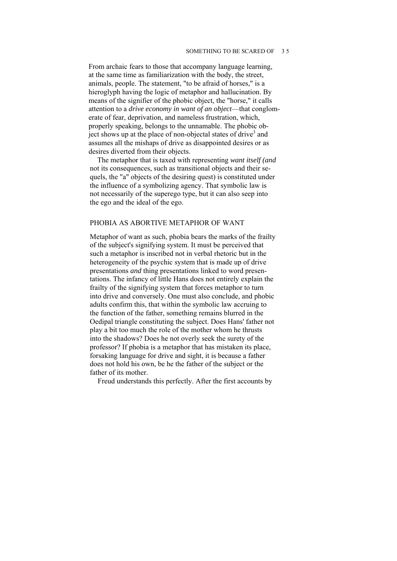From archaic fears to those that accompany language learning, at the same time as familiarization with the body, the street, animals, people. The statement, "to be afraid of horses," is a hieroglyph having the logic of metaphor and hallucination. By means of the signifier of the phobic object, the "horse," it calls attention to a *drive economy in want of an object*—that conglomerate of fear, deprivation, and nameless frustration, which, properly speaking, belongs to the unnamable. The phobic object shows up at the place of non-objectal states of drive<sup>3</sup> and assumes all the mishaps of drive as disappointed desires or as desires diverted from their objects.

The metaphor that is taxed with representing *want itself (and*  not its consequences, such as transitional objects and their sequels, the "a" objects of the desiring quest) is constituted under the influence of a symbolizing agency. That symbolic law is not necessarily of the superego type, but it can also seep into the ego and the ideal of the ego.

## PHOBIA AS ABORTIVE METAPHOR OF WANT

Metaphor of want as such, phobia bears the marks of the frailty of the subject's signifying system. It must be perceived that such a metaphor is inscribed not in verbal rhetoric but in the heterogeneity of the psychic system that is made up of drive presentations *and* thing presentations linked to word presentations. The infancy of little Hans does not entirely explain the frailty of the signifying system that forces metaphor to turn into drive and conversely. One must also conclude, and phobic adults confirm this, that within the symbolic law accruing to the function of the father, something remains blurred in the Oedipal triangle constituting the subject. Does Hans' father not play a bit too much the role of the mother whom he thrusts into the shadows? Does he not overly seek the surety of the professor? If phobia is a metaphor that has mistaken its place, forsaking language for drive and sight, it is because a father does not hold his own, be he the father of the subject or the father of its mother.

Freud understands this perfectly. After the first accounts by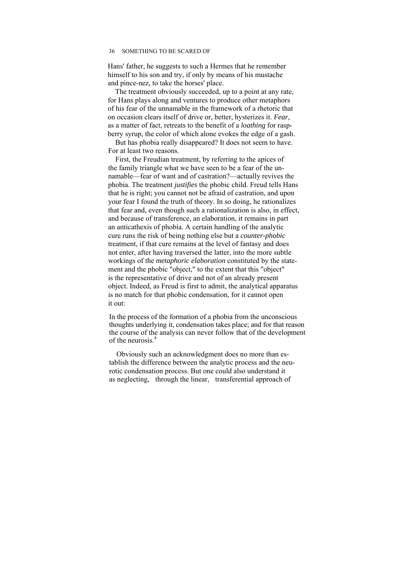Hans' father, he suggests to such a Hermes that he remember himself to his son and try, if only by means of his mustache and pince-nez, to take the horses' place.

The treatment obviously succeeded, up to a point at any rate, for Hans plays along and ventures to produce other metaphors of his fear of the unnamable in the framework of a rhetoric that on occasion clears itself of drive or, better, hysterizes it. *Fear,*  as a matter of fact, retreats to the benefit of a *loathing* for raspberry syrup, the color of which alone evokes the edge of a gash.

But has phobia really disappeared? It does not seem to have. For at least two reasons.

First, the Freudian treatment, by referring to the apices of the family triangle what we have seen to be a fear of the unnamable—fear of want and of castration?—actually revives the phobia. The treatment *justifies* the phobic child. Freud tells Hans that he is right; you cannot not be afraid of castration, and upon your fear I found the truth of theory. In so doing, he rationalizes that fear and, even though such a rationalization is also, in effect, and because of transference, an elaboration, it remains in part an anticathexis of phobia. A certain handling of the analytic cure runs the risk of being nothing else but a *counter-phobic*  treatment, if that cure remains at the level of fantasy and does not enter, after having traversed the latter, into the more subtle workings of the *metaphoric elaboration* constituted by the statement and the phobic "object," to the extent that this "object" is the representative of drive and not of an already present object. Indeed, as Freud is first to admit, the analytical apparatus is no match for that phobic condensation, for it cannot open it out:

In the process of the formation of a phobia from the unconscious thoughts underlying it, condensation takes place; and for that reason the course of the analysis can never follow that of the development of the neurosis.<sup>4</sup>

Obviously such an acknowledgment does no more than establish the difference between the analytic process and the neurotic condensation process. But one could also understand it as neglecting, through the linear, transferential approach of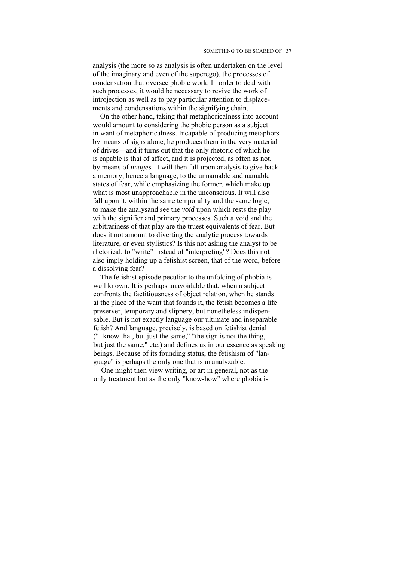analysis (the more so as analysis is often undertaken on the level of the imaginary and even of the superego), the processes of condensation that oversee phobic work. In order to deal with such processes, it would be necessary to revive the work of introjection as well as to pay particular attention to displacements and condensations within the signifying chain.

On the other hand, taking that metaphoricalness into account would amount to considering the phobic person as a subject in want of metaphoricalness. Incapable of producing metaphors by means of signs alone, he produces them in the very material of drives—and it turns out that the only rhetoric of which he is capable is that of affect, and it is projected, as often as not, by means of *images.* It will then fall upon analysis to give back a memory, hence a language, to the unnamable and namable states of fear, while emphasizing the former, which make up what is most unapproachable in the unconscious. It will also fall upon it, within the same temporality and the same logic, to make the analysand see the *void* upon which rests the play with the signifier and primary processes. Such a void and the arbitrariness of that play are the truest equivalents of fear. But does it not amount to diverting the analytic process towards literature, or even stylistics? Is this not asking the analyst to be rhetorical, to "write" instead of "interpreting"? Does this not also imply holding up a fetishist screen, that of the word, before a dissolving fear?

The fetishist episode peculiar to the unfolding of phobia is well known. It is perhaps unavoidable that, when a subject confronts the factitiousness of object relation, when he stands at the place of the want that founds it, the fetish becomes a life preserver, temporary and slippery, but nonetheless indispensable. But is not exactly language our ultimate and inseparable fetish? And language, precisely, is based on fetishist denial ("I know that, but just the same," "the sign is not the thing, but just the same," etc.) and defines us in our essence as speaking beings. Because of its founding status, the fetishism of "language" is perhaps the only one that is unanalyzable.

One might then view writing, or art in general, not as the only treatment but as the only "know-how" where phobia is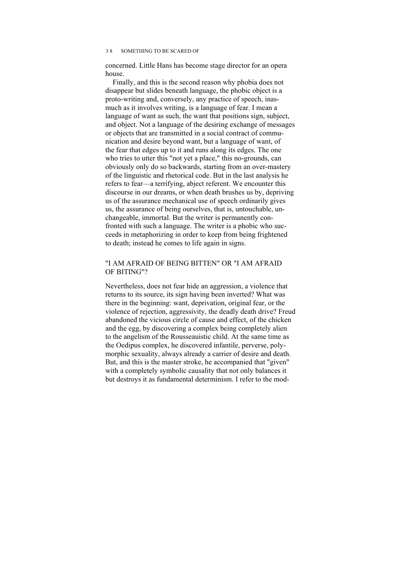concerned. Little Hans has become stage director for an opera house.

Finally, and this is the second reason why phobia does not disappear but slides beneath language, the phobic object is a proto-writing and, conversely, any practice of speech, inasmuch as it involves writing, is a language of fear. I mean a language of want as such, the want that positions sign, subject, and object. Not a language of the desiring exchange of messages or objects that are transmitted in a social contract of communication and desire beyond want, but a language of want, of the fear that edges up to it and runs along its edges. The one who tries to utter this "not yet a place," this no-grounds, can obviously only do so backwards, starting from an over-mastery of the linguistic and rhetorical code. But in the last analysis he refers to fear—a terrifying, abject referent. We encounter this discourse in our dreams, or when death brushes us by, depriving us of the assurance mechanical use of speech ordinarily gives us, the assurance of being ourselves, that is, untouchable, unchangeable, immortal. But the writer is permanently confronted with such a language. The writer is a phobic who succeeds in metaphorizing in order to keep from being frightened to death; instead he comes to life again in signs.

# "I AM AFRAID OF BEING BITTEN" OR "I AM AFRAID OF BITING"?

Nevertheless, does not fear hide an aggression, a violence that returns to its source, its sign having been inverted? What was there in the beginning: want, deprivation, original fear, or the violence of rejection, aggressivity, the deadly death drive? Freud abandoned the vicious circle of cause and effect, of the chicken and the egg, by discovering a complex being completely alien to the angelism of the Rousseauistic child. At the same time as the Oedipus complex, he discovered infantile, perverse, polymorphic sexuality, always already a carrier of desire and death. But, and this is the master stroke, he accompanied that "given" with a completely symbolic causality that not only balances it but destroys it as fundamental determinism. I refer to the mod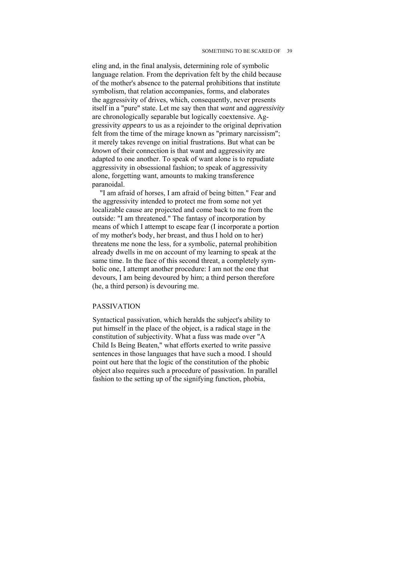eling and, in the final analysis, determining role of symbolic language relation. From the deprivation felt by the child because of the mother's absence to the paternal prohibitions that institute symbolism, that relation accompanies, forms, and elaborates the aggressivity of drives, which, consequently, never presents itself in a "pure" state. Let me say then that *want* and *aggressivity*  are chronologically separable but logically coextensive. Aggressivity *appears* to us as a rejoinder to the original deprivation felt from the time of the mirage known as "primary narcissism"; it merely takes revenge on initial frustrations. But what can be *known* of their connection is that want and aggressivity are adapted to one another. To speak of want alone is to repudiate aggressivity in obsessional fashion; to speak of aggressivity alone, forgetting want, amounts to making transference paranoidal.

"I am afraid of horses, I am afraid of being bitten." Fear and the aggressivity intended to protect me from some not yet localizable cause are projected and come back to me from the outside: "I am threatened." The fantasy of incorporation by means of which I attempt to escape fear (I incorporate a portion of my mother's body, her breast, and thus I hold on to her) threatens me none the less, for a symbolic, paternal prohibition already dwells in me on account of my learning to speak at the same time. In the face of this second threat, a completely symbolic one, I attempt another procedure: I am not the one that devours, I am being devoured by him; a third person therefore (he, a third person) is devouring me.

## PASSIVATION

Syntactical passivation, which heralds the subject's ability to put himself in the place of the object, is a radical stage in the constitution of subjectivity. What a fuss was made over "A Child Is Being Beaten," what efforts exerted to write passive sentences in those languages that have such a mood. I should point out here that the logic of the constitution of the phobic object also requires such a procedure of passivation. In parallel fashion to the setting up of the signifying function, phobia,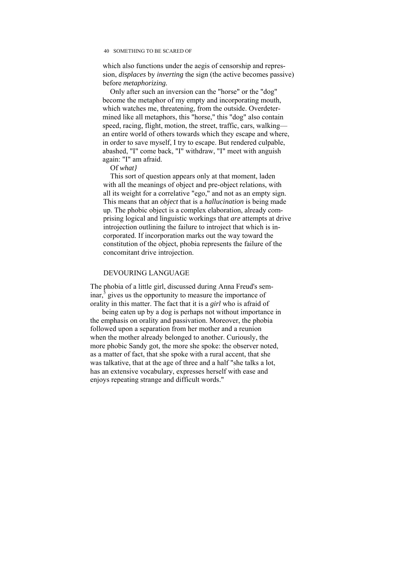which also functions under the aegis of censorship and repression, *displaces* by *inverting* the sign (the active becomes passive) before *metaphorizing.*

Only after such an inversion can the "horse" or the "dog" become the metaphor of my empty and incorporating mouth, which watches me, threatening, from the outside. Overdetermined like all metaphors, this "horse," this "dog" also contain speed, racing, flight, motion, the street, traffic, cars, walking an entire world of others towards which they escape and where, in order to save myself, I try to escape. But rendered culpable, abashed, "I" come back, "I" withdraw, "I" meet with anguish again: "I" am afraid.

Of *what}*

This sort of question appears only at that moment, laden with all the meanings of object and pre-object relations, with all its weight for a correlative "ego," and not as an empty sign. This means that an *object* that is a *hallucination* is being made up. The phobic object is a complex elaboration, already comprising logical and linguistic workings that *are* attempts at drive introjection outlining the failure to introject that which is incorporated. If incorporation marks out the way toward the constitution of the object, phobia represents the failure of the concomitant drive introjection.

## DEVOURING LANGUAGE

The phobia of a little girl, discussed during Anna Freud's seminar, $\frac{3}{5}$  gives us the opportunity to measure the importance of orality in this matter. The fact that it is a *girl* who is afraid of

 being eaten up by a dog is perhaps not without importance in the emphasis on orality and passivation. Moreover, the phobia followed upon a separation from her mother and a reunion when the mother already belonged to another. Curiously, the more phobic Sandy got, the more she spoke: the observer noted, as a matter of fact, that she spoke with a rural accent, that she was talkative, that at the age of three and a half "she talks a lot, has an extensive vocabulary, expresses herself with ease and enjoys repeating strange and difficult words."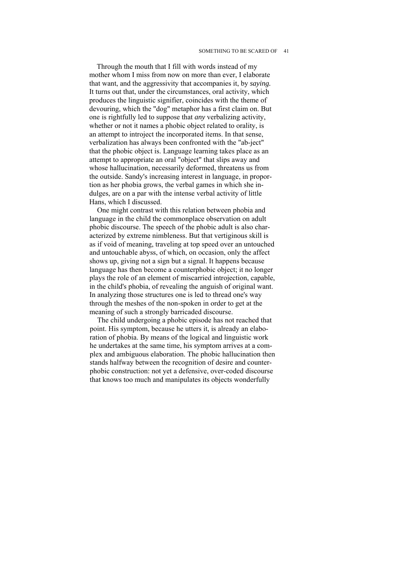Through the mouth that I fill with words instead of my mother whom I miss from now on more than ever, I elaborate that want, and the aggressivity that accompanies it, by *saying.*  It turns out that, under the circumstances, oral activity, which produces the linguistic signifier, coincides with the theme of devouring, which the "dog" metaphor has a first claim on. But one is rightfully led to suppose that *any* verbalizing activity, whether or not it names a phobic object related to orality, is an attempt to introject the incorporated items. In that sense, verbalization has always been confronted with the "ab-ject" that the phobic object is. Language learning takes place as an attempt to appropriate an oral "object" that slips away and whose hallucination, necessarily deformed, threatens us from the outside. Sandy's increasing interest in language, in proportion as her phobia grows, the verbal games in which she indulges, are on a par with the intense verbal activity of little Hans, which I discussed.

One might contrast with this relation between phobia and language in the child the commonplace observation on adult phobic discourse. The speech of the phobic adult is also characterized by extreme nimbleness. But that vertiginous skill is as if void of meaning, traveling at top speed over an untouched and untouchable abyss, of which, on occasion, only the affect shows up, giving not a sign but a signal. It happens because language has then become a counterphobic object; it no longer plays the role of an element of miscarried introjection, capable, in the child's phobia, of revealing the anguish of original want. In analyzing those structures one is led to thread one's way through the meshes of the non-spoken in order to get at the meaning of such a strongly barricaded discourse.

The child undergoing a phobic episode has not reached that point. His symptom, because he utters it, is already an elaboration of phobia. By means of the logical and linguistic work he undertakes at the same time, his symptom arrives at a complex and ambiguous elaboration. The phobic hallucination then stands halfway between the recognition of desire and counterphobic construction: not yet a defensive, over-coded discourse that knows too much and manipulates its objects wonderfully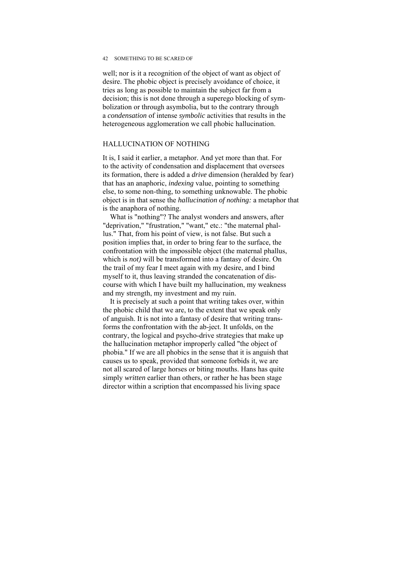well; nor is it a recognition of the object of want as object of desire. The phobic object is precisely avoidance of choice, it tries as long as possible to maintain the subject far from a decision; this is not done through a superego blocking of symbolization or through asymbolia, but to the contrary through a *condensation* of intense *symbolic* activities that results in the heterogeneous agglomeration we call phobic hallucination.

## HALLUCINATION OF NOTHING

It is, I said it earlier, a metaphor. And yet more than that. For to the activity of condensation and displacement that oversees its formation, there is added a *drive* dimension (heralded by fear) that has an anaphoric, *indexing* value, pointing to something else, to some non-thing, to something unknowable. The phobic object is in that sense the *hallucination of nothing:* a metaphor that is the anaphora of nothing.

What is "nothing"? The analyst wonders and answers, after "deprivation," "frustration," "want," etc.: "the maternal phallus." That, from his point of view, is not false. But such a position implies that, in order to bring fear to the surface, the confrontation with the impossible object (the maternal phallus, which is *not)* will be transformed into a fantasy of desire. On the trail of my fear I meet again with my desire, and I bind myself to it, thus leaving stranded the concatenation of discourse with which I have built my hallucination, my weakness and my strength, my investment and my ruin.

It is precisely at such a point that writing takes over, within the phobic child that we are, to the extent that we speak only of anguish. It is not into a fantasy of desire that writing transforms the confrontation with the ab-ject. It unfolds, on the contrary, the logical and psycho-drive strategies that make up the hallucination metaphor improperly called "the object of phobia." If we are all phobics in the sense that it is anguish that causes us to speak, provided that someone forbids it, we are not all scared of large horses or biting mouths. Hans has quite simply *written* earlier than others, or rather he has been stage director within a scription that encompassed his living space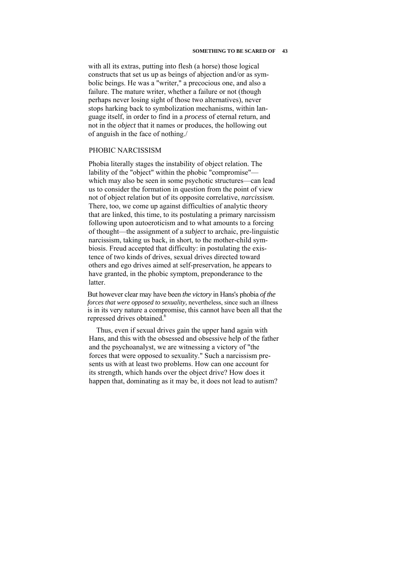with all its extras, putting into flesh (a horse) those logical constructs that set us up as beings of abjection and/or as symbolic beings. He was a "writer," a precocious one, and also a failure. The mature writer, whether a failure or not (though perhaps never losing sight of those two alternatives), never stops harking back to symbolization mechanisms, within language itself, in order to find in a *process* of eternal return, and not in the *object* that it names or produces, the hollowing out of anguish in the face of nothing./

## PHOBIC NARCISSISM

Phobia literally stages the instability of object relation. The lability of the "object" within the phobic "compromise" which may also be seen in some psychotic structures—can lead us to consider the formation in question from the point of view not of object relation but of its opposite correlative, *narcissism.*  There, too, we come up against difficulties of analytic theory that are linked, this time, to its postulating a primary narcissism following upon autoeroticism and to what amounts to a forcing of thought—the assignment of a *subject* to archaic, pre-linguistic narcissism, taking us back, in short, to the mother-child symbiosis. Freud accepted that difficulty: in postulating the existence of two kinds of drives, sexual drives directed toward others and ego drives aimed at self-preservation, he appears to have granted, in the phobic symptom, preponderance to the **latter** 

But however clear may have been *the victory* in Hans's phobia *of the forces that were opposed to sexuality, nevertheless, since such an illness* is in its very nature a compromise, this cannot have been all that the repressed drives obtained.<sup>6</sup>

Thus, even if sexual drives gain the upper hand again with Hans, and this with the obsessed and obsessive help of the father and the psychoanalyst, we are witnessing a victory of "the forces that were opposed to sexuality." Such a narcissism presents us with at least two problems. How can one account for its strength, which hands over the object drive? How does it happen that, dominating as it may be, it does not lead to autism?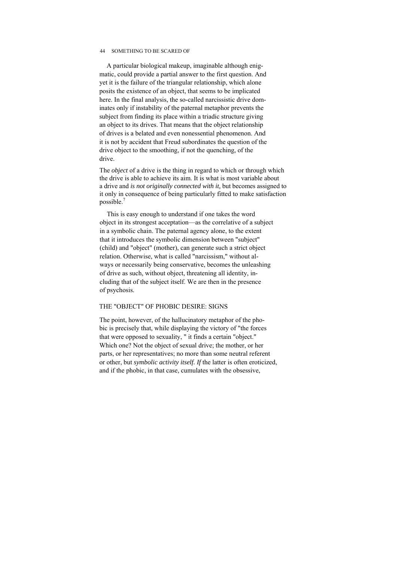A particular biological makeup, imaginable although enigmatic, could provide a partial answer to the first question. And yet it is the failure of the triangular relationship, which alone posits the existence of an object, that seems to be implicated here. In the final analysis, the so-called narcissistic drive dominates only if instability of the paternal metaphor prevents the subject from finding its place within a triadic structure giving an object to its drives. That means that the object relationship of drives is a belated and even nonessential phenomenon. And it is not by accident that Freud subordinates the question of the drive object to the smoothing, if not the quenching, of the drive.

The *object* of a drive is the thing in regard to which or through which the drive is able to achieve its aim. It is what is most variable about a drive and *is not originally connected with it,* but becomes assigned to it only in consequence of being particularly fitted to make satisfaction possible.<sup>7</sup>

This is easy enough to understand if one takes the word object in its strongest acceptation—as the correlative of a subject in a symbolic chain. The paternal agency alone, to the extent that it introduces the symbolic dimension between "subject" (child) and "object" (mother), can generate such a strict object relation. Otherwise, what is called "narcissism," without always or necessarily being conservative, becomes the unleashing of drive as such, without object, threatening all identity, including that of the subject itself. We are then in the presence of psychosis.

## THE "OBJECT" OF PHOBIC DESIRE: SIGNS

The point, however, of the hallucinatory metaphor of the phobic is precisely that, while displaying the victory of "the forces that were opposed to sexuality, " it finds a certain "object." Which one? Not the object of sexual drive; the mother, or her parts, or her representatives; no more than some neutral referent or other, but *symbolic activity itself. If* the latter is often eroticized, and if the phobic, in that case, cumulates with the obsessive,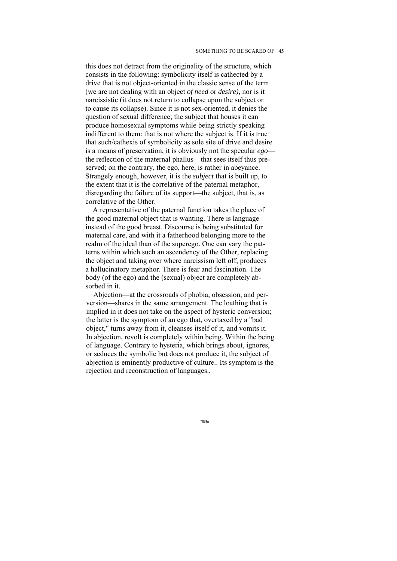this does not detract from the originality of the structure, which consists in the following: symbolicity itself is cathected by a drive that is not object-oriented in the classic sense of the term (we are not dealing with an object *of need* or *desire),* nor is it narcissistic (it does not return to collapse upon the subject or to cause its collapse). Since it is not sex-oriented, it denies the question of sexual difference; the subject that houses it can produce homosexual symptoms while being strictly speaking indifferent to them: that is not where the subject is. If it is true that such/cathexis of symbolicity as sole site of drive and desire is a means of preservation, it is obviously not the specular *ego* the reflection of the maternal phallus—that sees itself thus preserved; on the contrary, the ego, here, is rather in abeyance. Strangely enough, however, it is the *subject* that is built up, to the extent that it is the correlative of the paternal metaphor, disregarding the failure of its support—the subject, that is, as correlative of the Other.

A representative of the paternal function takes the place of the good maternal object that is wanting. There is language instead of the good breast. Discourse is being substituted for maternal care, and with it a fatherhood belonging more to the realm of the ideal than of the superego. One can vary the patterns within which such an ascendency of the Other, replacing the object and taking over where narcissism left off, produces a hallucinatory metaphor. There is fear and fascination. The body (of the ego) and the (sexual) object are completely absorbed in it.

Abjection—at the crossroads of phobia, obsession, and perversion—shares in the same arrangement. The loathing that is implied in it does not take on the aspect of hysteric conversion; the latter is the symptom of an ego that, overtaxed by a "bad object," turns away from it, cleanses itself of it, and vomits it. In abjection, revolt is completely within being. Within the being of language. Contrary to hysteria, which brings about, ignores, or seduces the symbolic but does not produce it, the subject of abjection is eminently productive of culture.. Its symptom is the rejection and reconstruction of languages.,

**''f3\$&t**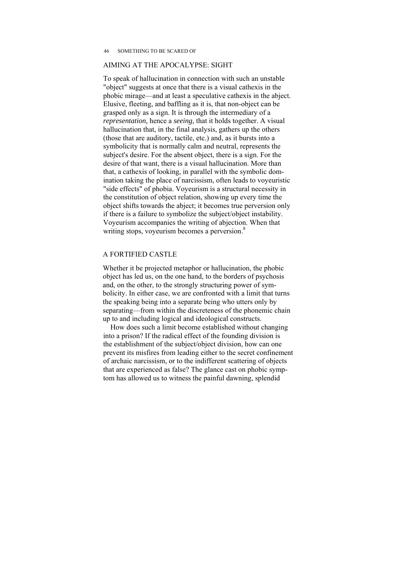## AIMING AT THE APOCALYPSE: SIGHT

To speak of hallucination in connection with such an unstable "object" suggests at once that there is a visual cathexis in the phobic mirage—and at least a speculative cathexis in the abject. Elusive, fleeting, and baffling as it is, that non-object can be grasped only as a sign. It is through the intermediary of a *representation,* hence a *seeing,* that it holds together. A visual hallucination that, in the final analysis, gathers up the others (those that are auditory, tactile, etc.) and, as it bursts into a symbolicity that is normally calm and neutral, represents the subject's desire. For the absent object, there is a sign. For the desire of that want, there is a visual hallucination. More than that, a cathexis of looking, in parallel with the symbolic domination taking the place of narcissism, often leads to voyeuristic "side effects" of phobia. Voyeurism is a structural necessity in the constitution of object relation, showing up every time the object shifts towards the abject; it becomes true perversion only if there is a failure to symbolize the subject/object instability. Voyeurism accompanies the writing of abjection. When that writing stops, voyeurism becomes a perversion.<sup>8</sup>

## A FORTIFIED CASTLE

Whether it be projected metaphor or hallucination, the phobic object has led us, on the one hand, to the borders of psychosis and, on the other, to the strongly structuring power of symbolicity. In either case, we are confronted with a limit that turns the speaking being into a separate being who utters only by separating—from within the discreteness of the phonemic chain up to and including logical and ideological constructs.

How does such a limit become established without changing into a prison? If the radical effect of the founding division is the establishment of the subject/object division, how can one prevent its misfires from leading either to the secret confinement of archaic narcissism, or to the indifferent scattering of objects that are experienced as false? The glance cast on phobic symptom has allowed us to witness the painful dawning, splendid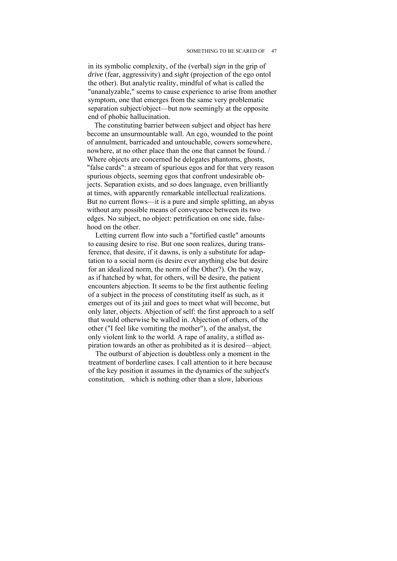in its symbolic complexity, of the (verbal) *sign* in the grip of *drive* (fear, aggressivity) and *sight* (projection of the ego ontoI the other). But analytic reality, mindful of what is called the "unanalyzable," seems to cause experience to arise from another symptom, one that emerges from the same very problematic separation subject/object—but now seemingly at the opposite end of phobic hallucination.

The constituting barrier between subject and object has here become an unsurmountable wall. An ego, wounded to the point of annulment, barricaded and untouchable, cowers somewhere, nowhere, at no other place than the one that cannot be found. / Where objects are concerned he delegates phantoms, ghosts, "false cards": a stream of spurious egos and for that very reason spurious objects, seeming egos that confront undesirable objects. Separation exists, and so does language, even brilliantly at times, with apparently remarkable intellectual realizations. But no current flows—it is a pure and simple splitting, an abyss without any possible means of conveyance between its two edges. No subject, no object: petrification on one side, falsehood on the other.

Letting current flow into such a "fortified castle" amounts to causing desire to rise. But one soon realizes, during transference, that desire, if it dawns, is only a substitute for adaptation to a social norm (is desire ever anything else but desire for an idealized norm, the norm of the Other?). On the way, as if hatched by what, for others, will be desire, the patient encounters abjection. It seems to be the first authentic feeling of a subject in the process of constituting itself as such, as it emerges out of its jail and goes to meet what will become, but only later, objects. Abjection of self: the first approach to a self that would otherwise be walled in. Abjection of others, of the other ("I feel like vomiting the mother"), of the analyst, the only violent link to the world. A rape of anality, a stifled aspiration towards an other as prohibited as it is desired—abject.

The outburst of abjection is doubtless only a moment in the treatment of borderline cases. I call attention to it here because of the key position it assumes in the dynamics of the subject's constitution, which is nothing other than a slow, laborious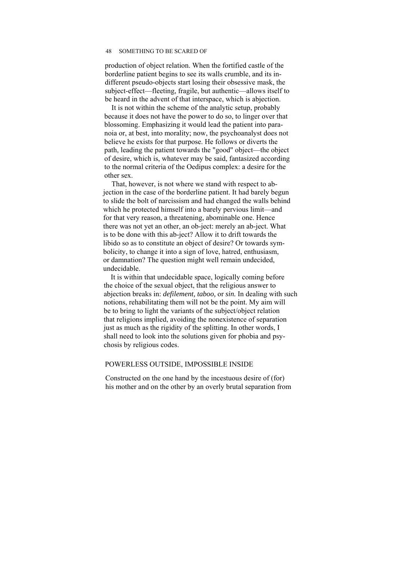production of object relation. When the fortified castle of the borderline patient begins to see its walls crumble, and its indifferent pseudo-objects start losing their obsessive mask, the subject-effect—fleeting, fragile, but authentic—allows itself to be heard in the advent of that interspace, which is abjection.

It is not within the scheme of the analytic setup, probably because it does not have the power to do so, to linger over that blossoming. Emphasizing it would lead the patient into paranoia or, at best, into morality; now, the psychoanalyst does not believe he exists for that purpose. He follows or diverts the path, leading the patient towards the "good" object—the object of desire, which is, whatever may be said, fantasized according to the normal criteria of the Oedipus complex: a desire for the other sex.

That, however, is not where we stand with respect to abjection in the case of the borderline patient. It had barely begun to slide the bolt of narcissism and had changed the walls behind which he protected himself into a barely pervious limit—and for that very reason, a threatening, abominable one. Hence there was not yet an other, an ob-ject: merely an ab-ject. What is to be done with this ab-ject? Allow it to drift towards the libido so as to constitute an object of desire? Or towards symbolicity, to change it into a sign of love, hatred, enthusiasm, or damnation? The question might well remain undecided, undecidable.

It is within that undecidable space, logically coming before the choice of the sexual object, that the religious answer to abjection breaks in: *defilement, taboo,* or *sin.* In dealing with such notions, rehabilitating them will not be the point. My aim will be to bring to light the variants of the subject/object relation that religions implied, avoiding the nonexistence of separation just as much as the rigidity of the splitting. In other words, I shall need to look into the solutions given for phobia and psychosis by religious codes.

## POWERLESS OUTSIDE, IMPOSSIBLE INSIDE

Constructed on the one hand by the incestuous desire of (for) his mother and on the other by an overly brutal separation from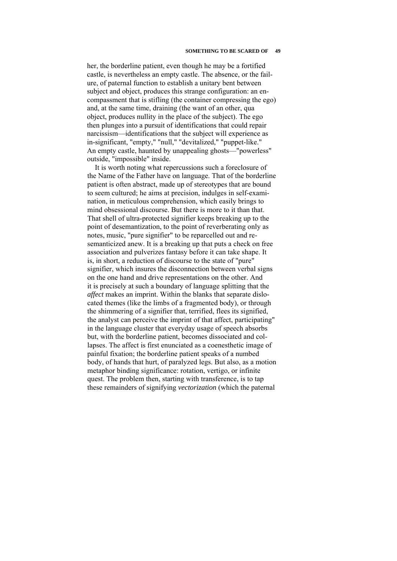her, the borderline patient, even though he may be a fortified castle, is nevertheless an empty castle. The absence, or the failure, of paternal function to establish a unitary bent between subject and object, produces this strange configuration: an encompassment that is stifling (the container compressing the ego) and, at the same time, draining (the want of an other, qua object, produces nullity in the place of the subject). The ego then plunges into a pursuit of identifications that could repair narcissism—identifications that the subject will experience as in-significant, "empty," "null," "devitalized," "puppet-like." An empty castle, haunted by unappealing ghosts—"powerless" outside, "impossible" inside.

It is worth noting what repercussions such a foreclosure of the Name of the Father have on language. That of the borderline patient is often abstract, made up of stereotypes that are bound to seem cultured; he aims at precision, indulges in self-examination, in meticulous comprehension, which easily brings to mind obsessional discourse. But there is more to it than that. That shell of ultra-protected signifier keeps breaking up to the point of desemantization, to the point of reverberating only as notes, music, "pure signifier" to be reparcelled out and resemanticized anew. It is a breaking up that puts a check on free association and pulverizes fantasy before it can take shape. It is, in short, a reduction of discourse to the state of "pure" signifier, which insures the disconnection between verbal signs on the one hand and drive representations on the other. And it is precisely at such a boundary of language splitting that the *affect* makes an imprint. Within the blanks that separate dislocated themes (like the limbs of a fragmented body), or through the shimmering of a signifier that, terrified, flees its signified, the analyst can perceive the imprint of that affect, participating" in the language cluster that everyday usage of speech absorbs but, with the borderline patient, becomes dissociated and collapses. The affect is first enunciated as a coenesthetic image of painful fixation; the borderline patient speaks of a numbed body, of hands that hurt, of paralyzed legs. But also, as a motion metaphor binding significance: rotation, vertigo, or infinite quest. The problem then, starting with transference, is to tap these remainders of signifying *vectorization* (which the paternal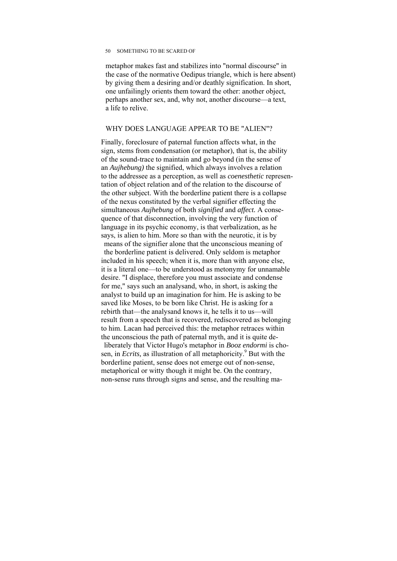metaphor makes fast and stabilizes into "normal discourse" in the case of the normative Oedipus triangle, which is here absent) by giving them a desiring and/or deathly signification. In short, one unfailingly orients them toward the other: another object, perhaps another sex, and, why not, another discourse—a text, a life to relive.

## WHY DOES LANGUAGE APPEAR TO BE "ALIEN"?

Finally, foreclosure of paternal function affects what, in the sign, stems from condensation (or metaphor), that is, the ability of the sound-trace to maintain and go beyond (in the sense of an *Aujhebung)* the signified, which always involves a relation to the addressee as a perception, as well as *coenesthetic* representation of object relation and of the relation to the discourse of the other subject. With the borderline patient there is a collapse of the nexus constituted by the verbal signifier effecting the simultaneous *Aujhebung* of both *signified* and *affect.* A consequence of that disconnection, involving the very function of language in its psychic economy, is that verbalization, as he says, is alien to him. More so than with the neurotic, it is by

 means of the signifier alone that the unconscious meaning of the borderline patient is delivered. Only seldom is metaphor included in his speech; when it is, more than with anyone else, it is a literal one—to be understood as metonymy for unnamable desire. "I displace, therefore you must associate and condense for me," says such an analysand, who, in short, is asking the analyst to build up an imagination for him. He is asking to be saved like Moses, to be born like Christ. He is asking for a rebirth that—the analysand knows it, he tells it to us—will result from a speech that is recovered, rediscovered as belonging to him. Lacan had perceived this: the metaphor retraces within the unconscious the path of paternal myth, and it is quite de-

 liberately that Victor Hugo's metaphor in *Booz endormi* is chosen, in *Ecrits*, as illustration of all metaphoricity.<sup>9</sup> But with the borderline patient, sense does not emerge out of non-sense, metaphorical or witty though it might be. On the contrary, non-sense runs through signs and sense, and the resulting ma-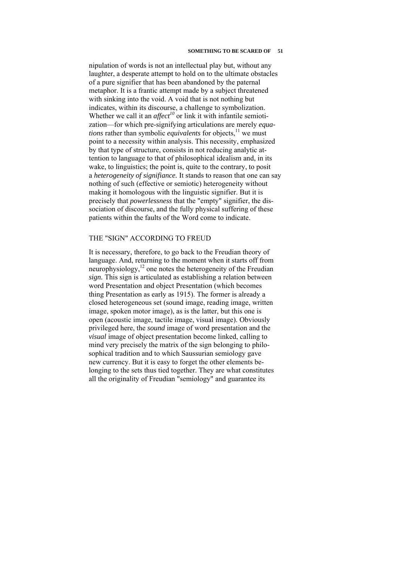nipulation of words is not an intellectual play but, without any laughter, a desperate attempt to hold on to the ultimate obstacles of a pure signifier that has been abandoned by the paternal metaphor. It is a frantic attempt made by a subject threatened with sinking into the void. A void that is not nothing but indicates, within its discourse, a challenge to symbolization. Whether we call it an *affect<sup>10</sup>* or link it with infantile semiotization—for which pre-signifying articulations are merely *equations* rather than symbolic *equivalents* for objects,<sup>11</sup> we must point to a necessity within analysis. This necessity, emphasized by that type of structure, consists in not reducing analytic attention to language to that of philosophical idealism and, in its wake, to linguistics; the point is, quite to the contrary, to posit a *heterogeneity of signifiance.* It stands to reason that one can say nothing of such (effective or semiotic) heterogeneity without making it homologous with the linguistic signifier. But it is precisely that *powerlessness* that the "empty" signifier, the dissociation of discourse, and the fully physical suffering of these patients within the faults of the Word come to indicate.

## THE "SIGN" ACCORDING TO FREUD

It is necessary, therefore, to go back to the Freudian theory of language. And, returning to the moment when it starts off from neurophysiology,<sup>12</sup> one notes the heterogeneity of the Freudian *sign.* This sign is articulated as establishing a relation between word Presentation and object Presentation (which becomes thing Presentation as early as 1915). The former is already a closed heterogeneous set (sound image, reading image, written image, spoken motor image), as is the latter, but this one is open (acoustic image, tactile image, visual image). Obviously privileged here, the *sound* image of word presentation and the *visual* image of object presentation become linked, calling to mind very precisely the matrix of the sign belonging to philosophical tradition and to which Saussurian semiology gave new currency. But it is easy to forget the other elements belonging to the sets thus tied together. They are what constitutes all the originality of Freudian "semiology" and guarantee its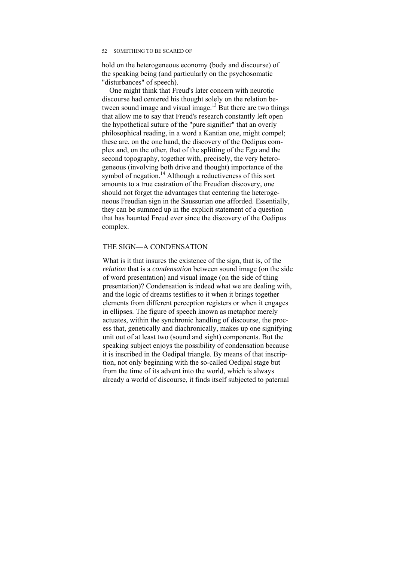hold on the heterogeneous economy (body and discourse) of the speaking being (and particularly on the psychosomatic "disturbances" of speech).

One might think that Freud's later concern with neurotic discourse had centered his thought solely on the relation between sound image and visual image.<sup>13</sup> But there are two things that allow me to say that Freud's research constantly left open the hypothetical suture of the "pure signifier" that an overly philosophical reading, in a word a Kantian one, might compel; these are, on the one hand, the discovery of the Oedipus complex and, on the other, that of the splitting of the Ego and the second topography, together with, precisely, the very heterogeneous (involving both drive and thought) importance of the symbol of negation.<sup>14</sup> Although a reductiveness of this sort amounts to a true castration of the Freudian discovery, one should not forget the advantages that centering the heterogeneous Freudian sign in the Saussurian one afforded. Essentially, they can be summed up in the explicit statement of a question that has haunted Freud ever since the discovery of the Oedipus complex.

## THE SIGN—A CONDENSATION

What is it that insures the existence of the sign, that is, of the *relation* that is a *condensation* between sound image (on the side of word presentation) and visual image (on the side of thing presentation)? Condensation is indeed what we are dealing with, and the logic of dreams testifies to it when it brings together elements from different perception registers or when it engages in ellipses. The figure of speech known as metaphor merely actuates, within the synchronic handling of discourse, the process that, genetically and diachronically, makes up one signifying unit out of at least two (sound and sight) components. But the speaking subject enjoys the possibility of condensation because it is inscribed in the Oedipal triangle. By means of that inscription, not only beginning with the so-called Oedipal stage but from the time of its advent into the world, which is always already a world of discourse, it finds itself subjected to paternal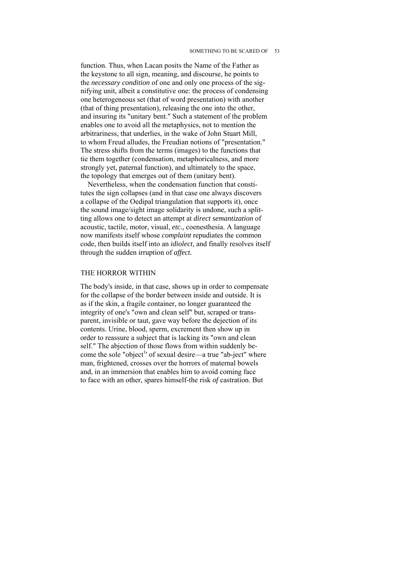function. Thus, when Lacan posits the Name of the Father as the keystone to all sign, meaning, and discourse, he points to the *necessary condition* of one and only one process of the signifying unit, albeit a constitutive one: the process of condensing one heterogeneous set (that of word presentation) with another (that of thing presentation), releasing the one into the other, and insuring its "unitary bent." Such a statement of the problem enables one to avoid all the metaphysics, not to mention the arbitrariness, that underlies, in the wake of John Stuart Mill, to whom Freud alludes, the Freudian notions of "presentation." The stress shifts from the terms (images) to the functions that tie them together (condensation, metaphoricalness, and more strongly yet, paternal function), and ultimately to the space, the topology that emerges out of them (unitary bent).

Nevertheless, when the condensation function that constitutes the sign collapses (and in that case one always discovers a collapse of the Oedipal triangulation that supports it), once the sound image/sight image solidarity is undone, such a splitting allows one to detect an attempt at *direct semantization* of acoustic, tactile, motor, visual, *etc.,* coenesthesia. A language now manifests itself whose *complaint* repudiates the common code, then builds itself into an *idiolect,* and finally resolves itself through the sudden irruption of *affect.*

## THE HORROR WITHIN

The body's inside, in that case, shows up in order to compensate for the collapse of the border between inside and outside. It is as if the skin, a fragile container, no longer guaranteed the integrity of one's "own and clean self" but, scraped or transparent, invisible or taut, gave way before the dejection of its contents. Urine, blood, sperm, excrement then show up in order to reassure a subject that is lacking its "own and clean self." The abjection of those flows from within suddenly become the sole "object<sup>1</sup>' of sexual desire—a true "ab-ject" where man, frightened, crosses over the horrors of maternal bowels and, in an immersion that enables him to avoid coming face to face with an other, spares himself-the risk *of* castration. But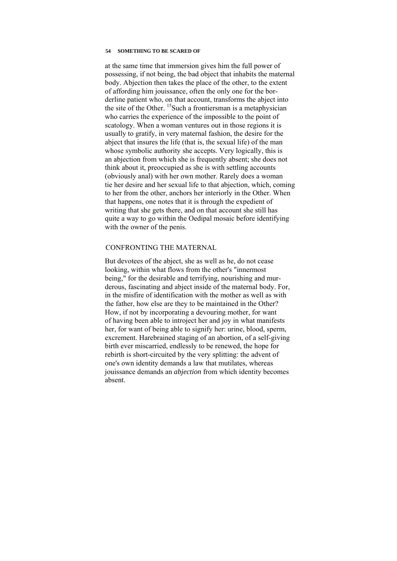at the same time that immersion gives him the full power of possessing, if not being, the bad object that inhabits the maternal body. Abjection then takes the place of the other, to the extent of affording him jouissance, often the only one for the borderline patient who, on that account, transforms the abject into the site of the Other.  $^{15}$ Such a frontiersman is a metaphysician who carries the experience of the impossible to the point of scatology. When a woman ventures out in those regions it is usually to gratify, in very maternal fashion, the desire for the abject that insures the life (that is, the sexual life) of the man whose symbolic authority she accepts. Very logically, this is an abjection from which she is frequently absent; she does not think about it, preoccupied as she is with settling accounts (obviously anal) with her own mother. Rarely does a woman tie her desire and her sexual life to that abjection, which, coming to her from the other, anchors her interiorly in the Other. When that happens, one notes that it is through the expedient of writing that she gets there, and on that account she still has quite a way to go within the Oedipal mosaic before identifying with the owner of the penis.

## CONFRONTING THE MATERNAL

But devotees of the abject, she as well as he, do not cease looking, within what flows from the other's "innermost being," for the desirable and terrifying, nourishing and murderous, fascinating and abject inside of the maternal body. For, in the misfire of identification with the mother as well as with the father, how else are they to be maintained in the Other? How, if not by incorporating a devouring mother, for want of having been able to introject her and joy in what manifests her, for want of being able to signify her: urine, blood, sperm, excrement. Harebrained staging of an abortion, of a self-giving birth ever miscarried, endlessly to be renewed, the hope for rebirth is short-circuited by the very splitting: the advent of one's own identity demands a law that mutilates, whereas jouissance demands an *abjection* from which identity becomes absent.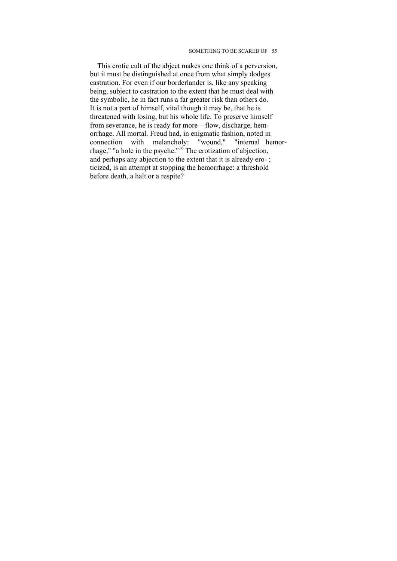This erotic cult of the abject makes one think of a perversion, but it must be distinguished at once from what simply dodges castration. For even if our borderlander is, like any speaking being, subject to castration to the extent that he must deal with the symbolic, he in fact runs a far greater risk than others do. It is not a part of himself, vital though it may be, that he is threatened with losing, but his whole life. To preserve himself from severance, he is ready for more—flow, discharge, hemorrhage. All mortal. Freud had, in enigmatic fashion, noted in connection with melancholy: "wound," "internal hemorrhage," "a hole in the psyche."16 The erotization of abjection, and perhaps any abjection to the extent that it is already ero-: ticized, is an attempt at stopping the hemorrhage: a threshold before death, a halt or a respite?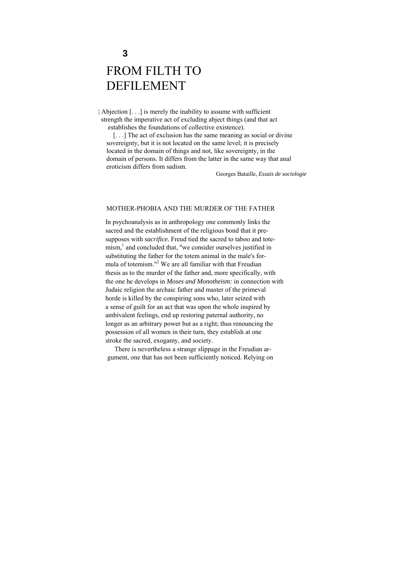# FROM FILTH TO DEFILEMENT

| Abjection [. . .] is merely the inability to assume with sufficient strength the imperative act of excluding abject things (and that act establishes the foundations of collective existence).

[...] The act of exclusion has the same meaning as social or divine sovereignty, but it is not located on the same level; it is precisely located in the domain of things and not, like sovereignty, in the domain of persons. It differs from the latter in the same way that anal eroticism differs from sadism.

Georges Bataille, *Essais de sociologie*

# MOTHER-PHOBIA AND THE MURDER OF THE FATHER

In psychoanalysis as in anthropology one commonly links the sacred and the establishment of the religious bond that it presupposes with *sacrifice*. Freud tied the sacred to taboo and totemism,<sup>1</sup> and concluded that, "we consider ourselves justified in substituting the father for the totem animal in the male's formula of totemism."<sup>2</sup> We are all familiar with that Freudian thesis as to the murder of the father and, more specifically, with the one he develops in *Moses and Monotheism:* in connection with Judaic religion the archaic father and master of the primeval horde is killed by the conspiring sons who, later seized with a sense of guilt for an act that was upon the whole inspired by ambivalent feelings, end up restoring paternal authority, no longer as an arbitrary power but as a right; thus renouncing the possession of all women in their turn, they establish at one stroke the sacred, exogamy, and society.

There is nevertheless a strange slippage in the Freudian argument, one that has not been sufficiently noticed. Relying on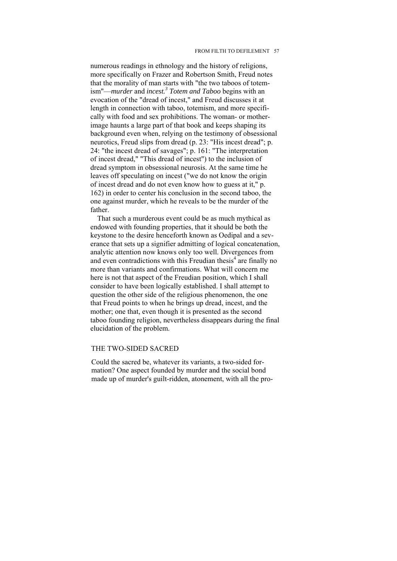numerous readings in ethnology and the history of religions, more specifically on Frazer and Robertson Smith, Freud notes that the morality of man starts with "the two taboos of totemism"—*murder* and *incest.*<sup>3</sup> Totem and Taboo begins with an evocation of the "dread of incest," and Freud discusses it at length in connection with taboo, totemism, and more specifically with food and sex prohibitions. The woman- or motherimage haunts a large part of that book and keeps shaping its background even when, relying on the testimony of obsessional neurotics, Freud slips from dread (p. 23: "His incest dread"; p. 24: "the incest dread of savages"; p. 161: "The interpretation of incest dread," "This dread of incest") to the inclusion of dread symptom in obsessional neurosis. At the same time he leaves off speculating on incest ("we do not know the origin of incest dread and do not even know how to guess at it," p. 162) in order to center his conclusion in the second taboo, the one against murder, which he reveals to be the murder of the father.

That such a murderous event could be as much mythical as endowed with founding properties, that it should be both the keystone to the desire henceforth known as Oedipal and a severance that sets up a signifier admitting of logical concatenation, analytic attention now knows only too well. Divergences from and even contradictions with this Freudian thesis $4$  are finally no more than variants and confirmations. What will concern me here is not that aspect of the Freudian position, which I shall consider to have been logically established. I shall attempt to question the other side of the religious phenomenon, the one that Freud points to when he brings up dread, incest, and the mother; one that, even though it is presented as the second taboo founding religion, nevertheless disappears during the final elucidation of the problem.

# THE TWO-SIDED SACRED

Could the sacred be, whatever its variants, a two-sided formation? One aspect founded by murder and the social bond made up of murder's guilt-ridden, atonement, with all the pro-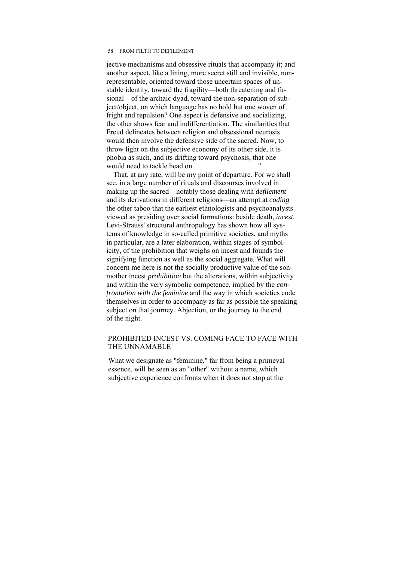## 58 FROM FILTH TO DEFILEMENT

jective mechanisms and obsessive rituals that accompany it; and another aspect, like a lining, more secret still and invisible, nonrepresentable, oriented toward those uncertain spaces of unstable identity, toward the fragility—both threatening and fusional—of the archaic dyad, toward the non-separation of subject/object, on which language has no hold but one woven of fright and repulsion? One aspect is defensive and socializing, the other shows fear and indifferentiation. The similarities that Freud delineates between religion and obsessional neurosis would then involve the defensive side of the sacred. Now, to throw light on the subjective economy of its other side, it is phobia as such, and its drifting toward psychosis, that one would need to tackle head on.

That, at any rate, will be my point of departure. For we shall see, in a large number of rituals and discourses involved in making up the sacred—notably those dealing with *defilement*  and its derivations in different religions—an attempt at *coding*  the other taboo that the earliest ethnologists and psychoanalysts viewed as presiding over social formations: beside death, *incest.*  Levi-Strauss' structural anthropology has shown how all systems of knowledge in so-called primitive societies, and myths in particular, are a later elaboration, within stages of symbolicity, of the prohibition that weighs on incest and founds the signifying function as well as the social aggregate. What will concern me here is not the socially productive value of the sonmother incest *prohibition* but the alterations, within subjectivity and within the very symbolic competence, implied by the *confrontation with the feminine* and the way in which societies code themselves in order to accompany as far as possible the speaking subject on that journey. Abjection, or the journey to the end of the night.

# PROHIBITED INCEST VS. COMING FACE TO FACE WITH THE UNNAMABLE

What we designate as "feminine," far from being a primeval essence, will be seen as an "other" without a name, which subjective experience confronts when it does not stop at the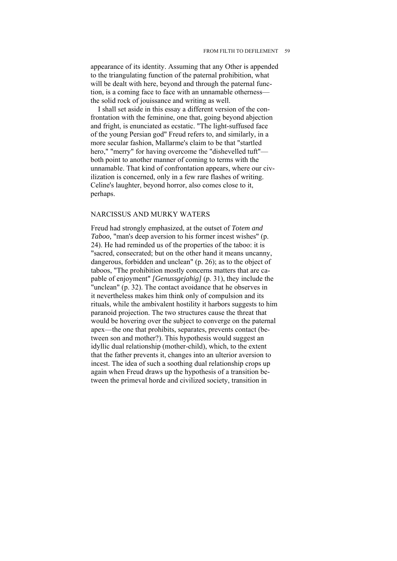appearance of its identity. Assuming that any Other is appended to the triangulating function of the paternal prohibition, what will be dealt with here, beyond and through the paternal function, is a coming face to face with an unnamable otherness the solid rock of jouissance and writing as well.

I shall set aside in this essay a different version of the confrontation with the feminine, one that, going beyond abjection and fright, is enunciated as ecstatic. "The light-suffused face of the young Persian god" Freud refers to, and similarly, in a more secular fashion, Mallarme's claim to be that "startled hero," "merry" for having overcome the "dishevelled tuft" both point to another manner of coming to terms with the unnamable. That kind of confrontation appears, where our civilization is concerned, only in a few rare flashes of writing. Celine's laughter, beyond horror, also comes close to it, perhaps.

## NARCISSUS AND MURKY WATERS

Freud had strongly emphasized, at the outset of *Totem and Taboo,* "man's deep aversion to his former incest wishes" (p. 24). He had reminded us of the properties of the taboo: it is "sacred, consecrated; but on the other hand it means uncanny, dangerous, forbidden and unclean" (p. 26); as to the object of taboos, "The prohibition mostly concerns matters that are capable of enjoyment" *[Genussgejahig]* (p. 31), they include the "unclean" (p. 32). The contact avoidance that he observes in it nevertheless makes him think only of compulsion and its rituals, while the ambivalent hostility it harbors suggests to him paranoid projection. The two structures cause the threat that would be hovering over the subject to converge on the paternal apex—the one that prohibits, separates, prevents contact (between son and mother?). This hypothesis would suggest an idyllic dual relationship (mother-child), which, to the extent that the father prevents it, changes into an ulterior aversion to incest. The idea of such a soothing dual relationship crops up again when Freud draws up the hypothesis of a transition between the primeval horde and civilized society, transition in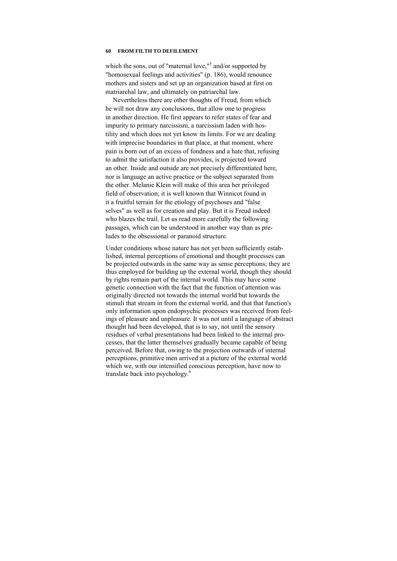## **60 FROM FILTH TO DEFILEMENT**

which the sons, out of "maternal love,"<sup>5</sup> and/or supported by "homosexual feelings and activities" (p. 186), would renounce mothers and sisters and set up an organization based at first on matriarchal law, and ultimately on patriarchal law.

Nevertheless there are other thoughts of Freud, from which he will not draw any conclusions, that allow one to progress in another direction. He first appears to refer states of fear and impurity to primary narcissism, a narcissism laden with hostility and which does not yet know its limits. For we are dealing with imprecise boundaries in that place, at that moment, where pain is born out of an excess of fondness and a hate that, refusing to admit the satisfaction it also provides, is projected toward an other. Inside and outside are not precisely differentiated here, nor is language an active practice or the subject separated from the other. Melanie Klein will make of this area her privileged field of observation; it is well known that Winnicot found in it a fruitful terrain for the etiology of psychoses and "false selves" as well as for creation and play. But it is Freud indeed who blazes the trail. Let us read more carefully the following passages, which can be understood in another way than as preludes to the obsessional or paranoid structure.

Under conditions whose nature has not yet been sufficiently established, internal perceptions of emotional and thought processes can be projected outwards in the same way as sense perceptions; they are thus employed for building up the external world, though they should by rights remain part of the internal world. This may have some genetic connection with the fact that the function of attention was originally directed not towards the internal world but towards the stimuli that stream in from the external world, and that that function's only information upon endopsychic processes was received from feelings of pleasure and unpleasure. It was not until a language of abstract thought had been developed, that is to say, not until the sensory residues of verbal presentations had been linked to the internal processes, that the latter themselves gradually became capable of being perceived. Before that, owing to the projection outwards of internal perceptions, primitive men arrived at a picture of the external world which we, with our intensified conscious perception, have now to translate back into psychology.<sup>6</sup>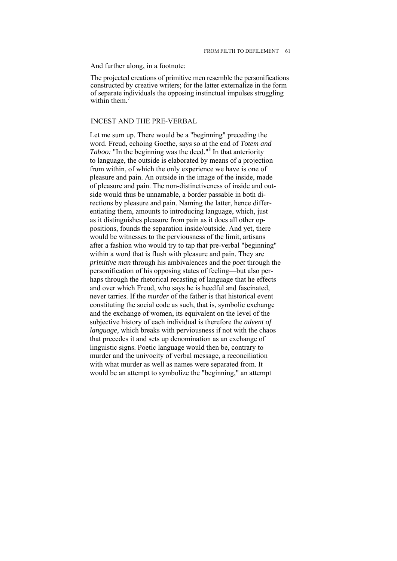And further along, in a footnote:

The projected creations of primitive men resemble the personifications constructed by creative writers; for the latter externalize in the form of separate individuals the opposing instinctual impulses struggling within them.<sup>7</sup>

## INCEST AND THE PRE-VERBAL

Let me sum up. There would be a "beginning" preceding the word. Freud, echoing Goethe, says so at the end of *Totem and Taboo:* "In the beginning was the deed."<sup>8</sup> In that anteriority to language, the outside is elaborated by means of a projection from within, of which the only experience we have is one of pleasure and pain. An outside in the image of the inside, made of pleasure and pain. The non-distinctiveness of inside and outside would thus be unnamable, a border passable in both directions by pleasure and pain. Naming the latter, hence differentiating them, amounts to introducing language, which, just as it distinguishes pleasure from pain as it does all other oppositions, founds the separation inside/outside. And yet, there would be witnesses to the perviousness of the limit, artisans after a fashion who would try to tap that pre-verbal "beginning" within a word that is flush with pleasure and pain. They are *primitive man* through his ambivalences and the *poet* through the personification of his opposing states of feeling—but also perhaps through the rhetorical recasting of language that he effects and over which Freud, who says he is heedful and fascinated, never tarries. If the *murder* of the father is that historical event constituting the social code as such, that is, symbolic exchange and the exchange of women, its equivalent on the level of the subjective history of each individual is therefore the *advent of language,* which breaks with perviousness if not with the chaos that precedes it and sets up denomination as an exchange of linguistic signs. Poetic language would then be, contrary to murder and the univocity of verbal message, a reconciliation with what murder as well as names were separated from. It would be an attempt to symbolize the "beginning," an attempt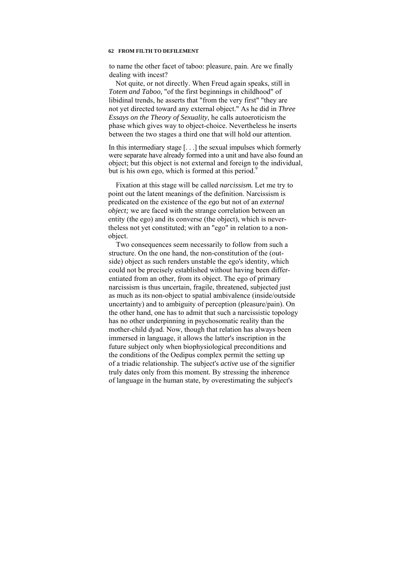## **62 FROM FILTH TO DEFILEMENT**

to name the other facet of taboo: pleasure, pain. Are we finally dealing with incest?

Not quite, or not directly. When Freud again speaks, still in *Totem and Taboo,* "of the first beginnings in childhood" of libidinal trends, he asserts that "from the very first" "they are not yet directed toward any external object." As he did in *Three Essays on the Theory of Sexuality,* he calls autoeroticism the phase which gives way to object-choice. Nevertheless he inserts between the two stages a third one that will hold our attention.

In this intermediary stage [. . .] the sexual impulses which formerly were separate have already formed into a unit and have also found an object; but this object is not external and foreign to the individual, but is his own ego, which is formed at this period.<sup>9</sup>

Fixation at this stage will be called *narcissism.* Let me try to point out the latent meanings of the definition. Narcissism is predicated on the existence of the *ego* but not of an *external object*; we are faced with the strange correlation between an entity (the ego) and its converse (the object), which is nevertheless not yet constituted; with an "ego" in relation to a nonobject.

Two consequences seem necessarily to follow from such a structure. On the one hand, the non-constitution of the (outside) object as such renders unstable the ego's identity, which could not be precisely established without having been differentiated from an other, from its object. The ego of primary narcissism is thus uncertain, fragile, threatened, subjected just as much as its non-object to spatial ambivalence (inside/outside uncertainty) and to ambiguity of perception (pleasure/pain). On the other hand, one has to admit that such a narcissistic topology has no other underpinning in psychosomatic reality than the mother-child dyad. Now, though that relation has always been immersed in language, it allows the latter's inscription in the future subject only when biophysiological preconditions and the conditions of the Oedipus complex permit the setting up of a triadic relationship. The subject's *active* use of the signifier truly dates only from this moment. By stressing the inherence of language in the human state, by overestimating the subject's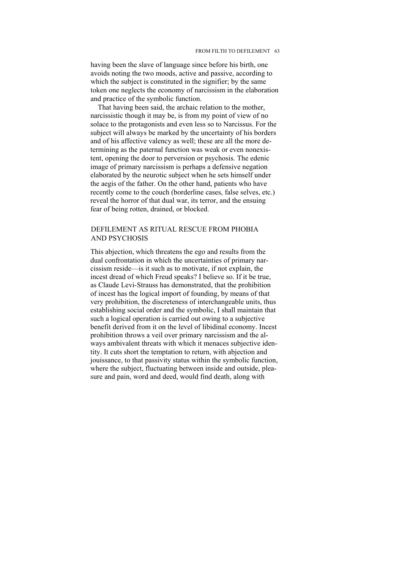having been the slave of language since before his birth, one avoids noting the two moods, active and passive, according to which the subject is constituted in the signifier; by the same token one neglects the economy of narcissism in the elaboration and practice of the symbolic function.

That having been said, the archaic relation to the mother, narcissistic though it may be, is from my point of view of no solace to the protagonists and even less so to Narcissus. For the subject will always be marked by the uncertainty of his borders and of his affective valency as well; these are all the more determining as the paternal function was weak or even nonexistent, opening the door to perversion or psychosis. The edenic image of primary narcissism is perhaps a defensive negation elaborated by the neurotic subject when he sets himself under the aegis of the father. On the other hand, patients who have recently come to the couch (borderline cases, false selves, etc.) reveal the horror of that dual war, its terror, and the ensuing fear of being rotten, drained, or blocked.

# DEFILEMENT AS RITUAL RESCUE FROM PHOBIA AND PSYCHOSIS

This abjection, which threatens the ego and results from the dual confrontation in which the uncertainties of primary narcissism reside—is it such as to motivate, if not explain, the incest dread of which Freud speaks? I believe so. If it be true, as Claude Levi-Strauss has demonstrated, that the prohibition of incest has the logical import of founding, by means of that very prohibition, the discreteness of interchangeable units, thus establishing social order and the symbolic, I shall maintain that such a logical operation is carried out owing to a subjective benefit derived from it on the level of libidinal economy. Incest prohibition throws a veil over primary narcissism and the always ambivalent threats with which it menaces subjective identity. It cuts short the temptation to return, with abjection and jouissance, to that passivity status within the symbolic function, where the subject, fluctuating between inside and outside, pleasure and pain, word and deed, would find death, along with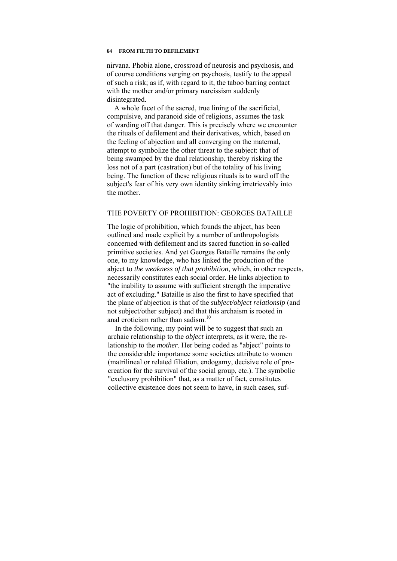nirvana. Phobia alone, crossroad of neurosis and psychosis, and of course conditions verging on psychosis, testify to the appeal of such a risk; as if, with regard to it, the taboo barring contact with the mother and/or primary narcissism suddenly disintegrated.

A whole facet of the sacred, true lining of the sacrificial, compulsive, and paranoid side of religions, assumes the task of warding off that danger. This is precisely where we encounter the rituals of defilement and their derivatives, which, based on the feeling of abjection and all converging on the maternal, attempt to symbolize the other threat to the subject: that of being swamped by the dual relationship, thereby risking the loss not of a part (castration) but of the totality of his living being. The function of these religious rituals is to ward off the subject's fear of his very own identity sinking irretrievably into the mother.

# THE POVERTY OF PROHIBITION: GEORGES BATAILLE

The logic of prohibition, which founds the abject, has been outlined and made explicit by a number of anthropologists concerned with defilement and its sacred function in so-called primitive societies. And yet Georges Bataille remains the only one, to my knowledge, who has linked the production of the abject to *the weakness of that prohibition,* which, in other respects, necessarily constitutes each social order. He links abjection to "the inability to assume with sufficient strength the imperative act of excluding." Bataille is also the first to have specified that the plane of abjection is that of the *subject/object relationsip* (and not subject/other subject) and that this archaism is rooted in anal eroticism rather than sadism. $10$ 

In the following, my point will be to suggest that such an archaic relationship to the *object* interprets, as it were, the relationship to the *mother.* Her being coded as "abject" points to the considerable importance some societies attribute to women (matrilineal or related filiation, endogamy, decisive role of procreation for the survival of the social group, etc.). The symbolic "exclusory prohibition" that, as a matter of fact, constitutes collective existence does not seem to have, in such cases, suf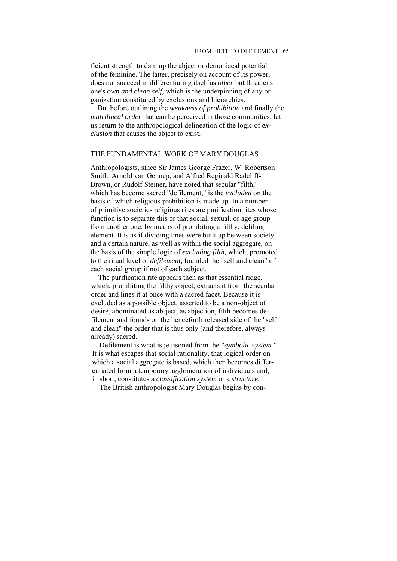ficient strength to dam up the abject or demoniacal potential of the feminine. The latter, precisely on account of its power, does not succeed in differentiating itself as *other* but threatens one's *own and clean self,* which is the underpinning of any organization constituted by exclusions and hierarchies.

But before outlining the *weakness of prohibition* and finally the *matrilineal order* that can be perceived in those communities, let us return to the anthropological delineation of the logic of *exclusion* that causes the abject to exist.

## THE FUNDAMENTAL WORK OF MARY DOUGLAS

Anthropologists, since Sir James George Frazer, W. Robertson Smith, Arnold van Gennep, and Alfred Reginald Radcliff-Brown, or Rudolf Steiner, have noted that secular "filth," which has become sacred "defilement," is the *excluded* on the basis of which religious prohibition is made up. In a number of primitive societies religious rites are purification rites whose function is to separate this or that social, sexual, or age group from another one, by means of prohibiting a filthy, defiling element. It is as if dividing lines were built up between society and a certain nature, as well as within the social aggregate, on the basis of the simple logic of *excluding filth,* which, promoted to the ritual level of *defilement,* founded the "self and clean" of each social group if not of each subject.

The purification rite appears then as that essential ridge, which, prohibiting the filthy object, extracts it from the secular order and lines it at once with a sacred facet. Because it is excluded as a possible object, asserted to be a non-object of desire, abominated as ab-ject, as abjection, filth becomes defilement and founds on the henceforth released side of the "self and clean" the order that is thus only (and therefore, always already) sacred.

Defilement is what is jettisoned from the *"symbolic system."*  It is what escapes that social rationality, that logical order on which a social aggregate is based, which then becomes differentiated from a temporary agglomeration of individuals and, in short, constitutes a *classification system* or a *structure.*

The British anthropologist Mary Douglas begins by con-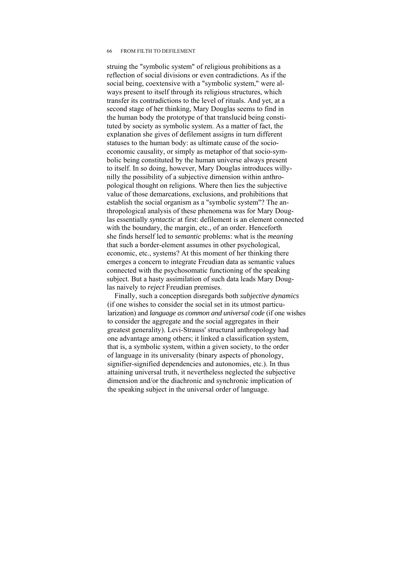struing the "symbolic system" of religious prohibitions as a reflection of social divisions or even contradictions. As if the social being, coextensive with a "symbolic system," were always present to itself through its religious structures, which transfer its contradictions to the level of rituals. And yet, at a second stage of her thinking, Mary Douglas seems to find in the human body the prototype of that translucid being constituted by society as symbolic system. As a matter of fact, the explanation she gives of defilement assigns in turn different statuses to the human body: as ultimate cause of the socioeconomic causality, or simply as metaphor of that socio-symbolic being constituted by the human universe always present to itself. In so doing, however, Mary Douglas introduces willynilly the possibility of a subjective dimension within anthropological thought on religions. Where then lies the subjective value of those demarcations, exclusions, and prohibitions that establish the social organism as a "symbolic system"? The anthropological analysis of these phenomena was for Mary Douglas essentially *syntactic* at first: defilement is an element connected with the boundary, the margin, etc., of an order. Henceforth she finds herself led to *semantic* problems: what is the *meaning*  that such a border-element assumes in other psychological, economic, etc., systems? At this moment of her thinking there emerges a concern to integrate Freudian data as semantic values connected with the psychosomatic functioning of the speaking subject. But a hasty assimilation of such data leads Mary Douglas naively to *reject* Freudian premises.

Finally, such a conception disregards both *subjective dynamics*  (if one wishes to consider the social set in its utmost particularization) and *language as common and universal code* (if one wishes to consider the aggregate and the social aggregates in their greatest generality). Levi-Strauss' structural anthropology had one advantage among others; it linked a classification system, that is, a symbolic system, within a given society, to the order of language in its universality (binary aspects of phonology, signifier-signified dependencies and autonomies, etc.). In thus attaining universal truth, it nevertheless neglected the subjective dimension and/or the diachronic and synchronic implication of the speaking subject in the universal order of language.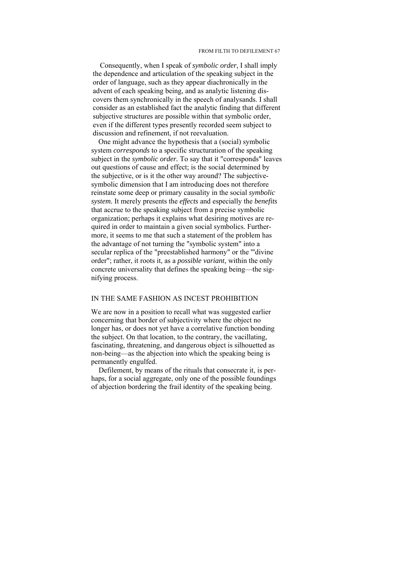Consequently, when I speak of *symbolic order,* I shall imply the dependence and articulation of the speaking subject in the order of language, such as they appear diachronically in the advent of each speaking being, and as analytic listening discovers them synchronically in the speech of analysands. I shall consider as an established fact the analytic finding that different subjective structures are possible within that symbolic order, even if the different types presently recorded seem subject to discussion and refinement, if not reevaluation.

One might advance the hypothesis that a (social) symbolic system *corresponds* to a specific structuration of the speaking subject in the *symbolic order.* To say that it "corresponds" leaves out questions of cause and effect; is the social determined by the subjective, or is it the other way around? The subjectivesymbolic dimension that I am introducing does not therefore reinstate some deep or primary causality in the social *symbolic system.* It merely presents the *effects* and especially the *benefits*  that accrue to the speaking subject from a precise symbolic organization; perhaps it explains what desiring motives are required in order to maintain a given social symbolics. Furthermore, it seems to me that such a statement of the problem has the advantage of not turning the "symbolic system" into a secular replica of the "preestablished harmony" or the '"divine order"; rather, it roots it, as a *possible variant,* within the only concrete universality that defines the speaking being—the signifying process.

# IN THE SAME FASHION AS INCEST PROHIBITION

We are now in a position to recall what was suggested earlier concerning that border of subjectivity where the object no longer has, or does not yet have a correlative function bonding the subject. On that location, to the contrary, the vacillating, fascinating, threatening, and dangerous object is silhouetted as non-being—as the abjection into which the speaking being is permanently engulfed.

Defilement, by means of the rituals that consecrate it, is perhaps, for a social aggregate, only one of the possible foundings of abjection bordering the frail identity of the speaking being.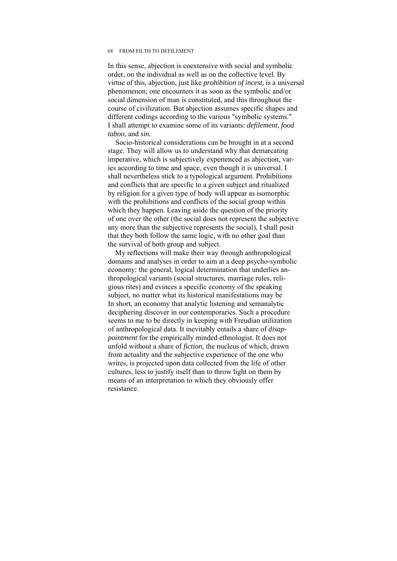In this sense, abjection is coextensive with social and symbolic order, on the individual as well as on the collective level. By virtue of this, abjection, just like *prohibition of incest,* is a universal phenomenon; one encounters it as soon as the symbolic and/or social dimension of man is constituted, and this throughout the course of civilization. But abjection assumes specific shapes and different codings according to the various "symbolic systems." I shall attempt to examine some of its variants: *defilement, food taboo,* and *sin.*

Socio-historical considerations can be brought in at a second stage. They will allow us to understand why that demarcating imperative, which is subjectively experienced as abjection, varies according to time and space, even though it is universal. I shall nevertheless stick to a typological argument. Prohibitions and conflicts that are specific to a given subject and ritualized by religion for a given type of body will appear as isomorphic with the prohibitions and conflicts of the social group within which they happen. Leaving aside the question of the priority of one over the other (the social does not represent the subjective any more than the subjective represents the social), I shall posit that they both follow the same logic, with no other goal than the survival of both group and subject.

My reflections will make their way through anthropological domains and analyses in order to aim at a deep psycho-symbolic economy: the general, logical determination that underlies anthropological variants (social structures, marriage rules, religious rites) and evinces a specific economy of the speaking subject, no matter what its historical manifestations may be In short, an economy that analytic listening and semanalytic deciphering discover in our contemporaries. Such a procedure seems to me to be directly in keeping with Freudian utilization of anthropological data. It inevitably entails a share of *disappointment* for the empirically minded ethnologist. It does not unfold without a share of *fiction,* the nucleus of which, drawn from actuality and the subjective experience of the one who writes, is projected upon data collected from the life of other cultures, less to justify itself than to throw light on them by means of an interpretation to which they obviously offer resistance.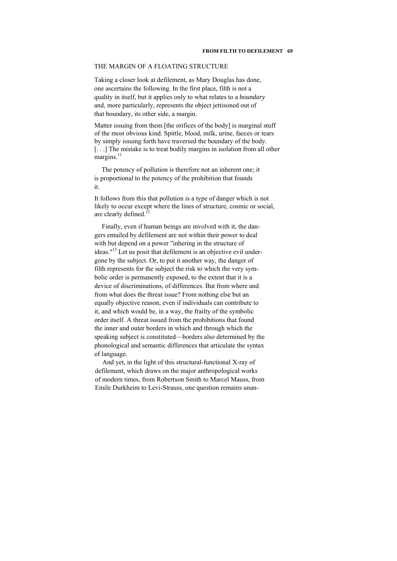# THE MARGIN OF A FLOATING STRUCTURE

Taking a closer look at defilement, as Mary Douglas has done, one ascertains the following. In the first place, filth is not a quality in itself, but it applies only to what relates to a *boundary*  and, more particularly, represents the object jettisoned out of that boundary, its other side, a margin.

Matter issuing from them [the orifices of the body] is marginal stuff of the most obvious kind. Spittle, blood, milk, urine, faeces or tears by simply issuing forth have traversed the boundary of the body. [...] The mistake is to treat bodily margins in isolation from all other margins. $11$ 

The potency of pollution is therefore not an inherent one; it is proportional to the potency of the prohibition that founds it.

It follows from this that pollution is a type of danger which is not likely to occur except where the lines of structure, cosmic or social, are clearly defined.<sup>12</sup>

Finally, even if human beings are involved with it, the dangers entailed by defilement are not within their power to deal with but depend on a power "inhering in the structure of ideas."<sup>13</sup> Let us posit that defilement is an objective evil undergone by the subject. Or, to put it another way, the danger of filth represents for the subject the risk to which the very symbolic order is permanently exposed, to the extent that it is a device of discriminations, of differences. But from where and from what does the threat issue? From nothing else but an equally objective reason, even if individuals can contribute to it, and which would be, in a way, the frailty of the symbolic order itself. A threat issued from the prohibitions that found the inner and outer borders in which and through which the speaking subject is constituted—borders also determined by the phonological and semantic differences that articulate the syntax of language.

And yet, in the light of this structural-functional X-ray of defilement, which draws on the major anthropological works of modern times, from Robertson Smith to Marcel Mauss, from Emile Durkheim to Levi-Strauss, one question remains unan-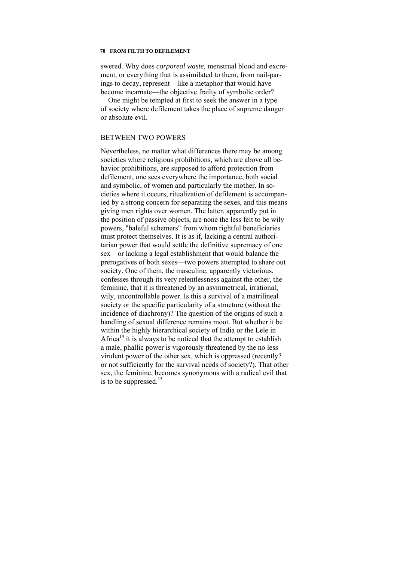swered. Why does *corporeal waste,* menstrual blood and excrement, or everything that is assimilated to them, from nail-parings to decay, represent—like a metaphor that would have become incarnate—the objective frailty of symbolic order?

One might be tempted at first to seek the answer in a type of society where defilement takes the place of supreme danger or absolute evil.

# BETWEEN TWO POWERS

Nevertheless, no matter what differences there may be among societies where religious prohibitions, which are above all behavior prohibitions, are supposed to afford protection from defilement, one sees everywhere the importance, both social and symbolic, of women and particularly the mother. In societies where it occurs, ritualization of defilement is accompanied by a strong concern for separating the sexes, and this means giving men rights over women. The latter, apparently put in the position of passive objects, are none the less felt to be wily powers, "baleful schemers" from whom rightful beneficiaries must protect themselves. It is as if, lacking a central authoritarian power that would settle the definitive supremacy of one sex—or lacking a legal establishment that would balance the prerogatives of both sexes—two powers attempted to share out society. One of them, the masculine, apparently victorious, confesses through its very relentlessness against the other, the feminine, that it is threatened by an asymmetrical, irrational, wily, uncontrollable power. Is this a survival of a matrilineal society or the specific particularity of a structure (without the incidence of diachrony)? The question of the origins of such a handling of sexual difference remains moot. But whether it be within the highly hierarchical society of India or the Lele in Africa<sup>14</sup> it is always to be noticed that the attempt to establish a male, phallic power is vigorously threatened by the no less virulent power of the other sex, which is oppressed (recently? or not sufficiently for the survival needs of society?). That other sex, the feminine, becomes synonymous with a radical evil that is to be suppressed.<sup>15</sup>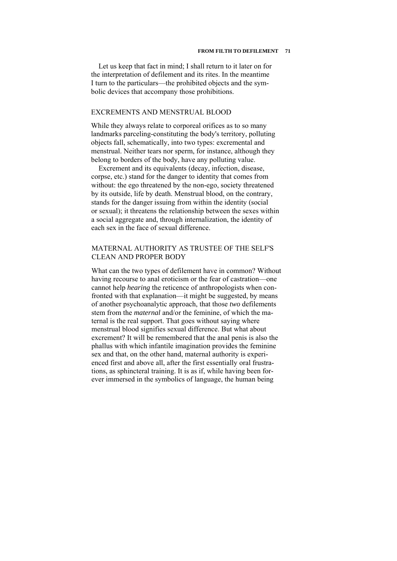Let us keep that fact in mind; I shall return to it later on for the interpretation of defilement and its rites. In the meantime I turn to the particulars—the prohibited objects and the symbolic devices that accompany those prohibitions.

#### EXCREMENTS AND MENSTRUAL BLOOD

While they always relate to corporeal orifices as to so many landmarks parceling-constituting the body's territory, polluting objects fall, schematically, into two types: excremental and menstrual. Neither tears nor sperm, for instance, although they belong to borders of the body, have any polluting value.

Excrement and its equivalents (decay, infection, disease, corpse, etc.) stand for the danger to identity that comes from without: the ego threatened by the non-ego, society threatened by its outside, life by death. Menstrual blood, on the contrary, stands for the danger issuing from within the identity (social or sexual); it threatens the relationship between the sexes within a social aggregate and, through internalization, the identity of each sex in the face of sexual difference.

# MATERNAL AUTHORITY AS TRUSTEE OF THE SELF'S CLEAN AND PROPER BODY

What can the two types of defilement have in common? Without having recourse to anal eroticism or the fear of castration—one cannot help *hearing* the reticence of anthropologists when confronted with that explanation—it might be suggested, by means of another psychoanalytic approach, that those *two* defilements stem from the *maternal* and/or the feminine, of which the maternal is the real support. That goes without saying where menstrual blood signifies sexual difference. But what about excrement? It will be remembered that the anal penis is also the phallus with which infantile imagination provides the feminine sex and that, on the other hand, maternal authority is experienced first and above all, after the first essentially oral frustrations, as sphincteral training. It is as if, while having been forever immersed in the symbolics of language, the human being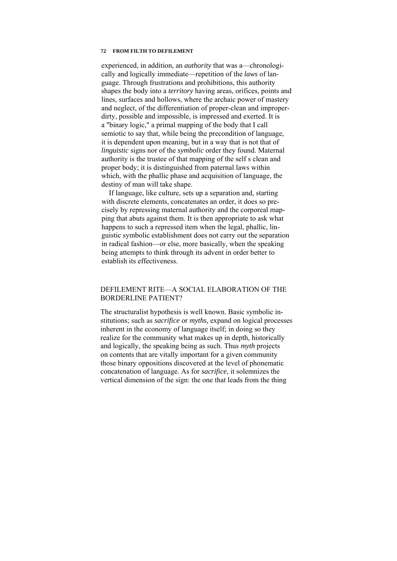experienced, in addition, an *authority* that was a—chronologically and logically immediate—repetition of the *laws* of language. Through frustrations and prohibitions, this authority shapes the body into a *territory* having areas, orifices, points and lines, surfaces and hollows, where the archaic power of mastery and neglect, of the differentiation of proper-clean and improperdirty, possible and impossible, is impressed and exerted. It is a "binary logic," a primal mapping of the body that I call semiotic to say that, while being the precondition of language, it is dependent upon meaning, but in a way that is not that of *linguistic* signs nor of the *symbolic* order they found. Maternal authority is the trustee of that mapping of the self s clean and proper body; it is distinguished from paternal laws within which, with the phallic phase and acquisition of language, the destiny of man will take shape.

If language, like culture, sets up a separation and, starting with discrete elements, concatenates an order, it does so precisely by repressing maternal authority and the corporeal mapping that abuts against them. It is then appropriate to ask what happens to such a repressed item when the legal, phallic, linguistic symbolic establishment does not carry out the separation in radical fashion—or else, more basically, when the speaking being attempts to think through its advent in order better to establish its effectiveness.

# DEFILEMENT RITE—A SOCIAL ELABORATION OF THE BORDERLINE PATIENT?

The structuralist hypothesis is well known. Basic symbolic institutions; such as *sacrifice* or *myths,* expand on logical processes inherent in the economy of language itself; in doing so they realize for the community what makes up in depth, historically and logically, the speaking being as such. Thus *myth* projects on contents that are vitally important for a given community those binary oppositions discovered at the level of phonematic concatenation of language. As for *sacrifice,* it solemnizes the vertical dimension of the sign: the one that leads from the thing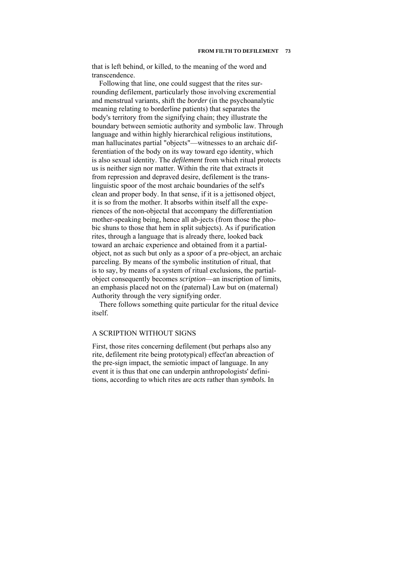that is left behind, or killed, to the meaning of the word and transcendence.

Following that line, one could suggest that the rites surrounding defilement, particularly those involving excremential and menstrual variants, shift the *border* (in the psychoanalytic meaning relating to borderline patients) that separates the body's territory from the signifying chain; they illustrate the boundary between semiotic authority and symbolic law. Through language and within highly hierarchical religious institutions, man hallucinates partial "objects"—witnesses to an archaic differentiation of the body on its way toward ego identity, which is also sexual identity. The *defilement* from which ritual protects us is neither sign nor matter. Within the rite that extracts it from repression and depraved desire, defilement is the translinguistic spoor of the most archaic boundaries of the self's clean and proper body. In that sense, if it is a jettisoned object, it is so from the mother. It absorbs within itself all the experiences of the non-objectal that accompany the differentiation mother-speaking being, hence all ab-jects (from those the phobic shuns to those that hem in split subjects). As if purification rites, through a language that is already there, looked back toward an archaic experience and obtained from it a partialobject, not as such but only as a *spoor* of a pre-object, an archaic parceling. By means of the symbolic institution of ritual, that is to say, by means of a system of ritual exclusions, the partialobject consequently becomes *scription*—an inscription of limits, an emphasis placed not on the (paternal) Law but on (maternal) Authority through the very signifying order.

There follows something quite particular for the ritual device itself.

# A SCRIPTION WITHOUT SIGNS

First, those rites concerning defilement (but perhaps also any rite, defilement rite being prototypical) effect'an abreaction of the pre-sign impact, the semiotic impact of language. In any event it is thus that one can underpin anthropologists' definitions, according to which rites are *acts* rather than *symbols.* In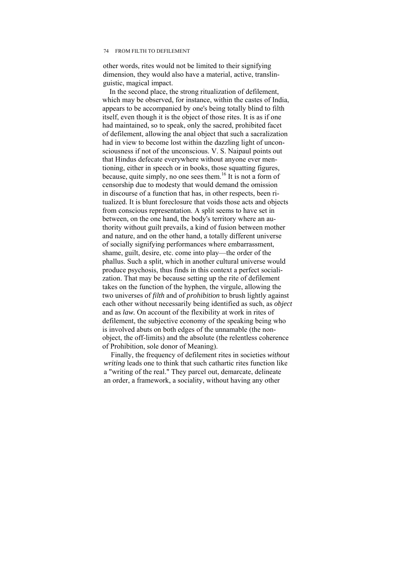other words, rites would not be limited to their signifying dimension, they would also have a material, active, translinguistic, magical impact.

In the second place, the strong ritualization of defilement, which may be observed, for instance, within the castes of India, appears to be accompanied by one's being totally blind to filth itself, even though it is the object of those rites. It is as if one had maintained, so to speak, only the sacred, prohibited facet of defilement, allowing the anal object that such a sacralization had in view to become lost within the dazzling light of unconsciousness if not of the unconscious. V. S. Naipaul points out that Hindus defecate everywhere without anyone ever mentioning, either in speech or in books, those squatting figures, because, quite simply, no one sees them.<sup>16</sup> It is not a form of censorship due to modesty that would demand the omission in discourse of a function that has, in other respects, been ritualized. It is blunt foreclosure that voids those acts and objects from conscious representation. A split seems to have set in between, on the one hand, the body's territory where an authority without guilt prevails, a kind of fusion between mother and nature, and on the other hand, a totally different universe of socially signifying performances where embarrassment, shame, guilt, desire, etc. come into play—the order of the phallus. Such a split, which in another cultural universe would produce psychosis, thus finds in this context a perfect socialization. That may be because setting up the rite of defilement takes on the function of the hyphen, the virgule, allowing the two universes of *filth* and of *prohibition* to brush lightly against each other without necessarily being identified as such, as *object*  and as *law.* On account of the flexibility at work in rites of defilement, the subjective economy of the speaking being who is involved abuts on both edges of the unnamable (the nonobject, the off-limits) and the absolute (the relentless coherence of Prohibition, sole donor of Meaning).

Finally, the frequency of defilement rites in societies *without writing* leads one to think that such cathartic rites function like a "writing of the real." They parcel out, demarcate, delineate an order, a framework, a sociality, without having any other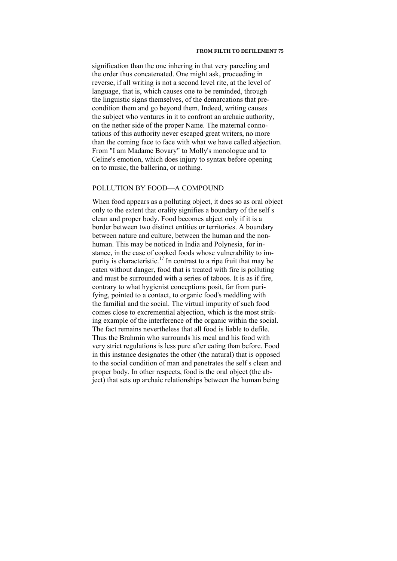signification than the one inhering in that very parceling and the order thus concatenated. One might ask, proceeding in reverse, if all writing is not a second level rite, at the level of language, that is, which causes one to be reminded, through the linguistic signs themselves, of the demarcations that precondition them and go beyond them. Indeed, writing causes the subject who ventures in it to confront an archaic authority, on the nether side of the proper Name. The maternal connotations of this authority never escaped great writers, no more than the coming face to face with what we have called abjection. From "I am Madame Bovary" to Molly's monologue and to Celine's emotion, which does injury to syntax before opening on to music, the ballerina, or nothing.

## POLLUTION BY FOOD—A COMPOUND

When food appears as a polluting object, it does so as oral object only to the extent that orality signifies a boundary of the self s clean and proper body. Food becomes abject only if it is a border between two distinct entities or territories. A boundary between nature and culture, between the human and the nonhuman. This may be noticed in India and Polynesia, for instance, in the case of cooked foods whose vulnerability to impurity is characteristic.17 In contrast to a ripe fruit that may be eaten without danger, food that is treated with fire is polluting and must be surrounded with a series of taboos. It is as if fire, contrary to what hygienist conceptions posit, far from purifying, pointed to a contact, to organic food's meddling with the familial and the social. The virtual impurity of such food comes close to excremential abjection, which is the most striking example of the interference of the organic within the social. The fact remains nevertheless that all food is liable to defile. Thus the Brahmin who surrounds his meal and his food with very strict regulations is less pure after eating than before. Food in this instance designates the other (the natural) that is opposed to the social condition of man and penetrates the self s clean and proper body. In other respects, food is the oral object (the abject) that sets up archaic relationships between the human being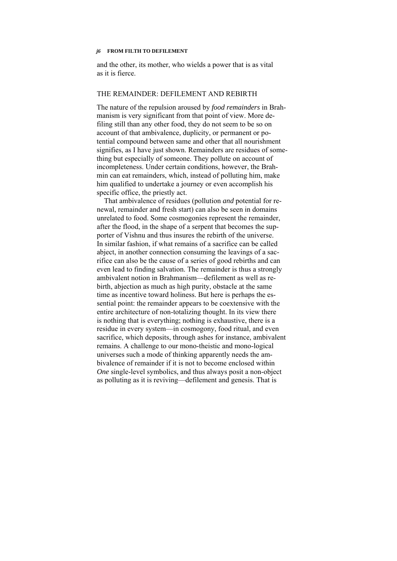and the other, its mother, who wields a power that is as vital as it is fierce.

# THE REMAINDER: DEFILEMENT AND REBIRTH

The nature of the repulsion aroused by *food remainders* in Brahmanism is very significant from that point of view. More defiling still than any other food, they do not seem to be so on account of that ambivalence, duplicity, or permanent or potential compound between same and other that all nourishment signifies, as I have just shown. Remainders are residues of something but especially of someone. They pollute on account of incompleteness. Under certain conditions, however, the Brahmin can eat remainders, which, instead of polluting him, make him qualified to undertake a journey or even accomplish his specific office, the priestly act.

That ambivalence of residues (pollution *and* potential for renewal, remainder and fresh start) can also be seen in domains unrelated to food. Some cosmogonies represent the remainder, after the flood, in the shape of a serpent that becomes the supporter of Vishnu and thus insures the rebirth of the universe. In similar fashion, if what remains of a sacrifice can be called abject, in another connection consuming the leavings of a sacrifice can also be the cause of a series of good rebirths and can even lead to finding salvation. The remainder is thus a strongly ambivalent notion in Brahmanism—defilement as well as rebirth, abjection as much as high purity, obstacle at the same time as incentive toward holiness. But here is perhaps the essential point: the remainder appears to be coextensive with the entire architecture of non-totalizing thought. In its view there is nothing that is everything; nothing is exhaustive, there is a residue in every system—in cosmogony, food ritual, and even sacrifice, which deposits, through ashes for instance, ambivalent remains. A challenge to our mono-theistic and mono-logical universes such a mode of thinking apparently needs the ambivalence of remainder if it is not to become enclosed within *One* single-level symbolics, and thus always posit a non-object as polluting as it is reviving—defilement and genesis. That is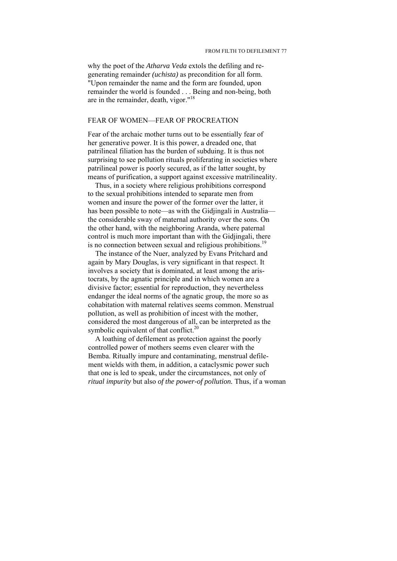why the poet of the *Atharva Veda* extols the defiling and regenerating remainder *(uchista)* as precondition for all form. "Upon remainder the name and the form are founded, upon remainder the world is founded . . . Being and non-being, both are in the remainder, death, vigor."<sup>18</sup>

# FEAR OF WOMEN—FEAR OF PROCREATION

Fear of the archaic mother turns out to be essentially fear of her generative power. It is this power, a dreaded one, that patrilineal filiation has the burden of subduing. It is thus not surprising to see pollution rituals proliferating in societies where patrilineal power is poorly secured, as if the latter sought, by means of purification, a support against excessive matrilineality.

Thus, in a society where religious prohibitions correspond to the sexual prohibitions intended to separate men from women and insure the power of the former over the latter, it has been possible to note—as with the Gidjingali in Australia the considerable sway of maternal authority over the sons. On the other hand, with the neighboring Aranda, where paternal control is much more important than with the Gidjingali, there is no connection between sexual and religious prohibitions.<sup>19</sup>

The instance of the Nuer, analyzed by Evans Pritchard and again by Mary Douglas, is very significant in that respect. It involves a society that is dominated, at least among the aristocrats, by the agnatic principle and in which women are a divisive factor; essential for reproduction, they nevertheless endanger the ideal norms of the agnatic group, the more so as cohabitation with maternal relatives seems common. Menstrual pollution, as well as prohibition of incest with the mother, considered the most dangerous of all, can be interpreted as the symbolic equivalent of that conflict. $20$ 

A loathing of defilement as protection against the poorly controlled power of mothers seems even clearer with the Bemba. Ritually impure and contaminating, menstrual defilement wields with them, in addition, a cataclysmic power such that one is led to speak, under the circumstances, not only of *ritual impurity* but also *of the power-of pollution.* Thus, if a woman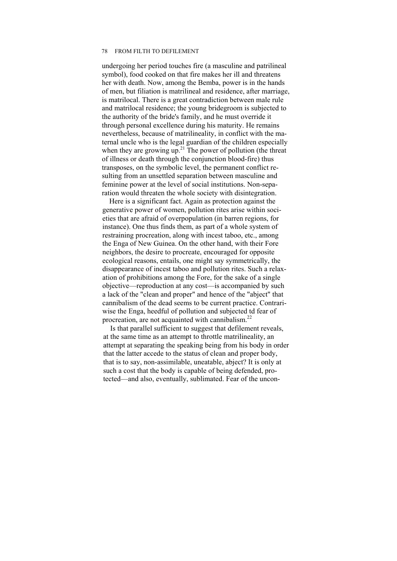undergoing her period touches fire (a masculine and patrilineal symbol), food cooked on that fire makes her ill and threatens her with death. Now, among the Bemba, power is in the hands of men, but filiation is matrilineal and residence, after marriage, is matrilocal. There is a great contradiction between male rule and matrilocal residence; the young bridegroom is subjected to the authority of the bride's family, and he must override it through personal excellence during his maturity. He remains nevertheless, because of matrilineality, in conflict with the maternal uncle who is the legal guardian of the children especially when they are growing up.<sup>21</sup> The power of pollution (the threat of illness or death through the conjunction blood-fire) thus transposes, on the symbolic level, the permanent conflict resulting from an unsettled separation between masculine and feminine power at the level of social institutions. Non-separation would threaten the whole society with disintegration.

Here is a significant fact. Again as protection against the generative power of women, pollution rites arise within societies that are afraid of overpopulation (in barren regions, for instance). One thus finds them, as part of a whole system of restraining procreation, along with incest taboo, etc., among the Enga of New Guinea. On the other hand, with their Fore neighbors, the desire to procreate, encouraged for opposite ecological reasons, entails, one might say symmetrically, the disappearance of incest taboo and pollution rites. Such a relaxation of prohibitions among the Fore, for the sake of a single objective—reproduction at any cost—is accompanied by such a lack of the "clean and proper" and hence of the "abject" that cannibalism of the dead seems to be current practice. Contrariwise the Enga, heedful of pollution and subjected td fear of procreation, are not acquainted with cannibalism. $^{22}$ 

Is that parallel sufficient to suggest that defilement reveals, at the same time as an attempt to throttle matrilineality, an attempt at separating the speaking being from his body in order that the latter accede to the status of clean and proper body, that is to say, non-assimilable, uneatable, abject? It is only at such a cost that the body is capable of being defended, protected—and also, eventually, sublimated. Fear of the uncon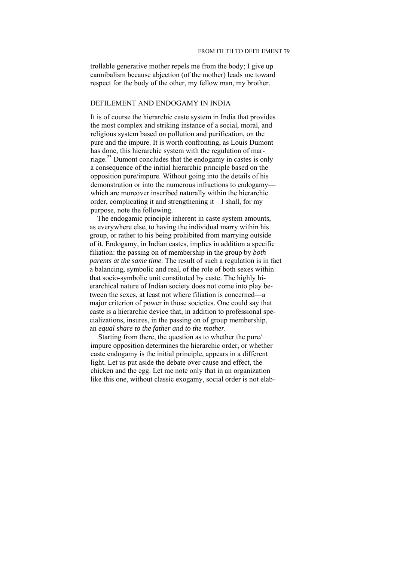trollable generative mother repels me from the body; I give up cannibalism because abjection (of the mother) leads me toward respect for the body of the other, my fellow man, my brother.

# DEFILEMENT AND ENDOGAMY IN INDIA

It is of course the hierarchic caste system in India that provides the most complex and striking instance of a social, moral, and religious system based on pollution and purification, on the pure and the impure. It is worth confronting, as Louis Dumont has done, this hierarchic system with the regulation of marriage.23 Dumont concludes that the endogamy in castes is only a consequence of the initial hierarchic principle based on the opposition pure/impure. Without going into the details of his demonstration or into the numerous infractions to endogamy which are moreover inscribed naturally within the hierarchic order, complicating it and strengthening it—I shall, for my purpose, note the following.

The endogamic principle inherent in caste system amounts, as everywhere else, to having the individual marry within his group, or rather to his being prohibited from marrying outside of it. Endogamy, in Indian castes, implies in addition a specific filiation: the passing on of membership in the group by *both parents at the same time.* The result of such a regulation is in fact a balancing, symbolic and real, of the role of both sexes within that socio-symbolic unit constituted by caste. The highly hierarchical nature of Indian society does not come into play between the sexes, at least not where filiation is concerned—a major criterion of power in those societies. One could say that caste is a hierarchic device that, in addition to professional specializations, insures, in the passing on of group membership, an *equal share to the father and to the mother.*

Starting from there, the question as to whether the pure/ impure opposition determines the hierarchic order, or whether caste endogamy is the initial principle, appears in a different light. Let us put aside the debate over cause and effect, the chicken and the egg. Let me note only that in an organization like this one, without classic exogamy, social order is not elab-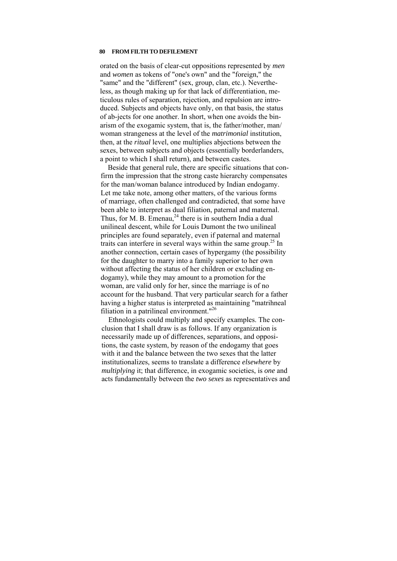orated on the basis of clear-cut oppositions represented by *men*  and *women* as tokens of "one's own" and the "foreign," the "same" and the "different" (sex, group, clan, etc.). Nevertheless, as though making up for that lack of differentiation, meticulous rules of separation, rejection, and repulsion are introduced. Subjects and objects have only, on that basis, the status of ab-jects for one another. In short, when one avoids the binarism of the exogamic system, that is, the father/mother, man/ woman strangeness at the level of the *matrimonial* institution, then, at the *ritual* level, one multiplies abjections between the sexes, between subjects and objects (essentially borderlanders, a point to which I shall return), and between castes.

Beside that general rule, there are specific situations that confirm the impression that the strong caste hierarchy compensates for the man/woman balance introduced by Indian endogamy. Let me take note, among other matters, of the various forms of marriage, often challenged and contradicted, that some have been able to interpret as dual filiation, paternal and maternal. Thus, for M. B. Emenau, $^{24}$  there is in southern India a dual unilineal descent, while for Louis Dumont the two unilineal principles are found separately, even if paternal and maternal traits can interfere in several ways within the same group.<sup>25</sup> In another connection, certain cases of hypergamy (the possibility for the daughter to marry into a family superior to her own without affecting the status of her children or excluding endogamy), while they may amount to a promotion for the woman, are valid only for her, since the marriage is of no account for the husband. That very particular search for a father having a higher status is interpreted as maintaining "matrihneal filiation in a patrilineal environment."26

Ethnologists could multiply and specify examples. The conclusion that I shall draw is as follows. If any organization is necessarily made up of differences, separations, and oppositions, the caste system, by reason of the endogamy that goes with it and the balance between the two sexes that the latter institutionalizes, seems to translate a difference *elsewhere* by *multiplying* it; that difference, in exogamic societies, is *one* and acts fundamentally between the *two sexes* as representatives and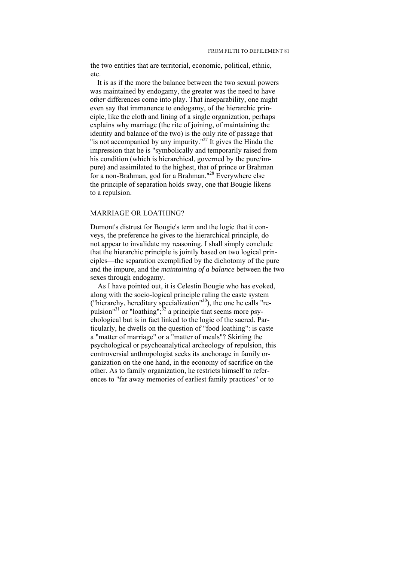the two entities that are territorial, economic, political, ethnic, etc.

It is as if the more the balance between the two sexual powers was maintained by endogamy, the greater was the need to have *other* differences come into play. That inseparability, one might even say that immanence to endogamy, of the hierarchic principle, like the cloth and lining of a single organization, perhaps explains why marriage (the rite of joining, of maintaining the identity and balance of the two) is the only rite of passage that "is not accompanied by any impurity."<sup>27</sup> It gives the Hindu the impression that he is "symbolically and temporarily raised from his condition (which is hierarchical, governed by the pure/impure) and assimilated to the highest, that of prince or Brahman for a non-Brahman, god for a Brahman."28 Everywhere else the principle of separation holds sway, one that Bougie likens to a repulsion.

## MARRIAGE OR LOATHING?

Dumont's distrust for Bougie's term and the logic that it conveys, the preference he gives to the hierarchical principle, do not appear to invalidate my reasoning. I shall simply conclude that the hierarchic principle is jointly based on two logical principles—the separation exemplified by the dichotomy of the pure and the impure, and the *maintaining of a balance* between the two sexes through endogamy.

As I have pointed out, it is Celestin Bougie who has evoked, along with the socio-logical principle ruling the caste system ("hierarchy, hereditary specialization"30), the one he calls "repulsion" $31$  or "loathing";  $32$  a principle that seems more psychological but is in fact linked to the logic of the sacred. Particularly, he dwells on the question of "food loathing": is caste a "matter of marriage" or a "matter of meals"? Skirting the psychological or psychoanalytical archeology of repulsion, this controversial anthropologist seeks its anchorage in family organization on the one hand, in the economy of sacrifice on the other. As to family organization, he restricts himself to references to "far away memories of earliest family practices" or to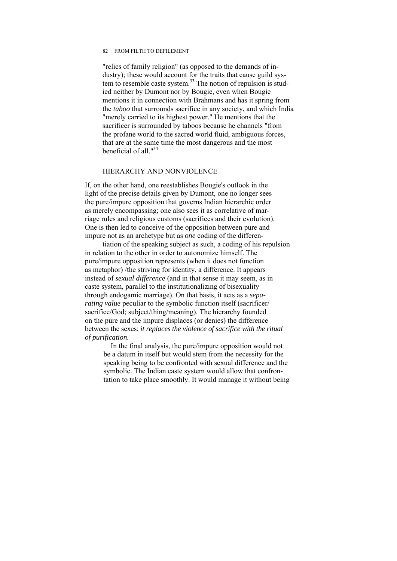"relics of family religion" (as opposed to the demands of industry); these would account for the traits that cause guild system to resemble caste system.<sup>33</sup> The notion of repulsion is studied neither by Dumont nor by Bougie, even when Bougie mentions it in connection with Brahmans and has it spring from the *taboo* that surrounds sacrifice in any society, and which India "merely carried to its highest power." He mentions that the sacrificer is surrounded by taboos because he channels "from the profane world to the sacred world fluid, ambiguous forces, that are at the same time the most dangerous and the most beneficial of all."34

# HIERARCHY AND NONVIOLENCE

If, on the other hand, one reestablishes Bougie's outlook in the light of the precise details given by Dumont, one no longer sees the pure/impure opposition that governs Indian hierarchic order as merely encompassing; one also sees it as correlative of marriage rules and religious customs (sacrifices and their evolution). One is then led to conceive of the opposition between pure and impure not as an archetype but as *one* coding of the differen-

 tiation of the speaking subject as such, a coding of his repulsion in relation to the other in order to autonomize himself. The pure/impure opposition represents (when it does not function as metaphor) /the striving for identity, a difference. It appears instead of *sexual difference* (and in that sense it may seem, as in caste system, parallel to the institutionalizing of bisexuality through endogamic marriage). On that basis, it acts as a *separating value* peculiar to the symbolic function itself (sacrificer/ sacrifice/God; subject/thing/meaning). The hierarchy founded on the pure and the impure displaces (or denies) the difference between the sexes; *it replaces the violence of sacrifice with the ritual of purification.*

In the final analysis, the pure/impure opposition would not be a datum in itself but would stem from the necessity for the speaking being to be confronted with sexual difference and the symbolic. The Indian caste system would allow that confrontation to take place smoothly. It would manage it without being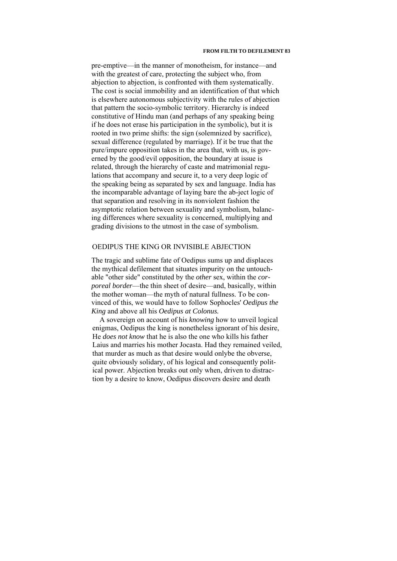pre-emptive—in the manner of monotheism, for instance—and with the greatest of care, protecting the subject who, from abjection to abjection, is confronted with them systematically. The cost is social immobility and an identification of that which is elsewhere autonomous subjectivity with the rules of abjection that pattern the socio-symbolic territory. Hierarchy is indeed constitutive of Hindu man (and perhaps of any speaking being if he does not erase his participation in the symbolic), but it is rooted in two prime shifts: the sign (solemnized by sacrifice), sexual difference (regulated by marriage). If it be true that the pure/impure opposition takes in the area that, with us, is governed by the good/evil opposition, the boundary at issue is related, through the hierarchy of caste and matrimonial regulations that accompany and secure it, to a very deep logic of the speaking being as separated by sex and language. India has the incomparable advantage of laying bare the ab-ject logic of that separation and resolving in its nonviolent fashion the asymptotic relation between sexuality and symbolism, balancing differences where sexuality is concerned, multiplying and grading divisions to the utmost in the case of symbolism.

## OEDIPUS THE KING OR INVISIBLE ABJECTION

The tragic and sublime fate of Oedipus sums up and displaces the mythical defilement that situates impurity on the untouchable "other side" constituted by the *other* sex, within the *corporeal border*—the thin sheet of desire—and, basically, within the mother woman—the myth of natural fullness. To be convinced of this, we would have to follow Sophocles' *Oedipus the King* and above all his *Oedipus at Colonus.*

A sovereign on account of his *knowing* how to unveil logical enigmas, Oedipus the king is nonetheless ignorant of his desire, He *does not know* that he is also the one who kills his father Laius and marries his mother Jocasta. Had they remained veiled, that murder as much as that desire would onlybe the obverse, quite obviously solidary, of his logical and consequently political power. Abjection breaks out only when, driven to distraction by a desire to know, Oedipus discovers desire and death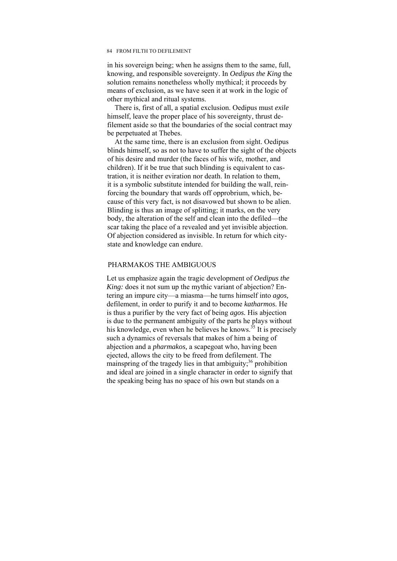in his sovereign being; when he assigns them to the same, full, knowing, and responsible sovereignty. In *Oedipus the King* the solution remains nonetheless wholly mythical; it proceeds by means of exclusion, as we have seen it at work in the logic of other mythical and ritual systems.

There is, first of all, a spatial exclusion. Oedipus must *exile*  himself, leave the proper place of his sovereignty, thrust defilement aside so that the boundaries of the social contract may be perpetuated at Thebes.

At the same time, there is an exclusion from sight. Oedipus blinds himself, so as not to have to suffer the sight of the objects of his desire and murder (the faces of his wife, mother, and children). If it be true that such blinding is equivalent to castration, it is neither eviration nor death. In relation to them, it is a symbolic substitute intended for building the wall, reinforcing the boundary that wards off opprobrium, which, because of this very fact, is not disavowed but shown to be alien. Blinding is thus an image of splitting; it marks, on the very body, the alteration of the self and clean into the defiled—the scar taking the place of a revealed and yet invisible abjection. Of abjection considered as invisible. In return for which citystate and knowledge can endure.

## PHARMAKOS THE AMBIGUOUS

Let us emphasize again the tragic development of *Oedipus the King:* does it not sum up the mythic variant of abjection? Entering an impure city—a miasma—he turns himself into *agos,*  defilement, in order to purify it and to become *katharmos.* He is thus a purifier by the very fact of being *agos.* His abjection is due to the permanent ambiguity of the parts he plays without his knowledge, even when he believes he knows.<sup>35</sup> It is precisely such a dynamics of reversals that makes of him a being of abjection and a *pharmakos,* a scapegoat who, having been ejected, allows the city to be freed from defilement. The mainspring of the tragedy lies in that ambiguity; $36$  prohibition and ideal are joined in a single character in order to signify that the speaking being has no space of his own but stands on a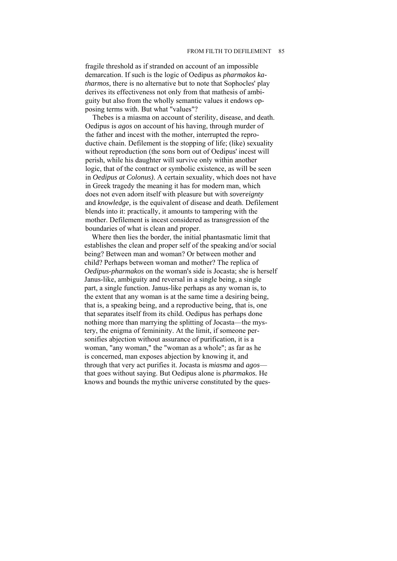fragile threshold as if stranded on account of an impossible demarcation. If such is the logic of Oedipus as *pharmakos katharmos,* there is no alternative but to note that Sophocles' play derives its effectiveness not only from that mathesis of ambiguity but also from the wholly semantic values it endows opposing terms with. But what "values"?

Thebes is a miasma on account of sterility, disease, and death. Oedipus is *agos* on account of his having, through murder of the father and incest with the mother, interrupted the reproductive chain. Defilement is the stopping of life; (like) sexuality without reproduction (the sons born out of Oedipus' incest will perish, while his daughter will survive only within another logic, that of the contract or symbolic existence, as will be seen in *Oedipus at Colonus).* A certain sexuality, which does not have in Greek tragedy the meaning it has for modern man, which does not even adorn itself with pleasure but with *sovereignty*  and *knowledge,* is the equivalent of disease and death. Defilement blends into it: practically, it amounts to tampering with the mother. Defilement is incest considered as transgression of the boundaries of what is clean and proper.

Where then lies the border, the initial phantasmatic limit that establishes the clean and proper self of the speaking and/or social being? Between man and woman? Or between mother and child? Perhaps between woman and mother? The replica of *Oedipus-pharmakos* on the woman's side is Jocasta; she is herself Janus-like, ambiguity and reversal in a single being, a single part, a single function. Janus-like perhaps as any woman is, to the extent that any woman is at the same time a desiring being, that is, a speaking being, and a reproductive being, that is, one that separates itself from its child. Oedipus has perhaps done nothing more than marrying the splitting of Jocasta—the mystery, the enigma of femininity. At the limit, if someone personifies abjection without assurance of purification, it is a woman, "any woman," the "woman as a whole"; as far as he is concerned, man exposes abjection by knowing it, and through that very act purifies it. Jocasta is *miasma* and *agos* that goes without saying. But Oedipus alone is *pharmakos.* He knows and bounds the mythic universe constituted by the ques-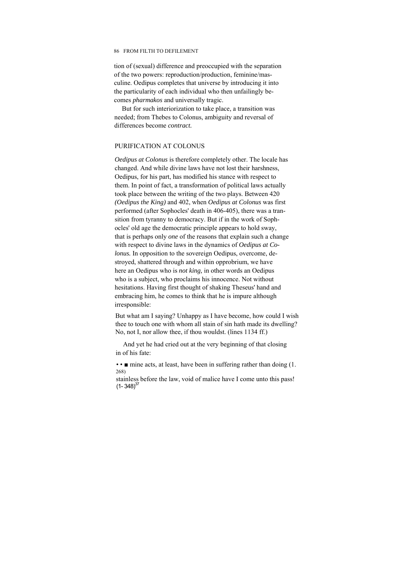tion of (sexual) difference and preoccupied with the separation of the two powers: reproduction/production, feminine/masculine. Oedipus completes that universe by introducing it into the particularity of each individual who then unfailingly becomes *pharmakos* and universally tragic.

But for such interiorization to take place, a transition was needed; from Thebes to Colonus, ambiguity and reversal of differences become *contract.*

## PURIFICATION AT COLONUS

*Oedipus at Colonus* is therefore completely other. The locale has changed. And while divine laws have not lost their harshness, Oedipus, for his part, has modified his stance with respect to them. In point of fact, a transformation of political laws actually took place between the writing of the two plays. Between 420 *(Oedipus the King)* and 402, when *Oedipus at Colonus* was first performed (after Sophocles' death in 406-405), there was a transition from tyranny to democracy. But if in the work of Sophocles' old age the democratic principle appears to hold sway, that is perhaps only *one* of the reasons that explain such a change with respect to divine laws in the dynamics of *Oedipus at Colonus.* In opposition to the sovereign Oedipus, overcome, destroyed, shattered through and within opprobrium, we have here an Oedipus who is *not king,* in other words an Oedipus who is a subject, who proclaims his innocence. Not without hesitations. Having first thought of shaking Theseus' hand and embracing him, he comes to think that he is impure although irresponsible:

But what am I saying? Unhappy as I have become, how could I wish thee to touch one with whom all stain of sin hath made its dwelling? No, not I, nor allow thee, if thou wouldst. (lines 1134 ff.)

And yet he had cried out at the very beginning of that closing in of his fate:

• •  $\blacksquare$  mine acts, at least, have been in suffering rather than doing (1. 268)

stainless before the law, void of malice have I come unto this pass!  $(1 - 348)^{37}$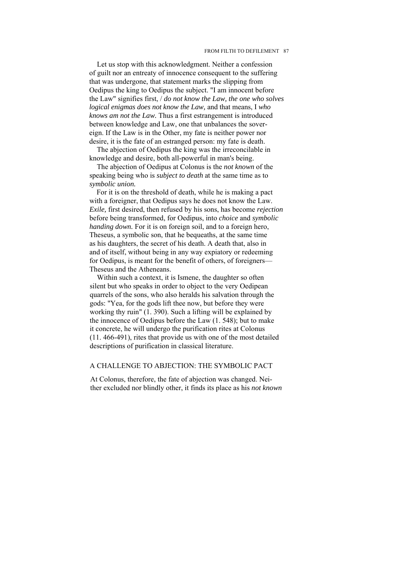Let us stop with this acknowledgment. Neither a confession of guilt nor an entreaty of innocence consequent to the suffering that was undergone, that statement marks the slipping from Oedipus the king to Oedipus the subject. "I am innocent before the Law" signifies first, / *do not know the Law, the one who solves logical enigmas does not know the Law,* and that means, I *who knows am not the Law.* Thus a first estrangement is introduced between knowledge and Law, one that unbalances the sovereign. If the Law is in the Other, my fate is neither power nor desire, it is the fate of an estranged person: my fate is death.

The abjection of Oedipus the king was the irreconcilable in knowledge and desire, both all-powerful in man's being.

The abjection of Oedipus at Colonus is the *not known* of the speaking being who is *subject to death* at the same time as to *symbolic union.*

For it is on the threshold of death, while he is making a pact with a foreigner, that Oedipus says he does not know the Law. *Exile,* first desired, then refused by his sons, has become *rejection*  before being transformed, for Oedipus, into *choice* and *symbolic handing down.* For it is on foreign soil, and to a foreign hero, Theseus, a symbolic son, that he bequeaths, at the same time as his daughters, the secret of his death. A death that, also in and of itself, without being in any way expiatory or redeeming for Oedipus, is meant for the benefit of others, of foreigners-Theseus and the Atheneans.

Within such a context, it is Ismene, the daughter so often silent but who speaks in order to object to the very Oedipean quarrels of the sons, who also heralds his salvation through the gods: "Yea, for the gods lift thee now, but before they were working thy ruin" (1. 390). Such a lifting will be explained by the innocence of Oedipus before the Law (1. 548); but to make it concrete, he will undergo the purification rites at Colonus (11. 466-491), rites that provide us with one of the most detailed descriptions of purification in classical literature.

# A CHALLENGE TO ABJECTION: THE SYMBOLIC PACT

At Colonus, therefore, the fate of abjection was changed. Neither excluded nor blindly other, it finds its place as his *not known*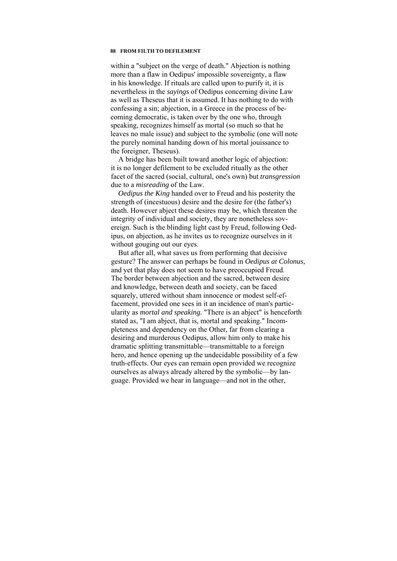within a "subject on the verge of death." Abjection is nothing more than a flaw in Oedipus' impossible sovereignty, a flaw in his knowledge. If rituals are called upon to purify it, it is nevertheless in the *sayings* of Oedipus concerning divine Law as well as Theseus that it is assumed. It has nothing to do with confessing a sin; abjection, in a Greece in the process of becoming democratic, is taken over by the one who, through speaking, recognizes himself as mortal (so much so that he leaves no male issue) and subject to the symbolic (one will note the purely nominal handing down of his mortal jouissance to the foreigner, Theseus).

A bridge has been built toward another logic of abjection: it is no longer defilement to be excluded ritually as the other facet of the sacred (social, cultural, one's own) but *transgression*  due to a *misreading* of the Law.

*Oedipus the King* handed over to Freud and his posterity the strength of (incestuous) desire and the desire for (the father's) death. However abject these desires may be, which threaten the integrity of individual and society, they are nonetheless sovereign. Such is the blinding light cast by Freud, following Oedipus, on abjection, as he invites us to recognize ourselves in it without gouging out our eyes.

But after all, what saves us from performing that decisive gesture? The answer can perhaps be found in *Oedipus at Colonus,*  and yet that play does not seem to have preoccupied Freud. The border between abjection and the sacred, between desire and knowledge, between death and society, can be faced squarely, uttered without sham innocence or modest self-effacement, provided one sees in it an incidence of man's particularity as *mortal and speaking.* "There is an abject" is henceforth stated as, "I am abject, that is, mortal and speaking." Incompleteness and dependency on the Other, far from clearing a desiring and murderous Oedipus, allow him only to make his dramatic splitting transmittable—transmittable to a foreign hero, and hence opening up the undecidable possibility of a few truth-effects. Our eyes can remain open provided we recognize ourselves as always already altered by the symbolic—by language. Provided we hear in language—and not in the other,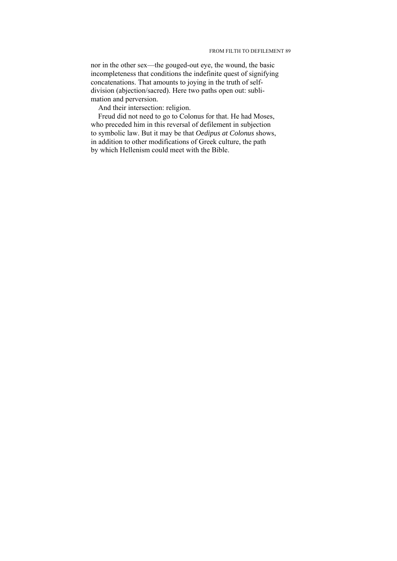nor in the other sex—the gouged-out eye, the wound, the basic incompleteness that conditions the indefinite quest of signifying concatenations. That amounts to joying in the truth of selfdivision (abjection/sacred). Here two paths open out: sublimation and perversion.

And their intersection: religion.

Freud did not need to go to Colonus for that. He had Moses, who preceded him in this reversal of defilement in subjection to symbolic law. But it may be that *Oedipus at Colonus* shows, in addition to other modifications of Greek culture, the path by which Hellenism could meet with the Bible.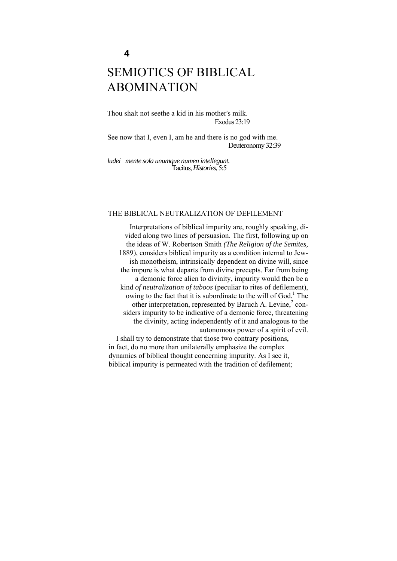Thou shalt not seethe a kid in his mother's milk. Exodus 23:19

See now that I, even I, am he and there is no god with me. Deuteronomy 32:39

*ludei mente sola unumque numen intellegunt.*  Tacitus, *Histories,* 5:5

## THE BIBLICAL NEUTRALIZATION OF DEFILEMENT

 Interpretations of biblical impurity are, roughly speaking, di vided along two lines of persuasion. The first, following up on the ideas of W. Robertson Smith *(The Religion of the Semites,*  1889), considers biblical impurity as a condition internal to Jewish monotheism, intrinsically dependent on divine will, since the impure is what departs from divine precepts. Far from being a demonic force alien to divinity, impurity would then be a kind *of neutralization of taboos* (peculiar to rites of defilement), owing to the fact that it is subordinate to the will of God.<sup>1</sup> The other interpretation, represented by Baruch A. Levine,<sup>2</sup> considers impurity to be indicative of a demonic force, threatening the divinity, acting independently of it and analogous to the autonomous power of a spirit of evil.

I shall try to demonstrate that those two contrary positions, in fact, do no more than unilaterally emphasize the complex dynamics of biblical thought concerning impurity. As I see it, biblical impurity is permeated with the tradition of defilement;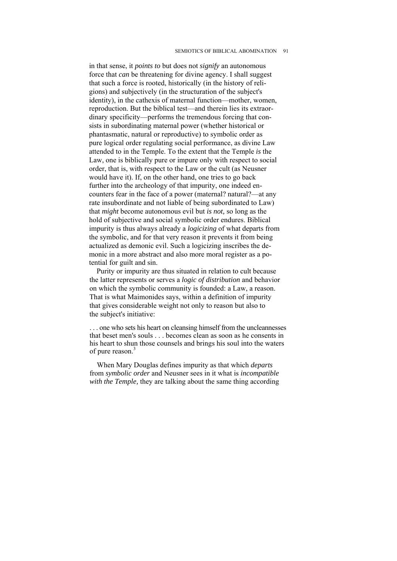in that sense, it *points to* but does not *signify* an autonomous force that *can* be threatening for divine agency. I shall suggest that such a force is rooted, historically (in the history of religions) and subjectively (in the structuration of the subject's identity), in the cathexis of maternal function—mother, women, reproduction. But the biblical test—and therein lies its extraordinary specificity—performs the tremendous forcing that consists in subordinating maternal power (whether historical or phantasmatic, natural or reproductive) to symbolic order as pure logical order regulating social performance, as divine Law attended to in the Temple. To the extent that the Temple *is* the Law, one is biblically pure or impure only with respect to social order, that is, with respect to the Law or the cult (as Neusner would have it). If, on the other hand, one tries to go back further into the archeology of that impurity, one indeed encounters fear in the face of a power (maternal? natural?—at any rate insubordinate and not liable of being subordinated to Law) that *might* become autonomous evil but *is not,* so long as the hold of subjective and social symbolic order endures. Biblical impurity is thus always already a *logicizing* of what departs from the symbolic, and for that very reason it prevents it from being actualized as demonic evil. Such a logicizing inscribes the demonic in a more abstract and also more moral register as a potential for guilt and sin.

Purity or impurity are thus situated in relation to cult because the latter represents or serves a *logic of distribution* and behavior on which the symbolic community is founded: a Law, a reason. That is what Maimonides says, within a definition of impurity that gives considerable weight not only to reason but also to the subject's initiative:

. . . one who sets his heart on cleansing himself from the uncleannesses that beset men's souls . . . becomes clean as soon as he consents in his heart to shun those counsels and brings his soul into the waters of pure reason.<sup>3</sup>

When Mary Douglas defines impurity as that which *departs*  from *symbolic order* and Neusner sees in it what is *incompatible with the Temple,* they are talking about the same thing according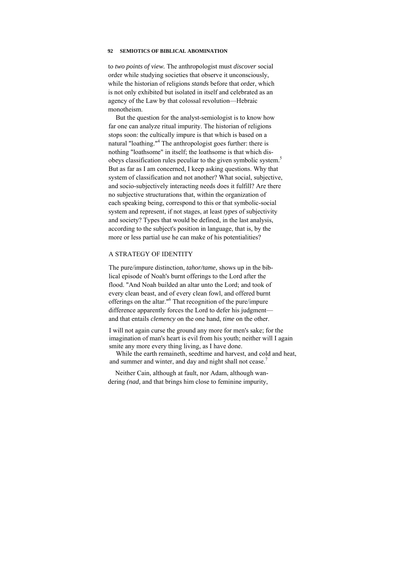to *two points of view.* The anthropologist must *discover* social order while studying societies that observe it unconsciously, while the historian of religions *stands* before that order, which is not only exhibited but isolated in itself and celebrated as an agency of the Law by that colossal revolution—Hebraic monotheism.

But the question for the analyst-semiologist is to know how far one can analyze ritual impurity. The historian of religions stops soon: the cultically impure is that which is based on a natural "loathing."<sup>4</sup> The anthropologist goes further: there is nothing "loathsome" in itself; the loathsome is that which disobeys classification rules peculiar to the given symbolic system.<sup>5</sup> But as far as I am concerned, I keep asking questions. Why that system of classification and not another? What social, subjective, and socio-subjectively interacting needs does it fulfill? Are there no subjective structurations that, within the organization of each speaking being, correspond to this or that symbolic-social system and represent, if not stages, at least *types* of subjectivity and society? Types that would be defined, in the last analysis, according to the subject's position in language, that is, by the more or less partial use he can make of his potentialities?

#### A STRATEGY OF IDENTITY

The pure/impure distinction, *tahor/tame,* shows up in the biblical episode of Noah's burnt offerings to the Lord after the flood. "And Noah builded an altar unto the Lord; and took of every clean beast, and of every clean fowl, and offered burnt offerings on the altar."6 That recognition of the pure/impure difference apparently forces the Lord to defer his judgment and that entails *clemency* on the one hand, *time* on the other.

I will not again curse the ground any more for men's sake; for the imagination of man's heart is evil from his youth; neither will I again smite any more every thing living, as I have done.

While the earth remaineth, seedtime and harvest, and cold and heat, and summer and winter, and day and night shall not cease.<sup>7</sup>

Neither Cain, although at fault, nor Adam, although wandering *(nad,* and that brings him close to feminine impurity,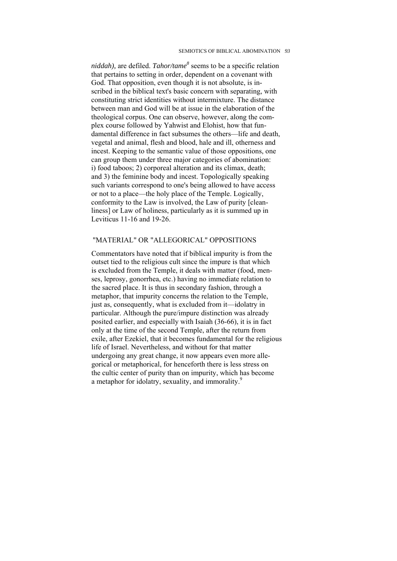*niddah),* are defiled. *Tahor/tame8* seems to be a specific relation that pertains to setting in order, dependent on a covenant with God. That opposition, even though it is not absolute, is inscribed in the biblical text's basic concern with separating, with constituting strict identities without intermixture. The distance between man and God will be at issue in the elaboration of the theological corpus. One can observe, however, along the complex course followed by Yahwist and Elohist, how that fundamental difference in fact subsumes the others—life and death, vegetal and animal, flesh and blood, hale and ill, otherness and incest. Keeping to the semantic value of those oppositions, one can group them under three major categories of abomination: i) food taboos; 2) corporeal alteration and its climax, death; and 3) the feminine body and incest. Topologically speaking such variants correspond to one's being allowed to have access or not to a place—the holy place of the Temple. Logically, conformity to the Law is involved, the Law of purity [cleanliness] or Law of holiness, particularly as it is summed up in Leviticus 11-16 and 19-26.

# "MATERIAL" OR "ALLEGORICAL" OPPOSITIONS

Commentators have noted that if biblical impurity is from the outset tied to the religious cult since the impure is that which is excluded from the Temple, it deals with matter (food, menses, leprosy, gonorrhea, etc.) having no immediate relation to the sacred place. It is thus in secondary fashion, through a metaphor, that impurity concerns the relation to the Temple, just as, consequently, what is excluded from it—idolatry in particular. Although the pure/impure distinction was already posited earlier, and especially with Isaiah (36-66), it is in fact only at the time of the second Temple, after the return from exile, after Ezekiel, that it becomes fundamental for the religious life of Israel. Nevertheless, and without for that matter undergoing any great change, it now appears even more allegorical or metaphorical, for henceforth there is less stress on the cultic center of purity than on impurity, which has become a metaphor for idolatry, sexuality, and immorality.<sup>9</sup>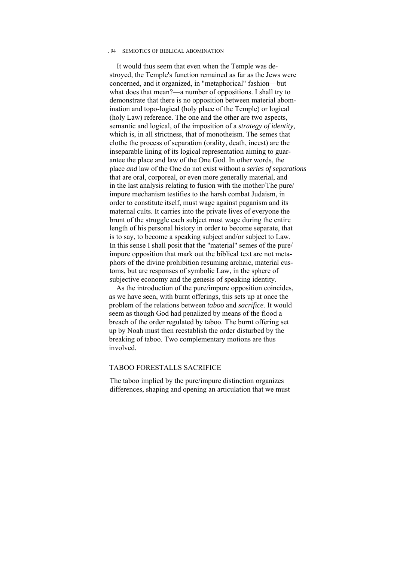It would thus seem that even when the Temple was destroyed, the Temple's function remained as far as the Jews were concerned, and it organized, in "metaphorical" fashion—but what does that mean?—a number of oppositions. I shall try to demonstrate that there is no opposition between material abomination and topo-logical (holy place of the Temple) or logical (holy Law) reference. The one and the other are two aspects, semantic and logical, of the imposition of a *strategy of identity,*  which is, in all strictness, that of monotheism. The semes that clothe the process of separation (orality, death, incest) are the inseparable lining of its logical representation aiming to guarantee the place and law of the One God. In other words, the place *and* law of the One do not exist without a *series of separations*  that are oral, corporeal, or even more generally material, and in the last analysis relating to fusion with the mother/The pure/ impure mechanism testifies to the harsh combat Judaism, in order to constitute itself, must wage against paganism and its maternal cults. It carries into the private lives of everyone the brunt of the struggle each subject must wage during the entire length of his personal history in order to become separate, that is to say, to become a speaking subject and/or subject to Law. In this sense I shall posit that the "material" semes of the pure/ impure opposition that mark out the biblical text are not metaphors of the divine prohibition resuming archaic, material customs, but are responses of symbolic Law, in the sphere of subjective economy and the genesis of speaking identity.

As the introduction of the pure/impure opposition coincides, as we have seen, with burnt offerings, this sets up at once the problem of the relations between *taboo* and *sacrifice.* It would seem as though God had penalized by means of the flood a breach of the order regulated by taboo. The burnt offering set up by Noah must then reestablish the order disturbed by the breaking of taboo. Two complementary motions are thus involved.

# TABOO FORESTALLS SACRIFICE

The taboo implied by the pure/impure distinction organizes differences, shaping and opening an articulation that we must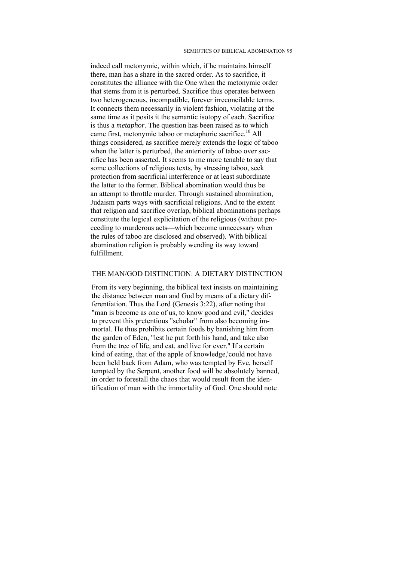indeed call metonymic, within which, if he maintains himself there, man has a share in the sacred order. As to sacrifice, it constitutes the alliance with the One when the metonymic order that stems from it is perturbed. Sacrifice thus operates between two heterogeneous, incompatible, forever irreconcilable terms. It connects them necessarily in violent fashion, violating at the same time as it posits it the semantic isotopy of each. Sacrifice is thus a *metaphor.* The question has been raised as to which came first, metonymic taboo or metaphoric sacrifice.<sup>10</sup> All things considered, as sacrifice merely extends the logic of taboo when the latter is perturbed, the anteriority of taboo over sacrifice has been asserted. It seems to me more tenable to say that some collections of religious texts, by stressing taboo, seek protection from sacrificial interference or at least subordinate the latter to the former. Biblical abomination would thus be an attempt to throttle murder. Through sustained abomination, Judaism parts ways with sacrificial religions. And to the extent that religion and sacrifice overlap, biblical abominations perhaps constitute the logical explicitation of the religious (without proceeding to murderous acts—which become unnecessary when the rules of taboo are disclosed and observed). With biblical abomination religion is probably wending its way toward fulfillment.

# THE MAN/GOD DISTINCTION: A DIETARY DISTINCTION

From its very beginning, the biblical text insists on maintaining the distance between man and God by means of a dietary differentiation. Thus the Lord (Genesis 3:22), after noting that "man is become as one of us, to know good and evil," decides to prevent this pretentious "scholar" from also becoming immortal. He thus prohibits certain foods by banishing him from the garden of Eden, "lest he put forth his hand, and take also from the tree of life, and eat, and live for ever." If a certain kind of eating, that of the apple of knowledge,'could not have been held back from Adam, who was tempted by Eve, herself tempted by the Serpent, another food will be absolutely banned, in order to forestall the chaos that would result from the identification of man with the immortality of God. One should note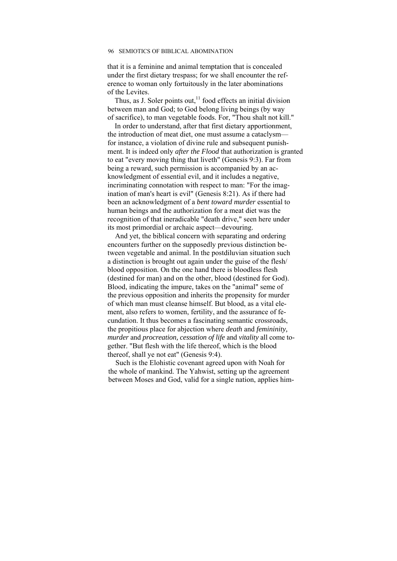that it is a feminine and animal temptation that is concealed under the first dietary trespass; for we shall encounter the reference to woman only fortuitously in the later abominations of the Levites.

Thus, as J. Soler points out, $11$  food effects an initial division between man and God; to God belong living beings (by way of sacrifice), to man vegetable foods. For, "Thou shalt not kill."

In order to understand, after that first dietary apportionment, the introduction of meat diet, one must assume a cataclysm for instance, a violation of divine rule and subsequent punishment. It is indeed only *after the Flood* that authorization is granted to eat "every moving thing that liveth" (Genesis 9:3). Far from being a reward, such permission is accompanied by an acknowledgment of essential evil, and it includes a negative, incriminating connotation with respect to man: "For the imagination of man's heart is evil" (Genesis 8:21). As if there had been an acknowledgment of a *bent toward murder* essential to human beings and the authorization for a meat diet was the recognition of that ineradicable "death drive," seen here under its most primordial or archaic aspect—devouring.

And yet, the biblical concern with separating and ordering encounters further on the supposedly previous distinction between vegetable and animal. In the postdiluvian situation such a distinction is brought out again under the guise of the flesh/ blood opposition. On the one hand there is bloodless flesh (destined for man) and on the other, blood (destined for God). Blood, indicating the impure, takes on the "animal" seme of the previous opposition and inherits the propensity for murder of which man must cleanse himself. But blood, as a vital element, also refers to women, fertility, and the assurance of fecundation. It thus becomes a fascinating semantic crossroads, the propitious place for abjection where *death* and *femininity, murder* and *procreation, cessation of life* and *vitality* all come together. "But flesh with the life thereof, which is the blood thereof, shall ye not eat" (Genesis 9:4).

Such is the Elohistic covenant agreed upon with Noah for the whole of mankind. The Yahwist, setting up the agreement between Moses and God, valid for a single nation, applies him-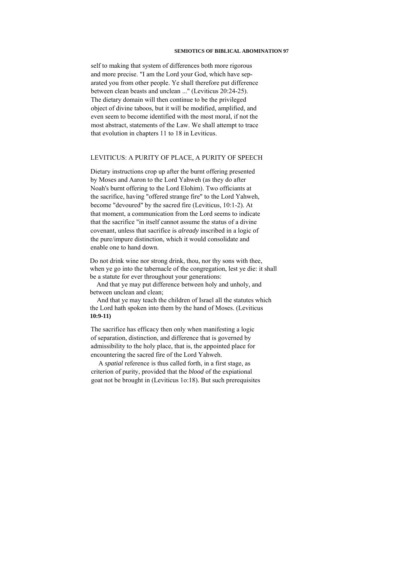self to making that system of differences both more rigorous and more precise. "I am the Lord your God, which have separated you from other people. Ye shall therefore put difference between clean beasts and unclean ..." (Leviticus 20:24-25). The dietary domain will then continue to be the privileged object of divine taboos, but it will be modified, amplified, and even seem to become identified with the most moral, if not the most abstract, statements of the Law. We shall attempt to trace that evolution in chapters 11 to 18 in Leviticus.

# LEVITICUS: A PURITY OF PLACE, A PURITY OF SPEECH

Dietary instructions crop up after the burnt offering presented by Moses and Aaron to the Lord Yahweh (as they do after Noah's burnt offering to the Lord Elohim). Two officiants at the sacrifice, having "offered strange fire" to the Lord Yahweh, become "devoured" by the sacred fire (Leviticus, 10:1-2). At that moment, a communication from the Lord seems to indicate that the sacrifice "in itself cannot assume the status of a divine covenant, unless that sacrifice is *already* inscribed in a logic of the pure/impure distinction, which it would consolidate and enable one to hand down.

Do not drink wine nor strong drink, thou, nor thy sons with thee, when ye go into the tabernacle of the congregation, lest ye die: it shall be a statute for ever throughout your generations:

And that ye may put difference between holy and unholy, and between unclean and clean;

And that ye may teach the children of Israel all the statutes which the Lord hath spoken into them by the hand of Moses. (Leviticus **10:9-11)**

The sacrifice has efficacy then only when manifesting a logic of separation, distinction, and difference that is governed by admissibility to the holy place, that is, the appointed place for encountering the sacred fire of the Lord Yahweh.

A *spatial* reference is thus called forth, in a first stage, as criterion of purity, provided that the *blood* of the expiational goat not be brought in (Leviticus 1o:18). But such prerequisites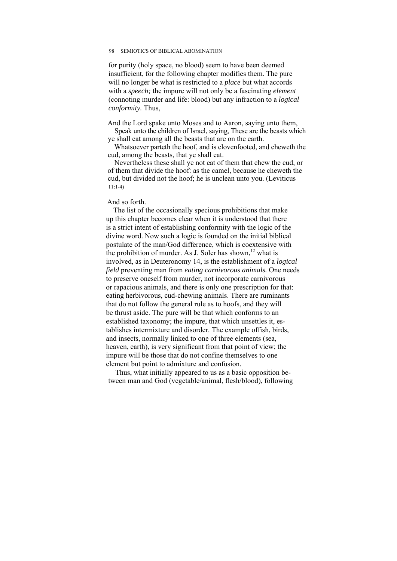for purity (holy space, no blood) seem to have been deemed insufficient, for the following chapter modifies them. The pure will no longer be what is restricted to a *place* but what accords with a *speech;* the impure will not only be a fascinating *element*  (connoting murder and life: blood) but any infraction to a *logical conformity.* Thus,

## And the Lord spake unto Moses and to Aaron, saying unto them,

Speak unto the children of Israel, saying, These are the beasts which ye shall eat among all the beasts that are on the earth.

Whatsoever parteth the hoof, and is clovenfooted, and cheweth the cud, among the beasts, that ye shall eat.

Nevertheless these shall ye not eat of them that chew the cud, or of them that divide the hoof: as the camel, because he cheweth the cud, but divided not the hoof; he is unclean unto you. (Leviticus 11:1-4)

## And so forth.

The list of the occasionally specious prohibitions that make up this chapter becomes clear when it is understood that there is a strict intent of establishing conformity with the logic of the divine word. Now such a logic is founded on the initial biblical postulate of the man/God difference, which is coextensive with the prohibition of murder. As J. Soler has shown,<sup>12</sup> what is involved, as in Deuteronomy 14, is the establishment of a *logical field* preventing man from *eating carnivorous animals.* One needs to preserve oneself from murder, not incorporate carnivorous or rapacious animals, and there is only one prescription for that: eating herbivorous, cud-chewing animals. There are ruminants that do not follow the general rule as to hoofs, and they will be thrust aside. The pure will be that which conforms to an established taxonomy; the impure, that which unsettles it, establishes intermixture and disorder. The example offish, birds, and insects, normally linked to one of three elements (sea, heaven, earth), is very significant from that point of view; the impure will be those that do not confine themselves to one element but point to admixture and confusion.

Thus, what initially appeared to us as a basic opposition between man and God (vegetable/animal, flesh/blood), following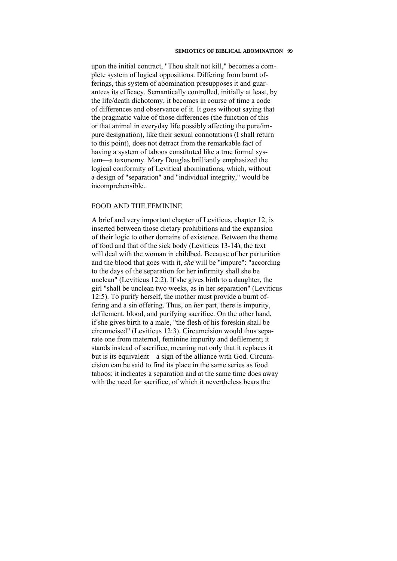upon the initial contract, "Thou shalt not kill," becomes a complete system of logical oppositions. Differing from burnt offerings, this system of abomination presupposes it and guarantees its efficacy. Semantically controlled, initially at least, by the life/death dichotomy, it becomes in course of time a code of differences and observance of it. It goes without saying that the pragmatic value of those differences (the function of this or that animal in everyday life possibly affecting the pure/impure designation), like their sexual connotations (I shall return to this point), does not detract from the remarkable fact of having a system of taboos constituted like a true formal system—a taxonomy. Mary Douglas brilliantly emphasized the logical conformity of Levitical abominations, which, without a design of "separation" and "individual integrity," would be incomprehensible.

## FOOD AND THE FEMININE

A brief and very important chapter of Leviticus, chapter 12, is inserted between those dietary prohibitions and the expansion of their logic to other domains of existence. Between the theme of food and that of the sick body (Leviticus 13-14), the text will deal with the woman in childbed. Because of her parturition and the blood that goes with it, *she* will be "impure": "according to the days of the separation for her infirmity shall she be unclean" (Leviticus 12:2). If she gives birth to a daughter, the girl "shall be unclean two weeks, as in her separation" (Leviticus 12:5). To purify herself, the mother must provide a burnt offering and a sin offering. Thus, on *her* part, there is impurity, defilement, blood, and purifying sacrifice. On the other hand, if she gives birth to a male, "the flesh of his foreskin shall be circumcised" (Leviticus 12:3). Circumcision would thus separate one from maternal, feminine impurity and defilement; it stands instead of sacrifice, meaning not only that it replaces it but is its equivalent—a sign of the alliance with God. Circumcision can be said to find its place in the same series as food taboos; it indicates a separation and at the same time does away with the need for sacrifice, of which it nevertheless bears the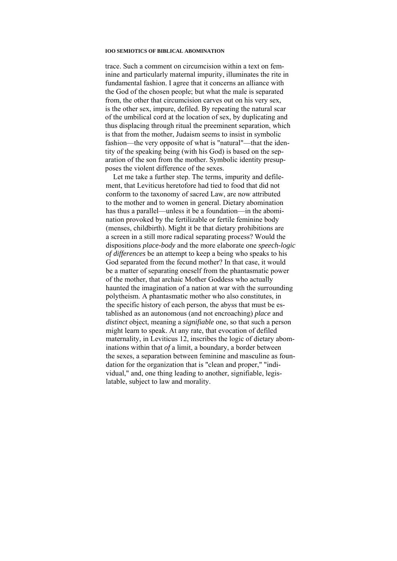#### **IOO SEMIOTICS OF BIBLICAL ABOMINATION**

trace. Such a comment on circumcision within a text on feminine and particularly maternal impurity, illuminates the rite in fundamental fashion. I agree that it concerns an alliance with the God of the chosen people; but what the male is separated from, the other that circumcision carves out on his very sex, is the other sex, impure, defiled. By repeating the natural scar of the umbilical cord at the location of sex, by duplicating and thus displacing through ritual the preeminent separation, which is that from the mother, Judaism seems to insist in symbolic fashion—the very opposite of what is "natural"—that the identity of the speaking being (with his God) is based on the separation of the son from the mother. Symbolic identity presupposes the violent difference of the sexes.

Let me take a further step. The terms, impurity and defilement, that Leviticus heretofore had tied to food that did not conform to the taxonomy of sacred Law, are now attributed to the mother and to women in general. Dietary abomination has thus a parallel—unless it be a foundation—in the abomination provoked by the fertilizable or fertile feminine body (menses, childbirth). Might it be that dietary prohibitions are a screen in a still more radical separating process? Would the dispositions *place-body* and the more elaborate one *speech-logic of differences* be an attempt to keep a being who speaks to his God separated from the fecund mother? In that case, it would be a matter of separating oneself from the phantasmatic power of the mother, that archaic Mother Goddess who actually haunted the imagination of a nation at war with the surrounding polytheism. A phantasmatic mother who also constitutes, in the specific history of each person, the abyss that must be established as an autonomous (and not encroaching) *place* and *distinct* object, meaning a *signifiable* one, so that such a person might learn to speak. At any rate, that evocation of defiled maternality, in Leviticus 12, inscribes the logic of dietary abominations within that *of* a limit, a boundary, a border between the sexes, a separation between feminine and masculine as foundation for the organization that is "clean and proper," "individual," and, one thing leading to another, signifiable, legislatable, subject to law and morality.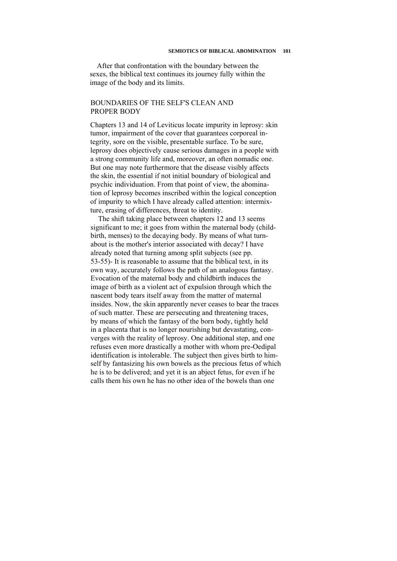After that confrontation with the boundary between the sexes, the biblical text continues its journey fully within the image of the body and its limits.

## BOUNDARIES OF THE SELF'S CLEAN AND PROPER BODY

Chapters 13 and 14 of Leviticus locate impurity in leprosy: skin tumor, impairment of the cover that guarantees corporeal integrity, sore on the visible, presentable surface. To be sure, leprosy does objectively cause serious damages in a people with a strong community life and, moreover, an often nomadic one. But one may note furthermore that the disease visibly affects the skin, the essential if not initial boundary of biological and psychic individuation. From that point of view, the abomination of leprosy becomes inscribed within the logical conception of impurity to which I have already called attention: intermixture, erasing of differences, threat to identity.

The shift taking place between chapters 12 and 13 seems significant to me; it goes from within the maternal body (childbirth, menses) to the decaying body. By means of what turnabout is the mother's interior associated with decay? I have already noted that turning among split subjects (see pp. 53-55)- It is reasonable to assume that the biblical text, in its own way, accurately follows the path of an analogous fantasy. Evocation of the maternal body and childbirth induces the image of birth as a violent act of expulsion through which the nascent body tears itself away from the matter of maternal insides. Now, the skin apparently never ceases to bear the traces of such matter. These are persecuting and threatening traces, by means of which the fantasy of the born body, tightly held in a placenta that is no longer nourishing but devastating, converges with the reality of leprosy. One additional step, and one refuses even more drastically a mother with whom pre-Oedipal identification is intolerable. The subject then gives birth to himself by fantasizing his own bowels as the precious fetus of which he is to be delivered; and yet it is an abject fetus, for even if he calls them his own he has no other idea of the bowels than one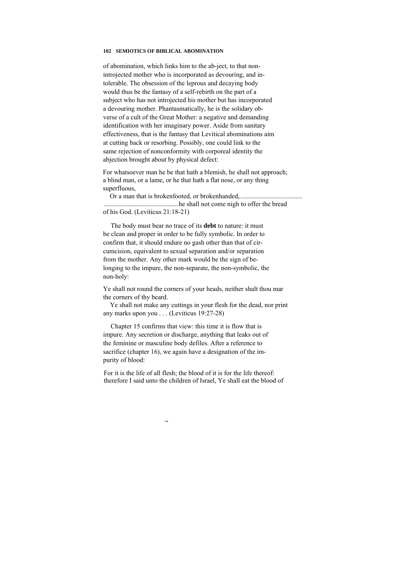#### **102 SEMIOTICS OF BIBLICAL ABOMINATION**

of abomination, which links him to the ab-ject, to that nonintrojected mother who is incorporated as devouring, and intolerable. The obsession of the leprous and decaying body would thus be the fantasy of a self-rebirth on the part of a subject who has not introjected his mother but has incorporated a devouring mother. Phantasmatically, he is the solidary obverse of a cult of the Great Mother: a negative and demanding identification with her imaginary power. Aside from sanitary effectiveness, that is the fantasy that Levitical abominations aim at cutting back or resorbing. Possibly, one could link to the same rejection of nonconformity with corporeal identity the abjection brought about by physical defect:

For whatsoever man he be that hath a blemish, he shall not approach; a blind man, or a lame, or he that hath a flat nose, or any thing superfluous,

Or a man that is brokenfooted, or brokenhanded, ..................................... ............................................ he shall not come nigh to offer the bread of his God. (Leviticus 21:18-21)

The body must bear no trace of its **debt** to nature: it must be clean and proper in order to be fully symbolic. In order to confirm that, it should endure no gash other than that of circumcision, equivalent to sexual separation and/or separation from the mother. Any other mark would be the sign of belonging to the impure, the non-separate, the non-symbolic, the non-holy:

Ye shall not round the corners of your heads, neither shalt thou mar the corners of thy beard.

Ye shall not make any cuttings in your flesh for the dead, nor print any marks upon you . . . (Leviticus 19:27-28)

Chapter 15 confirms that view: this time it is flow that is impure. Any secretion or discharge, anything that leaks out of the feminine or masculine body defiles. After a reference to sacrifice (chapter 16), we again have a designation of the impurity of blood:

:%■...

For it is the life of all flesh; the blood of it is for the life thereof: therefore I said unto the children of Israel, Ye shall eat the blood of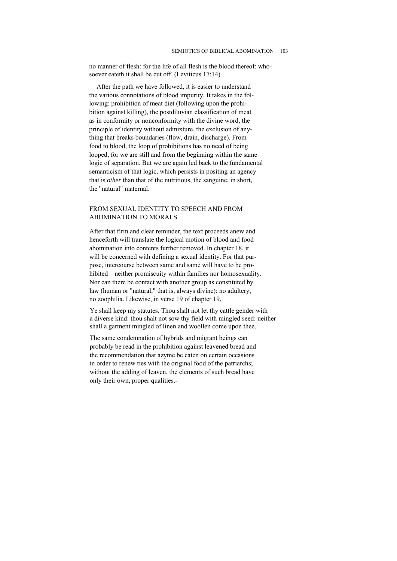no manner of flesh: for the life of all flesh is the blood thereof: whosoever eateth it shall be cut off. (Leviticus 17:14)

After the path we have followed, it is easier to understand the various connotations of blood impurity. It takes in the following: prohibition of meat diet (following upon the prohibition against killing), the postdiluvian classification of meat as in conformity or nonconformity with the divine word, the principle of identity without admixture, the exclusion of anything that breaks boundaries (flow, drain, discharge). From food to blood, the loop of prohibitions has no need of being looped, for we are still and from the beginning within the same logic of separation. But we are again led back to the fundamental semanticism of that logic, which persists in positing an agency that is *other* than that of the nutritious, the sanguine, in short, the "natural" maternal.

## FROM SEXUAL IDENTITY TO SPEECH AND FROM ABOMINATION TO MORALS

After that firm and clear reminder, the text proceeds anew and henceforth will translate the logical motion of blood and food abomination into contents further removed. In chapter 18, it will be concerned with defining a sexual identity. For that purpose, intercourse between same and same will have to be prohibited—neither promiscuity within families nor homosexuality. Nor can there be contact with another group as constituted by law (human or "natural," that is, always divine): no adultery, no zoophilia. Likewise, in verse 19 of chapter 19,

Ye shall keep my statutes. Thou shalt not let thy cattle gender with a diverse kind: thou shalt not sow thy field with mingled seed: neither shall a garment mingled of linen and woollen come upon thee.

The same condemnation of hybrids and migrant beings can probably be read in the prohibition against leavened bread and the recommendation that azyme be eaten on certain occasions in order to renew ties with the original food of the patriarchs; without the adding of leaven, the elements of such bread have only their own, proper qualities.-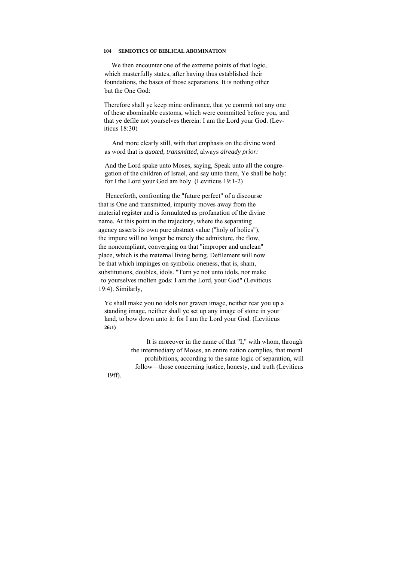#### **104 SEMIOTICS OF BIBLICAL ABOMINATION**

We then encounter one of the extreme points of that logic, which masterfully states, after having thus established their foundations, the bases of those separations. It is nothing other but the One God:

Therefore shall ye keep mine ordinance, that ye commit not any one of these abominable customs, which were committed before you, and that ye defile not yourselves therein: I am the Lord your God. (Leviticus 18:30)

And more clearly still, with that emphasis on the divine word as word that is *quoted, transmitted,* always *already prior:*

And the Lord spake unto Moses, saying, Speak unto all the congregation of the children of Israel, and say unto them, Ye shall be holy: for I the Lord your God am holy. (Leviticus 19:1-2)

Henceforth, confronting the "future perfect" of a discourse that is One and transmitted, impurity moves away from the material register and is formulated as profanation of the divine name. At this point in the trajectory, where the separating agency asserts its own pure abstract value ("holy of holies"), the impure will no longer be merely the admixture, the flow, the noncompliant, converging on that "improper and unclean" place, which is the maternal living being. Defilement will now be that which impinges on symbolic oneness, that is, sham, substitutions, doubles, idols. "Turn ye not unto idols, nor make to yourselves molten gods: I am the Lord, your God" (Leviticus 19:4). Similarly,

Ye shall make you no idols nor graven image, neither rear you up a standing image, neither shall ye set up any image of stone in your land, to bow down unto it: for I am the Lord your God. (Leviticus **26:1)**

I9ff).

It is moreover in the name of that "I," with whom, through the intermediary of Moses, an entire nation complies, that moral prohibitions, according to the same logic of separation, will follow—those concerning justice, honesty, and truth (Leviticus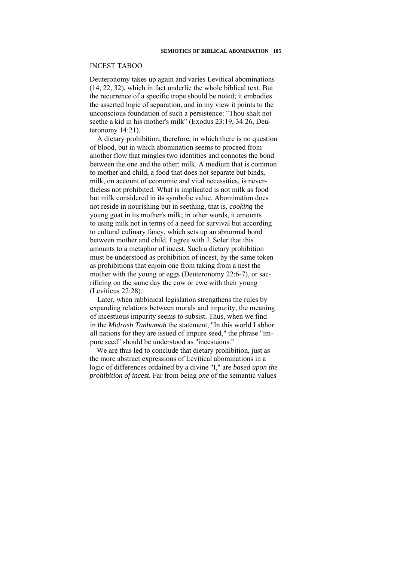## INCEST TABOO

Deuteronomy takes up again and varies Levitical abominations (14, 22, 32), which in fact underlie the whole biblical text. But the recurrence of a specific trope should be noted; it embodies the asserted logic of separation, and in my view it points to the unconscious foundation of such a persistence: "Thou shalt not seethe a kid in his mother's milk" (Exodus 23:19, 34:26, Deuteronomy 14:21).

A dietary prohibition, therefore, in which there is no question of blood, but in which abomination seems to proceed from another flow that mingles two identities and connotes the bond between the one and the other: milk. A medium that is common to mother and child, a food that does not separate but binds, milk, on account of economic and vital necessities, is nevertheless not prohibited. What is implicated is not milk as food but milk considered in its symbolic value. Abomination does not reside in nourishing but in seething, that is, *cooking* the young goat in its mother's milk; in other words, it amounts to using milk not in terms of a need for survival but according to cultural culinary fancy, which sets up an abnormal bond between mother and child. I agree with J. Soler that this amounts to a metaphor of incest. Such a dietary prohibition must be understood as prohibition of incest, by the same token as prohibitions that enjoin one from taking from a nest the mother with the young or eggs (Deuteronomy 22:6-7), or sacrificing on the same day the cow or ewe with their young (Leviticus 22:28).

Later, when rabbinical legislation strengthens the rules by expanding relations between morals and impurity, the meaning of incestuous impurity seems to subsist. Thus, when we find in the *Midrash Tanhumah* the statement, "In this world I abhor all nations for they are issued of impure seed," the phrase "impure seed" should be understood as "incestuous."

We are thus led to conclude that dietary prohibition, just as the more abstract expressions of Levitical abominations in a logic of differences ordained by a divine "I," are *based upon the prohibition of incest.* Far from being *one* of the semantic values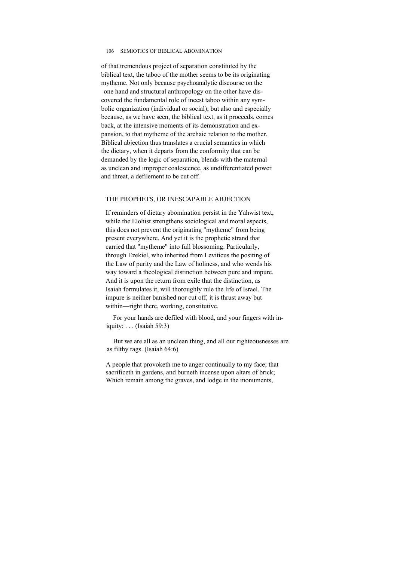#### 106 SEMIOTICS OF BIBLICAL ABOMINATION

of that tremendous project of separation constituted by the biblical text, the taboo of the mother seems to be its originating mytheme. Not only because psychoanalytic discourse on the one hand and structural anthropology on the other have discovered the fundamental role of incest taboo within any symbolic organization (individual or social); but also and especially because, as we have seen, the biblical text, as it proceeds, comes back, at the intensive moments of its demonstration and expansion, to that mytheme of the archaic relation to the mother. Biblical abjection thus translates a crucial semantics in which the dietary, when it departs from the conformity that can be demanded by the logic of separation, blends with the maternal as unclean and improper coalescence, as undifferentiated power and threat, a defilement to be cut off.

#### THE PROPHETS, OR INESCAPABLE ABJECTION

If reminders of dietary abomination persist in the Yahwist text, while the Elohist strengthens sociological and moral aspects, this does not prevent the originating "mytheme" from being present everywhere. And yet it is the prophetic strand that carried that "mytheme" into full blossoming. Particularly, through Ezekiel, who inherited from Leviticus the positing of the Law of purity and the Law of holiness, and who wends his way toward a theological distinction between pure and impure. And it is upon the return from exile that the distinction, as Isaiah formulates it, will thoroughly rule the life of Israel. The impure is neither banished nor cut off, it is thrust away but within—right there, working, constitutive.

For your hands are defiled with blood, and your fingers with iniquity; . . . (Isaiah 59:3)

But we are all as an unclean thing, and all our righteousnesses are as filthy rags. (Isaiah 64:6)

A people that provoketh me to anger continually to my face; that sacrificeth in gardens, and burneth incense upon altars of brick; Which remain among the graves, and lodge in the monuments,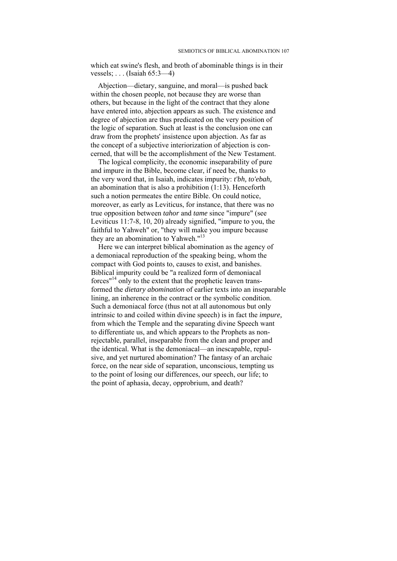which eat swine's flesh, and broth of abominable things is in their vessels; . . . (Isaiah 65:3—4)

Abjection—dietary, sanguine, and moral—is pushed back within the chosen people, not because they are worse than others, but because in the light of the contract that they alone have entered into, abjection appears as such. The existence and degree of abjection are thus predicated on the very position of the logic of separation. Such at least is the conclusion one can draw from the prophets' insistence upon abjection. As far as the concept of a subjective interiorization of abjection is concerned, that will be the accomplishment of the New Testament.

The logical complicity, the economic inseparability of pure and impure in the Bible, become clear, if need be, thanks to the very word that, in Isaiah, indicates impurity: *t'bh, to'ebah,*  an abomination that is also a prohibition  $(1:13)$ . Henceforth such a notion permeates the entire Bible. On could notice, moreover, as early as Leviticus, for instance, that there was no true opposition between *tahor* and *tame* since "impure" (see Leviticus 11:7-8, 10, 20) already signified, "impure to you, the faithful to Yahweh" or, "they will make you impure because they are an abomination to Yahweh."<sup>13</sup>

Here we can interpret biblical abomination as the agency of a demoniacal reproduction of the speaking being, whom the compact with God points to, causes to exist, and banishes. Biblical impurity could be "a realized form of demoniacal forces"14 only to the extent that the prophetic leaven transformed the *dietary abomination* of earlier texts into an inseparable lining, an inherence in the contract or the symbolic condition. Such a demoniacal force (thus not at all autonomous but only intrinsic to and coiled within divine speech) is in fact the *impure,*  from which the Temple and the separating divine Speech want to differentiate us, and which appears to the Prophets as nonrejectable, parallel, inseparable from the clean and proper and the identical. What is the demoniacal—an inescapable, repulsive, and yet nurtured abomination? The fantasy of an archaic force, on the near side of separation, unconscious, tempting us to the point of losing our differences, our speech, our life; to the point of aphasia, decay, opprobrium, and death?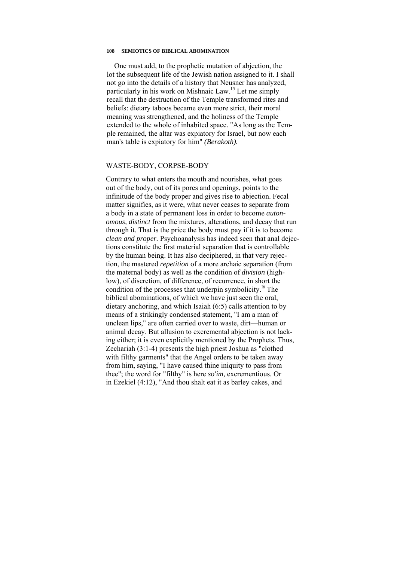#### **108 SEMIOTICS OF BIBLICAL ABOMINATION**

One must add, to the prophetic mutation of abjection, the lot the subsequent life of the Jewish nation assigned to it. I shall not go into the details of a history that Neusner has analyzed, particularly in his work on Mishnaic Law.15 Let me simply recall that the destruction of the Temple transformed rites and beliefs: dietary taboos became even more strict, their moral meaning was strengthened, and the holiness of the Temple extended to the whole of inhabited space. "As long as the Temple remained, the altar was expiatory for Israel, but now each man's table is expiatory for him" *(Berakoth).*

## WASTE-BODY, CORPSE-BODY

Contrary to what enters the mouth and nourishes, what goes out of the body, out of its pores and openings, points to the infinitude of the body proper and gives rise to abjection. Fecal matter signifies, as it were, what never ceases to separate from a body in a state of permanent loss in order to become *autonomous, distinct* from the mixtures, alterations, and decay that run through it. That is the price the body must pay if it is to become *clean and proper.* Psychoanalysis has indeed seen that anal dejections constitute the first material separation that is controllable by the human being. It has also deciphered, in that very rejection, the mastered *repetition* of a more archaic separation (from the maternal body) as well as the condition of *division* (highlow), of discretion, of difference, of recurrence, in short the condition of the processes that underpin symbolicity.<sup>I6</sup> The biblical abominations, of which we have just seen the oral, dietary anchoring, and which Isaiah (6:5) calls attention to by means of a strikingly condensed statement, "I am a man of unclean lips," are often carried over to waste, dirt—human or animal decay. But allusion to excremental abjection is not lacking either; it is even explicitly mentioned by the Prophets. Thus, Zechariah (3:1-4) presents the high priest Joshua as "clothed with filthy garments" that the Angel orders to be taken away from him, saying, "I have caused thine iniquity to pass from thee"; the word for "filthy" is here *so'im,* excrementious. Or in Ezekiel (4:12), "And thou shalt eat it as barley cakes, and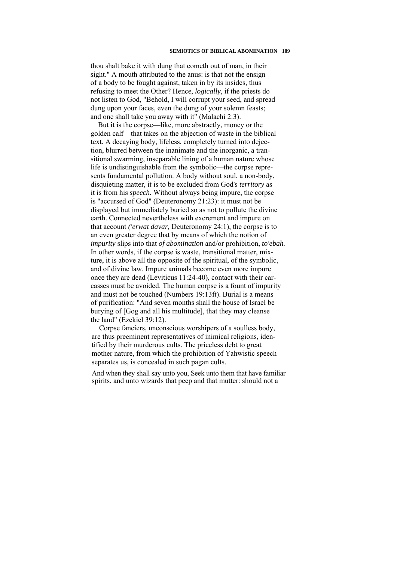#### **SEMIOTICS OF BIBLICAL ABOMINATION 109**

thou shalt bake it with dung that cometh out of man, in their sight." A mouth attributed to the anus: is that not the ensign of a body to be fought against, taken in by its insides, thus refusing to meet the Other? Hence, *logically,* if the priests do not listen to God, "Behold, I will corrupt your seed, and spread dung upon your faces, even the dung of your solemn feasts; and one shall take you away with it" (Malachi 2:3).

But it is the corpse—like, more abstractly, money or the golden calf—that takes on the abjection of waste in the biblical text. A decaying body, lifeless, completely turned into dejection, blurred between the inanimate and the inorganic, a transitional swarming, inseparable lining of a human nature whose life is undistinguishable from the symbolic—the corpse represents fundamental pollution. A body without soul, a non-body, disquieting matter, it is to be excluded from God's *territory* as it is from his *speech.* Without always being impure, the corpse is "accursed of God" (Deuteronomy 21:23): it must not be displayed but immediately buried so as not to pollute the divine earth. Connected nevertheless with excrement and impure on that account *('erwat davar,* Deuteronomy 24:1), the corpse is to an even greater degree that by means of which the notion of *impurity* slips into that *of abomination* and/or prohibition, *to'ebah.*  In other words, if the corpse is waste, transitional matter, mixture, it is above all the opposite of the spiritual, of the symbolic, and of divine law. Impure animals become even more impure once they are dead (Leviticus 11:24-40), contact with their carcasses must be avoided. The human corpse is a fount of impurity and must not be touched (Numbers 19:13ft). Burial is a means of purification: "And seven months shall the house of Israel be burying of [Gog and all his multitude], that they may cleanse the land" (Ezekiel 39:12).

Corpse fanciers, unconscious worshipers of a soulless body, are thus preeminent representatives of inimical religions, identified by their murderous cults. The priceless debt to great mother nature, from which the prohibition of Yahwistic speech separates us, is concealed in such pagan cults.

And when they shall say unto you, Seek unto them that have familiar spirits, and unto wizards that peep and that mutter: should not a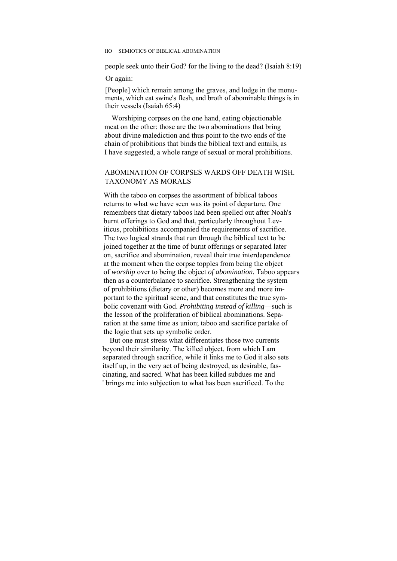#### IIO SEMIOTICS OF BIBLICAL ABOMINATION

people seek unto their God? for the living to the dead? (Isaiah 8:19)

#### Or again:

[People] which remain among the graves, and lodge in the monuments, which eat swine's flesh, and broth of abominable things is in their vessels (Isaiah 65:4)

Worshiping corpses on the one hand, eating objectionable meat on the other: those are the two abominations that bring about divine malediction and thus point to the two ends of the chain of prohibitions that binds the biblical text and entails, as I have suggested, a whole range of sexual or moral prohibitions.

## ABOMINATION OF CORPSES WARDS OFF DEATH WISH. TAXONOMY AS MORALS

With the taboo on corpses the assortment of biblical taboos returns to what we have seen was its point of departure. One remembers that dietary taboos had been spelled out after Noah's burnt offerings to God and that, particularly throughout Leviticus, prohibitions accompanied the requirements of sacrifice. The two logical strands that run through the biblical text to be joined together at the time of burnt offerings or separated later on, sacrifice and abomination, reveal their true interdependence at the moment when the corpse topples from being the object of *worship* over to being the object *of abomination.* Taboo appears then as a counterbalance to sacrifice. Strengthening the system of prohibitions (dietary or other) becomes more and more important to the spiritual scene, and that constitutes the true symbolic covenant with God. *Prohibiting instead of killing*—such is the lesson of the proliferation of biblical abominations. Separation at the same time as union; taboo and sacrifice partake of the logic that sets up symbolic order.

But one must stress what differentiates those two currents beyond their similarity. The killed object, from which I am separated through sacrifice, while it links me to God it also sets itself up, in the very act of being destroyed, as desirable, fascinating, and sacred. What has been killed subdues me and ' brings me into subjection to what has been sacrificed. To the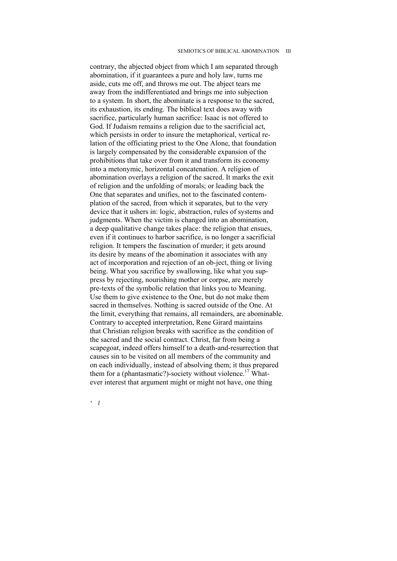#### SEMIOTICS OF BIBLICAL ABOMINATION III

contrary, the abjected object from which I am separated through abomination, if it guarantees a pure and holy law, turns me aside, cuts me off, and throws me out. The abject tears me away from the indifferentiated and brings me into subjection to a system. In short, the abominate is a response to the sacred, its exhaustion, its ending. The biblical text does away with sacrifice, particularly human sacrifice: Isaac is not offered to God. If Judaism remains a religion due to the sacrificial act, which persists in order to insure the metaphorical, vertical relation of the officiating priest to the One Alone, that foundation is largely compensated by the considerable expansion of the prohibitions that take over from it and transform its economy into a metonymic, horizontal concatenation. A religion of abomination overlays a religion of the sacred. It marks the exit of religion and the unfolding of morals; or leading back the One that separates and unifies, not to the fascinated contemplation of the sacred, from which it separates, but to the very device that it ushers in: logic, abstraction, rules of systems and judgments. When the victim is changed into an abomination, a deep qualitative change takes place: the religion that ensues, even if it continues to harbor sacrifice, is no longer a sacrificial religion. It tempers the fascination of murder; it gets around its desire by means of the abomination it associates with any act of incorporation and rejection of an ob-ject, thing or living being. What you sacrifice by swallowing, like what you suppress by rejecting, nourishing mother or corpse, are merely pre-texts of the symbolic relation that links you to Meaning. Use them to give existence to the One, but do not make them sacred in themselves. Nothing is sacred outside of the One. At the limit, everything that remains, all remainders, are abominable. Contrary to accepted interpretation, Rene Girard maintains that Christian religion breaks with sacrifice as the condition of the sacred and the social contract. Christ, far from being a scapegoat, indeed offers himself to a death-and-resurrection that causes sin to be visited on all members of the community and on each individually, instead of absolving them; it thus prepared them for a (phantasmatic?)-society without violence.<sup>17</sup> Whatever interest that argument might or might not have, one thing

**' /**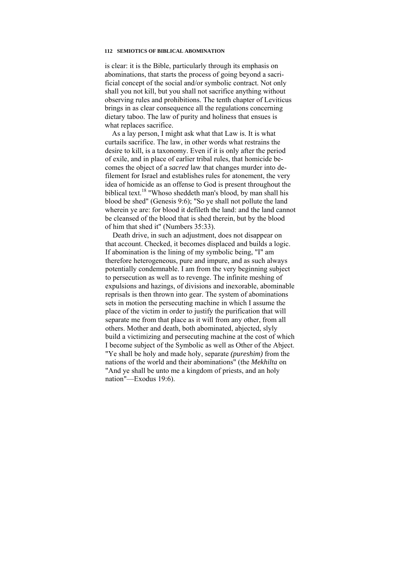#### **112 SEMIOTICS OF BIBLICAL ABOMINATION**

is clear: it is the Bible, particularly through its emphasis on abominations, that starts the process of going beyond a sacrificial concept of the social and/or symbolic contract. Not only shall you not kill, but you shall not sacrifice anything without observing rules and prohibitions. The tenth chapter of Leviticus brings in as clear consequence all the regulations concerning dietary taboo. The law of purity and holiness that ensues is what replaces sacrifice.

As a lay person, I might ask what that Law is. It is what curtails sacrifice. The law, in other words what restrains the desire to kill, is a taxonomy. Even if it is only after the period of exile, and in place of earlier tribal rules, that homicide becomes the object of a *sacred* law that changes murder into defilement for Israel and establishes rules for atonement, the very idea of homicide as an offense to God is present throughout the biblical text.18 "Whoso sheddeth man's blood, by man shall his blood be shed" (Genesis 9:6); "So ye shall not pollute the land wherein ye are: for blood it defileth the land: and the land cannot be cleansed of the blood that is shed therein, but by the blood of him that shed it" (Numbers 35:33).

Death drive, in such an adjustment, does not disappear on that account. Checked, it becomes displaced and builds a logic. If abomination is the lining of my symbolic being, "I" am therefore heterogeneous, pure and impure, and as such always potentially condemnable. I am from the very beginning subject to persecution as well as to revenge. The infinite meshing of expulsions and hazings, of divisions and inexorable, abominable reprisals is then thrown into gear. The system of abominations sets in motion the persecuting machine in which I assume the place of the victim in order to justify the purification that will separate me from that place as it will from any other, from all others. Mother and death, both abominated, abjected, slyly build a victimizing and persecuting machine at the cost of which I become subject of the Symbolic as well as Other of the Abject. "Ye shall be holy and made holy, separate *(pureshim)* from the nations of the world and their abominations" (the *Mekhilta* on "And ye shall be unto me a kingdom of priests, and an holy nation"—Exodus 19:6).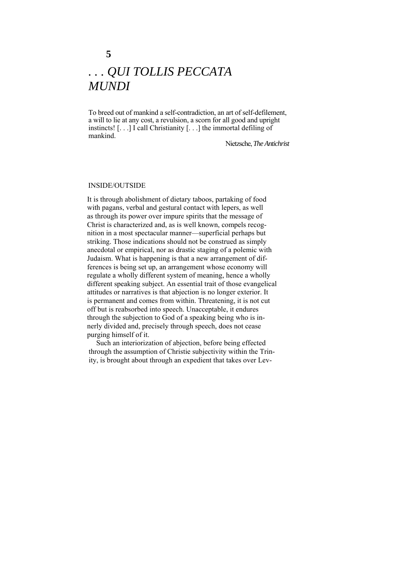# *. . . QUI TOLLIS PECCATA MUNDI*

To breed out of mankind a self-contradiction, an art of self-defilement, a will to lie at any cost, a revulsion, a scorn for all good and upright instincts! [. . .] I call Christianity [. . .] the immortal defiling of mankind.

Nietzsche, *The Antichrist*

## INSIDE/OUTSIDE

 **5**

It is through abolishment of dietary taboos, partaking of food with pagans, verbal and gestural contact with lepers, as well as through its power over impure spirits that the message of Christ is characterized and, as is well known, compels recognition in a most spectacular manner—superficial perhaps but striking. Those indications should not be construed as simply anecdotal or empirical, nor as drastic staging of a polemic with Judaism. What is happening is that a new arrangement of differences is being set up, an arrangement whose economy will regulate a wholly different system of meaning, hence a wholly different speaking subject. An essential trait of those evangelical attitudes or narratives is that abjection is no longer exterior. It is permanent and comes from within. Threatening, it is not cut off but is reabsorbed into speech. Unacceptable, it endures through the subjection to God of a speaking being who is innerly divided and, precisely through speech, does not cease purging himself of it.

Such an interiorization of abjection, before being effected through the assumption of Christie subjectivity within the Trinity, is brought about through an expedient that takes over Lev-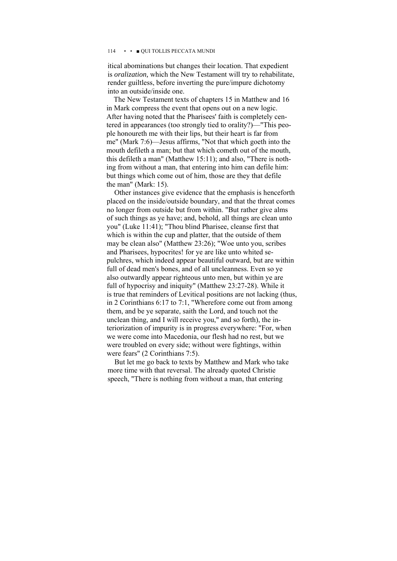#### 114 • • OUI TOLLIS PECCATA MUNDI

itical abominations but changes their location. That expedient is *oralization,* which the New Testament will try to rehabilitate, render guiltless, before inverting the pure/impure dichotomy into an outside/inside one.

The New Testament texts of chapters 15 in Matthew and 16 in Mark compress the event that opens out on a new logic. After having noted that the Pharisees' faith is completely centered in appearances (too strongly tied to orality?)—"This people honoureth me with their lips, but their heart is far from me" (Mark 7:6)—Jesus affirms, "Not that which goeth into the mouth defileth a man; but that which cometh out of the mouth, this defileth a man" (Matthew 15:11); and also, "There is nothing from without a man, that entering into him can defile him: but things which come out of him, those are they that defile the man" (Mark: 15).

Other instances give evidence that the emphasis is henceforth placed on the inside/outside boundary, and that the threat comes no longer from outside but from within. "But rather give alms of such things as ye have; and, behold, all things are clean unto you" (Luke 11:41); "Thou blind Pharisee, cleanse first that which is within the cup and platter, that the outside of them may be clean also" (Matthew 23:26); "Woe unto you, scribes and Pharisees, hypocrites! for ye are like unto whited sepulchres, which indeed appear beautiful outward, but are within full of dead men's bones, and of all uncleanness. Even so ye also outwardly appear righteous unto men, but within ye are full of hypocrisy and iniquity" (Matthew 23:27-28). While it is true that reminders of Levitical positions are not lacking (thus, in 2 Corinthians 6:17 to 7:1, "Wherefore come out from among them, and be ye separate, saith the Lord, and touch not the unclean thing, and I will receive you," and so forth), the interiorization of impurity is in progress everywhere: "For, when we were come into Macedonia, our flesh had no rest, but we were troubled on every side; without were fightings, within were fears" (2 Corinthians 7:5).

But let me go back to texts by Matthew and Mark who take more time with that reversal. The already quoted Christie speech, "There is nothing from without a man, that entering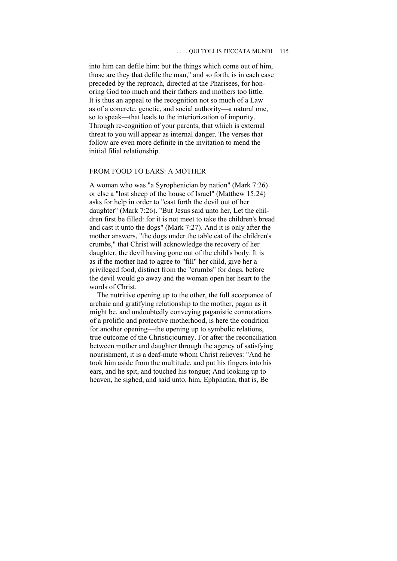into him can defile him: but the things which come out of him, those are they that defile the man," and so forth, is in each case preceded by the reproach, directed at the Pharisees, for honoring God too much and their fathers and mothers too little. It is thus an appeal to the recognition not so much of a Law as of a concrete, genetic, and social authority—a natural one, so to speak—that leads to the interiorization of impurity. Through re-cognition of your parents, that which is external threat to you will appear as internal danger. The verses that follow are even more definite in the invitation to mend the initial filial relationship.

## FROM FOOD TO EARS: A MOTHER

A woman who was "a Syrophenician by nation" (Mark 7:26) or else a "lost sheep of the house of Israel" (Matthew 15:24) asks for help in order to "cast forth the devil out of her daughter" (Mark 7:26). "But Jesus said unto her, Let the children first be filled: for it is not meet to take the children's bread and cast it unto the dogs" (Mark 7:27). And it is only after the mother answers, "the dogs under the table eat of the children's crumbs," that Christ will acknowledge the recovery of her daughter, the devil having gone out of the child's body. It is as if the mother had to agree to "fill" her child, give her a privileged food, distinct from the "crumbs" for dogs, before the devil would go away and the woman open her heart to the words of Christ.

The nutritive opening up to the other, the full acceptance of archaic and gratifying relationship to the mother, pagan as it might be, and undoubtedly conveying paganistic connotations of a prolific and protective motherhood, is here the condition for another opening—the opening up to symbolic relations, true outcome of the Christicjourney. For after the reconciliation between mother and daughter through the agency of satisfying nourishment, it is a deaf-mute whom Christ relieves: "And he took him aside from the multitude, and put his fingers into his ears, and he spit, and touched his tongue; And looking up to heaven, he sighed, and said unto, him, Ephphatha, that is, Be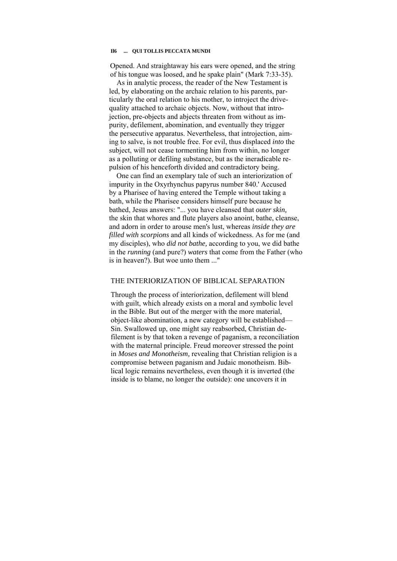#### **Il6 ... QUI TOLLIS PECCATA MUNDI**

Opened. And straightaway his ears were opened, and the string of his tongue was loosed, and he spake plain" (Mark 7:33-35).

As in analytic process, the reader of the New Testament is led, by elaborating on the archaic relation to his parents, particularly the oral relation to his mother, to introject the drivequality attached to archaic objects. Now, without that introjection, pre-objects and abjects threaten from without as impurity, defilement, abomination, and eventually they trigger the persecutive apparatus. Nevertheless, that introjection, aiming to salve, is not trouble free. For evil, thus displaced *into* the subject, will not cease tormenting him from within, no longer as a polluting or defiling substance, but as the ineradicable repulsion of his henceforth divided and contradictory being.

One can find an exemplary tale of such an interiorization of impurity in the Oxyrhynchus papyrus number 840.' Accused by a Pharisee of having entered the Temple without taking a bath, while the Pharisee considers himself pure because he bathed, Jesus answers: "... you have cleansed that *outer skin,*  the skin that whores and flute players also anoint, bathe, cleanse, and adorn in order to arouse men's lust, whereas *inside they are filled with scorpions* and all kinds of wickedness. As for me (and my disciples), who *did not bathe,* according to you, we did bathe in the *running* (and pure?) *waters* that come from the Father (who is in heaven?). But woe unto them ..."

## THE INTERIORIZATION OF BIBLICAL SEPARATION

Through the process of interiorization, defilement will blend with guilt, which already exists on a moral and symbolic level in the Bible. But out of the merger with the more material, object-like abomination, a new category will be established— Sin. Swallowed up, one might say reabsorbed, Christian defilement is by that token a revenge of paganism, a reconciliation with the maternal principle. Freud moreover stressed the point in *Moses and Monotheism,* revealing that Christian religion is a compromise between paganism and Judaic monotheism. Biblical logic remains nevertheless, even though it is inverted (the inside is to blame, no longer the outside): one uncovers it in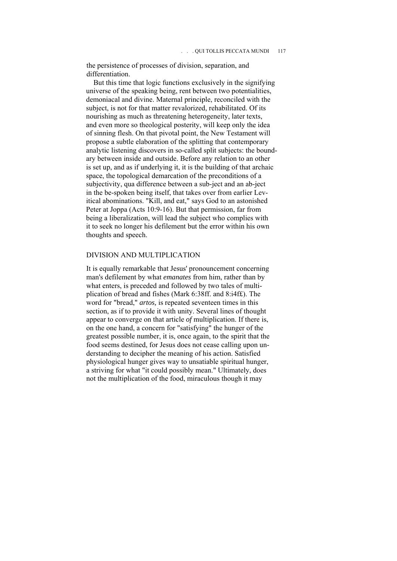the persistence of processes of division, separation, and differentiation.

But this time that logic functions exclusively in the signifying universe of the speaking being, rent between two potentialities, demoniacal and divine. Maternal principle, reconciled with the subject, is not for that matter revalorized, rehabilitated. Of its nourishing as much as threatening heterogeneity, later texts, and even more so theological posterity, will keep only the idea of sinning flesh. On that pivotal point, the New Testament will propose a subtle elaboration of the splitting that contemporary analytic listening discovers in so-called split subjects: the boundary between inside and outside. Before any relation to an other is set up, and as if underlying it, it is the building of that archaic space, the topological demarcation of the preconditions of a subjectivity, qua difference between a sub-ject and an ab-ject in the be-spoken being itself, that takes over from earlier Levitical abominations. "Kill, and eat," says God to an astonished Peter at Joppa (Acts 10:9-16). But that permission, far from being a liberalization, will lead the subject who complies with it to seek no longer his defilement but the error within his own thoughts and speech.

## DIVISION AND MULTIPLICATION

It is equally remarkable that Jesus' pronouncement concerning man's defilement by what *emanates* from him, rather than by what enters, is preceded and followed by two tales of multiplication of bread and fishes (Mark 6:38ff. and 8:i4f£). The word for "bread," *artos,* is repeated seventeen times in this section, as if to provide it with unity. Several lines of thought appear to converge on that article *of* multiplication. If there is, on the one hand, a concern for "satisfying" the hunger of the greatest possible number, it is, once again, to the spirit that the food seems destined, for Jesus does not cease calling upon understanding to decipher the meaning of his action. Satisfied physiological hunger gives way to unsatiable spiritual hunger, a striving for what "it could possibly mean." Ultimately, does not the multiplication of the food, miraculous though it may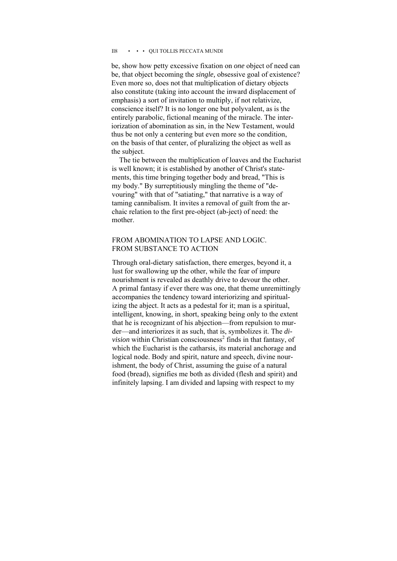#### Il8 • • • QUI TOLLIS PECCATA MUNDI

be, show how petty excessive fixation on *one* object of need can be, that object becoming the *single,* obsessive goal of existence? Even more so, does not that multiplication of dietary objects also constitute (taking into account the inward displacement of emphasis) a sort of invitation to multiply, if not relativize, conscience itself? It is no longer one but polyvalent, as is the entirely parabolic, fictional meaning of the miracle. The interiorization of abomination as sin, in the New Testament, would thus be not only a centering but even more so the condition, on the basis of that center, of pluralizing the object as well as the subject.

The tie between the multiplication of loaves and the Eucharist is well known; it is established by another of Christ's statements, this time bringing together body and bread, "This is my body." By surreptitiously mingling the theme of "devouring" with that of "satiating," that narrative is a way of taming cannibalism. It invites a removal of guilt from the archaic relation to the first pre-object (ab-ject) of need: the mother.

## FROM ABOMINATION TO LAPSE AND LOGIC. FROM SUBSTANCE TO ACTION

Through oral-dietary satisfaction, there emerges, beyond it, a lust for swallowing up the other, while the fear of impure nourishment is revealed as deathly drive to devour the other. A primal fantasy if ever there was one, that theme unremittingly accompanies the tendency toward interiorizing and spiritualizing the abject. It acts as a pedestal for it; man is a spiritual, intelligent, knowing, in short, speaking being only to the extent that he is recognizant of his abjection—from repulsion to murder—and interiorizes it as such, that is, symbolizes it. The *di*vision within Christian consciousness<sup>2</sup> finds in that fantasy, of which the Eucharist is the catharsis, its material anchorage and logical node. Body and spirit, nature and speech, divine nourishment, the body of Christ, assuming the guise of a natural food (bread), signifies me both as divided (flesh and spirit) and infinitely lapsing. I am divided and lapsing with respect to my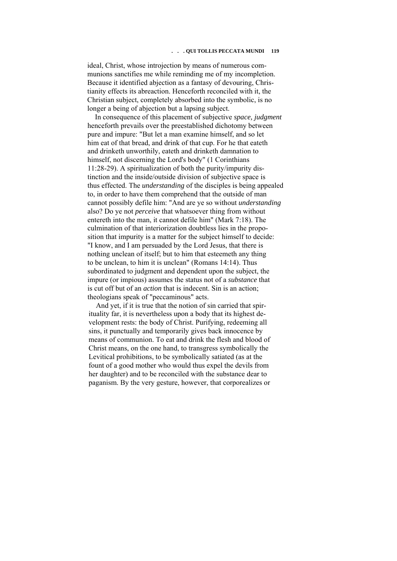ideal, Christ, whose introjection by means of numerous communions sanctifies me while reminding me of my incompletion. Because it identified abjection as a fantasy of devouring, Christianity effects its abreaction. Henceforth reconciled with it, the Christian subject, completely absorbed into the symbolic, is no longer a being of abjection but a lapsing subject.

In consequence of this placement of subjective *space, judgment*  henceforth prevails over the preestablished dichotomy between pure and impure: "But let a man examine himself, and so let him eat of that bread, and drink of that cup. For he that eateth and drinketh unworthily, eateth and drinketh damnation to himself, not discerning the Lord's body" (1 Corinthians 11:28-29). A spiritualization of both the purity/impurity distinction and the inside/outside division of subjective space is thus effected. The *understanding* of the disciples is being appealed to, in order to have them comprehend that the outside of man cannot possibly defile him: "And are ye so without *understanding*  also? Do ye not *perceive* that whatsoever thing from without entereth into the man, it cannot defile him" (Mark 7:18). The culmination of that interiorization doubtless lies in the proposition that impurity is a matter for the subject himself to decide: "I know, and I am persuaded by the Lord Jesus, that there is nothing unclean of itself; but to him that esteemeth any thing to be unclean, to him it is unclean" (Romans 14:14). Thus subordinated to judgment and dependent upon the subject, the impure (or impious) assumes the status not of a *substance* that is cut off but of an *action* that is indecent. Sin is an action; theologians speak of "peccaminous" acts.

And yet, if it is true that the notion of sin carried that spirituality far, it is nevertheless upon a body that its highest development rests: the body of Christ. Purifying, redeeming all sins, it punctually and temporarily gives back innocence by means of communion. To eat and drink the flesh and blood of Christ means, on the one hand, to transgress symbolically the Levitical prohibitions, to be symbolically satiated (as at the fount of a good mother who would thus expel the devils from her daughter) and to be reconciled with the substance dear to paganism. By the very gesture, however, that corporealizes or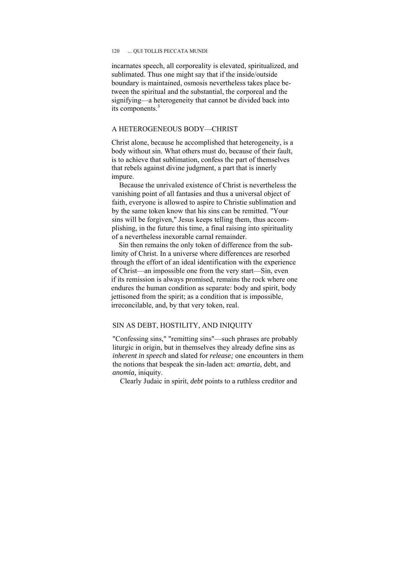#### 120 ... QUI TOLLIS PECCATA MUNDI

incarnates speech, all corporeality is elevated, spiritualized, and sublimated. Thus one might say that if the inside/outside boundary is maintained, osmosis nevertheless takes place between the spiritual and the substantial, the corporeal and the signifying—a heterogeneity that cannot be divided back into its components  $3$ 

## A HETEROGENEOUS BODY—CHRIST

Christ alone, because he accomplished that heterogeneity, is a body without sin. What others must do, because of their fault, is to achieve that sublimation, confess the part of themselves that rebels against divine judgment, a part that is innerly impure.

Because the unrivaled existence of Christ is nevertheless the vanishing point of all fantasies and thus a universal object of faith, everyone is allowed to aspire to Christie sublimation and by the same token know that his sins can be remitted. "Your sins will be forgiven," Jesus keeps telling them, thus accomplishing, in the future this time, a final raising into spirituality of a nevertheless inexorable carnal remainder.

Sin then remains the only token of difference from the sublimity of Christ. In a universe where differences are resorbed through the effort of an ideal identification with the experience of Christ—an impossible one from the very start—Sin, even if its remission is always promised, remains the rock where one endures the human condition as separate: body and spirit, body jettisoned from the spirit; as a condition that is impossible, irreconcilable, and, by that very token, real.

## SIN AS DEBT, HOSTILITY, AND INIQUITY

"Confessing sins," "remitting sins"—such phrases are probably liturgic in origin, but in themselves they already define sins as *inherent in speech* and slated for *release;* one encounters in them the notions that bespeak the sin-laden act: *amartia,* debt, and *anomia,* iniquity.

Clearly Judaic in spirit, *debt* points to a ruthless creditor and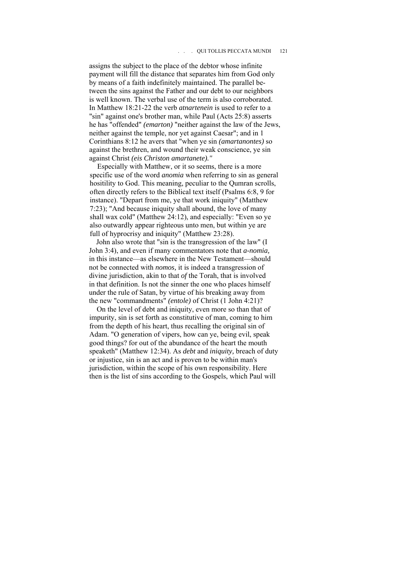assigns the subject to the place of the debtor whose infinite payment will fill the distance that separates him from God only by means of a faith indefinitely maintained. The parallel between the sins against the Father and our debt to our neighbors is well known. The verbal use of the term is also corroborated. In Matthew 18:21-22 the verb *atnartenein* is used to refer to a "sin" against one's brother man, while Paul (Acts 25:8) asserts he has "offended" *(emarton)* "neither against the law of the Jews, neither against the temple, nor yet against Caesar"; and in 1 Corinthians 8:12 he avers that "when ye sin *(amartanontes)* so against the brethren, and wound their weak conscience, ye sin against Christ *(eis Christon amartanete)."*

Especially with Matthew, or it so seems, there is a more specific use of the word *anomia* when referring to sin as general hositility to God. This meaning, peculiar to the Qumran scrolls, often directly refers to the Biblical text itself (Psalms 6:8, 9 for instance). "Depart from me, ye that work iniquity" (Matthew 7:23); "And because iniquity shall abound, the love of many shall wax cold" (Matthew 24:12), and especially: "Even so ye also outwardly appear righteous unto men, but within ye are full of hyprocrisy and iniquity" (Matthew 23:28).

John also wrote that "sin is the transgression of the law" (I John 3:4), and even if many commentators note that *a-nomia,*  in this instance—as elsewhere in the New Testament—should not be connected with *nomos,* it is indeed a transgression of divine jurisdiction, akin to that *of* the Torah, that is involved in that definition. Is not the sinner the one who places himself under the rule of Satan, by virtue of his breaking away from the new "commandments" *(entole)* of Christ (1 John 4:21)?

On the level of debt and iniquity, even more so than that of impurity, sin is set forth as constitutive of man, coming to him from the depth of his heart, thus recalling the original sin of Adam. "O generation of vipers, how can ye, being evil, speak good things? for out of the abundance of the heart the mouth speaketh" (Matthew 12:34). As *debt* and *iniquity,* breach of duty or injustice, sin is an act and is proven to be within man's jurisdiction, within the scope of his own responsibility. Here then is the list of sins according to the Gospels, which Paul will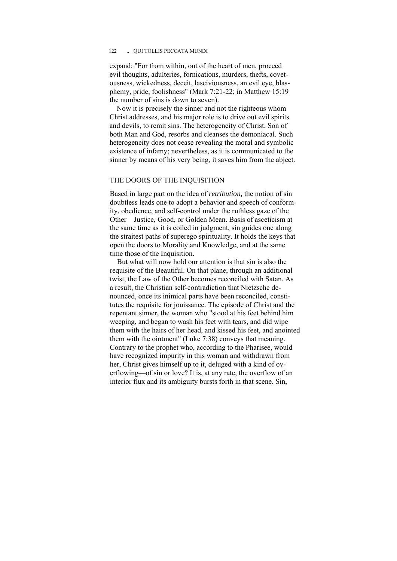#### 122 ... QUI TOLLIS PECCATA MUNDI

expand: "For from within, out of the heart of men, proceed evil thoughts, adulteries, fornications, murders, thefts, covetousness, wickedness, deceit, lasciviousness, an evil eye, blasphemy, pride, foolishness" (Mark 7:21-22; in Matthew 15:19 the number of sins is down to seven).

Now it is precisely the sinner and not the righteous whom Christ addresses, and his major role is to drive out evil spirits and devils, to remit sins. The heterogeneity of Christ, Son of both Man and God, resorbs and cleanses the demoniacal. Such heterogeneity does not cease revealing the moral and symbolic existence of infamy; nevertheless, as it is communicated to the sinner by means of his very being, it saves him from the abject.

## THE DOORS OF THE INQUISITION

Based in large part on the idea of *retribution,* the notion of sin doubtless leads one to adopt a behavior and speech of conformity, obedience, and self-control under the ruthless gaze of the Other—Justice, Good, or Golden Mean. Basis of asceticism at the same time as it is coiled in judgment, sin guides one along the straitest paths of superego spirituality. It holds the keys that open the doors to Morality and Knowledge, and at the same time those of the Inquisition.

But what will now hold our attention is that sin is also the requisite of the Beautiful. On that plane, through an additional twist, the Law of the Other becomes reconciled with Satan. As a result, the Christian self-contradiction that Nietzsche denounced, once its inimical parts have been reconciled, constitutes the requisite for jouissance. The episode of Christ and the repentant sinner, the woman who "stood at his feet behind him weeping, and began to wash his feet with tears, and did wipe them with the hairs of her head, and kissed his feet, and anointed them with the ointment" (Luke 7:38) conveys that meaning. Contrary to the prophet who, according to the Pharisee, would have recognized impurity in this woman and withdrawn from her, Christ gives himself up to it, deluged with a kind of overflowing—of sin or love? It is, at any rate, the overflow of an interior flux and its ambiguity bursts forth in that scene. Sin,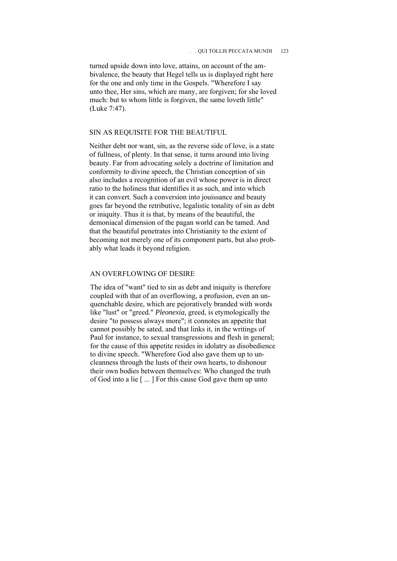turned upside down into love, attains, on account of the ambivalence, the beauty that Hegel tells us is displayed right here for the one and only time in the Gospels. "Wherefore I say unto thee, Her sins, which are many, are forgiven; for she loved much: but to whom little is forgiven, the same loveth little" (Luke 7:47).

## SIN AS REQUISITE FOR THE BEAUTIFUL

Neither debt nor want, sin, as the reverse side of love, is a state of fullness, of plenty. In that sense, it turns around into living beauty. Far from advocating solely a doctrine of limitation and conformity to divine speech, the Christian conception of sin also includes a recognition of an evil whose power is in direct ratio to the holiness that identifies it as such, and into which it can convert. Such a conversion into jouissance and beauty goes far beyond the retributive, legalistic tonality of sin as debt or iniquity. Thus it is that, by means of the beautiful, the demoniacal dimension of the pagan world can be tamed. And that the beautiful penetrates into Christianity to the extent of becoming not merely one of its component parts, but also probably what leads it beyond religion.

## AN OVERFLOWING OF DESIRE

The idea of "want" tied to sin as debt and iniquity is therefore coupled with that of an overflowing, a profusion, even an unquenchable desire, which are pejoratively branded with words like "lust" or "greed." *Pleonexia,* greed, is etymologically the desire "to possess always more"; it connotes an appetite that cannot possibly be sated, and that links it, in the writings of Paul for instance, to sexual transgressions and flesh in general; for the cause of this appetite resides in idolatry as disobedience to divine speech. "Wherefore God also gave them up to uncleanness through the lusts of their own hearts, to dishonour their own bodies between themselves: Who changed the truth of God into a lie [ ... ] For this cause God gave them up unto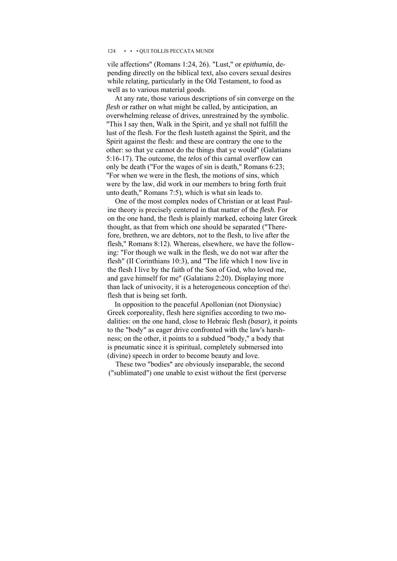#### 124 •• • QUI TOLLIS PECCATA MUNDI

vile affections" (Romans 1:24, 26). "Lust," or *epithumia,* depending directly on the biblical text, also covers sexual desires while relating, particularly in the Old Testament, to food as well as to various material goods.

At any rate, those various descriptions of sin converge on the *flesh* or rather on what might be called, by anticipation, an overwhelming release of drives, unrestrained by the symbolic. "This I say then, Walk in the Spirit, and ye shall not fulfill the lust of the flesh. For the flesh lusteth against the Spirit, and the Spirit against the flesh: and these are contrary the one to the other: so that ye cannot do the things that ye would" (Galatians 5:16-17). The outcome, the *telos* of this carnal overflow can only be death ("For the wages of sin is death," Romans 6:23; "For when we were in the flesh, the motions of sins, which were by the law, did work in our members to bring forth fruit unto death," Romans 7:5), which is what sin leads to.

One of the most complex nodes of Christian or at least Pauline theory is precisely centered in that matter of the *flesh.* For on the one hand, the flesh is plainly marked, echoing later Greek thought, as that from which one should be separated ("Therefore, brethren, we are debtors, not to the flesh, to live after the flesh," Romans 8:12). Whereas, elsewhere, we have the following: "For though we walk in the flesh, we do not war after the flesh" (II Corinthians 10:3), and "The life which I now live in the flesh I live by the faith of the Son of God, who loved me, and gave himself for me" (Galatians 2:20). Displaying more than lack of univocity, it is a heterogeneous conception of the\ flesh that is being set forth.

In opposition to the peaceful Apollonian (not Dionysiac) Greek corporeality, flesh here signifies according to two modalities: on the one hand, close to Hebraic flesh *(basar),* it points to the "body" as eager drive confronted with the law's harshness; on the other, it points to a subdued "body," a body that is pneumatic since it is spiritual, completely submersed into (divine) speech in order to become beauty and love.

These two "bodies" are obviously inseparable, the second ("sublimated") one unable to exist without the first (perverse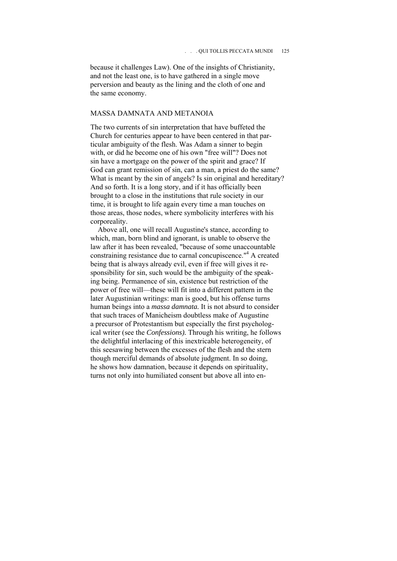because it challenges Law). One of the insights of Christianity, and not the least one, is to have gathered in a single move perversion and beauty as the lining and the cloth of one and the same economy.

## MASSA DAMNATA AND METANOIA

The two currents of sin interpretation that have buffeted the Church for centuries appear to have been centered in that particular ambiguity of the flesh. Was Adam a sinner to begin with, or did he become one of his own "free will"? Does not sin have a mortgage on the power of the spirit and grace? If God can grant remission of sin, can a man, a priest do the same? What is meant by the sin of angels? Is sin original and hereditary? And so forth. It is a long story, and if it has officially been brought to a close in the institutions that rule society in our time, it is brought to life again every time a man touches on those areas, those nodes, where symbolicity interferes with his corporeality.

Above all, one will recall Augustine's stance, according to which, man, born blind and ignorant, is unable to observe the law after it has been revealed, "because of some unaccountable constraining resistance due to carnal concupiscence."<sup>4</sup> A created being that is always already evil, even if free will gives it responsibility for sin, such would be the ambiguity of the speaking being. Permanence of sin, existence but restriction of the power of free will—these will fit into a different pattern in the later Augustinian writings: man is good, but his offense turns human beings into a *massa damnata.* It is not absurd to consider that such traces of Manicheism doubtless make of Augustine a precursor of Protestantism but especially the first psychological writer (see the *Confessions).* Through his writing, he follows the delightful interlacing of this inextricable heterogeneity, of this seesawing between the excesses of the flesh and the stern though merciful demands of absolute judgment. In so doing, he shows how damnation, because it depends on spirituality, turns not only into humiliated consent but above all into en-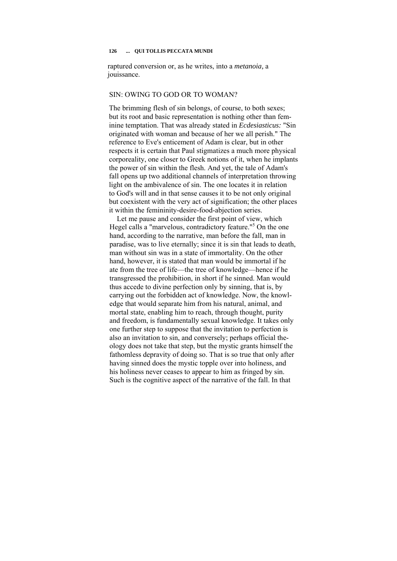#### **126 ... QUI TOLLIS PECCATA MUNDI**

raptured conversion or, as he writes, into a *metanoia,* a jouissance.

## SIN: OWING TO GOD OR TO WOMAN?

The brimming flesh of sin belongs, of course, to both sexes; but its root and basic representation is nothing other than feminine temptation. That was already stated in *Ecdesiasticus:* "Sin originated with woman and because of her we all perish." The reference to Eve's enticement of Adam is clear, but in other respects it is certain that Paul stigmatizes a much more physical corporeality, one closer to Greek notions of it, when he implants the power of sin within the flesh. And yet, the tale of Adam's fall opens up two additional channels of interpretation throwing light on the ambivalence of sin. The one locates it in relation to God's will and in that sense causes it to be not only original but coexistent with the very act of signification; the other places it within the femininity-desire-food-abjection series.

Let me pause and consider the first point of view, which Hegel calls a "marvelous, contradictory feature."<sup>5</sup> On the one hand, according to the narrative, man before the fall, man in paradise, was to live eternally; since it is sin that leads to death, man without sin was in a state of immortality. On the other hand, however, it is stated that man would be immortal if he ate from the tree of life—the tree of knowledge—hence if he transgressed the prohibition, in short if he sinned. Man would thus accede to divine perfection only by sinning, that is, by carrying out the forbidden act of knowledge. Now, the knowledge that would separate him from his natural, animal, and mortal state, enabling him to reach, through thought, purity and freedom, is fundamentally sexual knowledge. It takes only one further step to suppose that the invitation to perfection is also an invitation to sin, and conversely; perhaps official theology does not take that step, but the mystic grants himself the fathomless depravity of doing so. That is so true that only after having sinned does the mystic topple over into holiness, and his holiness never ceases to appear to him as fringed by sin. Such is the cognitive aspect of the narrative of the fall. In that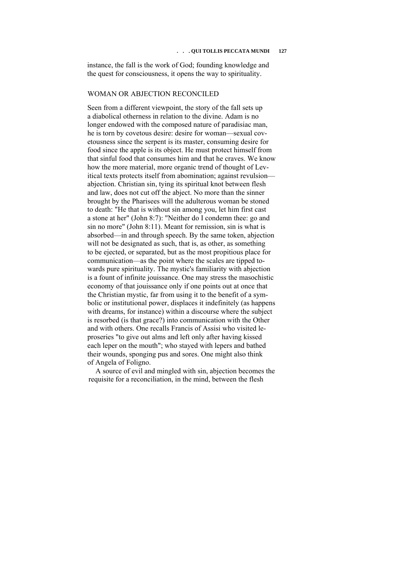instance, the fall is the work of God; founding knowledge and the quest for consciousness, it opens the way to spirituality.

## WOMAN OR ABJECTION RECONCILED

Seen from a different viewpoint, the story of the fall sets up a diabolical otherness in relation to the divine. Adam is no longer endowed with the composed nature of paradisiac man, he is torn by covetous desire: desire for woman—sexual covetousness since the serpent is its master, consuming desire for food since the apple is its object. He must protect himself from that sinful food that consumes him and that he craves. We know how the more material, more organic trend of thought of Levitical texts protects itself from abomination; against revulsion abjection. Christian sin, tying its spiritual knot between flesh and law, does not cut off the abject. No more than the sinner brought by the Pharisees will the adulterous woman be stoned to death: "He that is without sin among you, let him first cast a stone at her" (John 8:7): "Neither do I condemn thee: go and sin no more" (John 8:11). Meant for remission, sin is what is absorbed—in and through speech. By the same token, abjection will not be designated as such, that is, as other, as something to be ejected, or separated, but as the most propitious place for communication—as the point where the scales are tipped towards pure spirituality. The mystic's familiarity with abjection is a fount of infinite jouissance. One may stress the masochistic economy of that jouissance only if one points out at once that the Christian mystic, far from using it to the benefit of a symbolic or institutional power, displaces it indefinitely (as happens with dreams, for instance) within a discourse where the subject is resorbed (is that grace?) into communication with the Other and with others. One recalls Francis of Assisi who visited leproseries "to give out alms and left only after having kissed each leper on the mouth"; who stayed with lepers and bathed their wounds, sponging pus and sores. One might also think of Angela of Foligno.

A source of evil and mingled with sin, abjection becomes the requisite for a reconciliation, in the mind, between the flesh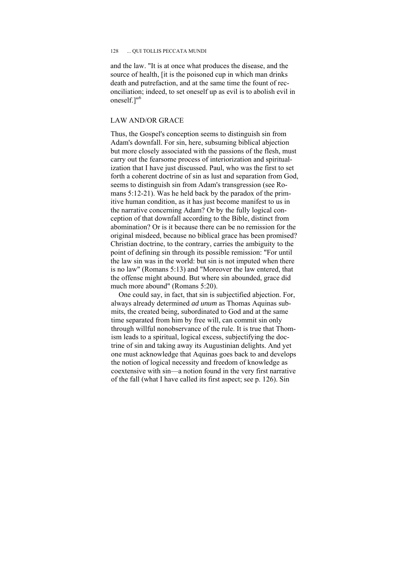#### 128 ... QUI TOLLIS PECCATA MUNDI

and the law. "It is at once what produces the disease, and the source of health, [it is the poisoned cup in which man drinks death and putrefaction, and at the same time the fount of reconciliation; indeed, to set oneself up as evil is to abolish evil in oneself.]"<sup>6</sup>

## LAW AND/OR GRACE

Thus, the Gospel's conception seems to distinguish sin from Adam's downfall. For sin, here, subsuming biblical abjection but more closely associated with the passions of the flesh, must carry out the fearsome process of interiorization and spiritualization that I have just discussed. Paul, who was the first to set forth a coherent doctrine of sin as lust and separation from God, seems to distinguish sin from Adam's transgression (see Romans 5:12-21). Was he held back by the paradox of the primitive human condition, as it has just become manifest to us in the narrative concerning Adam? Or by the fully logical conception of that downfall according to the Bible, distinct from abomination? Or is it because there can be no remission for the original misdeed, because no biblical grace has been promised? Christian doctrine, to the contrary, carries the ambiguity to the point of defining sin through its possible remission: "For until the law sin was in the world: but sin is not imputed when there is no law" (Romans 5:13) and "Moreover the law entered, that the offense might abound. But where sin abounded, grace did much more abound" (Romans 5:20).

One could say, in fact, that sin is subjectified abjection. For, always already determined *ad unum* as Thomas Aquinas submits, the created being, subordinated to God and at the same time separated from him by free will, can commit sin only through willful nonobservance of the rule. It is true that Thomism leads to a spiritual, logical excess, subjectifying the doctrine of sin and taking away its Augustinian delights. And yet one must acknowledge that Aquinas goes back to and develops the notion of logical necessity and freedom of knowledge as coextensive with sin—a notion found in the very first narrative of the fall (what I have called its first aspect; see p. 126). Sin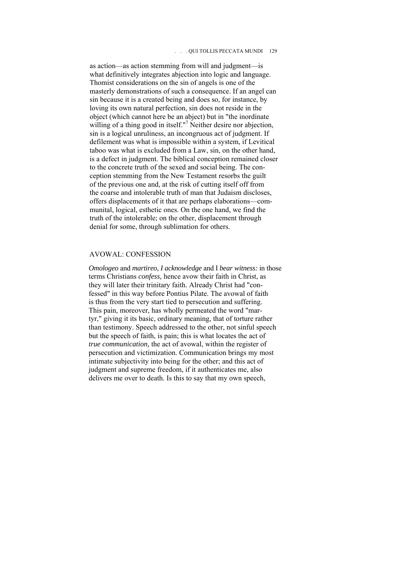as action—as action stemming from will and judgment—is what definitively integrates abjection into logic and language. Thomist considerations on the sin of angels is one of the masterly demonstrations of such a consequence. If an angel can sin because it is a created being and does so, for instance, by loving its own natural perfection, sin does not reside in the object (which cannot here be an abject) but in "the inordinate willing of a thing good in itself."<sup>7</sup> Neither desire nor abjection, sin is a logical unruliness, an incongruous act of judgment. If defilement was what is impossible within a system, if Levitical taboo was what is excluded from a Law, sin, on the other hand, is a defect in judgment. The biblical conception remained closer to the concrete truth of the sexed and social being. The conception stemming from the New Testament resorbs the guilt of the previous one and, at the risk of cutting itself off from the coarse and intolerable truth of man that Judaism discloses, offers displacements of it that are perhaps elaborations—communital, logical, esthetic ones. On the one hand, we find the truth of the intolerable; on the other, displacement through denial for some, through sublimation for others.

### AVOWAL: CONFESSION

*Omologeo* and *martireo, I acknowledge* and I *bear witness:* in those terms Christians *confess,* hence avow their faith in Christ, as they will later their trinitary faith. Already Christ had "confessed" in this way before Pontius Pilate. The avowal of faith is thus from the very start tied to persecution and suffering. This pain, moreover, has wholly permeated the word "martyr," giving it its basic, ordinary meaning, that of torture rather than testimony. Speech addressed to the other, not sinful speech but the speech of faith, is pain; this is what locates the act of *true communication,* the act of avowal, within the register of persecution and victimization. Communication brings my most intimate subjectivity into being for the other; and this act of judgment and supreme freedom, if it authenticates me, also delivers me over to death. Is this t*o* say that my own speech,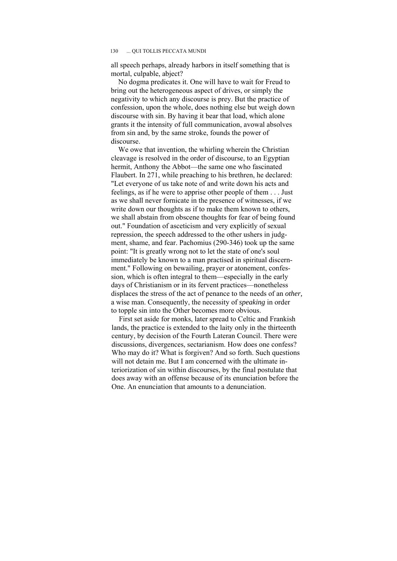all speech perhaps, already harbors in itself something that is mortal, culpable, abject?

No dogma predicates it. One will have to wait for Freud to bring out the heterogeneous aspect of drives, or simply the negativity to which any discourse is prey. But the practice of confession, upon the whole, does nothing else but weigh down discourse with sin. By having it bear that load, which alone grants it the intensity of full communication, avowal absolves from sin and, by the same stroke, founds the power of discourse.

We owe that invention, the whirling wherein the Christian cleavage is resolved in the order of discourse, to an Egyptian hermit, Anthony the Abbot—the same one who fascinated Flaubert. In 271, while preaching to his brethren, he declared: "Let everyone of us take note of and write down his acts and feelings, as if he were to apprise other people of them . . . Just as we shall never fornicate in the presence of witnesses, if we write down our thoughts as if to make them known to others, we shall abstain from obscene thoughts for fear of being found out." Foundation of asceticism and very explicitly of sexual repression, the speech addressed to the other ushers in judgment, shame, and fear. Pachomius (290-346) took up the same point: "It is greatly wrong not to let the state of one's soul immediately be known to a man practised in spiritual discernment." Following on bewailing, prayer or atonement, confession, which is often integral to them—especially in the early days of Christianism or in its fervent practices—nonetheless displaces the stress of the act of penance to the needs of an *other,*  a wise man. Consequently, the necessity of *speaking* in order to topple sin into the Other becomes more obvious.

First set aside for monks, later spread to Celtic and Frankish lands, the practice is extended to the laity only in the thirteenth century, by decision of the Fourth Lateran Council. There were discussions, divergences, sectarianism. How does one confess? Who may do it? What is forgiven? And so forth. Such questions will not detain me. But I am concerned with the ultimate interiorization of sin within discourses, by the final postulate that does away with an offense because of its enunciation before the One. An enunciation that amounts to a denunciation.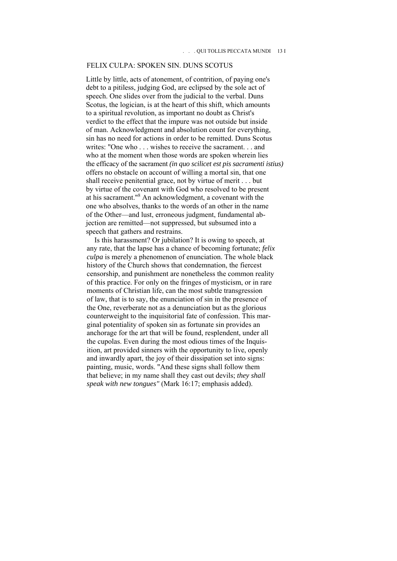## FELIX CULPA: SPOKEN SIN. DUNS SCOTUS

Little by little, acts of atonement, of contrition, of paying one's debt to a pitiless, judging God, are eclipsed by the sole act of speech. One slides over from the judicial to the verbal. Duns Scotus, the logician, is at the heart of this shift, which amounts to a spiritual revolution, as important no doubt as Christ's verdict to the effect that the impure was not outside but inside of man. Acknowledgment and absolution count for everything, sin has no need for actions in order to be remitted. Duns Scotus writes: "One who . . . wishes to receive the sacrament. . . and who at the moment when those words are spoken wherein lies the efficacy of the sacrament *(in quo scilicet est pis sacramenti istius)*  offers no obstacle on account of willing a mortal sin, that one shall receive penitential grace, not by virtue of merit . . . but by virtue of the covenant with God who resolved to be present at his sacrament."<sup>8</sup> An acknowledgment, a covenant with the one who absolves, thanks to the words of an other in the name of the Other—and lust, erroneous judgment, fundamental abjection are remitted—not suppressed, but subsumed into a speech that gathers and restrains.

Is this harassment? Or jubilation? It is owing to speech, at any rate, that the lapse has a chance of becoming fortunate; *felix culpa* is merely a phenomenon of enunciation. The whole black history of the Church shows that condemnation, the fiercest censorship, and punishment are nonetheless the common reality of this practice. For only on the fringes of mysticism, or in rare moments of Christian life, can the most subtle transgression of law, that is to say, the enunciation of sin in the presence of the One, reverberate not as a denunciation but as the glorious counterweight to the inquisitorial fate of confession. This marginal potentiality of spoken sin as fortunate sin provides an anchorage for the art that will be found, resplendent, under all the cupolas. Even during the most odious times of the Inquisition, art provided sinners with the opportunity to live, openly and inwardly apart, the joy of their dissipation set into signs: painting, music, words. "And these signs shall follow them that believe; in my name shall they cast out devils; *they shall speak with new tongues"* (Mark 16:17; emphasis added).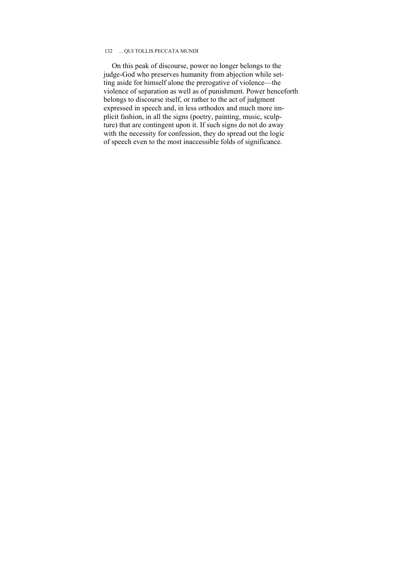## 132 ... QUI TOLLIS PECCATA MUNDI

On this peak of discourse, power no longer belongs to the judge-God who preserves humanity from abjection while setting aside for himself alone the prerogative of violence—the violence of separation as well as of punishment. Power henceforth belongs to discourse itself, or rather to the act of judgment expressed in speech and, in less orthodox and much more implicit fashion, in all the signs (poetry, painting, music, sculpture) that are contingent upon it. If such signs do not do away with the necessity for confession, they do spread out the logic of speech even to the most inaccessible folds of significance.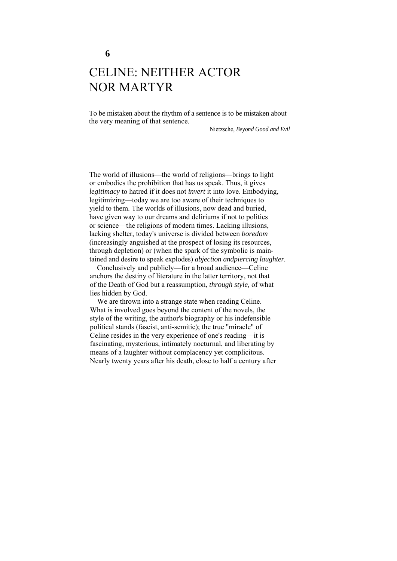## CELINE: NEITHER ACTOR NOR MARTYR

To be mistaken about the rhythm of a sentence is to be mistaken about the very meaning of that sentence.

Nietzsche, *Beyond Good and Evil*

The world of illusions—the world of religions—brings to light or embodies the prohibition that has us speak. Thus, it gives *legitimacy* to hatred if it does not *invert* it into love. Embodying, legitimizing—today we are too aware of their techniques to yield to them. The worlds of illusions, now dead and buried, have given way to our dreams and deliriums if not to politics or science—the religions of modern times. Lacking illusions, lacking shelter, today's universe is divided between *boredom*  (increasingly anguished at the prospect of losing its resources, through depletion) or (when the spark of the symbolic is maintained and desire to speak explodes) *abjection andpiercing laughter.*

Conclusively and publicly—for a broad audience—Celine anchors the destiny of literature in the latter territory, not that of the Death of God but a reassumption, *through style,* of what lies hidden by God.

We are thrown into a strange state when reading Celine. What is involved goes beyond the content of the novels, the style of the writing, the author's biography or his indefensible political stands (fascist, anti-semitic); the true "miracle" of Celine resides in the very experience of one's reading—it is fascinating, mysterious, intimately nocturnal, and liberating by means of a laughter without complacency yet complicitous. Nearly twenty years after his death, close to half a century after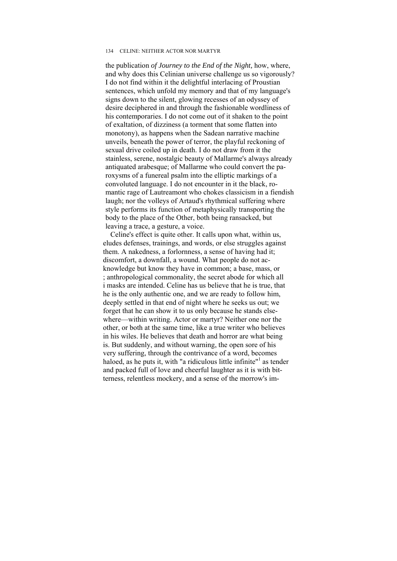#### 134 CELINE: NEITHER ACTOR NOR MARTYR

the publication *of Journey to the End of the Night,* how, where, and why does this Celinian universe challenge us so vigorously? I do not find within it the delightful interlacing of Proustian sentences, which unfold my memory and that of my language's signs down to the silent, glowing recesses of an odyssey of desire deciphered in and through the fashionable wordliness of his contemporaries. I do not come out of it shaken to the point of exaltation, of dizziness (a torment that some flatten into monotony), as happens when the Sadean narrative machine unveils, beneath the power of terror, the playful reckoning of sexual drive coiled up in death. I do not draw from it the stainless, serene, nostalgic beauty of Mallarme's always already antiquated arabesque; of Mallarme who could convert the paroxysms of a funereal psalm into the elliptic markings of a convoluted language. I do not encounter in it the black, romantic rage of Lautreamont who chokes classicism in a fiendish laugh; nor the volleys of Artaud's rhythmical suffering where style performs its function of metaphysically transporting the body to the place of the Other, both being ransacked, but leaving a trace, a gesture, a voice.

Celine's effect is quite other. It calls upon what, within us, eludes defenses, trainings, and words, or else struggles against them. A nakedness, a forlornness, a sense of having had it; discomfort, a downfall, a wound. What people do not acknowledge but know they have in common; a base, mass, or ; anthropological commonality, the secret abode for which all i masks are intended. Celine has us believe that he is true, that he is the only authentic one, and we are ready to follow him, deeply settled in that end of night where he seeks us out; we forget that he can show it to us only because he stands elsewhere—within writing. Actor or martyr? Neither one nor the other, or both at the same time, like a true writer who believes in his wiles. He believes that death and horror are what being is. But suddenly, and without warning, the open sore of his very suffering, through the contrivance of a word, becomes haloed, as he puts it, with "a ridiculous little infinite"<sup>1</sup> as tender and packed full of love and cheerful laughter as it is with bitterness, relentless mockery, and a sense of the morrow's im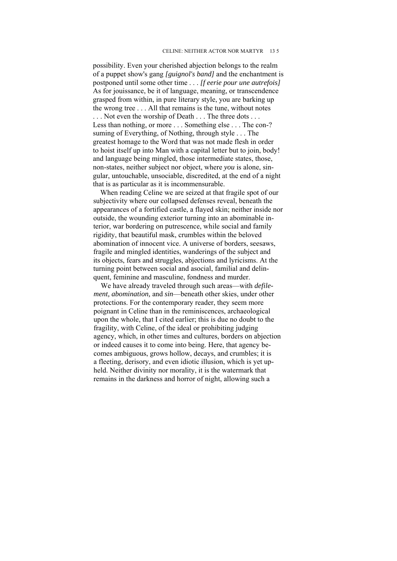possibility. Even your cherished abjection belongs to the realm of a puppet show's gang *[guignol's band]* and the enchantment is postponed until some other time . . . *[f eerie pour une autrefois]*  As for jouissance, be it of language, meaning, or transcendence grasped from within, in pure literary style, you are barking up the wrong tree . . . All that remains is the tune, without notes . . . Not even the worship of Death . . . The three dots . . . Less than nothing, or more . . . Something else . . . The con-? suming of Everything, of Nothing, through style . . . The greatest homage to the Word that was not made flesh in order to hoist itself up into Man with a capital letter but to join, body! and language being mingled, those intermediate states, those, non-states, neither subject nor object, where *you* is alone, singular, untouchable, unsociable, discredited, at the end of a night that is as particular as it is incommensurable.

When reading Celine we are seized at that fragile spot of our subjectivity where our collapsed defenses reveal, beneath the appearances of a fortified castle, a flayed skin; neither inside nor outside, the wounding exterior turning into an abominable interior, war bordering on putrescence, while social and family rigidity, that beautiful mask, crumbles within the beloved abomination of innocent vice. A universe of borders, seesaws, fragile and mingled identities, wanderings of the subject and its objects, fears and struggles, abjections and lyricisms. At the turning point between social and asocial, familial and delinquent, feminine and masculine, fondness and murder.

We have already traveled through such areas—with *defilement, abomination,* and *sin*—beneath other skies, under other protections. For the contemporary reader, they seem more poignant in Celine than in the reminiscences, archaeological upon the whole, that I cited earlier; this is due no doubt to the fragility, with Celine, of the ideal or prohibiting judging agency, which, in other times and cultures, borders on abjection or indeed causes it to come into being. Here, that agency becomes ambiguous, grows hollow, decays, and crumbles; it is a fleeting, derisory, and even idiotic illusion, which is yet upheld. Neither divinity nor morality, it is the watermark that remains in the darkness and horror of night, allowing such a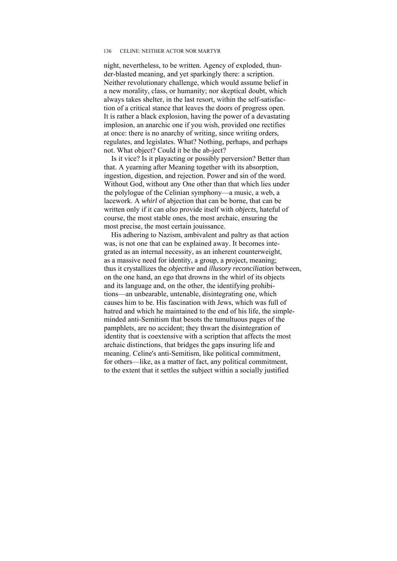## 136 CELINE: NEITHER ACTOR NOR MARTYR

night, nevertheless, to be written. Agency of exploded, thunder-blasted meaning, and yet sparkingly there: a scription. Neither revolutionary challenge, which would assume belief in a new morality, class, or humanity; nor skeptical doubt, which always takes shelter, in the last resort, within the self-satisfaction of a critical stance that leaves the doors of progress open. It is rather a black explosion, having the power of a devastating implosion, an anarchic one if you wish, provided one rectifies at once: there is no anarchy of writing, since writing orders, regulates, and legislates. What? Nothing, perhaps, and perhaps not. What object? Could it be the ab-ject?

Is it vice? Is it playacting or possibly perversion? Better than that. A yearning after Meaning together with its absorption, ingestion, digestion, and rejection. Power and sin of the word. Without God, without any One other than that which lies under the polylogue of the Celinian symphony—a music, a web, a lacework. A *whirl* of abjection that can be borne, that can be written only if it can *also* provide itself with *objects,* hateful of course, the most stable ones, the most archaic, ensuring the most precise, the most certain jouissance.

His adhering to Nazism, ambivalent and paltry as that action was, is not one that can be explained away. It becomes integrated as an internal necessity, as an inherent counterweight, as a massive need for identity, a group, a project, meaning; thus it crystallizes the *objective* and *illusory reconciliation* between, on the one hand, an ego that drowns in the whirl of its objects and its language and, on the other, the identifying prohibitions—an unbearable, untenable, disintegrating one, which causes him to be. His fascination with Jews, which was full of hatred and which he maintained to the end of his life, the simpleminded anti-Semitism that besots the tumultuous pages of the pamphlets, are no accident; they thwart the disintegration of identity that is coextensive with a scription that affects the most archaic distinctions, that bridges the gaps insuring life and meaning. Celine's anti-Semitism, like political commitment, for others—like, as a matter of fact, any political commitment, to the extent that it settles the subject within a socially justified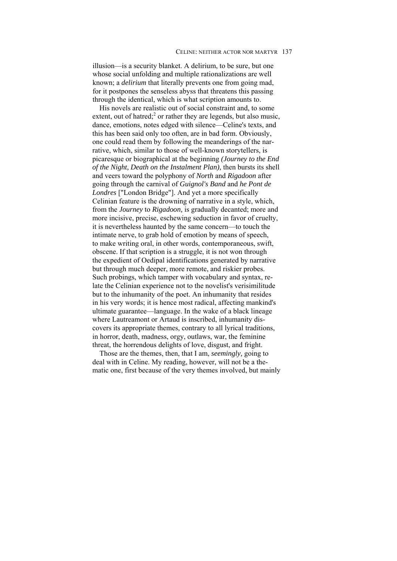illusion—is a security blanket. A delirium, to be sure, but one whose social unfolding and multiple rationalizations are well known; a *delirium* that literally prevents one from going mad, for it postpones the senseless abyss that threatens this passing through the identical, which is what scription amounts to.

His novels are realistic out of social constraint and, to some extent, out of hatred;<sup>2</sup> or rather they are legends, but also music, dance, emotions, notes edged with silence—Celine's texts, and this has been said only too often, are in bad form. Obviously, one could read them by following the meanderings of the narrative, which, similar to those of well-known storytellers, is picaresque or biographical at the beginning *(Journey to the End of the Night, Death on the Instalment Plan),* then bursts its shell and veers toward the polyphony of *North* and *Rigadoon* after going through the carnival of *Guignol's Band* and *he Pont de Londres* ["London Bridge"]. And yet a more specifically Celinian feature is the drowning of narrative in a style, which, from the *Journey* to *Rigadoon,* is gradually decanted; more and more incisive, precise, eschewing seduction in favor of cruelty, it is nevertheless haunted by the same concern—to touch the intimate nerve, to grab hold of emotion by means of speech, to make writing oral, in other words, contemporaneous, swift, obscene. If that scription is a struggle, it is not won through the expedient of Oedipal identifications generated by narrative but through much deeper, more remote, and riskier probes. Such probings, which tamper with vocabulary and syntax, relate the Celinian experience not to the novelist's verisimilitude but to the inhumanity of the poet. An inhumanity that resides in his very words; it is hence most radical, affecting mankind's ultimate guarantee—language. In the wake of a black lineage where Lautreamont or Artaud is inscribed, inhumanity discovers its appropriate themes, contrary to all lyrical traditions, in horror, death, madness, orgy, outlaws, war, the feminine threat, the horrendous delights of love, disgust, and fright.

Those are the themes, then, that I am, *seemingly,* going to deal with in Celine. My reading, however, will not be a thematic one, first because of the very themes involved, but mainly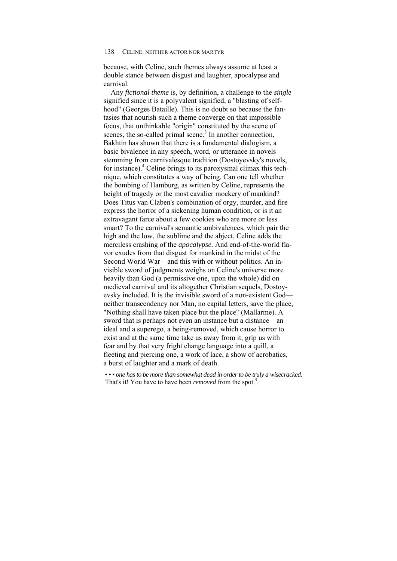#### 138 CELINE: NEITHER ACTOR NOR MARTYR

because, with Celine, such themes always assume at least a double stance between disgust and laughter, apocalypse and carnival.

Any *fictional theme* is, by definition, a challenge to the *single*  signified since it is a polyvalent signified, a "blasting of selfhood" (Georges Bataille). This is no doubt so because the fantasies that nourish such a theme converge on that impossible focus, that unthinkable "origin" constituted by the scene of scenes, the so-called primal scene.<sup>3</sup> In another connection, Bakhtin has shown that there is a fundamental dialogism, a basic bivalence in any speech, word, or utterance in novels stemming from carnivalesque tradition (Dostoyevsky's novels, for instance).<sup>4</sup> Celine brings to its paroxysmal climax this technique, which constitutes a way of being. Can one tell whether the bombing of Hamburg, as written by Celine, represents the height of tragedy or the most cavalier mockery of mankind? Does Titus van Claben's combination of orgy, murder, and fire express the horror of a sickening human condition, or is it an extravagant farce about a few cookies who are more or less smart? To the carnival's semantic ambivalences, which pair the high and the low, the sublime and the abject, Celine adds the merciless crashing of the *apocalypse.* And end-of-the-world flavor exudes from that disgust for mankind in the midst of the Second World War—and this with or without politics. An invisible sword of judgments weighs on Celine's universe more heavily than God (a permissive one, upon the whole) did on medieval carnival and its altogether Christian sequels, Dostoyevsky included. It is the invisible sword of a non-existent God neither transcendency nor Man, no capital letters, save the place, "Nothing shall have taken place but the place" (Mallarme). A sword that is perhaps not even an instance but a distance—an ideal and a superego, a being-removed, which cause horror to exist and at the same time take us away from it, grip us with fear and by that very fright change language into a quill, a fleeting and piercing one, a work of lace, a show of acrobatics, a burst of laughter and a mark of death.

• • • *one has to be more than somewhat dead in order to be truly a wisecracked.*  That's it! You have to have been *removed* from the spot.<sup>5</sup>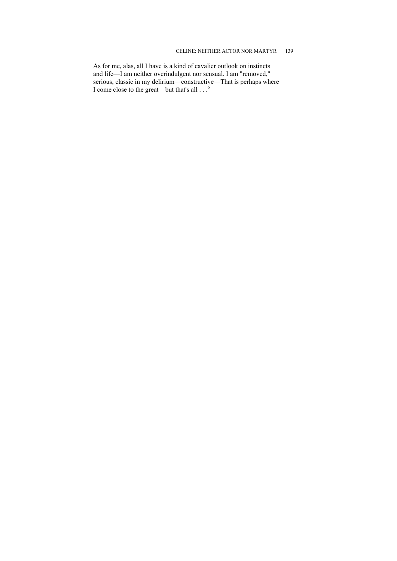As for me, alas, all I have is a kind of cavalier outlook on instincts and life—I am neither overindulgent nor sensual. I am "removed," serious, classic in my delirium—constructive—That is perhaps where I come close to the great—but that's all . . .<sup>6</sup>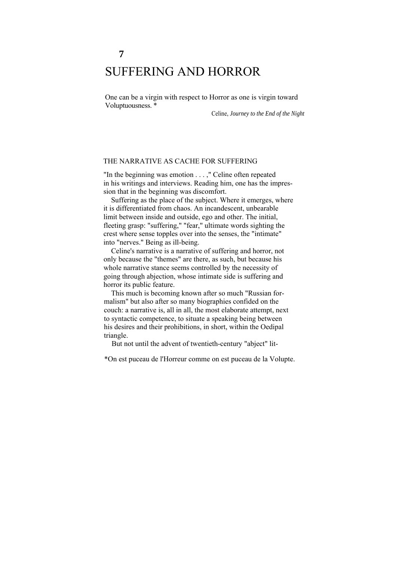One can be a virgin with respect to Horror as one is virgin toward Voluptuousness. \*

Celine, *Journey to the End of the Night*

## THE NARRATIVE AS CACHE FOR SUFFERING

"In the beginning was emotion . . . ," Celine often repeated in his writings and interviews. Reading him, one has the impression that in the beginning was discomfort.

Suffering as the place of the subject. Where it emerges, where it is differentiated from chaos. An incandescent, unbearable limit between inside and outside, ego and other. The initial, fleeting grasp: "suffering," "fear," ultimate words sighting the crest where sense topples over into the senses, the "intimate" into "nerves." Being as ill-being.

Celine's narrative is a narrative of suffering and horror, not only because the "themes" are there, as such, but because his whole narrative stance seems controlled by the necessity of going through abjection, whose intimate side is suffering and horror its public feature.

This much is becoming known after so much "Russian formalism" but also after so many biographies confided on the couch: a narrative is, all in all, the most elaborate attempt, next to syntactic competence, to situate a speaking being between his desires and their prohibitions, in short, within the Oedipal triangle.

But not until the advent of twentieth-century "abject" lit-

\*On est puceau de l'Horreur comme on est puceau de la Volupte.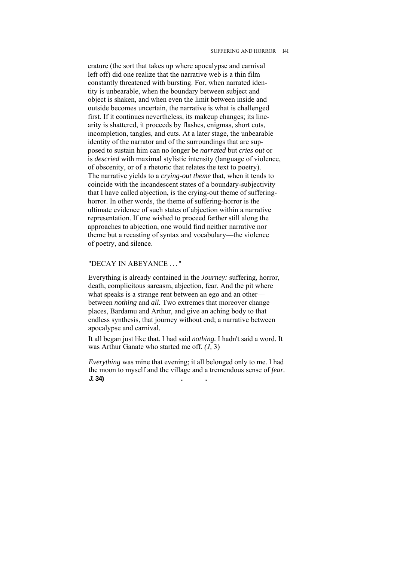erature (the sort that takes up where apocalypse and carnival left off) did one realize that the narrative web is a thin film constantly threatened with bursting. For, when narrated identity is unbearable, when the boundary between subject and object is shaken, and when even the limit between inside and outside becomes uncertain, the narrative is what is challenged first. If it continues nevertheless, its makeup changes; its linearity is shattered, it proceeds by flashes, enigmas, short cuts, incompletion, tangles, and cuts. At a later stage, the unbearable identity of the narrator and of the surroundings that are supposed to sustain him can no longer be *narrated* but *cries out* or is *descried* with maximal stylistic intensity (language of violence, of obscenity, or of a rhetoric that relates the text to poetry). The narrative yields to a *crying-out theme* that, when it tends to coincide with the incandescent states of a boundary-subjectivity that I have called abjection, is the crying-out theme of sufferinghorror. In other words, the theme of suffering-horror is the ultimate evidence of such states of abjection within a narrative representation. If one wished to proceed farther still along the approaches to abjection, one would find neither narrative nor theme but a recasting of syntax and vocabulary—the violence of poetry, and silence.

## "DECAY IN ABEYANCE . . . "

Everything is already contained in the *Journey:* suffering, horror, death, complicitous sarcasm, abjection, fear. And the pit where what speaks is a strange rent between an ego and an other between *nothing* and *all.* Two extremes that moreover change places, Bardamu and Arthur, and give an aching body to that endless synthesis, that journey without end; a narrative between apocalypse and carnival.

It all began just like that. I had said *nothing.* I hadn't said a word. It was Arthur Ganate who started me off. *(J,* 3)

*Everything* was mine that evening; it all belonged only to me. I had the moon to myself and the village and a tremendous sense of *fear. J.* **34) . .**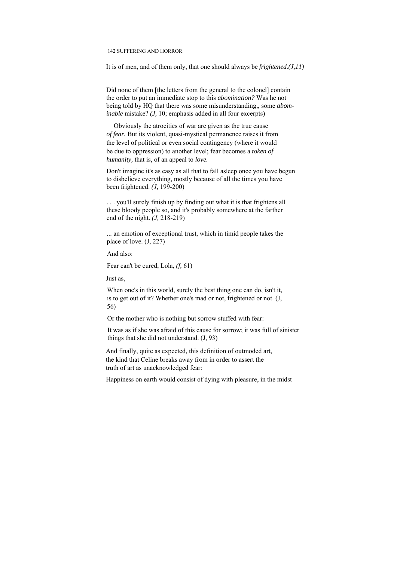It is of men, and of them only, that one should always be *frightened.(J,11)*

Did none of them [the letters from the general to the colonel] contain the order to put an immediate stop to this *abomination?* Was he not being told by HQ that there was some misunderstanding,, some *abominable* mistake? *(J,* 10; emphasis added in all four excerpts)

Obviously the atrocities of war are given as the true cause *of fear.* But its violent, quasi-mystical permanence raises it from the level of political or even social contingency (where it would be due to oppression) to another level; fear becomes a *token of humanity,* that is, of an appeal to *love.*

Don't imagine it's as easy as all that to fall asleep once you have begun to disbelieve everything, mostly because of all the times you have been frightened. *(J,* 199-200)

. . . you'll surely finish up by finding out what it is that frightens all these bloody people so, and it's probably somewhere at the farther end of the night. *(J,* 218-219)

... an emotion of exceptional trust, which in timid people takes the place of love. (J, 227)

And also:

Fear can't be cured, Lola, *(f,* 61)

Just as,

When one's in this world, surely the best thing one can do, isn't it, is to get out of it? Whether one's mad or not, frightened or not. (J, 56)

Or the mother who is nothing but sorrow stuffed with fear:

It was as if she was afraid of this cause for sorrow; it was full of sinister things that she did not understand. (J, 93)

And finally, quite as expected, this definition of outmoded art, the kind that Celine breaks away from in order to assert the truth of art as unacknowledged fear:

Happiness on earth would consist of dying with pleasure, in the midst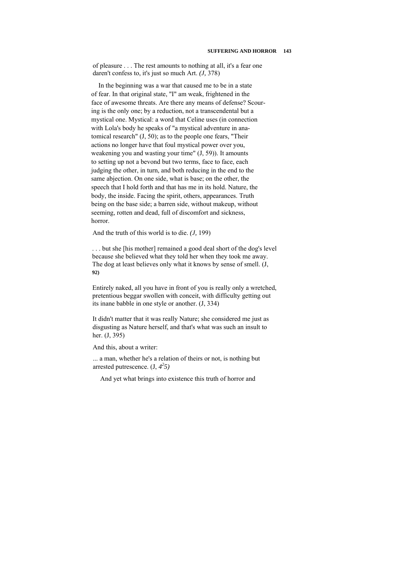of pleasure . . . The rest amounts to nothing at all, it's a fear one daren't confess to, it's just so much Art. *(J,* 378)

In the beginning was a war that caused me to be in a state of fear. In that original state, "I" am weak, frightened in the face of awesome threats. Are there any means of defense? Scouring is the only one; by a reduction, not a transcendental but a mystical one. Mystical: a word that Celine uses (in connection with Lola's body he speaks of "a mystical adventure in anatomical research" (J, 50); as to the people one fears, "Their actions no longer have that foul mystical power over you, weakening you and wasting your time" (J, 59)). It amounts to setting up not a bevond but two terms, face to face, each judging the other, in turn, and both reducing in the end to the same abjection. On one side, what is base; on the other, the speech that I hold forth and that has me in its hold. Nature, the body, the inside. Facing the spirit, others, appearances. Truth being on the base side; a barren side, without makeup, without seeming, rotten and dead, full of discomfort and sickness, horror.

And the truth of this world is to die. *(J,* 199)

. . . but she [his mother] remained a good deal short of the dog's level because she believed what they told her when they took me away. The dog at least believes only what it knows by sense of smell. (J, **92)**

Entirely naked, all you have in front of you is really only a wretched, pretentious beggar swollen with conceit, with difficulty getting out its inane babble in one style or another. (J, 334)

It didn't matter that it was really Nature; she considered me just as disgusting as Nature herself, and that's what was such an insult to her. (J, 395)

And this, about a writer:

... a man, whether he's a relation of theirs or not, is nothing but arrested putrescence. (J, *4<sup>2</sup> 5)*

And yet what brings into existence this truth of horror and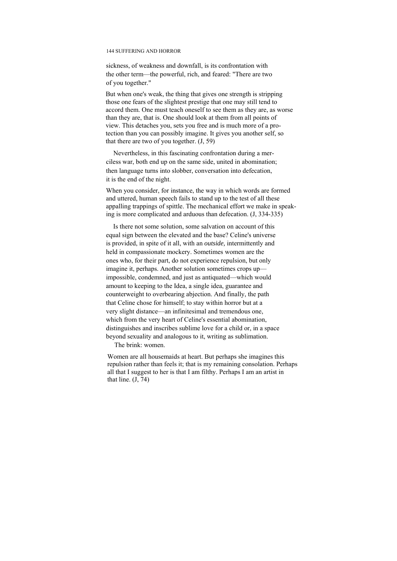sickness, of weakness and downfall, is its confrontation with the other term—the powerful, rich, and feared: "There are two of you together."

But when one's weak, the thing that gives one strength is stripping those one fears of the slightest prestige that one may still tend to accord them. One must teach oneself to see them as they are, as worse than they are, that is. One should look at them from all points of view. This detaches you, sets you free and is much more of a protection than you can possibly imagine. It gives you another self, so that there are two of you together. (J, 59)

Nevertheless, in this fascinating confrontation during a merciless war, both end up on the same side, united in abomination; then language turns into slobber, conversation into defecation, it is the end of the night.

When you consider, for instance, the way in which words are formed and uttered, human speech fails to stand up to the test of all these appalling trappings of spittle. The mechanical effort we make in speaking is more complicated and arduous than defecation. (J, 334-335)

Is there not some solution, some salvation on account of this equal sign between the elevated and the base? Celine's universe is provided, in spite of it all, with an *outside,* intermittently and held in compassionate mockery. Sometimes women are the ones who, for their part, do not experience repulsion, but only imagine it, perhaps. Another solution sometimes crops up impossible, condemned, and just as antiquated—which would amount to keeping to the Idea, a single idea, guarantee and counterweight to overbearing abjection. And finally, the path that Celine chose for himself; to stay within horror but at a very slight distance—an infinitesimal and tremendous one, which from the very heart of Celine's essential abomination, distinguishes and inscribes sublime love for a child or, in a space beyond sexuality and analogous to it, writing as sublimation.

The brink: women.

Women are all housemaids at heart. But perhaps she imagines this repulsion rather than feels it; that is my remaining consolation. Perhaps all that I suggest to her is that I am filthy. Perhaps I am an artist in that line.  $(J, 74)$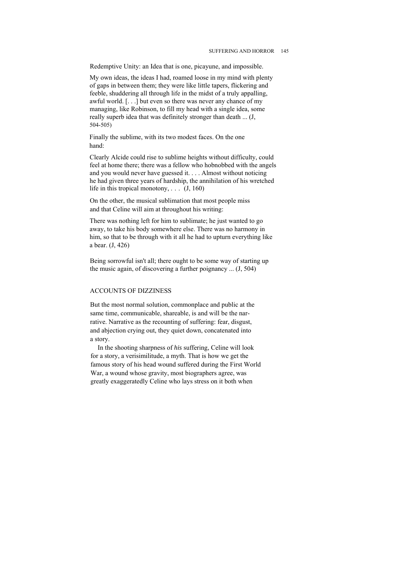Redemptive Unity: an Idea that is one, picayune, and impossible.

My own ideas, the ideas I had, roamed loose in my mind with plenty of gaps in between them; they were like little tapers, flickering and feeble, shuddering all through life in the midst of a truly appalling, awful world. [. . .] but even so there was never any chance of my managing, like Robinson, to fill my head with a single idea, some really superb idea that was definitely stronger than death ... (J, 504-505)

Finally the sublime, with its two modest faces. On the one hand:

Clearly Alcide could rise to sublime heights without difficulty, could feel at home there; there was a fellow who hobnobbed with the angels and you would never have guessed it. . . . Almost without noticing he had given three years of hardship, the annihilation of his wretched life in this tropical monotony,  $\ldots$  (J, 160)

On the other, the musical sublimation that most people miss and that Celine will aim at throughout his writing:

There was nothing left for him to sublimate; he just wanted to go away, to take his body somewhere else. There was no harmony in him, so that to be through with it all he had to upturn everything like a bear. (J, 426)

Being sorrowful isn't all; there ought to be some way of starting up the music again, of discovering a further poignancy ... (J, 504)

## ACCOUNTS OF DIZZINESS

But the most normal solution, commonplace and public at the same time, communicable, shareable, is and will be the narrative. Narrative as the recounting of suffering: fear, disgust, and abjection crying out, they quiet down, concatenated into a story.

In the shooting sharpness of *his* suffering, Celine will look for a story, a verisimilitude, a myth. That is how we get the famous story of his head wound suffered during the First World War, a wound whose gravity, most biographers agree, was greatly exaggeratedly Celine who lays stress on it both when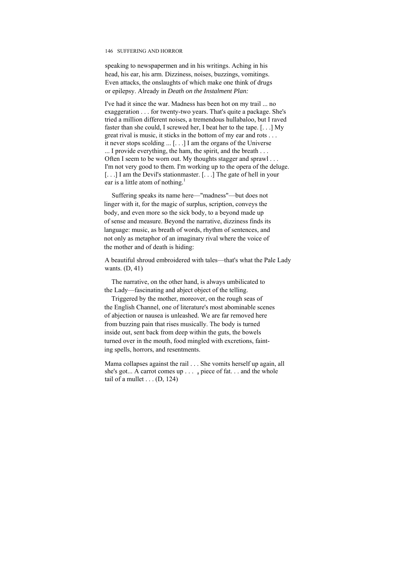speaking to newspapermen and in his writings. Aching in his head, his ear, his arm. Dizziness, noises, buzzings, vomitings. Even attacks, the onslaughts of which make one think of drugs or epilepsy. Already in *Death on the Instalment Plan:*

I've had it since the war. Madness has been hot on my trail ... no exaggeration . . . for twenty-two years. That's quite a package. She's tried a million different noises, a tremendous hullabaloo, but I raved faster than she could, I screwed her, I beat her to the tape. [. . .] My great rival is music, it sticks in the bottom of my ear and rots . . . it never stops scolding ... [. . .] I am the organs of the Universe ... I provide everything, the ham, the spirit, and the breath . . . Often I seem to be worn out. My thoughts stagger and sprawl . . . I'm not very good to them. I'm working up to the opera of the deluge. [. . .] I am the Devil's stationmaster. [. . .] The gate of hell in your ear is a little atom of nothing.<sup>1</sup>

Suffering speaks its name here—"madness"—but does not linger with it, for the magic of surplus, scription, conveys the body, and even more so the sick body, to a beyond made up of sense and measure. Beyond the narrative, dizziness finds its language: music, as breath of words, rhythm of sentences, and not only as metaphor of an imaginary rival where the voice of the mother and of death is hiding:

A beautiful shroud embroidered with tales—that's what the Pale Lady wants. (D, 41)

The narrative, on the other hand, is always umbilicated to the Lady—fascinating and abject object of the telling.

Triggered by the mother, moreover, on the rough seas of the English Channel, one of literature's most abominable scenes of abjection or nausea is unleashed. We are far removed here from buzzing pain that rises musically. The body is turned inside out, sent back from deep within the guts, the bowels turned over in the mouth, food mingled with excretions, fainting spells, horrors, and resentments.

Mama collapses against the rail . . . She vomits herself up again, all she's got... A carrot comes up  $\ldots$  a piece of fat... and the whole tail of a mullet  $\dots$  (D, 124)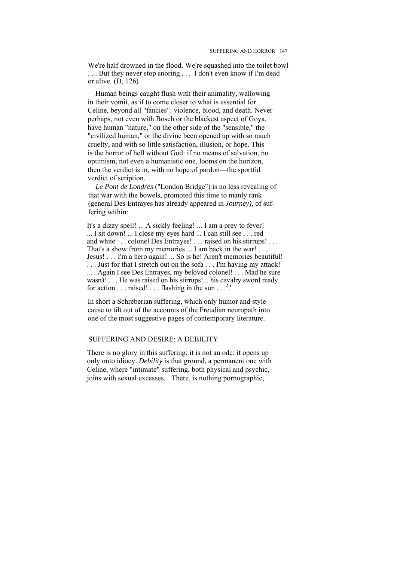We're half drowned in the flood. We're squashed into the toilet bowl . . . But they never stop snoring . . . I don't even know if I'm dead or alive. (D, 126)

Human beings caught flush with their animality, wallowing in their vomit, as if to come closer to what is essential for Celine, beyond all "fancies": violence, blood, and death. Never perhaps, not even with Bosch or the blackest aspect of Goya, have human "nature," on the other side of the "sensible," the "civilized human," or the divine been opened up with so much cruelty, and with so little satisfaction, illusion, or hope. This is the horror of hell without God: if no means of salvation, no optimism, not even a humanistic one, looms on the horizon, then the verdict is in, with no hope of pardon—the sportful verdict of scription.

*Le Pont de Londres* ("London Bridge") is no less revealing of that war with the bowels, promoted this time to manly rank (general Des Entrayes has already appeared in *Journey),* of suffering within:

It's a dizzy spell! ... A sickly feeling! ... I am a prey to fever! ... I sit down! ... I close my eyes hard ... I can still see . . . red and white . . . colonel Des Entrayes! . . . raised on his stirrups! . . . That's a show from my memories ... I am back in the war! . . . Jesus! . . . I'm a hero again! ... So is he! Aren't memories beautiful! . . . Just for that I stretch out on the sofa . . . I'm having my attack! . . . Again I see Des Entrayes, my beloved colonel! . . . Mad he sure wasn't! . . . He was raised on his stirrups!... his cavalry sword ready for action . . . raised! . . . flashing in the sun . . . <sup>2</sup>.

In short a Schreberian suffering, which only humor and style cause to tilt out of the accounts of the Freudian neuropath into one of the most suggestive pages of contemporary literature.

# SUFFERING AND DESIRE: A DEBILITY

There is no glory in this suffering; it is not an ode: it opens up only onto idiocy. *Debility* is that ground, a permanent one with Celine, where "intimate" suffering, both physical and psychic, joins with sexual excesses. There, is nothing pornographic,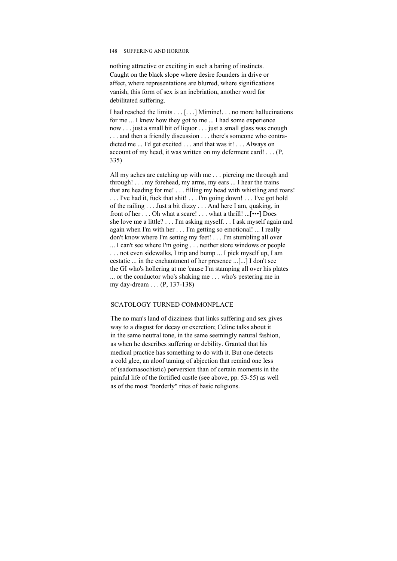nothing attractive or exciting in such a baring of instincts. Caught on the black slope where desire founders in drive or affect, where representations are blurred, where significations vanish, this form of sex is an inebriation, another word for debilitated suffering.

I had reached the limits . . . [. . .] Mimine!. . . no more hallucinations for me ... I knew how they got to me ... I had some experience now . . . just a small bit of liquor . . . just a small glass was enough . . . and then a friendly discussion . . . there's someone who contradicted me ... I'd get excited . . . and that was it! . . . Always on account of my head, it was written on my deferment card! . . . (P, 335)

All my aches are catching up with me . . . piercing me through and through! . . . my forehead, my arms, my ears ... I hear the trains that are heading for me! . . . filling my head with whistling and roars! . . . I've had it, fuck that shit! . . . I'm going down! . . . I've got hold of the railing . . . Just a bit dizzy . . . And here I am, quaking, in front of her . . . Oh what a scare! . . . what a thrill! ...[•••] Does she love me a little? . . . I'm asking myself. . . I ask myself again and again when I'm with her . . . I'm getting so emotional! ... I really don't know where I'm setting my feet! . . . I'm stumbling all over ... I can't see where I'm going . . . neither store windows or people . . . not even sidewalks, I trip and bump ... I pick myself up, I am ecstatic ... in the enchantment of her presence ...[...] I don't see the GI who's hollering at me 'cause I'm stamping all over his plates ... or the conductor who's shaking me . . . who's pestering me in my day-dream . . . (P, 137-138)

## SCATOLOGY TURNED COMMONPLACE

The no man's land of dizziness that links suffering and sex gives way to a disgust for decay or excretion; Celine talks about it in the same neutral tone, in the same seemingly natural fashion, as when he describes suffering or debility. Granted that his medical practice has something to do with it. But one detects a cold glee, an aloof taming of abjection that remind one less of (sadomasochistic) perversion than of certain moments in the painful life of the fortified castle (see above, pp. 53-55) as well as of the most "borderly" rites of basic religions.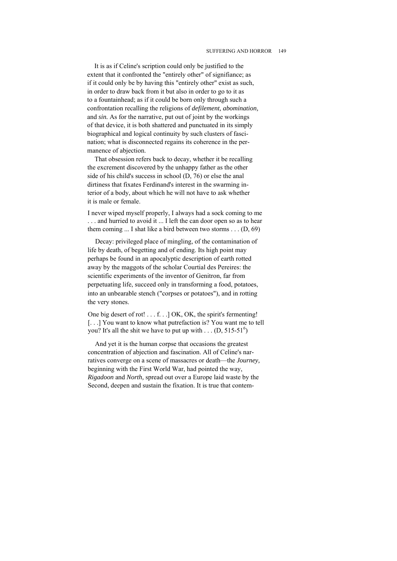It is as if Celine's scription could only be justified to the extent that it confronted the "entirely other" of signifiance; as if it could only be by having this "entirely other" exist as such, in order to draw back from it but also in order to go to it as to a fountainhead; as if it could be born only through such a confrontation recalling the religions of *defilement, abomination,*  and *sin.* As for the narrative, put out of joint by the workings of that device, it is both shattered and punctuated in its simply biographical and logical continuity by such clusters of fascination; what is disconnected regains its coherence in the permanence of abjection.

That obsession refers back to decay, whether it be recalling the excrement discovered by the unhappy father as the other side of his child's success in school (D, 76) or else the anal dirtiness that fixates Ferdinand's interest in the swarming interior of a body, about which he will not have to ask whether it is male or female.

I never wiped myself properly, I always had a sock coming to me . . . and hurried to avoid it ... I left the can door open so as to hear them coming ... I shat like a bird between two storms . . . (D, 69)

Decay: privileged place of mingling, of the contamination of life by death, of begetting and of ending. Its high point may perhaps be found in an apocalyptic description of earth rotted away by the maggots of the scholar Courtial des Pereires: the scientific experiments of the inventor of Genitron, far from perpetuating life, succeed only in transforming a food, potatoes, into an unbearable stench ("corpses or potatoes"), and in rotting the very stones.

One big desert of rot! . . . f. . . ] OK, OK, the spirit's fermenting! [...] You want to know what putrefaction is? You want me to tell you? It's all the shit we have to put up with . . .  $(D, 515-51^6)$ 

And yet it is the human corpse that occasions the greatest concentration of abjection and fascination. All of Celine's narratives converge on a scene of massacres or death—the *Journey,*  beginning with the First World War, had pointed the way, *Rigadoon* and *North,* spread out over a Europe laid waste by the Second, deepen and sustain the fixation. It is true that contem-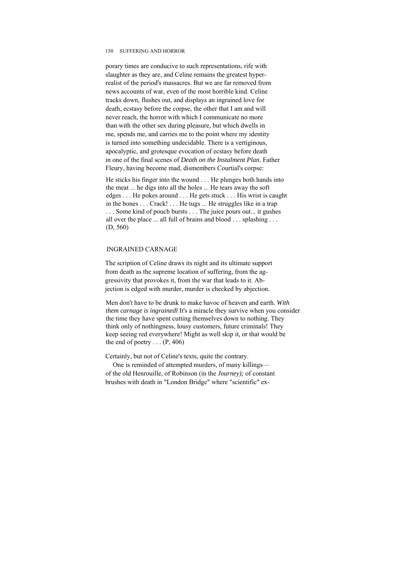porary times are conducive to such representations, rife with slaughter as they are, and Celine remains the greatest hyperrealist of the period's massacres. But we are far removed from news accounts of war, even of the most horrible kind. Celine tracks down, flushes out, and displays an ingrained love for death, ecstasy before the corpse, the other that I am and will never reach, the horror with which I communicate no more than with the other sex during pleasure, but which dwells in me, spends me, and carries me to the point where my identity is turned into something undecidable. There is a vertiginous, apocalyptic, and grotesque evocation of ecstasy before death in one of the final scenes of *Death on the Instalment Plan.* Father Fleury, having become mad, dismembers Courtial's corpse:

He sticks his finger into the wound . . . He plunges both hands into the meat ... he digs into all the holes ... He tears away the soft edges . . . He pokes around . . . He gets stuck . . . His wrist is caught in the bones . . . Crack! . . . He tugs ... He struggles like in a trap . . . Some kind of pouch bursts . . . The juice pours out... it gushes all over the place ... all full of brains and blood . . . splashing . . . (D, 560)

## INGRAINED CARNAGE

The scription of Celine draws its night and its ultimate support from death as the supreme location of suffering, from the aggressivity that provokes it, from the war that leads to it. Abjection is edged with murder, murder is checked by abjection.

Men don't have to be drunk to make havoc of heaven and earth. *With them carnage is ingrainedl* It's a miracle they survive when you consider the time they have spent cutting themselves down to nothing. They think only of nothingness, lousy customers, future criminals! They keep seeing red everywhere! Might as well skip it, or that would be the end of poetry  $\dots$  (P, 406)

Certainly, but not of Celine's texts, quite the contrary.

One is reminded of attempted murders, of many killings of the old Henrouille, of Robinson (in the *Journey);* of constant brushes with death in "London Bridge" where "scientific" ex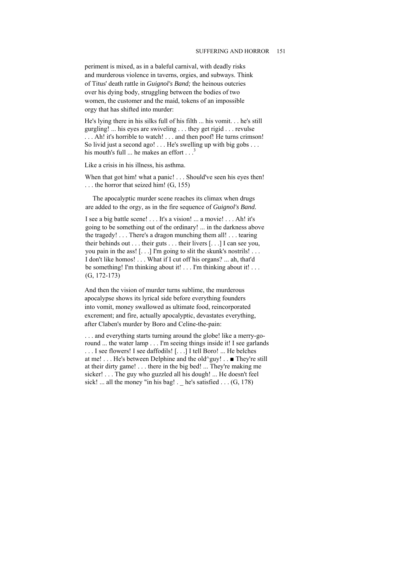periment is mixed, as in a baleful carnival, with deadly risks and murderous violence in taverns, orgies, and subways. Think of Titus' death rattle in *Guignol's Band;* the heinous outcries over his dying body, struggling between the bodies of two women, the customer and the maid, tokens of an impossible orgy that has shifted into murder:

He's lying there in his silks full of his filth ... his vomit. . . he's still gurgling! ... his eyes are swiveling . . . they get rigid . . . revulse . . . Ah! it's horrible to watch! . . . and then poof! He turns crimson! So livid just a second ago! . . . He's swelling up with big gobs . . . his mouth's full  $\ldots$  he makes an effort  $\ldots$ <sup>3</sup>

Like a crisis in his illness, his asthma.

When that got him! what a panic! . . . Should've seen his eyes then! . . . the horror that seized him! (G, 155)

The apocalyptic murder scene reaches its climax when drugs are added to the orgy, as in the fire sequence of *Guignol's Band.*

I see a big battle scene! . . . It's a vision! ... a movie! . . . Ah! it's going to be something out of the ordinary! ... in the darkness above the tragedy! . . . There's a dragon munching them all! . . . tearing their behinds out . . . their guts . . . their livers [. . .] I can see you, you pain in the ass! [. . .] I'm going to slit the skunk's nostrils! . . . I don't like homos! . . . What if I cut off his organs? ... ah, that'd be something! I'm thinking about it! . . . I'm thinking about it! . . . (G, 172-173)

And then the vision of murder turns sublime, the murderous apocalypse shows its lyrical side before everything founders into vomit, money swallowed as ultimate food, reincorporated excrement; and fire, actually apocalyptic, devastates everything, after Claben's murder by Boro and Celine-the-pain:

. . . and everything starts turning around the globe! like a merry-goround ... the water lamp . . . I'm seeing things inside it! I see garlands . . . I see flowers! I see daffodils! [. . .] I tell Boro! ... He belches at me! . . . He's between Delphine and the old^guy! . .  $\blacksquare$  They're still at their dirty game! . . . there in the big bed! ... They're making me sicker! . . . The guy who guzzled all his dough! ... He doesn't feel sick! ... all the money "in his bag! . \_ he's satisfied . . . (G, 178)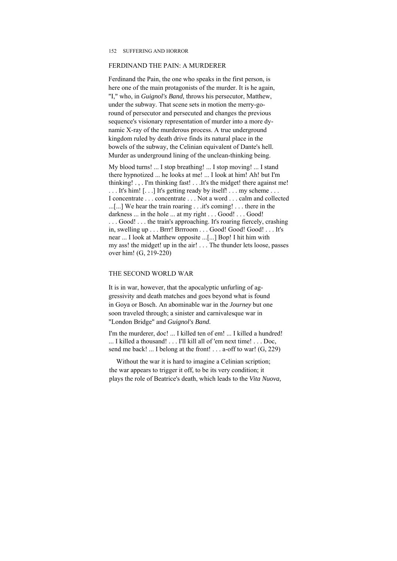## FERDINAND THE PAIN: A MURDERER

Ferdinand the Pain, the one who speaks in the first person, is here one of the main protagonists of the murder. It is he again, "I," who, in *Guignol's Band,* throws his persecutor, Matthew, under the subway. That scene sets in motion the merry-goround of persecutor and persecuted and changes the previous sequence's visionary representation of murder into a more dynamic X-ray of the murderous process. A true underground kingdom ruled by death drive finds its natural place in the bowels of the subway, the Celinian equivalent of Dante's hell. Murder as underground lining of the unclean-thinking being.

My blood turns! ... I stop breathing! ... I stop moving! ... I stand there hypnotized ... he looks at me! ... I look at him! Ah! but I'm thinking! . , . I'm thinking fast! . . .It's the midget! there against me! ... It's him! [...] It's getting ready by itself! ... my scheme ... I concentrate . . . concentrate . . . Not a word . . . calm and collected ...[...] We hear the train roaring . . .it's coming! . . . there in the darkness ... in the hole ... at my right . . . Good! . . . Good! . . . Good! . . . the train's approaching. It's roaring fiercely, crashing in, swelling up . . . Brrr! Brrroom . . . Good! Good! Good! . . . It's near ... I look at Matthew opposite ...[...] Bop! I hit him with my ass! the midget! up in the air! . . . The thunder lets loose, passes over him! (G, 219-220)

## THE SECOND WORLD WAR

It is in war, however, that the apocalyptic unfurling of aggressivity and death matches and goes beyond what is found in Goya or Bosch. An abominable war in the *Journey* but one soon traveled through; a sinister and carnivalesque war in "London Bridge" and *Guignol's Band.*

I'm the murderer, doc! ... I killed ten of em! ... I killed a hundred! ... I killed a thousand! . . . I'll kill all of 'em next time! . . . Doc, send me back! ... I belong at the front! ... a-off to war! (G, 229)

Without the war it is hard to imagine a Celinian scription; the war appears to trigger it off, to be its very condition; it plays the role of Beatrice's death, which leads to the *Vita Nuova,*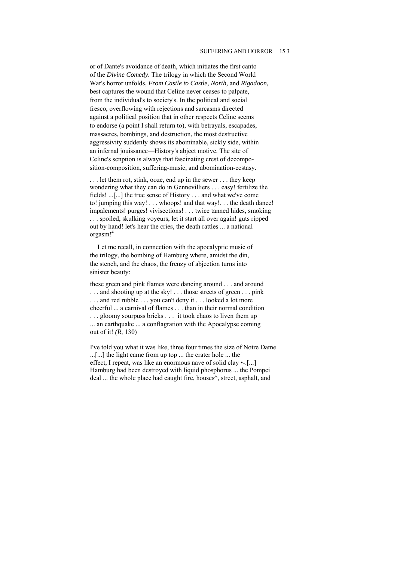or of Dante's avoidance of death, which initiates the first canto of the *Divine Comedy.* The trilogy in which the Second World War's horror unfolds, *From Castle to Castle, North,* and *Rigadoon,*  best captures the wound that Celine never ceases to palpate, from the individual's to society's. In the political and social fresco, overflowing with rejections and sarcasms directed against a political position that in other respects Celine seems to endorse (a point I shall return to), with betrayals, escapades, massacres, bombings, and destruction, the most destructive aggressivity suddenly shows its abominable, sickly side, within an infernal jouissance—History's abject motive. The site of Celine's scnption is always that fascinating crest of decomposition-composition, suffering-music, and abomination-ecstasy.

. . . let them rot, stink, ooze, end up in the sewer . . . they keep wondering what they can do in Gennevilliers . . . easy! fertilize the fields! ...[...] the true sense of History . . . and what we've come to! jumping this way! . . . whoops! and that way!. . . the death dance! impalements! purges! vivisections! . . . twice tanned hides, smoking . . . spoiled, skulking voyeurs, let it start all over again! guts ripped out by hand! let's hear the cries, the death rattles ... a national orgasm!<sup>4</sup>

Let me recall, in connection with the apocalyptic music of the trilogy, the bombing of Hamburg where, amidst the din, the stench, and the chaos, the frenzy of abjection turns into sinister beauty:

these green and pink flames were dancing around . . . and around . . . and shooting up at the sky! . . . those streets of green . . . pink . . . and red rubble . . . you can't deny it . . . looked a lot more cheerful ... a carnival of flames . . . than in their normal condition . . . gloomy sourpuss bricks . . . it took chaos to liven them up ... an earthquake ... a conflagration with the Apocalypse coming out of it! *(R,* 130)

I've told you what it was like, three four times the size of Notre Dame ...[...] the light came from up top ... the crater hole ... the effect, I repeat, was like an enormous nave of solid clay •-.[...] Hamburg had been destroyed with liquid phosphorus ... the Pompei deal ... the whole place had caught fire, houses^, street, asphalt, and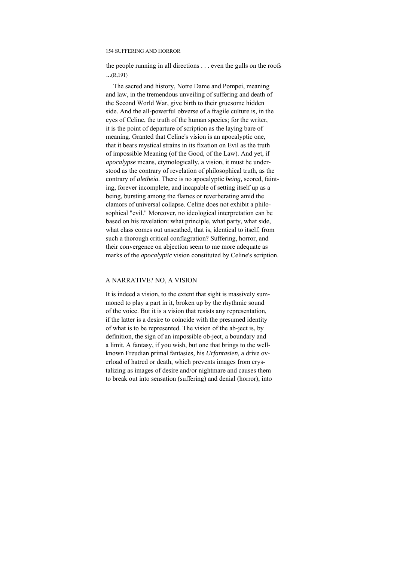the people running in all directions . . . even the gulls on the roofs ...(R,191)

The sacred and history, Notre Dame and Pompei, meaning and law, in the tremendous unveiling of suffering and death of the Second World War, give birth to their gruesome hidden side. And the all-powerful obverse of a fragile culture is, in the eyes of Celine, the truth of the human species; for the writer, it is the point of departure of scription as the laying bare of meaning. Granted that Celine's vision is an apocalyptic one, that it bears mystical strains in its fixation on Evil as the truth of impossible Meaning (of the Good, of the Law). And yet, if *apocalypse* means, etymologically, a vision, it must be understood as the contrary of revelation of philosophical truth, as the contrary of *aletheia.* There is no apocalyptic *being,* scored, fainting, forever incomplete, and incapable of setting itself up as a being, bursting among the flames or reverberating amid the clamors of universal collapse. Celine does not exhibit a philosophical "evil." Moreover, no ideological interpretation can be based on his revelation: what principle, what party, what side, what class comes out unscathed, that is, identical to itself, from such a thorough critical conflagration? Suffering, horror, and their convergence on abjection seem to me more adequate as marks of the *apocalyptic* vision constituted by Celine's scription.

## A NARRATIVE? NO, A VISION

It is indeed a vision, to the extent that sight is massively summoned to play a part in it, broken up by the rhythmic sound of the voice. But it is a vision that resists any representation, if the latter is a desire to coincide with the presumed identity of what is to be represented. The vision of the ab-ject is, by definition, the sign of an impossible ob-ject, a boundary and a limit. A fantasy, if you wish, but one that brings to the wellknown Freudian primal fantasies, his *Urfantasien,* a drive overload of hatred or death, which prevents images from crystalizing as images of desire and/or nightmare and causes them to break out into sensation (suffering) and denial (horror), into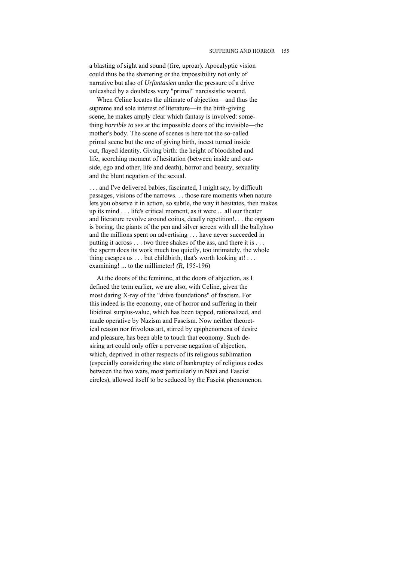a blasting of sight and sound (fire, uproar). Apocalyptic vision could thus be the shattering or the impossibility not only of narrative but also of *Urfantasien* under the pressure of a drive unleashed by a doubtless very "primal" narcissistic wound.

When Celine locates the ultimate of abjection—and thus the supreme and sole interest of literature—in the birth-giving scene, he makes amply clear which fantasy is involved: something *horrible to see* at the impossible doors of the invisible—the mother's body. The scene of scenes is here not the so-called primal scene but the one of giving birth, incest turned inside out, flayed identity. Giving birth: the height of bloodshed and life, scorching moment of hesitation (between inside and outside, ego and other, life and death), horror and beauty, sexuality and the blunt negation of the sexual.

. . . and I've delivered babies, fascinated, I might say, by difficult passages, visions of the narrows. . . those rare moments when nature lets you observe it in action, so subtle, the way it hesitates, then makes up its mind . . . life's critical moment, as it were ... all our theater and literature revolve around coitus, deadly repetition!. . . the orgasm is boring, the giants of the pen and silver screen with all the ballyhoo and the millions spent on advertising . . . have never succeeded in putting it across . . . two three shakes of the ass, and there it is . . . the sperm does its work much too quietly, too intimately, the whole thing escapes us . . . but childbirth, that's worth looking at! . . . examining! ... to the millimeter! *(R,* 195-196)

At the doors of the feminine, at the doors of abjection, as I defined the term earlier, we are also, with Celine, given the most daring X-ray of the "drive foundations" of fascism. For this indeed is the economy, one of horror and suffering in their libidinal surplus-value, which has been tapped, rationalized, and made operative by Nazism and Fascism. Now neither theoretical reason nor frivolous art, stirred by epiphenomena of desire and pleasure, has been able to touch that economy. Such desiring art could only offer a perverse negation of abjection, which, deprived in other respects of its religious sublimation (especially considering the state of bankruptcy of religious codes between the two wars, most particularly in Nazi and Fascist circles), allowed itself to be seduced by the Fascist phenomenon.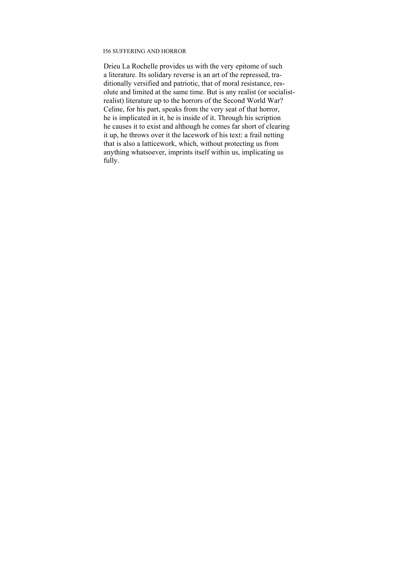Drieu La Rochelle provides us with the very epitome of such a literature. Its solidary reverse is an art of the repressed, traditionally versified and patriotic, that of moral resistance, resolute and limited at the same time. But is any realist (or socialistrealist) literature up to the horrors of the Second World War? Celine, for his part, speaks from the very seat of that horror, he is implicated in it, he is inside of it. Through his scription he causes it to exist and although he comes far short of clearing it up, he throws over it the lacework of his text: a frail netting that is also a latticework, which, without protecting us from anything whatsoever, imprints itself within us, implicating us fully.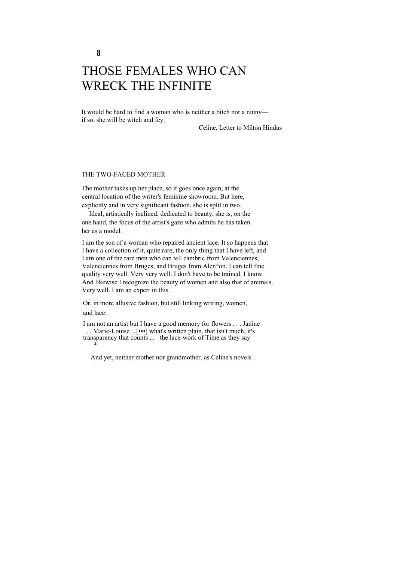It would be hard to find a woman who is neither a bitch nor a ninny if so, she will be witch and fey.

Celine, Letter to Milton Hindus

## THE TWO-FACED MOTHER

The mother takes up her place, so it goes once again, at the central location of the writer's feminine showroom. But here, explicitly and in very significant fashion, she is split in two.

Ideal, artistically inclined, dedicated to beauty, she is, on the one hand, the focus of the artist's gaze who admits he has taken her as a model.

I am the son of a woman who repaired ancient lace. It so happens that I have a collection of it, quite rare, the only thing that I have left, and I am one of the rare men who can tell cambric from Valenciennes, Valenciennes from Bruges, and Bruges from Alen^on. I can tell fine quality very well. Very very well. I don't have to be trained. I know. And likewise I recognize the beauty of women and also that of animals. Very well. I am an expert in this. $<sup>1</sup>$ </sup>

Or, in more allusive fashion, but still linking writing, women, and lace:

I am not an artist but I have a good memory for flowers . . . Janine . . . Marie-Louise ...[•••] what's written plain, that isn't much, it's transparency that counts ... the lace-work of Time as they say **2**

And yet, neither mother nor grandmother, as Celine's novels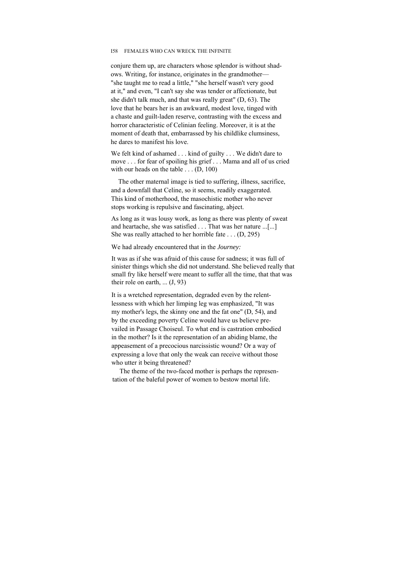conjure them up, are characters whose splendor is without shadows. Writing, for instance, originates in the grandmother— "she taught me to read a little," "she herself wasn't very good at it," and even, "I can't say she was tender or affectionate, but she didn't talk much, and that was really great" (D, 63). The love that he bears her is an awkward, modest love, tinged with a chaste and guilt-laden reserve, contrasting with the excess and horror characteristic of Celinian feeling. Moreover, it is at the moment of death that, embarrassed by his childlike clumsiness, he dares to manifest his love.

We felt kind of ashamed . . . kind of guilty . . . We didn't dare to move . . . for fear of spoiling his grief . . . Mama and all of us cried with our heads on the table . . . (D, 100)

The other maternal image is tied to suffering, illness, sacrifice, and a downfall that Celine, so it seems, readily exaggerated. This kind of motherhood, the masochistic mother who never stops working is repulsive and fascinating, abject.

As long as it was lousy work, as long as there was plenty of sweat and heartache, she was satisfied . . . That was her nature ...[...] She was really attached to her horrible fate . . . (D, 295)

We had already encountered that in the *Journey:*

It was as if she was afraid of this cause for sadness; it was full of sinister things which she did not understand. She believed really that small fry like herself were meant to suffer all the time, that that was their role on earth, ... (J, 93)

It is a wretched representation, degraded even by the relentlessness with which her limping leg was emphasized, "It was my mother's legs, the skinny one and the fat one" (D, 54), and by the exceeding poverty Celine would have us believe prevailed in Passage Choiseul. To what end is castration embodied in the mother? Is it the representation of an abiding blame, the appeasement of a precocious narcissistic wound? Or a way of expressing a love that only the weak can receive without those who utter it being threatened?

The theme of the two-faced mother is perhaps the representation of the baleful power of women to bestow mortal life.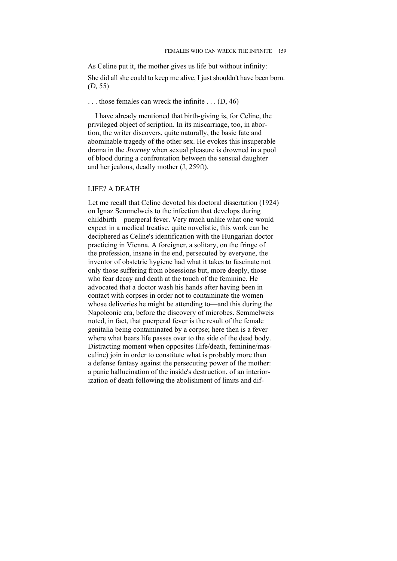As Celine put it, the mother gives us life but without infinity: She did all she could to keep me alive, I just shouldn't have been born. *(D,* 55)

. . . those females can wreck the infinite . . . (D, 46)

I have already mentioned that birth-giving is, for Celine, the privileged object of scription. In its miscarriage, too, in abortion, the writer discovers, quite naturally, the basic fate and abominable tragedy of the other sex. He evokes this insuperable drama in the *Journey* when sexual pleasure is drowned in a pool of blood during a confrontation between the sensual daughter and her jealous, deadly mother (J, 259ft).

## LIFE? A DEATH

Let me recall that Celine devoted his doctoral dissertation (1924) on Ignaz Semmelweis to the infection that develops during childbirth—puerperal fever. Very much unlike what one would expect in a medical treatise, quite novelistic, this work can be deciphered as Celine's identification with the Hungarian doctor practicing in Vienna. A foreigner, a solitary, on the fringe of the profession, insane in the end, persecuted by everyone, the inventor of obstetric hygiene had what it takes to fascinate not only those suffering from obsessions but, more deeply, those who fear decay and death at the touch of the feminine. He advocated that a doctor wash his hands after having been in contact with corpses in order not to contaminate the women whose deliveries he might be attending to—and this during the Napoleonic era, before the discovery of microbes. Semmelweis noted, in fact, that puerperal fever is the result of the female genitalia being contaminated by a corpse; here then is a fever where what bears life passes over to the side of the dead body. Distracting moment when opposites (life/death, feminine/masculine) join in order to constitute what is probably more than a defense fantasy against the persecuting power of the mother: a panic hallucination of the inside's destruction, of an interiorization of death following the abolishment of limits and dif-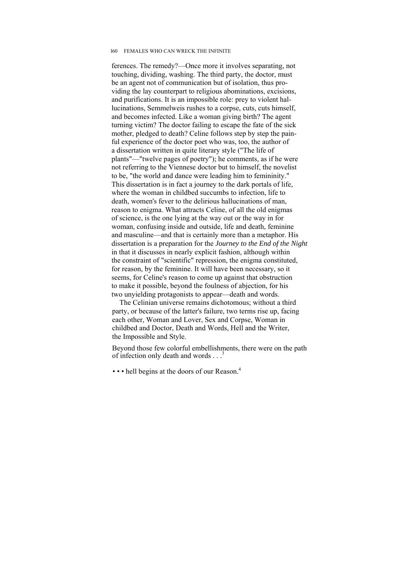ferences. The remedy?—Once more it involves separating, not touching, dividing, washing. The third party, the doctor, must be an agent not of communication but of isolation, thus providing the lay counterpart to religious abominations, excisions, and purifications. It is an impossible role: prey to violent hallucinations, Semmelweis rushes to a corpse, cuts, cuts himself, and becomes infected. Like a woman giving birth? The agent turning victim? The doctor failing to escape the fate of the sick mother, pledged to death? Celine follows step by step the painful experience of the doctor poet who was, too, the author of a dissertation written in quite literary style ("The life of plants"—"twelve pages of poetry"); he comments, as if he were not referring to the Viennese doctor but to himself, the novelist to be, "the world and dance were leading him to femininity." This dissertation is in fact a journey to the dark portals of life, where the woman in childbed succumbs to infection, life to death, women's fever to the delirious hallucinations of man, reason to enigma. What attracts Celine, of all the old enigmas of science, is the one lying at the way out or the way in for woman, confusing inside and outside, life and death, feminine and masculine—and that is certainly more than a metaphor. His dissertation is a preparation for the *Journey to the End of the Night*  in that it discusses in nearly explicit fashion, although within the constraint of "scientific" repression, the enigma constituted, for reason, by the feminine. It will have been necessary, so it seems, for Celine's reason to come up against that obstruction to make it possible, beyond the foulness of abjection, for his two unyielding protagonists to appear—death and words.

The Celinian universe remains dichotomous; without a third party, or because of the latter's failure, two terms rise up, facing each other, Woman and Lover, Sex and Corpse, Woman in childbed and Doctor, Death and Words, Hell and the Writer, the Impossible and Style.

Beyond those few colorful embellishments, there were on the path of infection only death and words . . .<sup>3</sup>

• • • hell begins at the doors of our Reason.<sup>4</sup>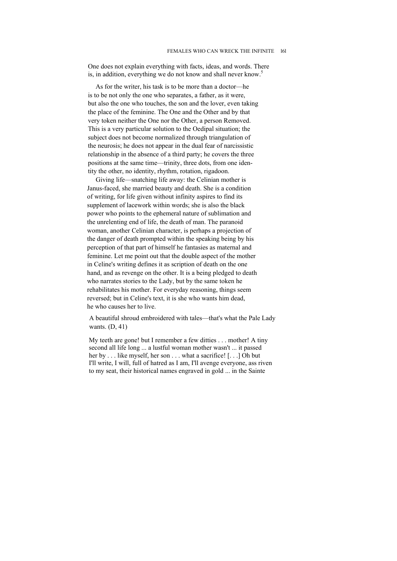One does not explain everything with facts, ideas, and words. There is, in addition, everything we do not know and shall never know.<sup>5</sup>

As for the writer, his task is to be more than a doctor—he is to be not only the one who separates, a father, as it were, but also the one who touches, the son and the lover, even taking the place of the feminine. The One and the Other and by that very token neither the One nor the Other, a person Removed. This is a very particular solution to the Oedipal situation; the subject does not become normalized through triangulation of the neurosis; he does not appear in the dual fear of narcissistic relationship in the absence of a third party; he covers the three positions at the same time—trinity, three dots, from one identity the other, no identity, rhythm, rotation, rigadoon.

Giving life—snatching life away: the Celinian mother is Janus-faced, she married beauty and death. She is a condition of writing, for life given without infinity aspires to find its supplement of lacework within words; she is also the black power who points to the ephemeral nature of sublimation and the unrelenting end of life, the death of man. The paranoid woman, another Celinian character, is perhaps a projection of the danger of death prompted within the speaking being by his perception of that part of himself he fantasies as maternal and feminine. Let me point out that the double aspect of the mother in Celine's writing defines it as scription of death on the one hand, and as revenge on the other. It is a being pledged to death who narrates stories to the Lady, but by the same token he rehabilitates his mother. For everyday reasoning, things seem reversed; but in Celine's text, it is she who wants him dead, he who causes her to live.

A beautiful shroud embroidered with tales—that's what the Pale Lady wants. (D, 41)

My teeth are gone! but I remember a few ditties . . . mother! A tiny second all life long ... a lustful woman mother wasn't ... it passed her by . . . like myself, her son . . . what a sacrifice! [...] Oh but I'll write, I will, full of hatred as I am, I'll avenge everyone, ass riven to my seat, their historical names engraved in gold ... in the Sainte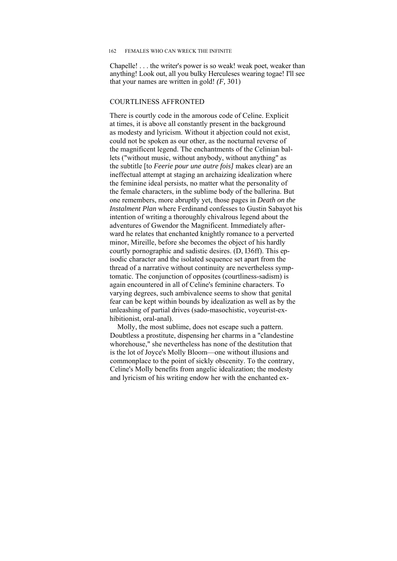Chapelle! . . . the writer's power is so weak! weak poet, weaker than anything! Look out, all you bulky Herculeses wearing togae! I'll see that your names are written in gold! *(F,* 301)

# COURTLINESS AFFRONTED

There is courtly code in the amorous code of Celine. Explicit at times, it is above all constantly present in the background as modesty and lyricism. Without it abjection could not exist, could not be spoken as our other, as the nocturnal reverse of the magnificent legend. The enchantments of the Celinian ballets ("without music, without anybody, without anything" as the subtitle [to *Feerie pour une autre fois]* makes clear) are an ineffectual attempt at staging an archaizing idealization where the feminine ideal persists, no matter what the personality of the female characters, in the sublime body of the ballerina. But one remembers, more abruptly yet, those pages in *Death on the Instalment Plan* where Ferdinand confesses to Gustin Sabayot his intention of writing a thoroughly chivalrous legend about the adventures of Gwendor the Magnificent. Immediately afterward he relates that enchanted knightly romance to a perverted minor, Mireille, before she becomes the object of his hardly courtly pornographic and sadistic desires. (D, I36ff). This episodic character and the isolated sequence set apart from the thread of a narrative without continuity are nevertheless symptomatic. The conjunction of opposites (courtliness-sadism) is again encountered in all of Celine's feminine characters. To varying degrees, such ambivalence seems to show that genital fear can be kept within bounds by idealization as well as by the unleashing of partial drives (sado-masochistic, voyeurist-exhibitionist, oral-anal).

Molly, the most sublime, does not escape such a pattern. Doubtless a prostitute, dispensing her charms in a "clandestine whorehouse," she nevertheless has none of the destitution that is the lot of Joyce's Molly Bloom—one without illusions and commonplace to the point of sickly obscenity. To the contrary, Celine's Molly benefits from angelic idealization; the modesty and lyricism of his writing endow her with the enchanted ex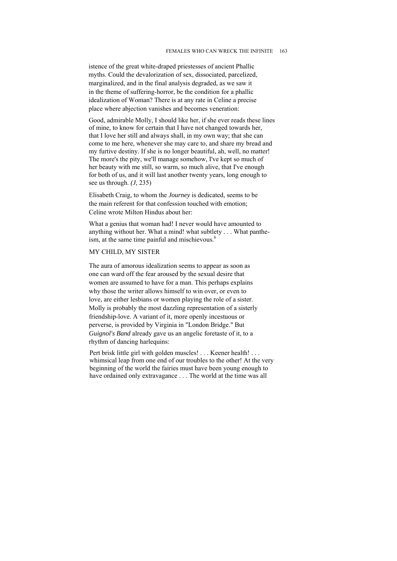istence of the great white-draped priestesses of ancient Phallic myths. Could the devalorization of sex, dissociated, parcelized, marginalized, and in the final analysis degraded, as we saw it in the theme of suffering-horror, be the condition for a phallic idealization of Woman? There is at any rate in Celine a precise place where abjection vanishes and becomes veneration:

Good, admirable Molly, I should like her, if she ever reads these lines of mine, to know for certain that I have not changed towards her, that I love her still and always shall, in my own way; that she can come to me here, whenever she may care to, and share my bread and my furtive destiny. If she is no longer beautiful, ah, well, no matter! The more's the pity, we'll manage somehow, I've kept so much of her beauty with me still, so warm, so much alive, that I've enough for both of us, and it will last another twenty years, long enough to see us through. *(J,* 235)

Elisabeth Craig, to whom the *Journey* is dedicated, seems to be the main referent for that confession touched with emotion; Celine wrote Milton Hindus about her:

What a genius that woman had! I never would have amounted to anything without her. What a mind! what subtlety . . . What pantheism, at the same time painful and mischievous.<sup>6</sup>

### MY CHILD, MY SISTER

The aura of amorous idealization seems to appear as soon as one can ward off the fear aroused by the sexual desire that women are assumed to have for a man. This perhaps explains why those the writer allows himself to win over, or even to love, are either lesbians or women playing the role of a sister. Molly is probably the most dazzling representation of a sisterly friendship-love. A variant of it, more openly incestuous or perverse, is provided by Virginia in "London Bridge." But *Guignol's Band* already gave us an angelic foretaste of it, to a rhythm of dancing harlequins:

Pert brisk little girl with golden muscles! . . . Keener health! . . . whimsical leap from one end of our troubles to the other! At the very beginning of the world the fairies must have been young enough to have ordained only extravagance . . . The world at the time was all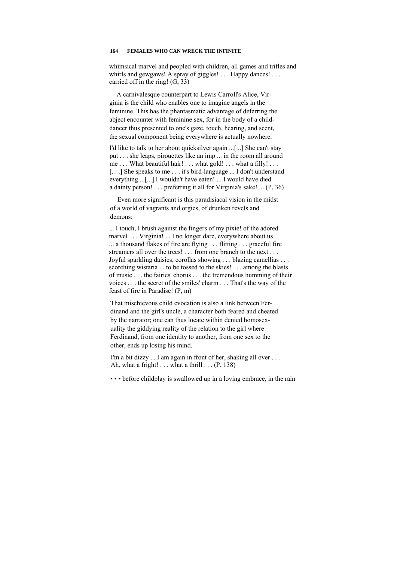whimsical marvel and peopled with children, all games and trifles and whirls and gewgaws! A spray of giggles! . . . Happy dances! . . . carried off in the ring! (G, 33)

A carnivalesque counterpart to Lewis Carroll's Alice, Virginia is the child who enables one to imagine angels in the feminine. This has the phantasmatic advantage of deferring the abject encounter with feminine sex, for in the body of a childdancer thus presented to one's gaze, touch, hearing, and scent, the sexual component being everywhere is actually nowhere.

I'd like to talk to her about quicksilver again ...[...] She can't stay put . . . she leaps, pirouettes like an imp ... in the room all around me . . . What beautiful hair! . . . what gold! . . . what a filly! . . . [...] She speaks to me ... it's bird-language ... I don't understand everything ...[...] I wouldn't have eaten! ... I would have died a dainty person! . . . preferring it all for Virginia's sake! ... (P, 36)

Even more significant is this paradisiacal vision in the midst of a world of vagrants and orgies, of drunken revels and demons:

... I touch, I brush against the fingers of my pixie! of the adored marvel . . . Virginia! ... I no longer dare, everywhere about us ... a thousand flakes of fire are flying . . . flitting . . . graceful fire streamers all over the trees! . . . from one branch to the next . . . Joyful sparkling daisies, corollas showing . . . blazing camellias . . . scorching wistaria ... to be tossed to the skies! . . . among the blasts of music . . . the fairies' chorus . . . the tremendous humming of their voices . . . the secret of the smiles' charm . . . That's the way of the feast of fire in Paradise! (P, m)

That mischievous child evocation is also a link between Ferdinand and the girl's uncle, a character both feared and cheated by the narrator; one can thus locate within denied homosexuality the giddying reality of the relation to the girl where Ferdinand, from one identity to another, from one sex to the other, ends up losing his mind.

I'm a bit dizzy ... I am again in front of her, shaking all over . . . Ah, what a fright! . . . what a thrill . . .  $(P, 138)$ 

• • • before childplay is swallowed up in a loving embrace, in the rain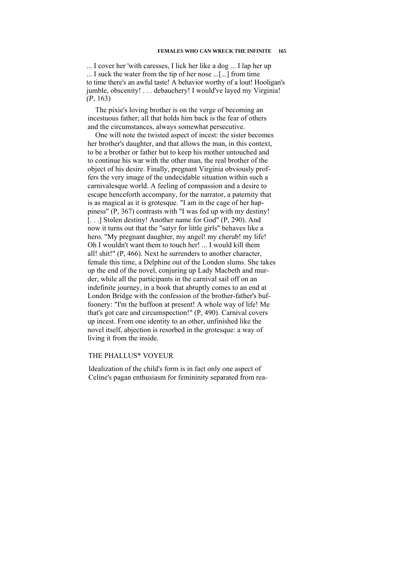... I cover her 'with caresses, I lick her like a dog ... I lap her up ... I suck the water from the tip of her nose ...[...] from time to time there's an awful taste! A behavior worthy of a lout! Hooligan's jumble, obscenity! . . . debauchery! I would've layed my Virginia! *(P,* 163)

The pixie's loving brother is on the verge of becoming an incestuous father; all that holds him back is the fear of others and the circumstances, always somewhat persecutive.

One will note the twisted aspect of incest: the sister becomes her brother's daughter, and that allows the man, in this context, to be a brother or father but to keep his mother untouched and to continue his war with the other man, the real brother of the object of his desire. Finally, pregnant Virginia obviously proffers the very image of the undecidable situation within such a carnivalesque world. A feeling of compassion and a desire to escape henceforth accompany, for the narrator, a paternity that is as magical as it is grotesque. "I am in the cage of her happiness" (P, 367) contrasts with "I was fed up with my destiny! [...] Stolen destiny! Another name for God" (P, 290). And now it turns out that the "satyr for little girls" behaves like a hero. "My pregnant daughter, my angel! my cherub! my life! Oh I wouldn't want them to touch her! ... I would kill them all! shit!" (P, 466). Next he surrenders to another character, female this time, a Delphine out of the London slums. She takes up the end of the novel, conjuring up Lady Macbeth and murder, while all the participants in the carnival sail off on an indefinite journey, in a book that abruptly comes to an end at London Bridge with the confession of the brother-father's buffoonery: "I'm the buffoon at present! A whole way of life! Me that's got care and circumspection!" (P, 490). Carnival covers up incest. From one identity to an other, unfinished like the novel itself, abjection is resorbed in the grotesque: a way of living it from the inside.

# THE PHALLUS\* VOYEUR

Idealization of the child's form is in fact only one aspect of Celine's pagan enthusiasm for femininity separated from rea-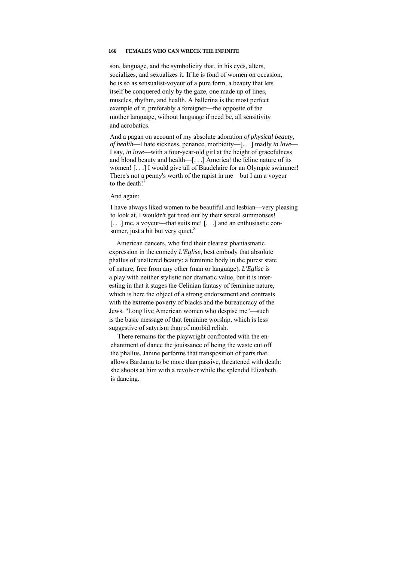son, language, and the symbolicity that, in his eyes, alters, socializes, and sexualizes it. If he is fond of women on occasion, he is so as sensualist-voyeur of a pure form, a beauty that lets itself be conquered only by the gaze, one made up of lines, muscles, rhythm, and health. A ballerina is the most perfect example of it, preferably a foreigner—the opposite of the mother language, without language if need be, all sensitivity and acrobatics.

And a pagan on account of my absolute adoration *of physical beauty, of health*—I hate sickness, penance, morbidity—[. . .] madly *in love*— I say, *in love*—with a four-year-old girl at the height of gracefulness and blond beauty and health—[. . .] America! the feline nature of its women! [. . .] I would give all of Baudelaire for an Olympic swimmer! There's not a penny's worth of the rapist in me—but I am a voyeur to the death!'

### And again:

I have always liked women to be beautiful and lesbian—very pleasing to look at, I wouldn't get tired out by their sexual summonses! [...] me, a voyeur—that suits me! [...] and an enthusiastic consumer, just a bit but very quiet. $8$ 

American dancers, who find their clearest phantasmatic expression in the comedy *L'Eglise,* best embody that absolute phallus of unaltered beauty: a feminine body in the purest state of nature, free from any other (man or language). *L'Eglise* is a play with neither stylistic nor dramatic value, but it is interesting in that it stages the Celinian fantasy of feminine nature, which is here the object of a strong endorsement and contrasts with the extreme poverty of blacks and the bureaucracy of the Jews. "Long live American women who despise me"—such is the basic message of that feminine worship, which is less suggestive of satyrism than of morbid relish.

There remains for the playwright confronted with the enchantment of dance the jouissance of being the waste cut off the phallus. Janine performs that transposition of parts that allows Bardamu to be more than passive, threatened with death: she shoots at him with a revolver while the splendid Elizabeth is dancing.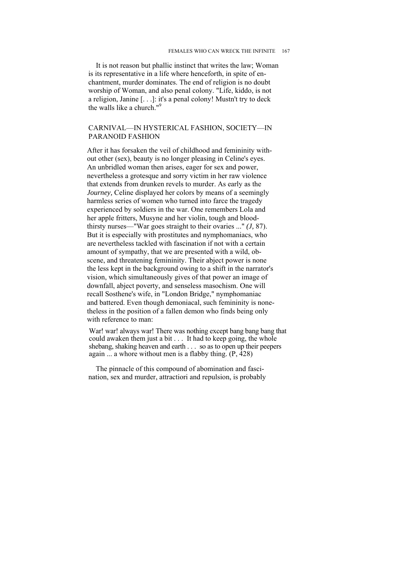It is not reason but phallic instinct that writes the law; Woman is its representative in a life where henceforth, in spite of enchantment, murder dominates. The end of religion is no doubt worship of Woman, and also penal colony. "Life, kiddo, is not a religion, Janine [. . .]: it's a penal colony! Mustn't try to deck the walls like a church."<sup>9</sup>

# CARNIVAL—IN HYSTERICAL FASHION, SOCIETY—IN PARANOID FASHION

After it has forsaken the veil of childhood and femininity without other (sex), beauty is no longer pleasing in Celine's eyes. An unbridled woman then arises, eager for sex and power, nevertheless a grotesque and sorry victim in her raw violence that extends from drunken revels to murder. As early as the *Journey,* Celine displayed her colors by means of a seemingly harmless series of women who turned into farce the tragedy experienced by soldiers in the war. One remembers Lola and her apple fritters, Musyne and her violin, tough and bloodthirsty nurses—"War goes straight to their ovaries ..." *(J,* 87). But it is especially with prostitutes and nymphomaniacs, who are nevertheless tackled with fascination if not with a certain amount of sympathy, that we are presented with a wild, obscene, and threatening femininity. Their abject power is none the less kept in the background owing to a shift in the narrator's vision, which simultaneously gives of that power an image of downfall, abject poverty, and senseless masochism. One will recall Sosthene's wife, in "London Bridge," nymphomaniac and battered. Even though demoniacal, such femininity is nonetheless in the position of a fallen demon who finds being only with reference to man:

War! war! always war! There was nothing except bang bang bang that could awaken them just a bit . . . It had to keep going, the whole shebang, shaking heaven and earth . . . so as to open up their peepers again ... a whore without men is a flabby thing. (P, 428)

The pinnacle of this compound of abomination and fascination, sex and murder, attractiori and repulsion, is probably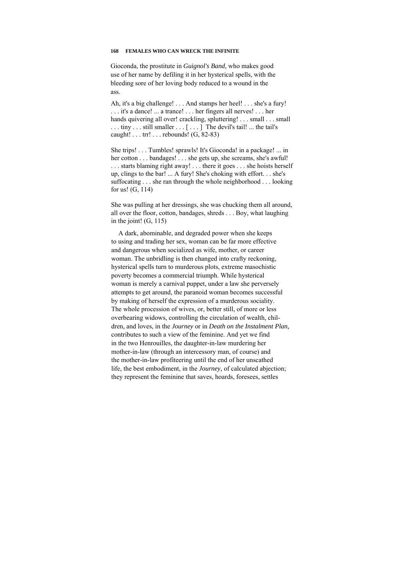Gioconda, the prostitute in *Guignol's Band,* who makes good use of her name by defiling it in her hysterical spells, with the bleeding sore of her loving body reduced to a wound in the ass.

Ah, it's a big challenge! . . . And stamps her heel! . . . she's a fury! . . . it's a dance! ... a trance! . . . her fingers all nerves! . . . her hands quivering all over! crackling, spluttering! . . . small . . . small ... tiny ... still smaller ... [...] The devil's tail! ... the tail's caught! . . . trr! . . . rebounds! (G, 82-83)

She trips! . . . Tumbles! sprawls! It's Gioconda! in a package! ... in her cotton . . . bandages! . . . she gets up, she screams, she's awful! . . . starts blaming right away! . . . there it goes . . . she hoists herself up, clings to the bar! ... A fury! She's choking with effort. . . she's suffocating . . . she ran through the whole neighborhood . . . looking for us! (G, 114)

She was pulling at her dressings, she was chucking them all around, all over the floor, cotton, bandages, shreds . . . Boy, what laughing in the joint! (G, 115)

A dark, abominable, and degraded power when she keeps to using and trading her sex, woman can be far more effective and dangerous when socialized as wife, mother, or career woman. The unbridling is then changed into crafty reckoning, hysterical spells turn to murderous plots, extreme masochistic poverty becomes a commercial triumph. While hysterical woman is merely a carnival puppet, under a law she perversely attempts to get around, the paranoid woman becomes successful by making of herself the expression of a murderous sociality. The whole procession of wives, or, better still, of more or less overbearing widows, controlling the circulation of wealth, children, and loves, in the *Journey* or in *Death on the Instalment Plan,*  contributes to such a view of the feminine. And yet we find in the two Henrouilles, the daughter-in-law murdering her mother-in-law (through an intercessory man, of course) and the mother-in-law profiteering until the end of her unscathed life, the best embodiment, in the *Journey,* of calculated abjection; they represent the feminine that saves, hoards, foresees, settles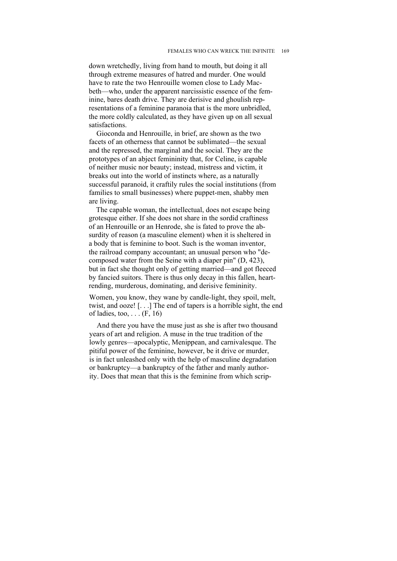down wretchedly, living from hand to mouth, but doing it all through extreme measures of hatred and murder. One would have to rate the two Henrouille women close to Lady Macbeth—who, under the apparent narcissistic essence of the feminine, bares death drive. They are derisive and ghoulish representations of a feminine paranoia that is the more unbridled, the more coldly calculated, as they have given up on all sexual satisfactions.

Gioconda and Henrouille, in brief, are shown as the two facets of an otherness that cannot be sublimated—the sexual and the repressed, the marginal and the social. They are the prototypes of an abject femininity that, for Celine, is capable of neither music nor beauty; instead, mistress and victim, it breaks out into the world of instincts where, as a naturally successful paranoid, it craftily rules the social institutions (from families to small businesses) where puppet-men, shabby men are living.

The capable woman, the intellectual, does not escape being grotesque either. If she does not share in the sordid craftiness of an Henrouille or an Henrode, she is fated to prove the absurdity of reason (a masculine element) when it is sheltered in a body that is feminine to boot. Such is the woman inventor, the railroad company accountant; an unusual person who "decomposed water from the Seine with a diaper pin" (D, 423), but in fact she thought only of getting married—and got fleeced by fancied suitors. There is thus only decay in this fallen, heartrending, murderous, dominating, and derisive femininity.

Women, you know, they wane by candle-light, they spoil, melt. twist, and ooze! [. . .] The end of tapers is a horrible sight, the end of ladies, too,  $\dots$  (F, 16)

And there you have the muse just as she is after two thousand years of art and religion. A muse in the true tradition of the lowly genres—apocalyptic, Menippean, and carnivalesque. The pitiful power of the feminine, however, be it drive or murder, is in fact unleashed only with the help of masculine degradation or bankruptcy—a bankruptcy of the father and manly authority. Does that mean that this is the feminine from which scrip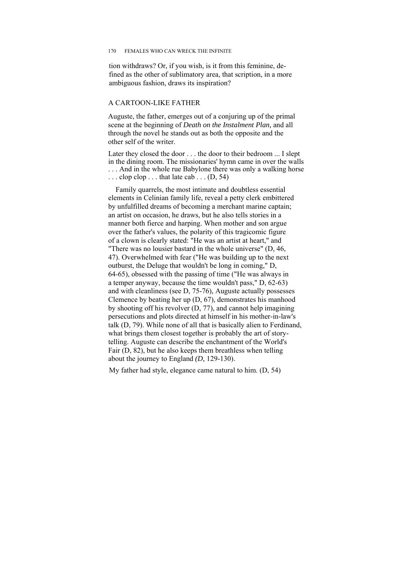tion withdraws? Or, if you wish, is it from this feminine, defined as the other of sublimatory area, that scription, in a more ambiguous fashion, draws its inspiration?

## A CARTOON-LIKE FATHER

Auguste, the father, emerges out of a conjuring up of the primal scene at the beginning of *Death on the Instalment Plan,* and all through the novel he stands out as both the opposite and the other self of the writer.

Later they closed the door . . . the door to their bedroom ... I slept in the dining room. The missionaries' hymn came in over the walls . . . And in the whole rue Babylone there was only a walking horse  $\ldots$  clop clop  $\ldots$  that late cab  $\ldots$  (D, 54)

Family quarrels, the most intimate and doubtless essential elements in Celinian family life, reveal a petty clerk embittered by unfulfilled dreams of becoming a merchant marine captain; an artist on occasion, he draws, but he also tells stories in a manner both fierce and harping. When mother and son argue over the father's values, the polarity of this tragicomic figure of a clown is clearly stated: "He was an artist at heart," and "There was no lousier bastard in the whole universe" (D, 46, 47). Overwhelmed with fear ("He was building up to the next outburst, the Deluge that wouldn't be long in coming," D, 64-65), obsessed with the passing of time ("He was always in a temper anyway, because the time wouldn't pass," D, 62-63) and with cleanliness (see D, 75-76), Auguste actually possesses Clemence by beating her up (D, 67), demonstrates his manhood by shooting off his revolver (D, 77), and cannot help imagining persecutions and plots directed at himself in his mother-in-law's talk (D, 79). While none of all that is basically alien to Ferdinand, what brings them closest together is probably the art of storytelling. Auguste can describe the enchantment of the World's Fair (D, 82), but he also keeps them breathless when telling about the journey to England *(D,* 129-130).

My father had style, elegance came natural to him. (D, 54)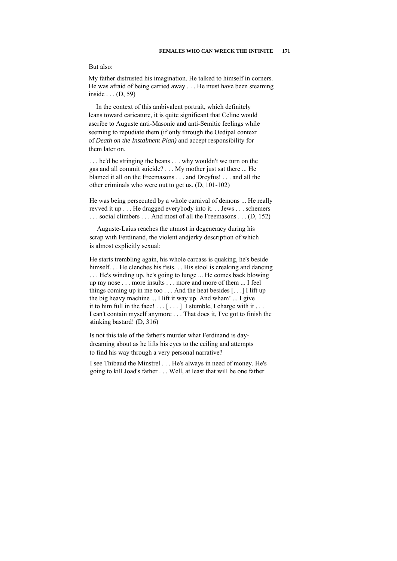But also:

My father distrusted his imagination. He talked to himself in corners. He was afraid of being carried away . . . He must have been steaming inside . . . (D, 59)

In the context of this ambivalent portrait, which definitely leans toward caricature, it is quite significant that Celine would ascribe to Auguste anti-Masonic and anti-Semitic feelings while seeming to repudiate them (if only through the Oedipal context of *Death on the Instalment Plan)* and accept responsibility for them later on.

. . . he'd be stringing the beans . . . why wouldn't we turn on the gas and all commit suicide? . . . My mother just sat there ... He blamed it all on the Freemasons . . . and Dreyfus! . . . and all the other criminals who were out to get us. (D, 101-102)

He was being persecuted by a whole carnival of demons ... He really revved it up . . . He dragged everybody into it. . . Jews . . . schemers . . . social climbers . . . And most of all the Freemasons . . . (D, 152)

Auguste-Laius reaches the utmost in degeneracy during his scrap with Ferdinand, the violent andjerky description of which is almost explicitly sexual:

He starts trembling again, his whole carcass is quaking, he's beside himself. . . He clenches his fists. . . His stool is creaking and dancing . . . He's winding up, he's going to lunge ... He comes back blowing up my nose . . . more insults . . . more and more of them ... I feel things coming up in me too . . . And the heat besides [. . .] I lift up the big heavy machine ... I lift it way up. And wham! ... I give it to him full in the face!  $\dots$  [ $\dots$ ] I stumble, I charge with it  $\dots$ I can't contain myself anymore . . . That does it, I've got to finish the stinking bastard! (D, 316)

Is not this tale of the father's murder what Ferdinand is daydreaming about as he lifts his eyes to the ceiling and attempts to find his way through a very personal narrative?

I see Thibaud the Minstrel . . . He's always in need of money. He's going to kill Joad's father . . . Well, at least that will be one father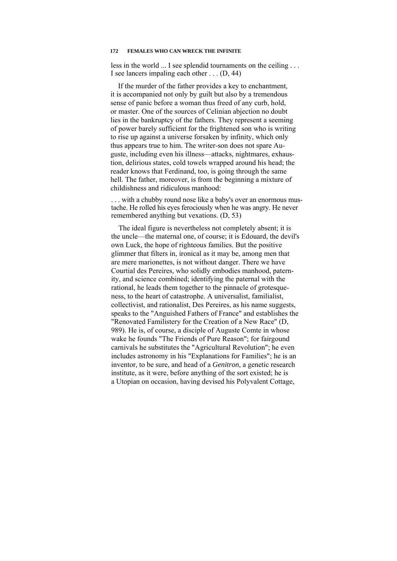## **172 FEMALES WHO CAN WRECK THE INFINITE**

less in the world ... I see splendid tournaments on the ceiling . . . I see lancers impaling each other . . . (D, 44)

If the murder of the father provides a key to enchantment, it is accompanied not only by guilt but also by a tremendous sense of panic before a woman thus freed of any curb, hold, or master. One of the sources of Celinian abjection no doubt lies in the bankruptcy of the fathers. They represent a seeming of power barely sufficient for the frightened son who is writing to rise up against a universe forsaken by infinity, which only thus appears true to him. The writer-son does not spare Auguste, including even his illness—attacks, nightmares, exhaustion, delirious states, cold towels wrapped around his head; the reader knows that Ferdinand, too, is going through the same hell. The father, moreover, is from the beginning a mixture of childishness and ridiculous manhood:

. . . with a chubby round nose like a baby's over an enormous mustache. He rolled his eyes ferociously when he was angry. He never remembered anything but vexations. (D, 53)

The ideal figure is nevertheless not completely absent; it is the uncle—the maternal one, of course; it is Edouard, the devil's own Luck, the hope of righteous families. But the positive glimmer that filters in, ironical as it may be, among men that are mere marionettes, is not without danger. There we have Courtial des Pereires, who solidly embodies manhood, paternity, and science combined; identifying the paternal with the rational, he leads them together to the pinnacle of grotesqueness, to the heart of catastrophe. A universalist, familialist, collectivist, and rationalist, Des Pereires, as his name suggests, speaks to the "Anguished Fathers of France" and establishes the "Renovated Familistery for the Creation of a New Race" (D, 989). He is, of course, a disciple of Auguste Comte in whose wake he founds "The Friends of Pure Reason"; for fairgound carnivals he substitutes the "Agricultural Revolution"; he even includes astronomy in his "Explanations for Families"; he is an inventor, to be sure, and head of a *Genitron,* a genetic research institute, as it were, before anything of the sort existed; he is a Utopian on occasion, having devised his Polyvalent Cottage,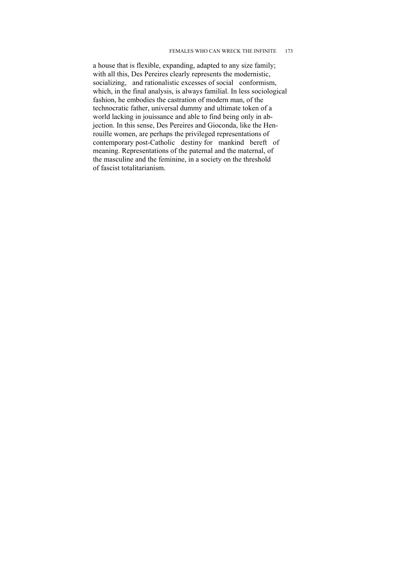a house that is flexible, expanding, adapted to any size family; with all this, Des Pereires clearly represents the modernistic, socializing, and rationalistic excesses of social conformism, which, in the final analysis, is always familial. In less sociological fashion, he embodies the castration of modern man, of the technocratic father, universal dummy and ultimate token of a world lacking in jouissance and able to find being only in abjection. In this sense, Des Pereires and Gioconda, like the Henrouille women, are perhaps the privileged representations of contemporary post-Catholic destiny for mankind bereft of meaning. Representations of the paternal and the maternal, of the masculine and the feminine, in a society on the threshold of fascist totalitarianism.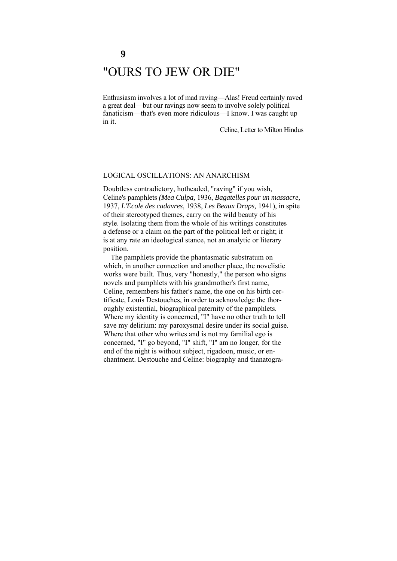## "OURS TO JEW OR DIE"

Enthusiasm involves a lot of mad raving—Alas! Freud certainly raved a great deal—but our ravings now seem to involve solely political fanaticism—that's even more ridiculous—I know. I was caught up in it.

Celine, Letter to Milton Hindus

## LOGICAL OSCILLATIONS: AN ANARCHISM

Doubtless contradictory, hotheaded, "raving" if you wish, Celine's pamphlets *(Mea Culpa,* 1936, *Bagatelles pour un massacre,*  1937, *L'Ecole des cadavres,* 1938, *Les Beaux Draps,* 1941), in spite of their stereotyped themes, carry on the wild beauty of his style. Isolating them from the whole of his writings constitutes a defense or a claim on the part of the political left or right; it is at any rate an ideological stance, not an analytic or literary position.

The pamphlets provide the phantasmatic substratum on which, in another connection and another place, the novelistic works were built. Thus, very "honestly," the person who signs novels and pamphlets with his grandmother's first name, Celine, remembers his father's name, the one on his birth certificate, Louis Destouches, in order to acknowledge the thoroughly existential, biographical paternity of the pamphlets. Where my identity is concerned, "I" have no other truth to tell save my delirium: my paroxysmal desire under its social guise. Where that other who writes and is not my familial ego is concerned, "I" go beyond, "I" shift, "I" am no longer, for the end of the night is without subject, rigadoon, music, or enchantment. Destouche and Celine: biography and thanatogra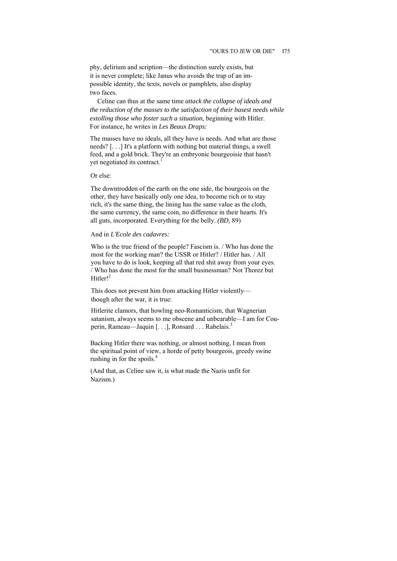phy, delirium and scription—the distinction surely exists, but it is never complete; like Janus who avoids the trap of an impossible identity, the texts, novels or pamphlets, also display two faces.

Celine can thus at the same time *attack the collapse of ideals and the reduction of the masses to the satisfaction of their basest needs while extolling those who foster such a situation,* beginning with Hitler. For instance, he writes in *Les Beaux Draps:*

The masses have no ideals, all they have is needs. And what are those needs? [. . .] It's a platform with nothing but material things, a swell feed, and a gold brick. They're an embryonic bourgeoisie that hasn't yet negotiated its contract.<sup>1</sup>

Or else:

The downtrodden of the earth on the one side, the bourgeois on the other, they have basically only one idea, to become rich or to stay rich, it's the same thing, the lining has the same value as the cloth, the same currency, the same coin, no difference in their hearts. It's all guts, incorporated. Everything for the belly. *(BD,* 89)

#### And in *L'Ecole des cadavres:*

Who is the true friend of the people? Fascism is. / Who has done the most for the working man? the USSR or Hitler? / Hitler has. / All you have to do is look, keeping all that red shit away from your eyes. / Who has done the most for the small businessman? Not Thorez but Hitler! $<sup>2</sup>$ </sup>

This does not prevent him from attacking Hitler violently though after the war, it is true:

Hitlerite clamors, that howling neo-Romanticism, that Wagnerian satanism, always seems to me obscene and unbearable—I am for Couperin, Rameau—Jaquin [...], Ronsard ... Rabelais.<sup>3</sup>

Backing Hitler there was nothing, or almost nothing, I mean from the spiritual point of view, a horde of petty bourgeois, greedy swine rushing in for the spoils.<sup>4</sup>

(And that, as Celine saw it, is what made the Nazis unfit for Nazism.)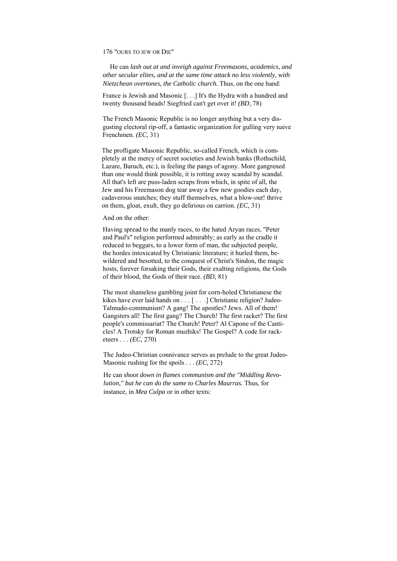176 "OURS TO JEW OR DIE"

He can *lash out at and inveigh against Freemasons, academics, and other secular elites, and at the same time attack no less violently, with Nietzchean overtones, the Catholic church.* Thus, on the one hand:

France is Jewish and Masonic [. . .] It's the Hydra with a hundred and twenty thousand heads! Siegfried can't get over it! *(BD,* 78)

The French Masonic Republic is no longer anything but a very disgusting electoral rip-off, a fantastic organization for gulling very naive Frenchmen. *(EC,* 31)

The profligate Masonic Republic, so-called French, which is completely at the mercy of secret societies and Jewish banks (Rothschild, Lazare, Baruch, etc.), is feeling the pangs of agony. More gangrened than one would think possible, it is rotting away scandal by scandal. All that's left are puss-laden scraps from which, in spite of all, the Jew and his Freemason dog tear away a few new goodies each day, cadaverous snatches; they stuff themselves, what a blow-out! thrive on them, gloat, exult, they go delirious on carrion. *(EC,* 31)

And on the other:

Having spread to the manly races, to the hated Aryan races, "Peter and Paul's" religion performed admirably; as early as the cradle it reduced to beggars, to a lower form of man, the subjected people, the hordes intoxicated by Christianic literature; it hurled them, bewildered and besotted, to the conquest of Christ's Sindon, the magic hosts, forever forsaking their Gods, their exalting religions, the Gods of their blood, the Gods of their race. *(BD,* 81)

The most shameless gambling joint for corn-holed Christianese the kikes have ever laid hands on . . . [ . . .] Christianic religion? Judeo-Talmudo-communism? A gang! The apostles? Jews. All of them! Gangsters all! The first gang? The Church! The first racket? The first people's commissariat? The Church! Peter? Al Capone of the Canticles! A Trotsky for Roman muzhiks! The Gospel? A code for racketeers . . . *(EC,* 270)

The Judeo-Christian connivance serves as prelude to the great Judeo-Masonic rushing for the spoils . . . *(EC,* 272)

He can *shoot down in flames communism and the "Middling Revolution," but he can do the same to Charles Maurras.* Thus, for instance, in *Mea Culpa* or in other texts: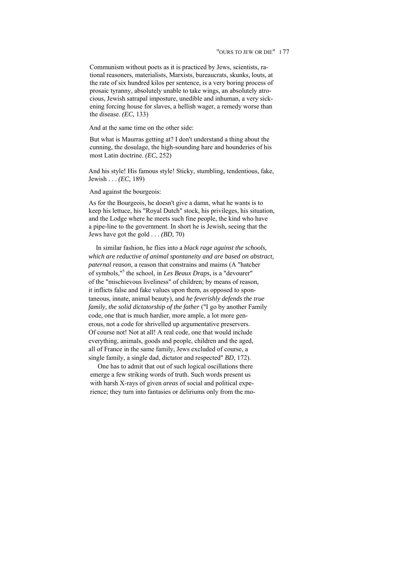Communism without poets as it is practiced by Jews, scientists, rational reasoners, materialists, Marxists, bureaucrats, skunks, louts, at the rate of six hundred kilos per sentence, is a very boring process of prosaic tyranny, absolutely unable to take wings, an absolutely atrocious, Jewish satrapal imposture, unedible and inhuman, a very sickening forcing house for slaves, a hellish wager, a remedy worse than the disease. *(EC,* 133)

And at the same time on the other side:

But what is Maurras getting at? I don't understand a thing about the cunning, the dosulage, the high-sounding hare and hounderies of his most Latin doctrine. *(EC,* 252)

And his style! His famous style! Sticky, stumbling, tendentious, fake, Jewish . . . *(EC,* 189)

And against the bourgeois:

As for the Bourgeois, he doesn't give a damn, what he wants is to keep his lettuce, his "Royal Dutch" stock, his privileges, his situation, and the Lodge where he meets such fine people, the kind who have a pipe-line to the government. In short he is Jewish, seeing that the Jews have got the gold . . . *(BD,* 70)

In similar fashion, he flies into a *black rage against the schools, which are reductive of animal spontaneity and are based on abstract, paternal reason,* a reason that constrains and maims (A "hatcher of symbols,"5 the school, in *Les Beaux Draps,* is a "devourer" of the "mischievous liveliness" of children; by means of reason, it inflicts false and fake values upon them, as opposed to spontaneous, innate, animal beauty), and *he feverishly defends the true family, the solid dictatorship of the father* ("I go by another Family code, one that is much hardier, more ample, a lot more generous, not a code for shrivelled up argumentative preservers. Of course not! Not at all! A real code, one that would include everything, animals, goods and people, children and the aged, all of France in the same family, Jews excluded of course, a single family, a single dad, dictator and respected" *BD,* 172).

One has to admit that out of such logical oscillations there emerge a few striking words of truth. Such words present us with harsh X-rays of given *areas* of social and political experience; they turn into fantasies or deliriums only from the mo-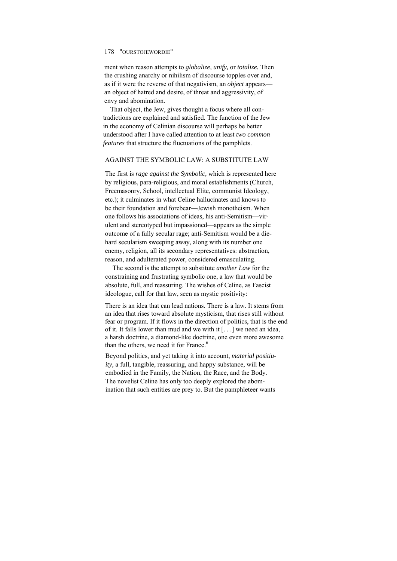## 178 "OURSTOJEWORDIE"

ment when reason attempts to *globalize, unify,* or *totalize.* Then the crushing anarchy or nihilism of discourse topples over and, as if it were the reverse of that negativism, an *object* appears an object of hatred and desire, of threat and aggressivity, of envy and abomination.

That object, the Jew, gives thought a focus where all contradictions are explained and satisfied. The function of the Jew in the economy of Celinian discourse will perhaps be better understood after I have called attention to at least *two common features* that structure the fluctuations of the pamphlets.

## AGAINST THE SYMBOLIC LAW: A SUBSTITUTE LAW

The first is *rage against the Symbolic,* which is represented here by religious, para-religious, and moral establishments (Church, Freemasonry, School, intellectual Elite, communist Ideology, etc.); it culminates in what Celine hallucinates and knows to be their foundation and forebear—Jewish monotheism. When one follows his associations of ideas, his anti-Semitism—virulent and stereotyped but impassioned—appears as the simple outcome of a fully secular rage; anti-Semitism would be a diehard secularism sweeping away, along with its number one enemy, religion, all its secondary representatives: abstraction, reason, and adulterated power, considered emasculating.

The second is the attempt to substitute *another Law* for the constraining and frustrating symbolic one, a law that would be absolute, full, and reassuring. The wishes of Celine, as Fascist ideologue, call for that law, seen as mystic positivity:

There is an idea that can lead nations. There is a law. It stems from an idea that rises toward absolute mysticism, that rises still without fear or program. If it flows in the direction of politics, that is the end of it. It falls lower than mud and we with it [. . .] we need an idea, a harsh doctrine, a diamond-like doctrine, one even more awesome than the others, we need it for France.<sup>6</sup>

Beyond politics, and yet taking it into account, *material positiuity,* a full, tangible, reassuring, and happy substance, will be embodied in the Family, the Nation, the Race, and the Body. The novelist Celine has only too deeply explored the abomination that such entities are prey to. But the pamphleteer wants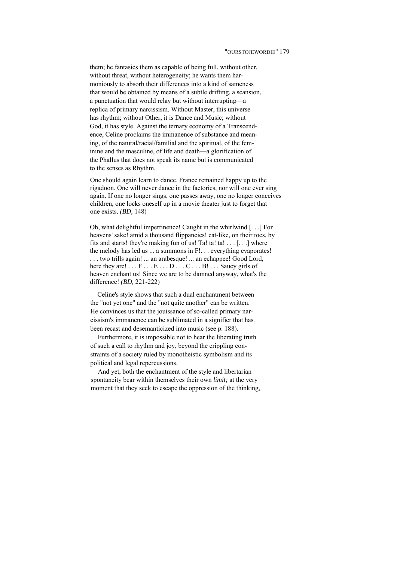them; he fantasies them as capable of being full, without other, without threat, without heterogeneity; he wants them harmoniously to absorb their differences into a kind of sameness that would be obtained by means of a subtle drifting, a scansion, a punctuation that would relay but without interrupting—a replica of primary narcissism. Without Master, this universe has rhythm; without Other, it is Dance and Music; without God, it has style. Against the ternary economy of a Transcendence, Celine proclaims the immanence of substance and meaning, of the natural/racial/familial and the spiritual, of the feminine and the masculine, of life and death—a glorification of the Phallus that does not speak its name but is communicated to the senses as Rhythm.

One should again learn to dance. France remained happy up to the rigadoon. One will never dance in the factories, nor will one ever sing again. If one no longer sings, one passes away, one no longer conceives children, one locks oneself up in a movie theater just to forget that one exists. *(BD,* 148)

Oh, what delightful impertinence! Caught in the whirlwind [. . .] For heavens' sake! amid a thousand flippancies! cat-like, on their toes, by fits and starts! they're making fun of us! Ta! ta! ta! . . . [. . .] where the melody has led us ... a summons in F!. . . everything evaporates! . . . two trills again! ... an arabesque! ... an echappee! Good Lord, here they are!  $\dots$  F $\dots$  E $\dots$  D $\dots$  C $\dots$  B! $\dots$  Saucy girls of heaven enchant us! Since we are to be damned anyway, what's the difference! *(BD,* 221-222)

Celine's style shows that such a dual enchantment between the "not yet one" and the "not quite another" can be written. He convinces us that the jouissance of so-called primary narcissism's immanence can be sublimated in a signifier that has; been recast and desemanticized into music (see p. 188).

Furthermore, it is impossible not to hear the liberating truth of such a call to rhythm and joy, beyond the crippling constraints of a society ruled by monotheistic symbolism and its political and legal repercussions.

And yet, both the enchantment of the style and libertarian spontaneity bear within themselves their own *limit;* at the very moment that they seek to escape the oppression of the thinking,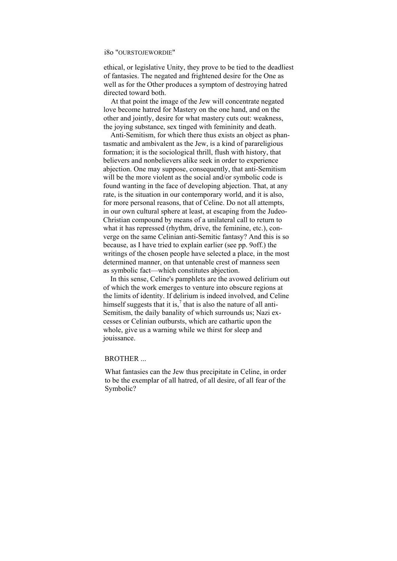## i8o "OURSTOJEWORDIE"

ethical, or legislative Unity, they prove to be tied to the deadliest of fantasies. The negated and frightened desire for the One as well as for the Other produces a symptom of destroying hatred directed toward both.

At that point the image of the Jew will concentrate negated love become hatred for Mastery on the one hand, and on the other and jointly, desire for what mastery cuts out: weakness, the joying substance, sex tinged with femininity and death.

Anti-Semitism, for which there thus exists an object as phantasmatic and ambivalent as the Jew, is a kind of parareligious formation; it is the sociological thrill, flush with history, that believers and nonbelievers alike seek in order to experience abjection. One may suppose, consequently, that anti-Semitism will be the more violent as the social and/or symbolic code is found wanting in the face of developing abjection. That, at any rate, is the situation in our contemporary world, and it is also, for more personal reasons, that of Celine. Do not all attempts, in our own cultural sphere at least, at escaping from the Judeo-Christian compound by means of a unilateral call to return to what it has repressed (rhythm, drive, the feminine, etc.), converge on the same Celinian anti-Semitic fantasy? And this is so because, as I have tried to explain earlier (see pp. 9off.) the writings of the chosen people have selected a place, in the most determined manner, on that untenable crest of manness seen as symbolic fact—which constitutes abjection.

In this sense, Celine's pamphlets are the avowed delirium out of which the work emerges to venture into obscure regions at the limits of identity. If delirium is indeed involved, and Celine himself suggests that it is,<sup>7</sup> that is also the nature of all anti-Semitism, the daily banality of which surrounds us; Nazi excesses or Celinian outbursts, which are cathartic upon the whole, give us a warning while we thirst for sleep and jouissance.

## BROTHER ...

What fantasies can the Jew thus precipitate in Celine, in order to be the exemplar of all hatred, of all desire, of all fear of the Symbolic?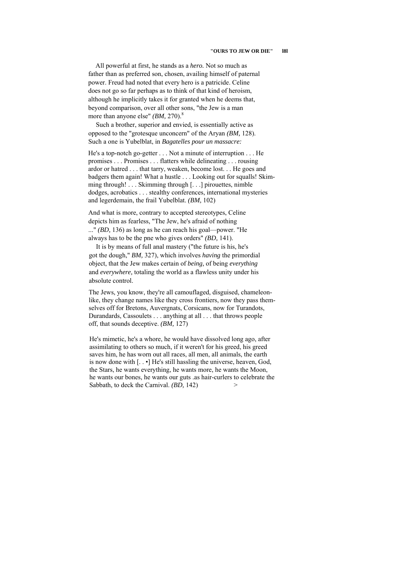All powerful at first, he stands as a *hero.* Not so much as father than as preferred son, chosen, availing himself of paternal power. Freud had noted that every hero is a patricide. Celine does not go so far perhaps as to think of that kind of heroism, although he implicitly takes it for granted when he deems that, beyond comparison, over all other sons, "the Jew is a man more than anyone else" *(BM, 270)*.<sup>8</sup>

Such a brother, superior and envied, is essentially active as opposed to the "grotesque unconcern" of the Aryan *(BM,* 128). Such a one is Yubelblat, in *Bagatelles pour un massacre:*

He's a top-notch go-getter . . . Not a minute of interruption . . . He promises . . . Promises . . . flatters while delineating . . . rousing ardor or hatred . . . that tarry, weaken, become lost. . . He goes and badgers them again! What a hustle . . . Looking out for squalls! Skimming through! . . . Skimming through [. . .] pirouettes, nimble dodges, acrobatics . . . stealthy conferences, international mysteries and legerdemain, the frail Yubelblat. *(BM,* 102)

And what is more, contrary to accepted stereotypes, Celine depicts him as fearless, "The Jew, he's afraid of nothing ..." *(BD,* 136) as long as he can reach his goal—power. "He always has to be the pne who gives orders" *(BD,* 141).

It is by means of full anal mastery ("the future is his, he's got the dough," *BM,* 327), which involves *having* the primordial object, that the Jew makes certain of *being,* of being *everything*  and *everywhere,* totaling the world as a flawless unity under his absolute control.

The Jews, you know, they're all camouflaged, disguised, chameleonlike, they change names like they cross frontiers, now they pass themselves off for Bretons, Auvergnats, Corsicans, now for Turandots, Durandards, Cassoulets . . . anything at all . . . that throws people off, that sounds deceptive. *(BM,* 127)

He's mimetic, he's a whore, he would have dissolved long ago, after assimilating to others so much, if it weren't for his greed, his greed saves him, he has worn out all races, all men, all animals, the earth is now done with [. . •] He's still hassling the universe, heaven, God, the Stars, he wants everything, he wants more, he wants the Moon, he wants our bones, he wants our guts .as hair-curlers to celebrate the Sabbath, to deck the Carnival. *(BD, 142)*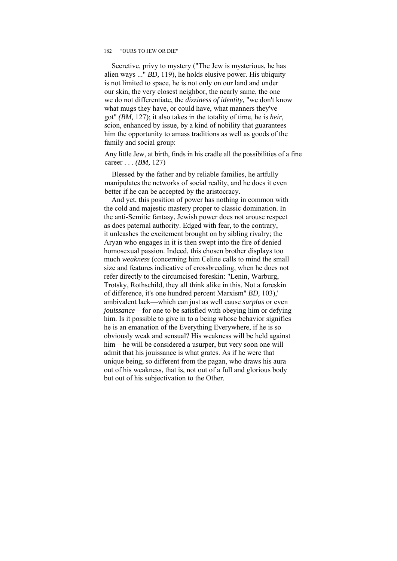## 182 "OURS TO JEW OR DIE"

Secretive, privy to mystery ("The Jew is mysterious, he has alien ways ..." *BD,* 119), he holds elusive power. His ubiquity is not limited to space, he is not only on our land and under our skin, the very closest neighbor, the nearly same, the one we do not differentiate, the *dizziness of identity,* "we don't know what mugs they have, or could have, what manners they've got" *(BM,* 127); it also takes in the totality of time, he is *heir,*  scion, enhanced by issue, by a kind of nobility that guarantees him the opportunity to amass traditions as well as goods of the family and social group:

Any little Jew, at birth, finds in his cradle all the possibilities of a fine career . . . *(BM,* 127)

Blessed by the father and by reliable families, he artfully manipulates the networks of social reality, and he does it even better if he can be accepted by the aristocracy.

And yet, this position of power has nothing in common with the cold and majestic mastery proper to classic domination. In the anti-Semitic fantasy, Jewish power does not arouse respect as does paternal authority. Edged with fear, to the contrary, it unleashes the excitement brought on by sibling rivalry; the Aryan who engages in it is then swept into the fire of denied homosexual passion. Indeed, this chosen brother displays too much *weakness* (concerning him Celine calls to mind the small size and features indicative of crossbreeding, when he does not refer directly to the circumcised foreskin: "Lenin, Warburg, Trotsky, Rothschild, they all think alike in this. Not a foreskin of difference, it's one hundred percent Marxism" *BD,* 103),' ambivalent lack—which can just as well cause *surplus* or even *jouissance*—for one to be satisfied with obeying him or defying him. Is it possible to give in to a being whose behavior signifies he is an emanation of the Everything Everywhere, if he is so obviously weak and sensual? His weakness will be held against him—he will be considered a usurper, but very soon one will admit that his jouissance is what grates. As if he were that unique being, so different from the pagan, who draws his aura out of his weakness, that is, not out of a full and glorious body but out of his subjectivation to the Other.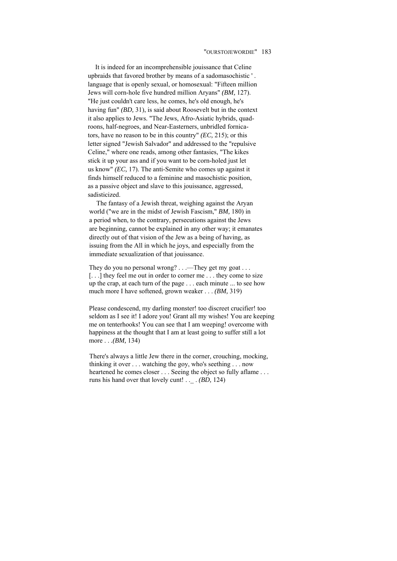#### "OURSTOJEWORDIE" 183

It is indeed for an incomprehensible jouissance that Celine upbraids that favored brother by means of a sadomasochistic ' . language that is openly sexual, or homosexual: "Fifteen million Jews will corn-hole five hundred million Aryans" *(BM,* 127). "He just couldn't care less, he comes, he's old enough, he's having fun" *(BD, 31)*, is said about Roosevelt but in the context it also applies to Jews. "The Jews, Afro-Asiatic hybrids, quadroons, half-negroes, and Near-Easterners, unbridled fornicators, have no reason to be in this country" *(EC,* 215); or this letter signed "Jewish Salvador" and addressed to the "repulsive Celine," where one reads, among other fantasies, "The kikes stick it up your ass and if you want to be corn-holed just let us know" *(EC,* 17). The anti-Semite who comes up against it finds himself reduced to a feminine and masochistic position, as a passive object and slave to this jouissance, aggressed, sadisticized.

The fantasy of a Jewish threat, weighing against the Aryan world ("we are in the midst of Jewish Fascism," *BM,* 180) in a period when, to the contrary, persecutions against the Jews are beginning, cannot be explained in any other way; it emanates directly out of that vision of the Jew as a being of having, as issuing from the All in which he joys, and especially from the immediate sexualization of that jouissance.

They do you no personal wrong?  $\ldots$  —They get my goat  $\ldots$ [...] they feel me out in order to corner me . . . they come to size up the crap, at each turn of the page . . . each minute ... to see how much more I have softened, grown weaker . . . *(BM,* 319)

Please condescend, my darling monster! too discreet crucifier! too seldom as I see it! I adore you! Grant all my wishes! You are keeping me on tenterhooks! You can see that I am weeping! overcome with happiness at the thought that I am at least going to suffer still a lot more . . *.(BM,* 134)

There's always a little Jew there in the corner, crouching, mocking, thinking it over . . . watching the goy, who's seething . . . now heartened he comes closer . . . Seeing the object so fully aflame . . . runs his hand over that lovely cunt! . .\_ . *(BD,* 124)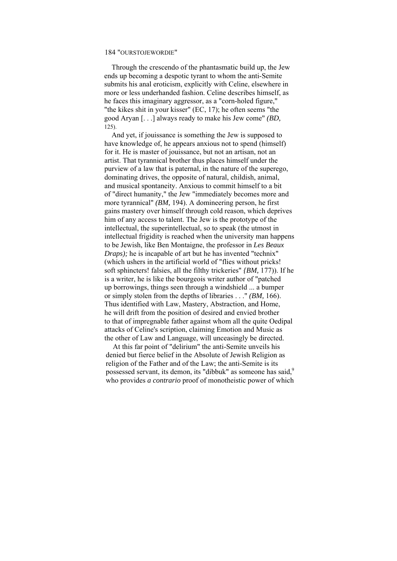## 184 "OURSTOJEWORDIE"

Through the crescendo of the phantasmatic build up, the Jew ends up becoming a despotic tyrant to whom the anti-Semite submits his anal eroticism, explicitly with Celine, elsewhere in more or less underhanded fashion. Celine describes himself, as he faces this imaginary aggressor, as a "corn-holed figure," "the kikes shit in your kisser" (EC, 17); he often seems "the good Aryan [. . .] always ready to make his Jew come" *(BD,*  125).

And yet, if jouissance is something the Jew is supposed to have knowledge of, he appears anxious not to spend (himself) for it. He is master of jouissance, but not an artisan, not an artist. That tyrannical brother thus places himself under the purview of a law that is paternal, in the nature of the superego, dominating drives, the opposite of natural, childish, animal, and musical spontaneity. Anxious to commit himself to a bit of "direct humanity," the Jew "immediately becomes more and more tyrannical" *(BM,* 194). A domineering person, he first gains mastery over himself through cold reason, which deprives him of any access to talent. The Jew is the prototype of the intellectual, the superintellectual, so to speak (the utmost in intellectual frigidity is reached when the university man happens to be Jewish, like Ben Montaigne, the professor in *Les Beaux Draps*); he is incapable of art but he has invented "technix" (which ushers in the artificial world of "flies without pricks! soft sphincters! falsies, all the filthy trickeries" *{BM,* 177)). If he is a writer, he is like the bourgeois writer author of "patched up borrowings, things seen through a windshield ... a bumper or simply stolen from the depths of libraries . . ." *(BM,* 166). Thus identified with Law, Mastery, Abstraction, and Home, he will drift from the position of desired and envied brother to that of impregnable father against whom all the quite Oedipal attacks of Celine's scription, claiming Emotion and Music as the other of Law and Language, will unceasingly be directed.

At this far point of "delirium" the anti-Semite unveils his denied but fierce belief in the Absolute of Jewish Religion as religion of the Father and of the Law; the anti-Semite is its possessed servant, its demon, its "dibbuk" as someone has said.<sup>9</sup> who provides *a contrario* proof of monotheistic power of which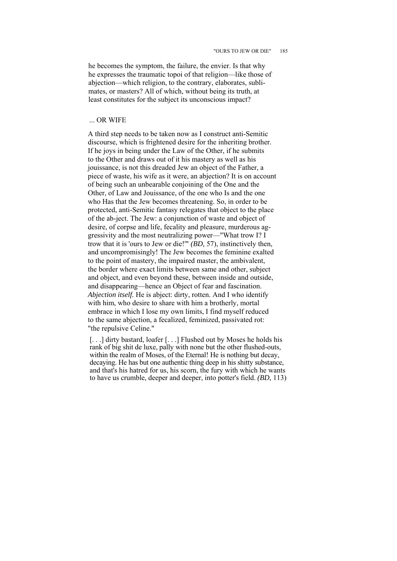he becomes the symptom, the failure, the envier. Is that why he expresses the traumatic topoi of that religion—like those of abjection—which religion, to the contrary, elaborates, sublimates, or masters? All of which, without being its truth, at least constitutes for the subject its unconscious impact?

## ... OR WIFE

A third step needs to be taken now as I construct anti-Semitic discourse, which is frightened desire for the inheriting brother. If he joys in being under the Law of the Other, if he submits to the Other and draws out of it his mastery as well as his jouissance, is not this dreaded Jew an object of the Father, a piece of waste, his wife as it were, an abjection? It is on account of being such an unbearable conjoining of the One and the Other, of Law and Jouissance, of the one who Is and the one who Has that the Jew becomes threatening. So, in order to be protected, anti-Semitic fantasy relegates that object to the place of the ab-ject. The Jew: a conjunction of waste and object of desire, of corpse and life, fecality and pleasure, murderous aggressivity and the most neutralizing power—"What trow I? I trow that it is 'ours to Jew or die!'" *(BD,* 57), instinctively then, and uncompromisingly! The Jew becomes the feminine exalted to the point of mastery, the impaired master, the ambivalent, the border where exact limits between same and other, subject and object, and even beyond these, between inside and outside, and disappearing—hence an Object of fear and fascination. *Abjection itself.* He is abject: dirty, rotten. And I who identify with him, who desire to share with him a brotherly, mortal embrace in which I lose my own limits, I find myself reduced to the same abjection, a fecalized, feminized, passivated rot: "the repulsive Celine."

[. . .] dirty bastard, loafer [. . .] Flushed out by Moses he holds his rank of big shit de luxe, pally with none but the other flushed-outs, within the realm of Moses, of the Eternal! He is nothing but decay, decaying. He has but one authentic thing deep in his shitty substance, and that's his hatred for us, his scorn, the fury with which he wants to have us crumble, deeper and deeper, into potter's field. *(BD,* 113)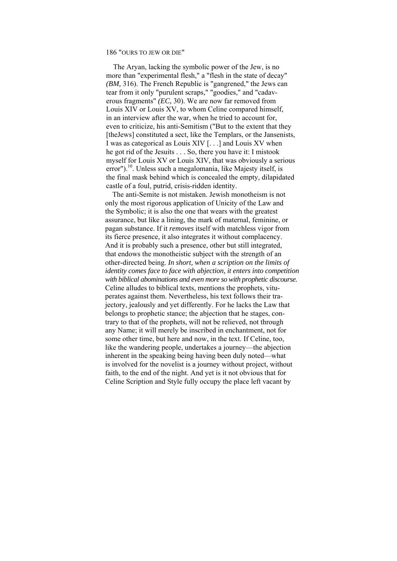## 186 "OURS TO JEW OR DIE"

The Aryan, lacking the symbolic power of the Jew, is no more than "experimental flesh," a "flesh in the state of decay" *(BM,* 316). The French Republic is "gangrened," the Jews can tear from it only "purulent scraps," "goodies," and "cadaverous fragments" *(EC,* 30). We are now far removed from Louis XIV or Louis XV, to whom Celine compared himself, in an interview after the war, when he tried to account for, even to criticize, his anti-Semitism ("But to the extent that they [theJews] constituted a sect, like the Templars, or the Jansenists, I was as categorical as Louis XIV [. . .] and Louis XV when he got rid of the Jesuits . . . So, there you have it: I mistook myself for Louis XV or Louis XIV, that was obviously a serious error").<sup>10</sup>. Unless such a megalomania, like Majesty itself, is the final mask behind which is concealed the empty, dilapidated castle of a foul, putrid, crisis-ridden identity.

The anti-Semite is not mistaken. Jewish monotheism is not only the most rigorous application of Unicity of the Law and the Symbolic; it is also the one that wears with the greatest assurance, but like a lining, the mark of maternal, feminine, or pagan substance. If it *removes* itself with matchless vigor from its fierce presence, it also integrates it without complacency. And it is probably such a presence, other but still integrated, that endows the monotheistic subject with the strength of an other-directed being. *In short, when a scription on the limits of identity comes face to face with abjection, it enters into competition with biblical abominations and even more so with prophetic discourse.*  Celine alludes to biblical texts, mentions the prophets, vituperates against them. Nevertheless, his text follows their trajectory, jealously and yet differently. For he lacks the Law that belongs to prophetic stance; the abjection that he stages, contrary to that of the prophets, will not be relieved, not through any Name; it will merely be inscribed in enchantment, not for some other time, but here and now, in the text. If Celine, too, like the wandering people, undertakes a journey—the abjection inherent in the speaking being having been duly noted—what is involved for the novelist is a journey without project, without faith, to the end of the night. And yet is it not obvious that for Celine Scription and Style fully occupy the place left vacant by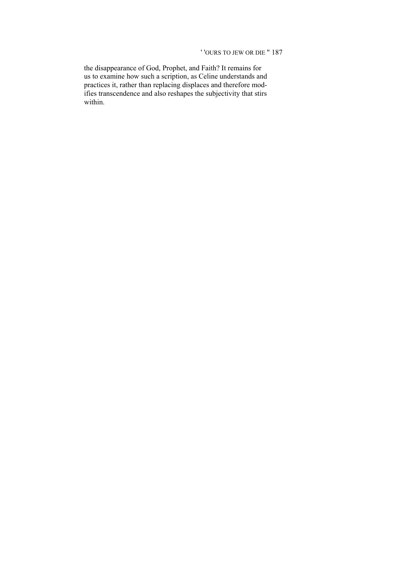## ' 'OURS TO JEW OR DIE " 187

the disappearance of God, Prophet, and Faith? It remains for us to examine how such a scription, as Celine understands and practices it, rather than replacing displaces and therefore modifies transcendence and also reshapes the subjectivity that stirs within.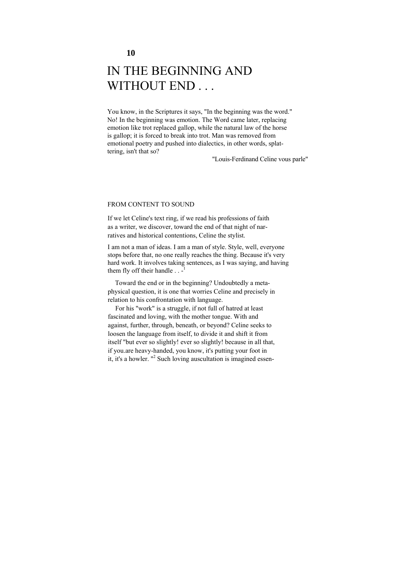# IN THE BEGINNING AND WITHOUT END . . .

You know, in the Scriptures it says, "In the beginning was the word." No! In the beginning was emotion. The Word came later, replacing emotion like trot replaced gallop, while the natural law of the horse is gallop; it is forced to break into trot. Man was removed from emotional poetry and pushed into dialectics, in other words, splattering, isn't that so?

"Louis-Ferdinand Celine vous parle"

## FROM CONTENT TO SOUND

If we let Celine's text ring, if we read his professions of faith as a writer, we discover, toward the end of that night of narratives and historical contentions, Celine the stylist.

I am not a man of ideas. I am a man of style. Style, well, everyone stops before that, no one really reaches the thing. Because it's very hard work. It involves taking sentences, as I was saying, and having them fly off their handle  $\ldots$ <sup>-1</sup>

Toward the end or in the beginning? Undoubtedly a metaphysical question, it is one that worries Celine and precisely in relation to his confrontation with language.

For his "work" is a struggle, if not full of hatred at least fascinated and loving, with the mother tongue. With and against, further, through, beneath, or beyond? Celine seeks to loosen the language from itself, to divide it and shift it from itself "but ever so slightly! ever so slightly! because in all that, if you.are heavy-handed, you know, it's putting your foot in it, it's a howler. "<sup>2</sup> Such loving auscultation is imagined essen-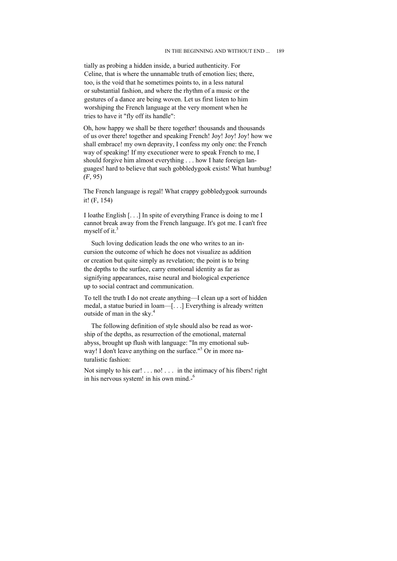tially as probing a hidden inside, a buried authenticity. For Celine, that is where the unnamable truth of emotion lies; there, too, is the void that he sometimes points to, in a less natural or substantial fashion, and where the rhythm of a music or the gestures of a dance are being woven. Let us first listen to him worshiping the French language at the very moment when he tries to have it "fly off its handle":

Oh, how happy we shall be there together! thousands and thousands of us over there! together and speaking French! Joy! Joy! Joy! how we shall embrace! my own depravity, I confess my only one: the French way of speaking! If my executioner were to speak French to me, I should forgive him almost everything . . . how I hate foreign languages! hard to believe that such gobbledygook exists! What humbug! *(F,* 95)

The French language is regal! What crappy gobbledygook surrounds it! (F, 154)

I loathe English [. . .] In spite of everything France is doing to me I cannot break away from the French language. It's got me. I can't free myself of it. $3$ 

Such loving dedication leads the one who writes to an incursion the outcome of which he does not visualize as addition or creation but quite simply as revelation; the point is to bring the depths to the surface, carry emotional identity as far as signifying appearances, raise neural and biological experience up to social contract and communication.

To tell the truth I do not create anything—I clean up a sort of hidden medal, a statue buried in loam—[. . .] Everything is already written outside of man in the sky.<sup>4</sup>

The following definition of style should also be read as worship of the depths, as resurrection of the emotional, maternal abyss, brought up flush with language: "In my emotional subway! I don't leave anything on the surface."<sup>5</sup> Or in more naturalistic fashion:

Not simply to his ear! . . . no! . . . in the intimacy of his fibers! right in his nervous system! in his own mind.-<sup>6</sup>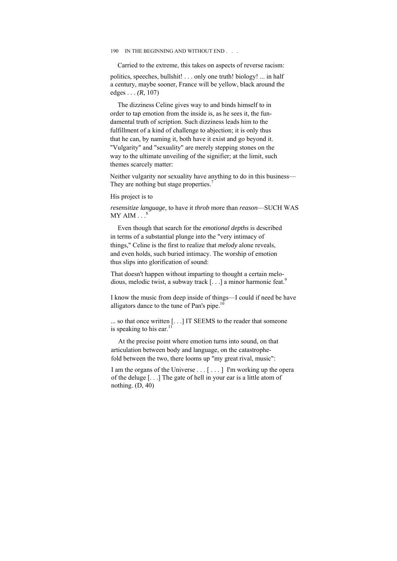## 190 IN THE BEGINNING AND WITHOUT END . . .

Carried to the extreme, this takes on aspects of reverse racism:

politics, speeches, bullshit! . . . only one truth! biology! ... in half a century, maybe sooner, France will be yellow, black around the edges . . . *(R,* 107)

The dizziness Celine gives way to and binds himself to in order to tap emotion from the inside is, as he sees it, the fundamental truth of scription. Such dizziness leads him to the fulfillment of a kind of challenge to abjection; it is only thus that he can, by naming it, both have it exist and go beyond it. "Vulgarity" and "sexuality" are merely stepping stones on the way to the ultimate unveiling of the signifier; at the limit, such themes scarcely matter:

Neither vulgarity nor sexuality have anything to do in this business— They are nothing but stage properties.<sup>7</sup>

## His project is to

*resensitize language,* to have it *throb* more than *reason*—SUCH WAS  $MY$  AIM  $\ldots$ <sup>8</sup>

Even though that search for the *emotional depths* is described in terms of a substantial plunge into the "very intimacy of things," Celine is the first to realize that *melody* alone reveals, and even holds, such buried intimacy. The worship of emotion thus slips into glorification of sound:

That doesn't happen without imparting to thought a certain melodious, melodic twist, a subway track [...] a minor harmonic feat.<sup>9</sup>

I know the music from deep inside of things—I could if need be have alligators dance to the tune of Pan's pipe. $10$ 

... so that once written [. . .] IT SEEMS to the reader that someone is speaking to his ear. $<sup>11</sup>$ </sup>

At the precise point where emotion turns into sound, on that articulation between body and language, on the catastrophefold between the two, there looms up "my great rival, music":

I am the organs of the Universe . . . [ . . . ] I'm working up the opera of the deluge [. . .] The gate of hell in your ear is a little atom of nothing. (D, 40)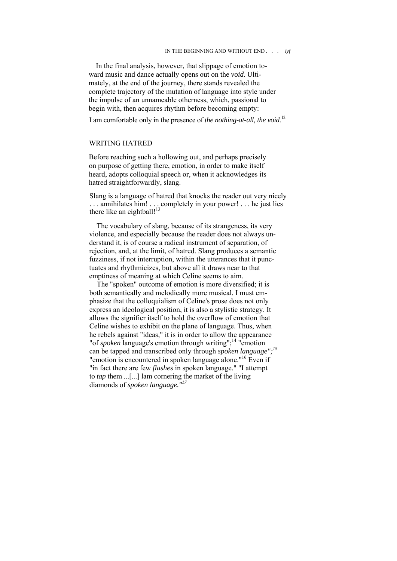In the final analysis, however, that slippage of emotion toward music and dance actually opens out on the *void.* Ultimately, at the end of the journey, there stands revealed the complete trajectory of the mutation of language into style under the impulse of an unnameable otherness, which, passional to begin with, then acquires rhythm before becoming empty:

I am comfortable only in the presence of *the nothing-at-all, the void.*<sup>12</sup>

## WRITING HATRED

Before reaching such a hollowing out, and perhaps precisely on purpose of getting there, emotion, in order to make itself heard, adopts colloquial speech or, when it acknowledges its hatred straightforwardly, slang.

Slang is a language of hatred that knocks the reader out very nicely . . . annihilates him! . . . completely in your power! . . . he just lies there like an eightball!<sup>13</sup>

The vocabulary of slang, because of its strangeness, its very violence, and especially because the reader does not always understand it, is of course a radical instrument of separation, of rejection, and, at the limit, of hatred. Slang produces a semantic fuzziness, if not interruption, within the utterances that it punctuates and rhythmicizes, but above all it draws near to that emptiness of meaning at which Celine seems to aim.

The "spoken" outcome of emotion is more diversified; it is both semantically and melodically more musical. I must emphasize that the colloquialism of Celine's prose does not only express an ideological position, it is also a stylistic strategy. It allows the signifier itself to hold the overflow of emotion that Celine wishes to exhibit on the plane of language. Thus, when he rebels against "ideas," it is in order to allow the appearance "of *spoken* language's emotion through writing";<sup>14</sup> "emotion" can be tapped and transcribed only through *spoken language";15*  "emotion is encountered in spoken language alone."<sup>16</sup> Even if "in fact there are few *flashes* in spoken language." "I attempt to *tap* them ...[...] lam cornering the market of the living diamonds of *spoken language."17*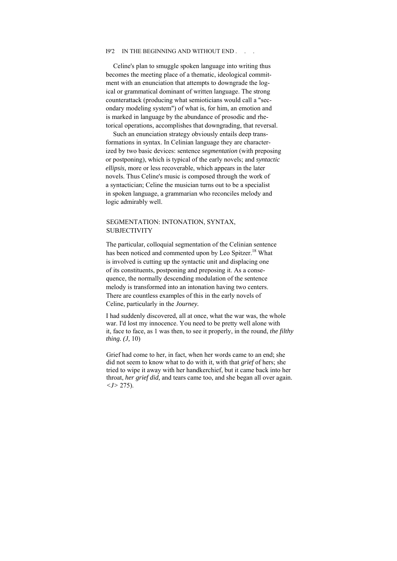#### I9'2 IN THE BEGINNING AND WITHOUT END.

Celine's plan to smuggle spoken language into writing thus becomes the meeting place of a thematic, ideological commitment with an enunciation that attempts to downgrade the logical or grammatical dominant of written language. The strong counterattack (producing what semioticians would call a "secondary modeling system") of what is, for him, an emotion and is marked in language by the abundance of prosodic and rhetorical operations, accomplishes that downgrading, that reversal.

Such an enunciation strategy obviously entails deep transformations in syntax. In Celinian language they are characterized by two basic devices: sentence *segmentation* (with preposing or postponing), which is typical of the early novels; and *syntactic ellipsis,* more or less recoverable, which appears in the later novels. Thus Celine's music is composed through the work of a syntactician; Celine the musician turns out to be a specialist in spoken language, a grammarian who reconciles melody and logic admirably well.

## SEGMENTATION: INTONATION, SYNTAX, **SUBJECTIVITY**

The particular, colloquial segmentation of the Celinian sentence has been noticed and commented upon by Leo Spitzer.<sup>18</sup> What is involved is cutting up the syntactic unit and displacing one of its constituents, postponing and preposing it. As a consequence, the normally descending modulation of the sentence melody is transformed into an intonation having two centers. There are countless examples of this in the early novels of Celine, particularly in the *Journey.*

I had suddenly discovered, all at once, what the war was, the whole war. I'd lost my innocence. You need to be pretty well alone with it, face to face, as 1 was then, to see it properly, in the round, *the filthy thing. (J,* 10)

Grief had come to her, in fact, when her words came to an end; she did not seem to know what to do with it, with that *grief* of hers; she tried to wipe it away with her handkerchief, but it came back into her throat, *her grief did,* and tears came too, and she began all over again.  $\langle J \rangle$  275).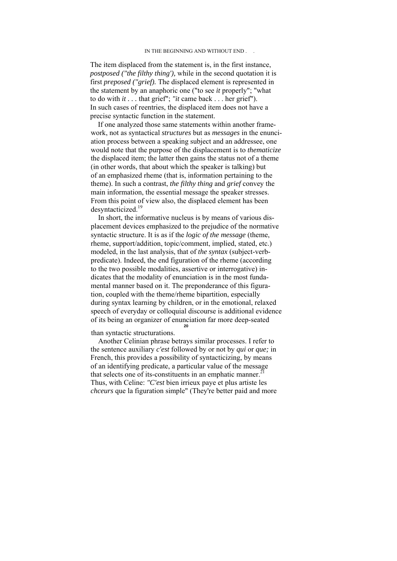The item displaced from the statement is, in the first instance, *postposed ("the filthy thing'),* while in the second quotation it is first *preposed ("grief).* The displaced element is represented in the statement by an anaphoric one ("to see *it* properly"; "what to do with *it . . .* that grief"; *"it* came back . . . her grief"). In such cases of reentries, the displaced item does not have a precise syntactic function in the statement.

If one analyzed those same statements within another framework, not as syntactical *structures* but as *messages* in the enunciation process between a speaking subject and an addressee, one would note that the purpose of the displacement is to *thematicize*  the displaced item; the latter then gains the status not of a theme (in other words, that about which the speaker is talking) but of an emphasized rheme (that is, information pertaining to the theme). In such a contrast, *the filthy thing* and *grief* convey the main information, the essential message the speaker stresses. From this point of view also, the displaced element has been desyntacticized.<sup>19</sup>

In short, the informative nucleus is by means of various displacement devices emphasized to the prejudice of the normative syntactic structure. It is as if the *logic of the message* (theme, rheme, support/addition, topic/comment, implied, stated, etc.) modeled, in the last analysis, that of *the syntax* (subject-verbpredicate). Indeed, the end figuration of the rheme (according to the two possible modalities, assertive or interrogative) indicates that the modality of enunciation is in the most fundamental manner based on it. The preponderance of this figuration, coupled with the theme/rheme bipartition, especially during syntax learning by children, or in the emotional, relaxed speech of everyday or colloquial discourse is additional evidence of its being an organizer of enunciation far more deep-seated **20**

## than syntactic structurations.

Another Celinian phrase betrays similar processes. I refer to the sentence auxiliary *c'est* followed by or not by *qui* or *que;* in French, this provides a possibility of syntacticizing, by means of an identifying predicate, a particular value of the message that selects one of its-constituents in an emphatic manner. $<sup>2</sup>$ </sup> Thus, with Celine: *"C'est* bien irrieux paye et plus artiste les *chceurs* que la figuration simple" (They're better paid and more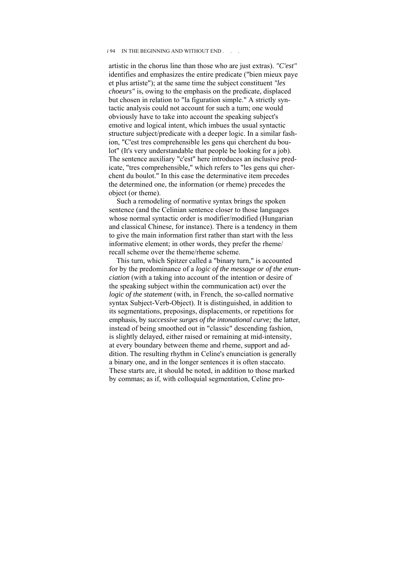## $i$  94 IN THE BEGINNING AND WITHOUT END  $\ldots$

artistic in the chorus line than those who are just extras). *"C'est"*  identifies and emphasizes the entire predicate ("bien mieux paye et plus artiste"); at the same time the subject constituent *"les choeurs"* is, owing to the emphasis on the predicate, displaced but chosen in relation to "la figuration simple." A strictly syntactic analysis could not account for such a turn; one would obviously have to take into account the speaking subject's emotive and logical intent, which imbues the usual syntactic structure subject/predicate with a deeper logic. In a similar fashion, "C'est tres comprehensible les gens qui cherchent du boulot" (It's very understandable that people be looking for a job). The sentence auxiliary "c'est" here introduces an inclusive predicate, "tres comprehensible," which refers to "les gens qui cherchent du boulot." In this case the determinative item precedes the determined one, the information (or rheme) precedes the object (or theme).

Such a remodeling of normative syntax brings the spoken sentence (and the Celinian sentence closer to those languages whose normal syntactic order is modifier/modified (Hungarian and classical Chinese, for instance). There is a tendency in them to give the main information first rather than start with the less informative element; in other words, they prefer the rheme/ recall scheme over the theme/rheme scheme.

This turn, which Spitzer called a "binary turn," is accounted for by the predominance of a *logic of the message or of the enunciation* (with a taking into account of the intention or desire of the speaking subject within the communication act) over the *logic of the statement* (with, in French, the so-called normative syntax Subject-Verb-Object). It is distinguished, in addition to its segmentations, preposings, displacements, or repetitions for emphasis, by *successive surges of the intonational curve;* the latter, instead of being smoothed out in "classic" descending fashion, is slightly delayed, either raised or remaining at mid-intensity, at every boundary between theme and rheme, support and addition. The resulting rhythm in Celine's enunciation is generally a binary one, and in the longer sentences it is often staccato. These starts are, it should be noted, in addition to those marked by commas; as if, with colloquial segmentation, Celine pro-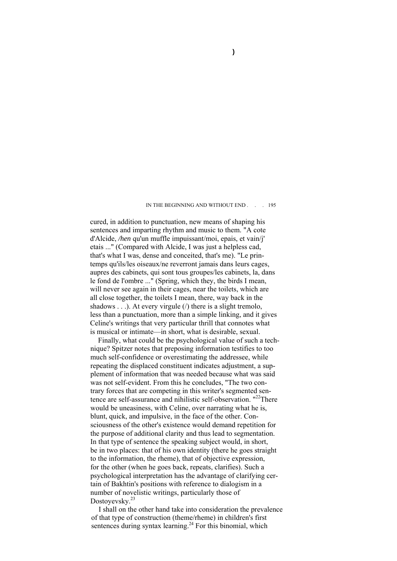#### IN THE BEGINNING AND WITHOUT END . . . 195

cured, in addition to punctuation, new means of shaping his sentences and imparting rhythm and music to them. "A cote d'Alcide, */hen* qu'un muffle impuissant/moi, epais, et vain/j' etais ..." (Compared with Alcide, I was just a helpless cad, that's what I was, dense and conceited, that's me). "Le printemps qu'ils/les oiseaux/ne reverront jamais dans leurs cages, aupres des cabinets, qui sont tous groupes/les cabinets, la, dans le fond de l'ombre ..." (Spring, which they, the birds I mean, will never see again in their cages, near the toilets, which are all close together, the toilets I mean, there, way back in the shadows  $\dots$ ). At every virgule ( $\land$ ) there is a slight tremolo, less than a punctuation, more than a simple linking, and it gives Celine's writings that very particular thrill that connotes what is musical or intimate—in short, what is desirable, sexual.

Finally, what could be the psychological value of such a technique? Spitzer notes that preposing information testifies to too much self-confidence or overestimating the addressee, while repeating the displaced constituent indicates adjustment, a supplement of information that was needed because what was said was not self-evident. From this he concludes, "The two contrary forces that are competing in this writer's segmented sentence are self-assurance and nihilistic self-observation. "<sup>22</sup>There would be uneasiness, with Celine, over narrating what he is, blunt, quick, and impulsive, in the face of the other. Consciousness of the other's existence would demand repetition for the purpose of additional clarity and thus lead to segmentation. In that type of sentence the speaking subject would, in short, be in two places: that of his own identity (there he goes straight to the information, the rheme), that of objective expression, for the other (when he goes back, repeats, clarifies). Such a psychological interpretation has the advantage of clarifying certain of Bakhtin's positions with reference to dialogism in a number of novelistic writings, particularly those of Dostoyevsky.<sup>23</sup>

I shall on the other hand take into consideration the prevalence of that type of construction (theme/rheme) in children's first sentences during syntax learning.<sup>24</sup> For this binomial, which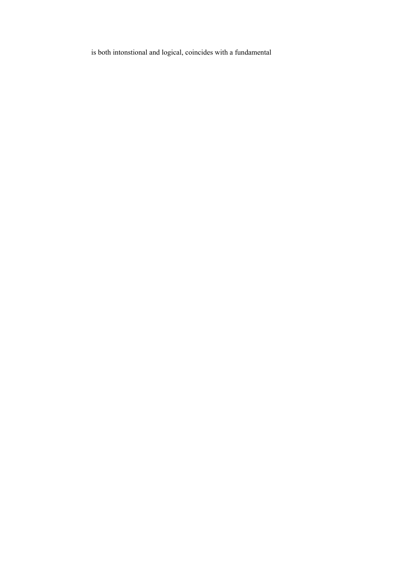is both intonstional and logical, coincides with a fundamental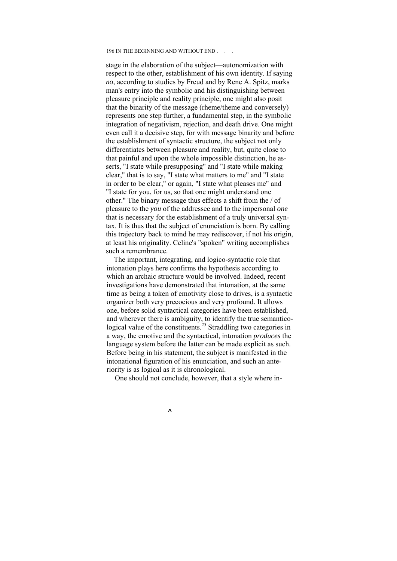#### 196 IN THE BEGINNING AND WITHOUT END . . .

stage in the elaboration of the subject—autonomization with respect to the other, establishment of his own identity. If saying *no,* according to studies by Freud and by Rene A. Spitz, marks man's entry into the symbolic and his distinguishing between pleasure principle and reality principle, one might also posit that the binarity of the message (rheme/theme and conversely) represents one step further, a fundamental step, in the symbolic integration of negativism, rejection, and death drive. One might even call it a decisive step, for with message binarity and before the establishment of syntactic structure, the subject not only differentiates between pleasure and reality, but, quite close to that painful and upon the whole impossible distinction, he asserts, "I state while presupposing" and "I state while making clear," that is to say, "I state what matters to me" and "I state in order to be clear," or again, "I state what pleases me" and "I state for you, for us, so that one might understand one other." The binary message thus effects a shift from the / of pleasure to the *you* of the addressee and to the impersonal *one*  that is necessary for the establishment of a truly universal syntax. It is thus that the subject of enunciation is born. By calling this trajectory back to mind he may rediscover, if not his origin, at least his originality. Celine's "spoken" writing accomplishes such a remembrance.

The important, integrating, and logico-syntactic role that intonation plays here confirms the hypothesis according to which an archaic structure would be involved. Indeed, recent investigations have demonstrated that intonation, at the same time as being a token of emotivity close to drives, is a syntactic organizer both very precocious and very profound. It allows one, before solid syntactical categories have been established, and wherever there is ambiguity, to identify the true semanticological value of the constituents.<sup>25</sup> Straddling two categories in a way, the emotive and the syntactical, intonation *produces* the language system before the latter can be made explicit as such. Before being in his statement, the subject is manifested in the intonational figuration of his enunciation, and such an anteriority is as logical as it is chronological.

One should not conclude, however, that a style where in-

**^**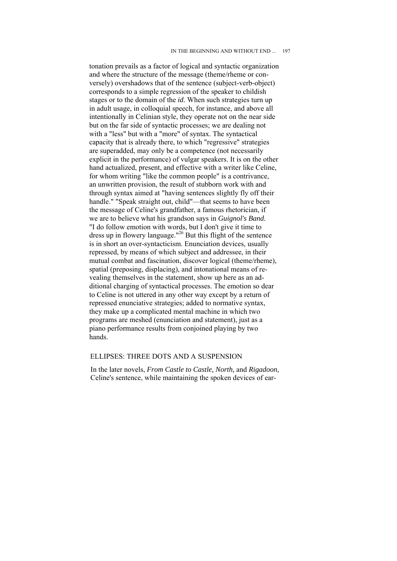## IN THE BEGINNING AND WITHOUT END ... 197

tonation prevails as a factor of logical and syntactic organization and where the structure of the message (theme/rheme or conversely) overshadows that of the sentence (subject-verb-object) corresponds to a simple regression of the speaker to childish stages or to the domain of the *id.* When such strategies turn up in adult usage, in colloquial speech, for instance, and above all intentionally in Celinian style, they operate not on the near side but on the far side of syntactic processes; we are dealing not with a "less" but with a "more" of syntax. The syntactical capacity that is already there, to which "regressive" strategies are superadded, may only be a competence (not necessarily explicit in the performance) of vulgar speakers. It is on the other hand actualized, present, and effective with a writer like Celine, for whom writing "like the common people" is a contrivance, an unwritten provision, the result of stubborn work with and through syntax aimed at "having sentences slightly fly off their handle." "Speak straight out, child"—that seems to have been the message of Celine's grandfather, a famous rhetorician, if we are to believe what his grandson says in *Guignol's Band.*  "I do follow emotion with words, but I don't give it time to dress up in flowery language."26 But this flight of the sentence is in short an over-syntacticism. Enunciation devices, usually repressed, by means of which subject and addressee, in their mutual combat and fascination, discover logical (theme/rheme), spatial (preposing, displacing), and intonational means of revealing themselves in the statement, show up here as an additional charging of syntactical processes. The emotion so dear to Celine is not uttered in any other way except by a return of repressed enunciative strategies; added to normative syntax, they make up a complicated mental machine in which two programs are meshed (enunciation and statement), just as a piano performance results from conjoined playing by two hands.

## ELLIPSES: THREE DOTS AND A SUSPENSION

In the later novels, *From Castle to Castle, North,* and *Rigadoon,*  Celine's sentence, while maintaining the spoken devices of ear-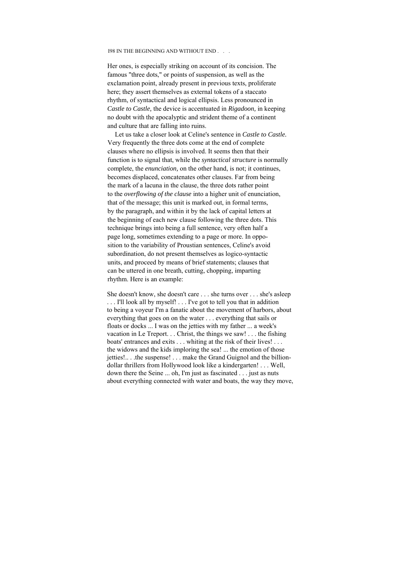#### I98 IN THE BEGINNING AND WITHOUT END . . .

Her ones, is especially striking on account of its concision. The famous "three dots," or points of suspension, as well as the exclamation point, already present in previous texts, proliferate here; they assert themselves as external tokens of a staccato rhythm, of syntactical and logical ellipsis. Less pronounced in *Castle to Castle,* the device is accentuated in *Rigadoon,* in keeping no doubt with the apocalyptic and strident theme of a continent and culture that are falling into ruins.

Let us take a closer look at Celine's sentence in *Castle to Castle.*  Very frequently the three dots come at the end of complete clauses where no ellipsis is involved. It seems then that their function is to signal that, while the *syntactical structure* is normally complete, the *enunciation,* on the other hand, is not; it continues, becomes displaced, concatenates other clauses. Far from being the mark of a lacuna in the clause, the three dots rather point to the *overflowing of the clause* into a higher unit of enunciation, that of the message; this unit is marked out, in formal terms, by the paragraph, and within it by the lack of capital letters at the beginning of each new clause following the three dots. This technique brings into being a full sentence, very often half a page long, sometimes extending to a page or more. In opposition to the variability of Proustian sentences, Celine's avoid subordination, do not present themselves as logico-syntactic units, and proceed by means of brief statements; clauses that can be uttered in one breath, cutting, chopping, imparting rhythm. Here is an example:

She doesn't know, she doesn't care . . . she turns over . . . she's asleep . . . I'll look all by myself! . . . I've got to tell you that in addition to being a voyeur I'm a fanatic about the movement of harbors, about everything that goes on on the water . . . everything that sails or floats or docks ... I was on the jetties with my father ... a week's vacation in Le Treport. . . Christ, the things we saw! . . . the fishing boats' entrances and exits . . . whiting at the risk of their lives! . . . the widows and the kids imploring the sea! ... the emotion of those jetties!.. . .the suspense! . . . make the Grand Guignol and the billiondollar thrillers from Hollywood look like a kindergarten! . . . Well, down there the Seine ... oh, I'm just as fascinated . . . just as nuts about everything connected with water and boats, the way they move,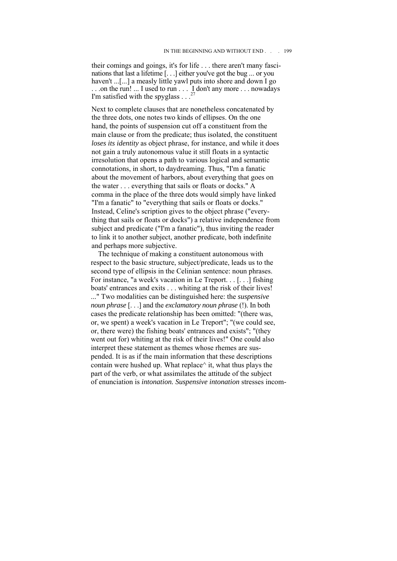their comings and goings, it's for life . . . there aren't many fascinations that last a lifetime [. . .] either you've got the bug ... or you haven't .......] a measly little yawl puts into shore and down I go . . .on the run! ... I used to run . . . I don't any more . . . nowadays I'm satisfied with the spyglass . . .

Next to complete clauses that are nonetheless concatenated by the three dots, one notes two kinds of ellipses. On the one hand, the points of suspension cut off a constituent from the main clause or from the predicate; thus isolated, the constituent *loses its identity* as object phrase, for instance, and while it does not gain a truly autonomous value it still floats in a syntactic irresolution that opens a path to various logical and semantic connotations, in short, to daydreaming. Thus, "I'm a fanatic about the movement of harbors, about everything that goes on the water . . . everything that sails or floats or docks." A comma in the place of the three dots would simply have linked "I'm a fanatic" to "everything that sails or floats or docks." Instead, Celine's scription gives to the object phrase ("everything that sails or floats or docks") a relative independence from subject and predicate ("I'm a fanatic"), thus inviting the reader to link it to another subject, another predicate, both indefinite and perhaps more subjective.

The technique of making a constituent autonomous with respect to the basic structure, subject/predicate, leads us to the second type of ellipsis in the Celinian sentence: noun phrases. For instance, "a week's vacation in Le Treport. . . [. . .] fishing boats' entrances and exits . . . whiting at the risk of their lives! ..." Two modalities can be distinguished here: the *suspensive noun phrase* [. . .] and the *exclamatory noun phrase* (!). In both cases the predicate relationship has been omitted: "(there was, or, we spent) a week's vacation in Le Treport"; "(we could see, or, there were) the fishing boats' entrances and exists"; "(they went out for) whiting at the risk of their lives!" One could also interpret these statement as themes whose rhemes are suspended. It is as if the main information that these descriptions contain were hushed up. What replace $\wedge$  it, what thus plays the part of the verb, or what assimilates the attitude of the subject of enunciation is *intonation. Suspensive intonation* stresses incom-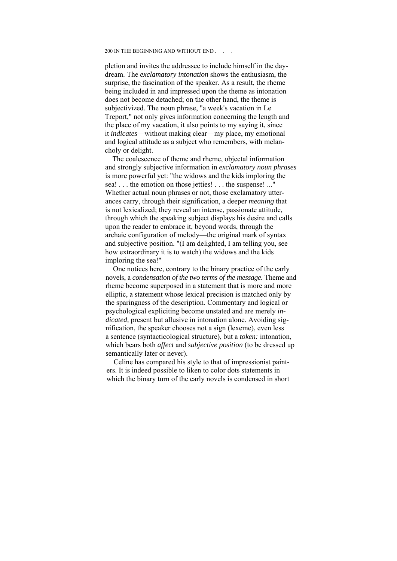## 200 IN THE BEGINNING AND WITHOUT END . . .

pletion and invites the addressee to include himself in the daydream. The *exclamatory intonation* shows the enthusiasm, the surprise, the fascination of the speaker. As a result, the rheme being included in and impressed upon the theme as intonation does not become detached; on the other hand, the theme is subjectivized. The noun phrase, "a week's vacation in Le Treport," not only gives information concerning the length and the place of my vacation, it also points to my saying it, since it *indicates*—without making clear—my place, my emotional and logical attitude as a subject who remembers, with melancholy or delight.

The coalescence of theme and rheme, objectal information and strongly subjective information in *exclamatory noun phrases*  is more powerful yet: "the widows and the kids imploring the sea! . . . the emotion on those jetties! . . . the suspense! ..." Whether actual noun phrases or not, those exclamatory utterances carry, through their signification, a deeper *meaning* that is not lexicalized; they reveal an intense, passionate attitude, through which the speaking subject displays his desire and calls upon the reader to embrace it, beyond words, through the archaic configuration of melody—the original mark of syntax and subjective position. "(I am delighted, I am telling you, see how extraordinary it is to watch) the widows and the kids imploring the sea!"

One notices here, contrary to the binary practice of the early novels, a *condensation of the two terms of the message.* Theme and rheme become superposed in a statement that is more and more elliptic, a statement whose lexical precision is matched only by the sparingness of the description. Commentary and logical or psychological expliciting become unstated and are merely *indicated,* present but allusive in intonation alone. Avoiding signification, the speaker chooses not a sign (lexeme), even less a sentence (syntacticological structure), but a *token:* intonation, which bears both *affect* and *subjective position* (to be dressed up semantically later or never).

Celine has compared his style to that of impressionist painters. It is indeed possible to liken to color dots statements in which the binary turn of the early novels is condensed in short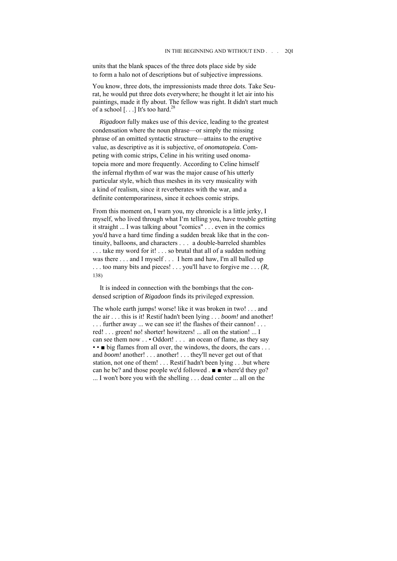units that the blank spaces of the three dots place side by side to form a halo not of descriptions but of subjective impressions.

You know, three dots, the impressionists made three dots. Take Seurat, he would put three dots everywhere; he thought it let air into his paintings, made it fly about. The fellow was right. It didn't start much of a school  $[...]$  It's too hard.<sup>28</sup>

*Rigadoon* fully makes use of this device, leading to the greatest condensation where the noun phrase—or simply the missing phrase of an omitted syntactic structure—attains to the eruptive value, as descriptive as it is subjective, of *onomatopeia.* Competing with comic strips, Celine in his writing used onomatopeia more and more frequently. According to Celine himself the infernal rhythm of war was the major cause of his utterly particular style, which thus meshes in its very musicality with a kind of realism, since it reverberates with the war, and a definite contemporariness, since it echoes comic strips.

From this moment on, I warn you, my chronicle is a little jerky, I myself, who lived through what I'm telling you, have trouble getting it straight ... I was talking about "comics" . . . even in the comics you'd have a hard time finding a sudden break like that in the continuity, balloons, and characters . . . a double-barreled shambles . . . take my word for it! . . . so brutal that all of a sudden nothing was there . . . and I myself . . . I hem and haw, I'm all balled up . . . too many bits and pieces! . . . you'll have to forgive me . . . *(R,*  138)

It is indeed in connection with the bombings that the condensed scription of *Rigadoon* finds its privileged expression.

The whole earth jumps! worse! like it was broken in two! . . . and the air . . . this is it! Restif hadn't been lying . . . *boom!* and another! . . . further away ... we can see it! the flashes of their cannon! . . . red! . . . green! no! shorter! howitzers! ... all on the station! ... I can see them now . . • Oddort! . . . an ocean of flame, as they say • • ig flames from all over, the windows, the doors, the cars ... and *boom!* another! . . . another! . . . they'll never get out of that station, not one of them! . . . Restif hadn't been lying . . .but where can he be? and those people we'd followed . ■ ■ where'd they go? ... I won't bore you with the shelling . . . dead center ... all on the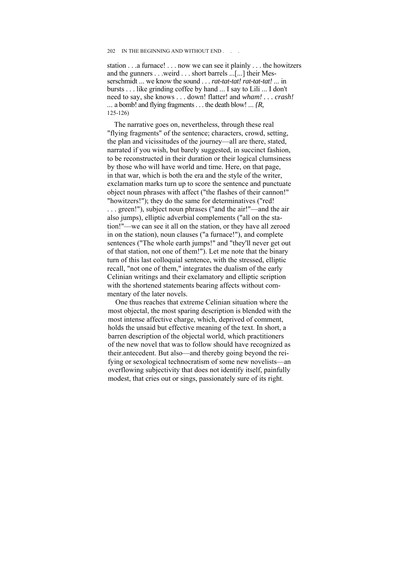#### 202 IN THE BEGINNING AND WITHOUT END . . . .

station . . .a furnace! . . . now we can see it plainly . . . the howitzers and the gunners . . .weird . . . short barrels ...[...] their Messerschmidt ... we know the sound . . . *rat-tat-tat! rat-tat-tat!* ... in bursts . . . like grinding coffee by hand ... I say to Lili ... I don't need to say, she knows . . . down! flatter! and *wham! . . . crash!*  ... a bomb! and flying fragments . . . the death blow! ... *{R,*  125-126)

The narrative goes on, nevertheless, through these real "flying fragments" of the sentence; characters, crowd, setting, the plan and vicissitudes of the journey—all are there, stated, narrated if you wish, but barely suggested, in succinct fashion, to be reconstructed in their duration or their logical clumsiness by those who will have world and time. Here, on that page, in that war, which is both the era and the style of the writer, exclamation marks turn up to score the sentence and punctuate object noun phrases with affect ("the flashes of their cannon!" "howitzers!"); they do the same for determinatives ("red!

. . . green!"), subject noun phrases ("and the air!"—and the air also jumps), elliptic adverbial complements ("all on the station!"—we can see it all on the station, or they have all zeroed in on the station), noun clauses ("a furnace!"), and complete sentences ("The whole earth jumps!" and "they'll never get out of that station, not one of them!"). Let me note that the binary turn of this last colloquial sentence, with the stressed, elliptic recall, "not one of them," integrates the dualism of the early Celinian writings and their exclamatory and elliptic scription with the shortened statements bearing affects without commentary of the later novels.

One thus reaches that extreme Celinian situation where the most objectal, the most sparing description is blended with the most intense affective charge, which, deprived of comment, holds the unsaid but effective meaning of the text. In short, a barren description of the objectal world, which practitioners of the new novel that was to follow should have recognized as their.antecedent. But also—and thereby going beyond the reifying or sexological technocratism of some new novelists—an overflowing subjectivity that does not identify itself, painfully modest, that cries out or sings, passionately sure of its right.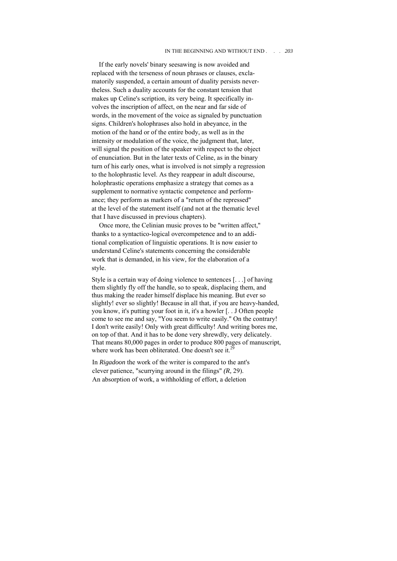If the early novels' binary seesawing is now avoided and replaced with the terseness of noun phrases or clauses, exclamatorily suspended, a certain amount of duality persists nevertheless. Such a duality accounts for the constant tension that makes up Celine's scription, its very being. It specifically involves the inscription of affect, on the near and far side of words, in the movement of the voice as signaled by punctuation signs. Children's holophrases also hold in abeyance, in the motion of the hand or of the entire body, as well as in the intensity or modulation of the voice, the judgment that, later, will signal the position of the speaker with respect to the object of enunciation. But in the later texts of Celine, as in the binary turn of his early ones, what is involved is not simply a regression to the holophrastic level. As they reappear in adult discourse, holophrastic operations emphasize a strategy that comes as a supplement to normative syntactic competence and performance; they perform as markers of a "return of the repressed" at the level of the statement itself (and not at the thematic level that I have discussed in previous chapters).

Once more, the Celinian music proves to be "written affect," thanks to a syntactico-logical overcompetence and to an additional complication of linguistic operations. It is now easier to understand Celine's statements concerning the considerable work that is demanded, in his view, for the elaboration of a style.

Style is a certain way of doing violence to sentences [. . .] of having them slightly fly off the handle, so to speak, displacing them, and thus making the reader himself displace his meaning. But ever so slightly! ever so slightly! Because in all that, if you are heavy-handed, you know, it's putting your foot in it, it's a howler [. . J Often people come to see me and say, "You seem to write easily." On the contrary! I don't write easily! Only with great difficulty! And writing bores me, on top of that. And it has to be done very shrewdly, very delicately. That means 80,000 pages in order to produce 800 pages of manuscript, where work has been obliterated. One doesn't see it.<sup>2</sup>

In *Rigadoon* the work of the writer is compared to the ant's clever patience, "scurrying around in the filings" *(R,* 29). An absorption of work, a withholding of effort, a deletion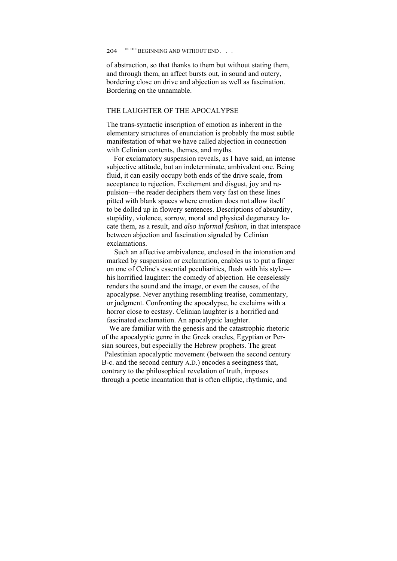## $204$  IN THE BEGINNING AND WITHOUT END . . .

of abstraction, so that thanks to them but without stating them, and through them, an affect bursts out, in sound and outcry, bordering close on drive and abjection as well as fascination. Bordering on the unnamable.

## THE LAUGHTER OF THE APOCALYPSE

The trans-syntactic inscription of emotion as inherent in the elementary structures of enunciation is probably the most subtle manifestation of what we have called abjection in connection with Celinian contents, themes, and myths.

For exclamatory suspension reveals, as I have said, an intense subjective attitude, but an indeterminate, ambivalent one. Being fluid, it can easily occupy both ends of the drive scale, from acceptance to rejection. Excitement and disgust, joy and repulsion—the reader deciphers them very fast on these lines pitted with blank spaces where emotion does not allow itself to be dolled up in flowery sentences. Descriptions of absurdity, stupidity, violence, sorrow, moral and physical degeneracy locate them, as a result, and *also informal fashion,* in that interspace between abjection and fascination signaled by Celinian exclamations.

Such an affective ambivalence, enclosed in the intonation and marked by suspension or exclamation, enables us to put a finger on one of Celine's essential peculiarities, flush with his style his horrified laughter: the comedy of abjection. He ceaselessly renders the sound and the image, or even the causes, of the apocalypse. Never anything resembling treatise, commentary, or judgment. Confronting the apocalypse, he exclaims with a horror close to ecstasy. Celinian laughter is a horrified and fascinated exclamation. An apocalyptic laughter.

We are familiar with the genesis and the catastrophic rhetoric of the apocalyptic genre in the Greek oracles, Egyptian or Persian sources, but especially the Hebrew prophets. The great Palestinian apocalyptic movement (between the second century B-c. and the second century A.D.) encodes a seeingness that, contrary to the philosophical revelation of truth, imposes through a poetic incantation that is often elliptic, rhythmic, and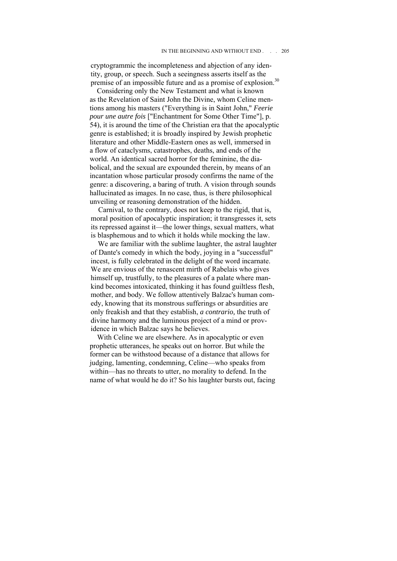cryptogrammic the incompleteness and abjection of any identity, group, or speech. Such a seeingness asserts itself as the premise of an impossible future and as a promise of explosion.<sup>30</sup>

Considering only the New Testament and what is known as the Revelation of Saint John the Divine, whom Celine mentions among his masters ("Everything is in Saint John," *Feerie pour une autre fois* ["Enchantment for Some Other Time"], p. 54), it is around the time of the Christian era that the apocalyptic genre is established; it is broadly inspired by Jewish prophetic literature and other Middle-Eastern ones as well, immersed in a flow of cataclysms, catastrophes, deaths, and ends of the world. An identical sacred horror for the feminine, the diabolical, and the sexual are expounded therein, by means of an incantation whose particular prosody confirms the name of the genre: a discovering, a baring of truth. A vision through sounds hallucinated as images. In no case, thus, is there philosophical unveiling or reasoning demonstration of the hidden.

Carnival, to the contrary, does not keep to the rigid, that is, moral position of apocalyptic inspiration; it transgresses it, sets its repressed against it—the lower things, sexual matters, what is blasphemous and to which it holds while mocking the law.

We are familiar with the sublime laughter, the astral laughter of Dante's comedy in which the body, joying in a "successful" incest, is fully celebrated in the delight of the word incarnate. We are envious of the renascent mirth of Rabelais who gives himself up, trustfully, to the pleasures of a palate where mankind becomes intoxicated, thinking it has found guiltless flesh, mother, and body. We follow attentively Balzac's human comedy, knowing that its monstrous sufferings or absurdities are only freakish and that they establish, *a contrario,* the truth of divine harmony and the luminous project of a mind or providence in which Balzac says he believes.

With Celine we are elsewhere. As in apocalyptic or even prophetic utterances, he speaks out on horror. But while the former can be withstood because of a distance that allows for judging, lamenting, condemning, Celine—who speaks from within—has no threats to utter, no morality to defend. In the name of what would he do it? So his laughter bursts out, facing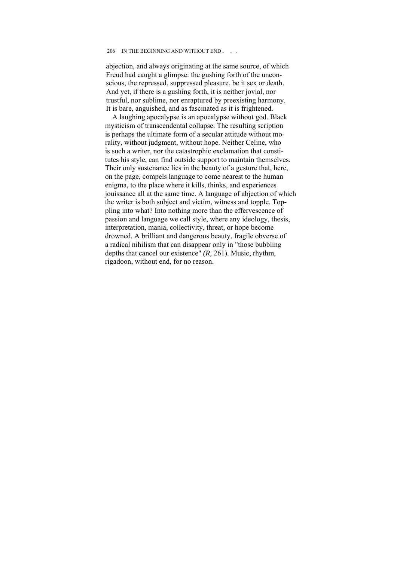## 206 IN THE BEGINNING AND WITHOUT END . . .

abjection, and always originating at the same source, of which Freud had caught a glimpse: the gushing forth of the unconscious, the repressed, suppressed pleasure, be it sex or death. And yet, if there is a gushing forth, it is neither jovial, nor trustful, nor sublime, nor enraptured by preexisting harmony. It is bare, anguished, and as fascinated as it is frightened.

A laughing apocalypse is an apocalypse without god. Black mysticism of transcendental collapse. The resulting scription is perhaps the ultimate form of a secular attitude without morality, without judgment, without hope. Neither Celine, who is such a writer, nor the catastrophic exclamation that constitutes his style, can find outside support to maintain themselves. Their only sustenance lies in the beauty of a gesture that, here, on the page, compels language to come nearest to the human enigma, to the place where it kills, thinks, and experiences jouissance all at the same time. A language of abjection of which the writer is both subject and victim, witness and topple. Toppling into what? Into nothing more than the effervescence of passion and language we call style, where any ideology, thesis, interpretation, mania, collectivity, threat, or hope become drowned. A brilliant and dangerous beauty, fragile obverse of a radical nihilism that can disappear only in "those bubbling depths that cancel our existence" *(R,* 261). Music, rhythm, rigadoon, without end, for no reason.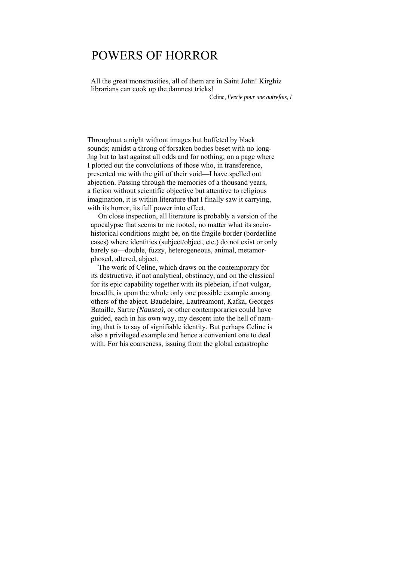# POWERS OF HORROR

All the great monstrosities, all of them are in Saint John! Kirghiz librarians can cook up the damnest tricks!

Celine, *Feerie pour une autrefois, I*

Throughout a night without images but buffeted by black sounds; amidst a throng of forsaken bodies beset with no long-Jng but to last against all odds and for nothing; on a page where I plotted out the convolutions of those who, in transference, presented me with the gift of their void—I have spelled out abjection. Passing through the memories of a thousand years, a fiction without scientific objective but attentive to religious imagination, it is within literature that I finally saw it carrying, with its horror, its full power into effect.

On close inspection, all literature is probably a version of the apocalypse that seems to me rooted, no matter what its sociohistorical conditions might be, on the fragile border (borderline cases) where identities (subject/object, etc.) do not exist or only barely so—double, fuzzy, heterogeneous, animal, metamorphosed, altered, abject.

The work of Celine, which draws on the contemporary for its destructive, if not analytical, obstinacy, and on the classical for its epic capability together with its plebeian, if not vulgar, breadth, is upon the whole only one possible example among others of the abject. Baudelaire, Lautreamont, Kafka, Georges Bataille, Sartre *(Nausea),* or other contemporaries could have guided, each in his own way, my descent into the hell of naming, that is to say of signifiable identity. But perhaps Celine is also a privileged example and hence a convenient one to deal with. For his coarseness, issuing from the global catastrophe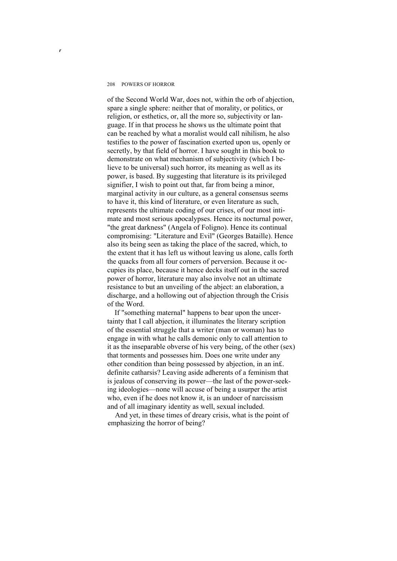#### 208 POWERS OF HORROR

*r*

of the Second World War, does not, within the orb of abjection, spare a single sphere: neither that of morality, or politics, or religion, or esthetics, or, all the more so, subjectivity or language. If in that process he shows us the ultimate point that can be reached by what a moralist would call nihilism, he also testifies to the power of fascination exerted upon us, openly or secretly, by that field of horror. I have sought in this book to demonstrate on what mechanism of subjectivity (which I believe to be universal) such horror, its meaning as well as its power, is based. By suggesting that literature is its privileged signifier, I wish to point out that, far from being a minor, marginal activity in our culture, as a general consensus seems to have it, this kind of literature, or even literature as such, represents the ultimate coding of our crises, of our most intimate and most serious apocalypses. Hence its nocturnal power, "the great darkness" (Angela of Foligno). Hence its continual compromising: "Literature and Evil" (Georges Bataille). Hence also its being seen as taking the place of the sacred, which, to the extent that it has left us without leaving us alone, calls forth the quacks from all four corners of perversion. Because it occupies its place, because it hence decks itself out in the sacred power of horror, literature may also involve not an ultimate resistance to but an unveiling of the abject: an elaboration, a discharge, and a hollowing out of abjection through the Crisis of the Word.

If "something maternal" happens to bear upon the uncertainty that I call abjection, it illuminates the literary scription of the essential struggle that a writer (man or woman) has to engage in with what he calls demonic only to call attention to it as the inseparable obverse of his very being, of the other (sex) that torments and possesses him. Does one write under any other condition than being possessed by abjection, in an in£. definite catharsis? Leaving aside adherents of a feminism that is jealous of conserving its power—the last of the power-seeking ideologies—none will accuse of being a usurper the artist who, even if he does not know it, is an undoer of narcissism and of all imaginary identity as well, sexual included.

And yet, in these times of dreary crisis, what is the point of emphasizing the horror of being?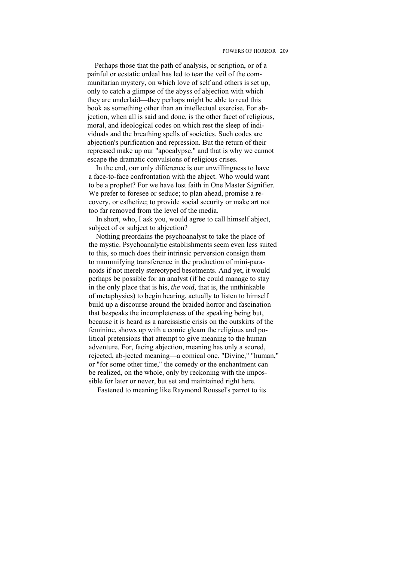Perhaps those that the path of analysis, or scription, or of a painful or ecstatic ordeal has led to tear the veil of the communitarian mystery, on which love of self and others is set up, only to catch a glimpse of the abyss of abjection with which they are underlaid—they perhaps might be able to read this book as something other than an intellectual exercise. For abjection, when all is said and done, is the other facet of religious, moral, and ideological codes on which rest the sleep of individuals and the breathing spells of societies. Such codes are abjection's purification and repression. But the return of their repressed make up our "apocalypse," and that is why we cannot escape the dramatic convulsions of religious crises.

In the end, our only difference is our unwillingness to have a face-to-face confrontation with the abject. Who would want to be a prophet? For we have lost faith in One Master Signifier. We prefer to foresee or seduce; to plan ahead, promise a recovery, or esthetize; to provide social security or make art not too far removed from the level of the media.

In short, who, I ask you, would agree to call himself abject, subject of or subject to abjection?

Nothing preordains the psychoanalyst to take the place of the mystic. Psychoanalytic establishments seem even less suited to this, so much does their intrinsic perversion consign them to mummifying transference in the production of mini-paranoids if not merely stereotyped besotments. And yet, it would perhaps be possible for an analyst (if he could manage to stay in the only place that is his, *the void,* that is, the unthinkable of metaphysics) to begin hearing, actually to listen to himself build up a discourse around the braided horror and fascination that bespeaks the incompleteness of the speaking being but, because it is heard as a narcissistic crisis on the outskirts of the feminine, shows up with a comic gleam the religious and political pretensions that attempt to give meaning to the human adventure. For, facing abjection, meaning has only a scored, rejected, ab-jected meaning—a comical one. "Divine," "human," or "for some other time," the comedy or the enchantment can be realized, on the whole, only by reckoning with the impossible for later or never, but set and maintained right here.

Fastened to meaning like Raymond Roussel's parrot to its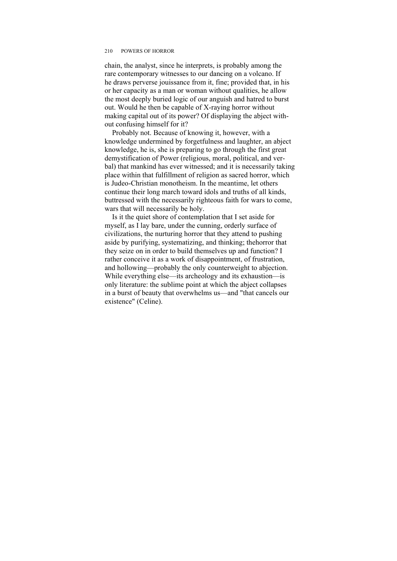# 210 POWERS OF HORROR

chain, the analyst, since he interprets, is probably among the rare contemporary witnesses to our dancing on a volcano. If he draws perverse jouissance from it, fine; provided that, in his or her capacity as a man or woman without qualities, he allow the most deeply buried logic of our anguish and hatred to burst out. Would he then be capable of X-raying horror without making capital out of its power? Of displaying the abject without confusing himself for it?

Probably not. Because of knowing it, however, with a knowledge undermined by forgetfulness and laughter, an abject knowledge, he is, she is preparing to go through the first great demystification of Power (religious, moral, political, and verbal) that mankind has ever witnessed; and it is necessarily taking place within that fulfillment of religion as sacred horror, which is Judeo-Christian monotheism. In the meantime, let others continue their long march toward idols and truths of all kinds, buttressed with the necessarily righteous faith for wars to come, wars that will necessarily be holy.

Is it the quiet shore of contemplation that I set aside for myself, as I lay bare, under the cunning, orderly surface of civilizations, the nurturing horror that they attend to pushing aside by purifying, systematizing, and thinking; thehorror that they seize on in order to build themselves up and function? I rather conceive it as a work of disappointment, of frustration, and hollowing—probably the only counterweight to abjection. While everything else—its archeology and its exhaustion—is only literature: the sublime point at which the abject collapses in a burst of beauty that overwhelms us—and "that cancels our existence" (Celine).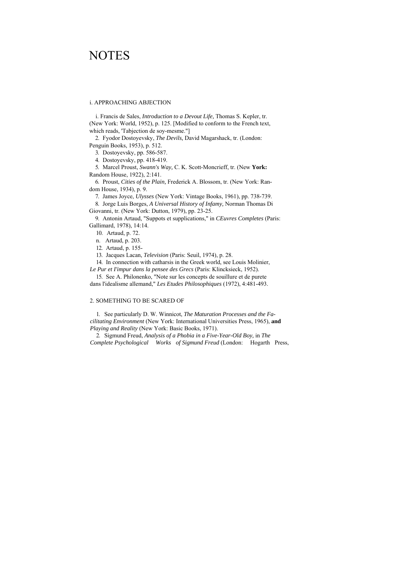# **NOTES**

#### i. APPROACHING ABJECTION

i. Francis de Sales, *Introduction to a Devout Life,* Thomas S. Kepler, tr. (New York: World, 1952), p. 125. [Modified to conform to the French text, which reads, 'Tabjection de soy-mesme."]

2. Fyodor Dostoyevsky, *The Devils,* David Magarshack, tr. (London: Penguin Books, 1953), p. 512.

3. Dostoyevsky, pp. 586-587.

4. Dostoyevsky, pp. 418-419.

5. Marcel Proust, *Swann's Way,* C. K. Scott-Moncrieff, tr. (New **York:**  Random House, 1922), 2:141.

6. Proust, *Cities of the Plain,* Frederick A. Blossom, tr. (New York: Random House, 1934), p. 9.

7. James Joyce, *Ulysses* (New York: Vintage Books, 1961), pp. 738-739.

8. Jorge Luis Borges, *A Universal History of Infamy,* Norman Thomas Di Giovanni, tr. (New York: Dutton, 1979), pp. 23-25.

9. Antonin Artaud, "Suppots et supplications," in *CEuvres Completes* (Paris: Gallimard, 1978), 14:14.

10. Artaud, p. 72.

n. Artaud, p. 203.

12. Artaud, p. 155-

13. Jacques Lacan, *Television* (Paris: Seuil, 1974), p. 28.

14. In connection with catharsis in the Greek world, see Louis Molinier,

*Le Pur et I'impur dans la pensee des Grecs* (Paris: Klincksieck, 1952). 15. See A. Philonenko, "Note sur les concepts de souillure et de purete

dans l'idealisme allemand," *Les Etudes Philosophiques* (1972), 4:481-493.

#### 2. SOMETHING TO BE SCARED OF

1. See particularly D. W. Winnicot, *The Maturation Processes and the Facilitating Environment* (New York: International Universities Press, 1965), **and**  *Playing and Reality* (New York: Basic Books, 1971).

2. Sigmund Freud, *Analysis of a Phobia in a Five-Year-Old Boy,* in *The Complete Psychological Works of Sigmund Freud* (London: Hogarth Press,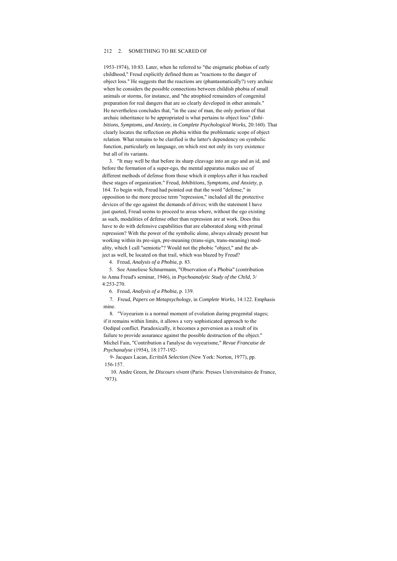## 212 2. SOMETHING TO BE SCARED OF

1953-1974), 10:83. Later, when he referred to "the enigmatic phobias of early childhood," Freud explicitly defined them as "reactions to the danger of object loss." He suggests that the reactions are (phantasmatically?) very archaic when he considers the possible connections between childish phobia of small animals or storms, for instance, and "the atrophied remainders of congenital preparation for real dangers that are so clearly developed in other animals." He nevertheless concludes that, "in the case of man, the only portion of that archaic inheritance to be appropriated is what pertains to object loss" *(Inhibitions, Symptoms, and Anxiety,* in *Complete Psychological Works,* 20:160). That clearly locates the reflection on phobia within the problematic scope of object relation. What remains to be clarified is the latter's dependency on symbolic function, particularly on language, on which rest not only its very existence but all of its variants.

3. "It may well be that before its sharp cleavage into an ego and an id, and before the formation of a super-ego, the mental apparatus makes use of different methods of defense from those which it employs after it has reached these stages of organization." Freud, *Inhibitions, Symptoms, and Anxiety,* p. 164. To begin with, Freud had pointed out that the word "defense," in opposition to the more precise term "repression," included all the protective devices of the ego against the demands of drives; with the statement I have just quoted. Freud seems to proceed to areas where, without the ego existing as such, modalities of defense other than repression are at work. Does this have to do with defensive capabilities that are elaborated along with primal repression? With the power of the symbolic alone, always already present but working within its pre-sign, pre-meaning (trans-sign, trans-meaning) modality, which I call "semiotic"? Would not the phobic "object," and the abject as well, be located on that trail, which was blazed by Freud?

4. Freud, *Analysis of a Phobia,* p. 83.

5. See Anneliese Schnurmann, "Observation of a Phobia" (contribution to Anna Freud's seminar, 1946), in *Psychoanalytic Study of the Child,* 3/ 4:253-270.

6. Freud, *Analysis of a Phobia,* p. 139.

7. Freud, *Papers on Metapsychology,* in *Complete Works,* 14:122. Emphasis mine.

8. "Voyeurism is a normal moment of evolution during pregenital stages; if it remains within limits, it allows a very sophisticated approach to the Oedipal conflict. Paradoxically, it becomes a perversion as a result of its failure to provide assurance against the possible destruction of the object." Michel Fain, "Contribution a l'analyse du voyeurisme," *Revue Francaise de Psychanalyse* (1954), 18:177-192-

9- Jacques Lacan, *EcritsIA Selection* (New York: Norton, 1977), pp. 156-157.

10. Andre Green, *he Discours vivant* (Paris: Presses Universitaires de France,  $x_{973}$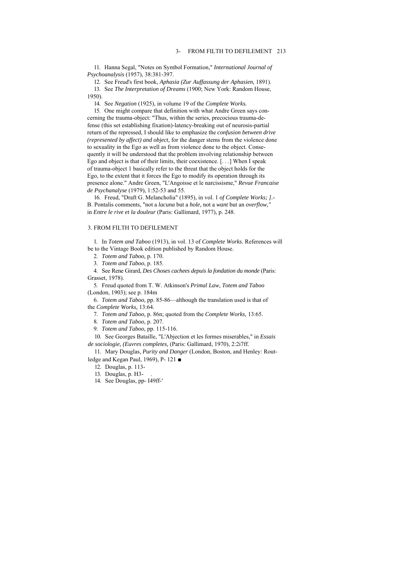11. Hanna Segal, "Notes on Symbol Formation," *International Journal of Psychoanalysis* (1957), 38:381-397.

12. See Freud's first book, *Aphasia (Zur Auffassung der Aphasien,* 1891). 13. See *The Interpretation of Dreams* (1900; New York: Random House, 1950).

14. See *Negation* (1925), in volume 19 of the *Complete Works.*

15. One might compare that definition with what Andre Green says concerning the trauma-object: "Thus, within the series, precocious trauma-defense (this set establishing fixation)-latency-breaking out of neurosis-partial return of the repressed, I should like to emphasize the *confusion between drive (represented by affect) and object,* for the danger stems from the violence done to sexuality in the Ego as well as from violence done to the object. Consequently it will be understood that the problem involving relationship between Ego and object is that of their limits, their coexistence. [. . .] When I speak of trauma-object 1 basically refer to the threat that the object holds for the Ego, to the extent that it forces the Ego to modify its operation through its presence alone." Andre Green, "L'Angoisse et le narcissisme," *Revue Francaise de Psychanalyse* (1979), 1:52-53 and 55.

16. Freud, "Draft G. Melancholia" (1895), in vol. 1 *of Complete Works; ].-*  B. Pontalis comments, "not a *lacuna* but a *hole,* not a *want* but an *overflow,"*  in *Entre le rive et la douleur* (Paris: Gallimard, 1977), p. 248.

#### 3. FROM FILTH TO DEFILEMENT

1. In *Totem and Taboo* (1913), in vol. 13 of *Complete Works.* References will be to the Vintage Book edition published by Random House.

2. *Totem and Taboo,* p. 170.

3. *Totem and Taboo,* p. 185.

4. See Rene Girard, *Des Choses cachees depuis la fondation du monde* (Paris: Grasset, 1978).

5. Freud quoted from T. W. Atkinson's *Primal Law, Totem and Taboo*  (London, 1903); see p. 184m

6. *Totem and Taboo,* pp. 85-86—although the translation used is that of the *Complete Works,* 13:64.

7. *Totem and Taboo,* p. 86n; quoted from the *Complete Works,* 13:65.

8. *Totem and Taboo,* p. 207.

9. *Totem and Taboo,* pp. 115-116.

10. See Georges Bataille, "L'Abjection et les formes miserables," in *Essais de sociologie, (Euvres completes,* (Paris: Gallimard, 1970), 2:2i7ff.

11. Mary Douglas, *Purity and Danger* (London, Boston, and Henley: Routledge and Kegan Paul, 1969), P- 121 ■

12. Douglas, p. 113-

13. Douglas, p. H3- .

14. See Douglas, pp- I49ff-'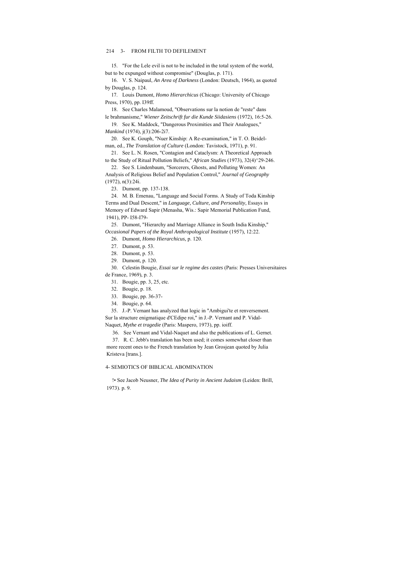#### 214 3- FROM FILTH TO DEFILEMENT

15. "For the Lele evil is not to be included in the total system of the world, but to be expunged without compromise" (Douglas, p. 171).

16. V. S. Naipaul, *An Area of Darkness* (London: Deutsch, 1964), as quoted by Douglas, p. 124.

17. Louis Dumont, *Homo Hierarchicus* (Chicago: University of Chicago Press, 1970), pp. I39ff.

18. See Charles Malamoud, "Observations sur la notion de "reste" dans le brahmanisme," *Wiener Zeitschrift fur die Kunde Siidasiens* (1972), 16:5-26.

19. See K. Maddock, "Dangerous Proximities and Their Analogues," *Mankind* (1974), j(3):206-2i7.

20. See K. Gouph, "Nuer Kinship: A Re-examination," in T. O. Beidelman, ed., *The Translation of Culture* (London: Tavistock, 1971), p. 91.

21. See L. N. Rosen, "Contagion and Cataclysm: A Theoretical Approach to the Study of Ritual Pollution Beliefs," *African Studies* (1973), 32(4)^29-246.

22. See S. Lindenbaum, "Sorcerers, Ghosts, and Polluting Women: An Analysis of Religious Belief and Population Control," *Journal of Geography*  (1972), n(3):24i.

23. Dumont, pp. 137-138.

24. M. B. Emenau, "Language and Social Forms. A Study of Toda Kinship Terms and Dual Descent," in *Language, Culture, and Personality,* Essays in Memory of Edward Sapir (Menasha, Wis.: Sapir Memorial Publication Fund, 1941), PP- I58-I79-

25. Dumont, "Hierarchy and Marriage Alliance in South India Kinship," *Occasional Papers of the Royal Anthropological Institute* (1957), 12:22.

26. Dumont, *Homo Hierarchicus,* p. 120.

- 27. Dumont, p. 53.
- 28. Dumont, p. 53.
- 29. Dumont, p. 120.

30. Celestin Bougie, *Essai sur le regime des castes* (Paris: Presses Universitaires de France, 1969), p. 3.

- 31. Bougie, pp. 3, 25, etc.
- 32. Bougie, p. 18.
- 33. Bougie, pp. 36-37-
- 34. Bougie, p. 64.

35. J.-P. Vernant has analyzed that logic in "Ambigui'te et renversement. Sur la structure enigmatique d'CEdipe roi," in J.-P. Vernant and P. Vidal-

Naquet, *Mythe et tragedie* (Paris: Maspero, 1973), pp. ioiff.

36. See Vernant and Vidal-Naquet and also the publications of L. Gernet.

37. R. C. Jebb's translation has been used; it comes somewhat closer than more recent ones to the French translation by Jean Grosjean quoted by Julia Kristeva [trans.].

#### 4- SEMIOTICS OF BIBLICAL ABOMINATION

!• See Jacob Neusner, *The Idea of Purity in Ancient Judaism* (Leiden: Brill, 1973). p. 9.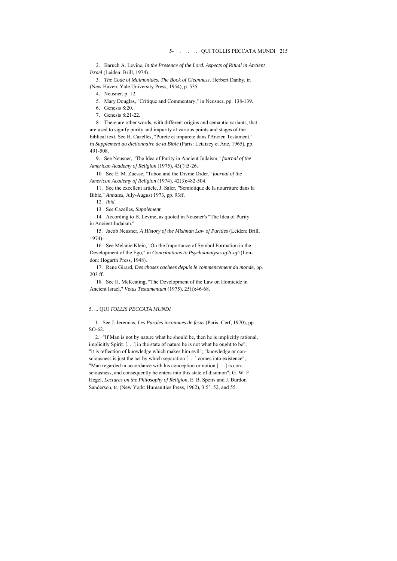2. Baruch A. Levine, *In the Presence of the Lord. Aspects of Ritual in Ancient Israel* (Leiden: Brill, 1974).

3. *The Code of Maimonides. The Book of Cleanness,* Herbert Danby, tr. (New Haven: Yale University Press, 1954), p. 535.

4. Neusner, p. 12.

5. Mary Douglas, "Critique and Commentary," in Neusner, pp. 138-139.

- 6. Genesis 8:20.
- 7. Genesis 8:21-22.

8. There are other words, with different origins and semantic variants, that are used to signify purity and impurity at various points and stages of the biblical text. See H. Cazelles, "Purete et impurete dans l'Ancien Testament," in *Supplement au dictionnaire de la Bible* (Paris: Letaizey et Ane, 1965), pp. 491-508.

9. See Neusner, "The Idea of Purity in Ancient Judaism," *fournal of the*  American Academy of Religion (1975), 43(<sup>I</sup>)i5-26.

10. See E. M. Zuesse, "Taboo and the Divine Order," *fournal of the American Academy of Religion* (1974), 42(3):482-504.

11. See the excellent article, J. Saler, "Semiotique de la nourriture dans la Bible," *Annates,* July-August 1973, pp. 93ff.

12. *Ibid.*

13. See Cazelles, *Supplement.*

14. According to B. Levine, as quoted in Ncusner's "The Idea of Purity in Ancient Judaism."

15. Jacob Neusner, *A History of the Mishnah Law of Purities* (Leiden: Brill, 1974)-

16. See Melanie Klein, "On the Importance of Symbol Formation in the Development of the Ego," in *Contributions to Psychoanalysis ig2i-ig^* (London: Hogarth Press, 1948).

17. Rene Girard, *Des choses cachees depuis le commencement du monde,* pp. 203 ff.

18. See H. McKeating, "The Development of the Law on Homicide in Ancient Israel," *Vetus Testamentum* (1975), 25(i):46-68.

### 5. ... QUI *TOLLIS PECCATA MUNDI*

1. See J. Jeremias, *Les Paroles inconnues de fesus* (Paris: Cerf, 1970), pp. SO-62.

2. "If Man is not by nature what he should be, then he is implicitly rational, implicitly Spirit. [...] in the state of nature he is not what he ought to be"; "it is reflection of knowledge which makes him evil"; "knowledge or consciousness is just the act by which separation [. . .] comes into existence"; "Man regarded in accordance with his conception or notion [. . .] is consciousness, and consequently he enters into this state of disunion"; G. W. F. Hegel, *Lectures on the Philosophy of Religion,* E. B. Speirs and J. Burdon Sanderson, tr. (New York: Humanities Press, 1962), 3:5°. 52, and 55.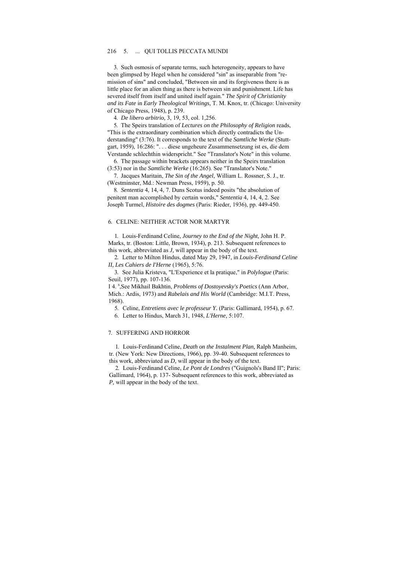#### 216 5. ... QUI TOLLIS PECCATA MUNDI

3. Such osmosis of separate terms, such heterogeneity, appears to have been glimpsed by Hegel when he considered "sin" as inseparable from "remission of sins" and concluded, "Between sin and its forgiveness there is as little place for an alien thing as there is between sin and punishment. Life has severed itself from itself and united itself again." *The Spirit of Christianity and its Fate* in *Early Theological Writings,* T. M. Knox, tr. (Chicago: University of Chicago Press, 1948), p. 239.

4. *De libero arbitrio,* 3, 19, 53, col. 1,256.

5. The Speirs translation of *Lectures on the Philosophy of Religion* reads, "This is the extraordinary combination which directly contradicts the Understanding" (3:76). It corresponds to the text of the *Samtliche Werke* (Stuttgart, 1959), 16:286: ". . . diese ungeheure Zusammensetzung ist es, die dem Verstande schlechthin widerspricht." See "Translator's Note" in this volume.

6. The passage within brackets appears neither in the Speirs translation (3:53) nor in the *Samtliche Werke* (16:265). See "Translator's Note."

7. Jacques Maritain, *The Sin of the Angel,* William L. Rossner, S. J., tr. (Westminster, Md.: Newman Press, 1959), p. 50.

8. *Sententia* 4, 14, 4, 7. Duns Scotus indeed posits "the absolution of penitent man accomplished by certain words," *Sententia* 4, 14, 4, 2. See Joseph Turmel, *Histoire des dogmes* (Paris: Rieder, 1936), pp. 449-450.

#### 6. CELINE: NEITHER ACTOR NOR MARTYR

1. Louis-Ferdinand Celine, *Journey to the End of the Night,* John H. P. Marks, tr. (Boston: Little, Brown, 1934), p. 213. Subsequent references to this work, abbreviated as *J,* will appear in the body of the text.

2. Letter to Milton Hindus, dated May 29, 1947, in *Louis-Ferdinand Celine II, Les Cahiers de I'Herne* (1965), 5:76.

3. See Julia Kristeva, "L'Experience et la pratique," in *Polylogue* (Paris: Seuil, 1977), pp. 107-136.

I 4. <sup>s</sup> ,See Mikhail Bakhtin, *Problems of Dostoyevsky's Poetics* (Ann Arbor, Mich.: Ardis, 1973) and *Rabelais and His World* (Cambridge: M.I.T. Press, 1968).

5. Celine, *Entretiens avec le professeur Y.* (Paris: Gallimard, 1954), p. 67.

6. Letter to Hindus, March 31, 1948, *L'Herne,* 5:107.

## 7. SUFFERING AND HORROR

1. Louis-Ferdinand Celine, *Death on the Instalment Plan,* Ralph Manheim, tr. (New York: New Directions, 1966), pp. 39-40. Subsequent references to this work, abbreviated as *D,* will appear in the body of the text.

2. Louis-Ferdinand Celine, *Le Pont de Londres* ("Guignols's Band II"; Paris: Gallimard, 1964), p. 137- Subsequent references to this work, abbreviated as *P,* will appear in the body of the text.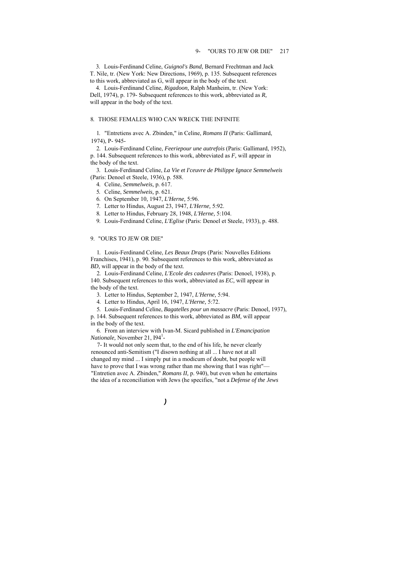3. Louis-Ferdinand Celine, *Guignol's Band,* Bernard Frechtman and Jack T. Nile, tr. (New York: New Directions, 1969), p. 135. Subsequent references to this work, abbreviated as G, will appear in the body of the text.

4. Louis-Ferdinand Celine, *Rigadoon,* Ralph Manheim, tr. (New York: Dell, 1974), p. 179- Subsequent references to this work, abbreviated as *R,*  will appear in the body of the text.

### 8. THOSE FEMALES WHO CAN WRECK THE INFINITE

1. "Entretiens avec A. Zbinden," in Celine, *Romans II* (Paris: Gallimard, 1974), P- 945-

2. Louis-Ferdinand Celine, *Feeriepour une autrefois* (Paris: Gallimard, 1952), p. 144. Subsequent references to this work, abbreviated as *F,* will appear in the body of the text.

3. Louis-Ferdinand Celine, *La Vie et I'ceuvre de Philippe Ignace Semmelweis*  (Paris: Denoel et Steele, 1936), p. 588.

- 4. Celine, *Semmelweis,* p. 617.
- 5. Celine, *Semmelweis,* p. 621.
- 6. On September 10, 1947, *L'Herne,* 5:96.
- 7. Letter to Hindus, August 23, 1947, *L'Herne,* 5:92.
- 8. Letter to Hindus, February 28, 1948, *L'Herne,* 5:104.
- 9. Louis-Ferdinand Celine, *L'Eglise* (Paris: Denoel et Steele, 1933), p. 488.

## 9. "OURS TO JEW OR DIE"

1. Louis-Ferdinand Celine, *Les Beaux Draps* (Paris: Nouvelles Editions Franchises, 1941), p. 90. Subsequent references to this work, abbreviated as *BD,* will appear in the body of the text.

2. Louis-Ferdinand Celine, *L'Ecole des cadavres* (Paris: Denoel, 1938), p. 140. Subsequent references to this work, abbreviated as *EC,* will appear in the body of the text.

3. Letter to Hindus, September 2, 1947, *L'Herne,* 5:94.

4. Letter to Hindus, April 16, 1947, *L'Herne,* 5:72.

5. Louis-Ferdinand Celine, *Bagatelles pour un massacre* (Paris: Denoel, 1937),

p. 144. Subsequent references to this work, abbreviated as *BM,* will appear in the body of the text.

6. From an interview with Ivan-M. Sicard published in *L'Emancipation Nationale, November 21, 194<sup>1</sup>-*

7- It would not only seem that, to the end of his life, he never clearly renounced anti-Semitism ("I disown nothing at all ... I have not at all changed my mind ... I simply put in a modicum of doubt, but people will have to prove that I was wrong rather than me showing that I was right"-"Entretien avec A. Zbinden," *Romans II,* p. 940), but even when he entertains the idea of a reconciliation with Jews (he specifies, "not a *Defense of the Jews*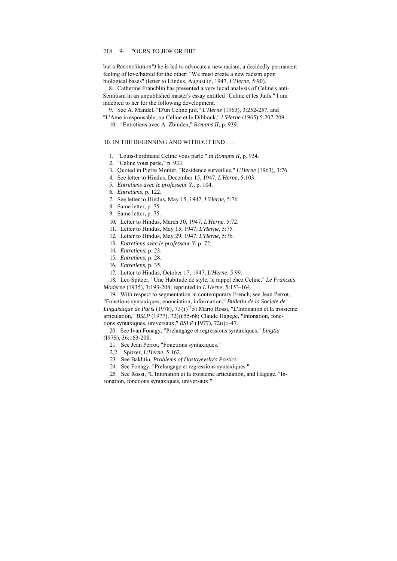#### 218 9- "OURS TO JEW OR DIE"

but a *Reconciliation")* he is led to advocate a new racism, a decidedly permanent feeling of love/hatred for the other: "We must create a new racism upon biological bases" (letter to Hindus, August io, 1947, *L'Herne,* 5:90).

8. Catherine Francblin has presented a very lucid analysis of Celine's anti-Semitism in an unpublished master's essay entitled "Celine et les Juifs." I am indebted to her for the following development.

9. See A. Mandel, "D'un Celine juif," *L'Herne* (1963), 3:252-257, and

"L'Ame irresponsable, ou Celine et le Dibbouk," *L'Herne* (1965) 5:207-209.

10. "Entretiens avec A. Zbinden," *Romans II,* p. 939.

# 10. IN THE BEGINNING AND WITHOUT END . . .

- 1. "Louis-Ferdinand Celine vous parle." in *Romans II,* p. 934.
- 2. "Celine vous parle," p. 933.
- 3. Quoted in Pierre Monier, "Residence surveillee," *L'Herne* (1963), 3:76.
- 4. See letter to Hindus, December 15, 1947, *L'Herne,* 5:103.
- 5. *Entretiens avec le professeur Y.,* p. 104.
- 6. *Entretiens,* p. 122.
- 7. See letter to Hindus, May 15, 1947, *L'Herne,* 5:76.
- 8. Same letter, p. 75.
- 9. Same letter, p. 75.
- 10. Letter to Hindus, March 30, 1947, *L'Herne,* 5:72.
- 11. Letter to Hindus, May 15, 1947, *L'Herne,* 5:75.
- 12. Letter to Hindus, May 29, 1947, *L'Herne,* 5:76.
- 13. *Entretiens avec le professeur Y.* p. 72.
- 14. *Entretiens,* p. 23.
- 15. *Entretiens,* p. 28.
- 16. *Entretiens,* p. 35.
- 17. Letter to Hindus, October 17, 1947, *L'Herne,* 5:99.

18. Leo Spitzer, "Une Habitude de style, le rappel chez Celine," *Le Francais Moderne* (1935), 3:193-208; reprinted in *L'Herne,* 5:153-164.

19. With respect to segmentation in contemporary French, see Jean Perrot, "Fonctions syntaxiques, enonciation, information," *Bulletin de la Societe de Linguistique de Paris* (1978), 73(i)<sup>:8</sup>51 Mario Rossi, "L'Intonation et la troisieme

articulation," *BSLP* (1977), 72(i):55-68; Claude Hagege, "Intonation, fonctions syntaxiques, universaux," *BSLP* (1977), 72(I):I-47.

20. See Ivan Fonagy, "Prelangage et regressions syntaxiques," *Lingtia*  (I97S), 36:163-208.

21. See Jean Perrot, "Fonctions syntaxiques."

- 2,2. Spitzer, *L'Herne,* 5:162.
- 23. See Bakhtin, *Problems of Dostoyevsky's Poetics.*

24. See Fonagy, "Prelangage et regressions syntaxiques."

25. See Rossi, "L'Intonation et la troisieme articulation, and Hagege, "Intonation, fonctions syntaxiques, universaux."